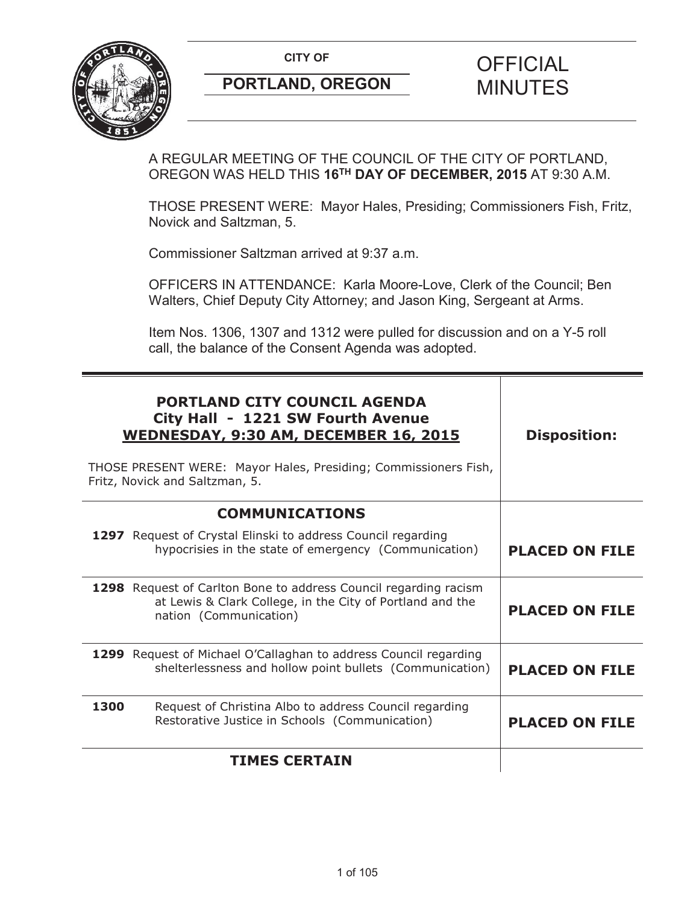

A REGULAR MEETING OF THE COUNCIL OF THE CITY OF PORTLAND, OREGON WAS HELD THIS **16TH DAY OF DECEMBER, 2015** AT 9:30 A.M.

THOSE PRESENT WERE: Mayor Hales, Presiding; Commissioners Fish, Fritz, Novick and Saltzman, 5.

Commissioner Saltzman arrived at 9:37 a.m.

OFFICERS IN ATTENDANCE: Karla Moore-Love, Clerk of the Council; Ben Walters, Chief Deputy City Attorney; and Jason King, Sergeant at Arms.

Item Nos. 1306, 1307 and 1312 were pulled for discussion and on a Y-5 roll call, the balance of the Consent Agenda was adopted.

| <b>PORTLAND CITY COUNCIL AGENDA</b><br>City Hall - 1221 SW Fourth Avenue<br><b>WEDNESDAY, 9:30 AM, DECEMBER 16, 2015</b><br>THOSE PRESENT WERE: Mayor Hales, Presiding; Commissioners Fish,<br>Fritz, Novick and Saltzman, 5. | <b>Disposition:</b>   |
|-------------------------------------------------------------------------------------------------------------------------------------------------------------------------------------------------------------------------------|-----------------------|
| <b>COMMUNICATIONS</b>                                                                                                                                                                                                         |                       |
| 1297 Request of Crystal Elinski to address Council regarding<br>hypocrisies in the state of emergency (Communication)                                                                                                         | <b>PLACED ON FILE</b> |
| 1298 Request of Carlton Bone to address Council regarding racism<br>at Lewis & Clark College, in the City of Portland and the<br>nation (Communication)                                                                       | <b>PLACED ON FILE</b> |
| 1299 Request of Michael O'Callaghan to address Council regarding<br>shelterlessness and hollow point bullets (Communication)                                                                                                  | <b>PLACED ON FILE</b> |
| Request of Christina Albo to address Council regarding<br>1300<br>Restorative Justice in Schools (Communication)                                                                                                              | <b>PLACED ON FILE</b> |
| <b>TIMES CERTAIN</b>                                                                                                                                                                                                          |                       |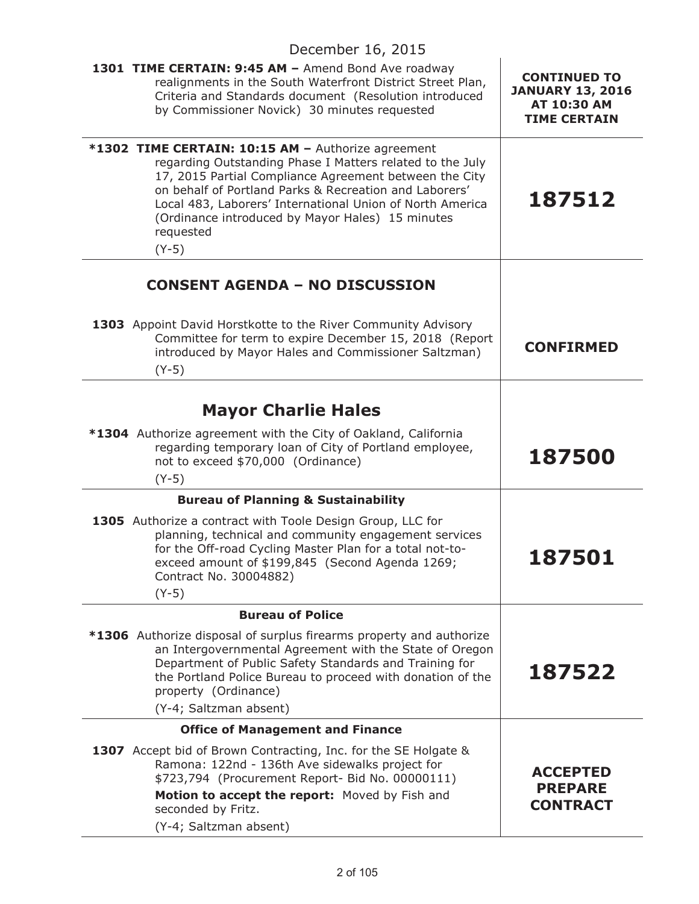| December 16, 2015                                                                                                                                                                                                                                                                                                                                                            |                                                                                      |
|------------------------------------------------------------------------------------------------------------------------------------------------------------------------------------------------------------------------------------------------------------------------------------------------------------------------------------------------------------------------------|--------------------------------------------------------------------------------------|
| 1301 TIME CERTAIN: 9:45 AM - Amend Bond Ave roadway<br>realignments in the South Waterfront District Street Plan,<br>Criteria and Standards document (Resolution introduced<br>by Commissioner Novick) 30 minutes requested                                                                                                                                                  | <b>CONTINUED TO</b><br><b>JANUARY 13, 2016</b><br>AT 10:30 AM<br><b>TIME CERTAIN</b> |
| *1302 TIME CERTAIN: 10:15 AM - Authorize agreement<br>regarding Outstanding Phase I Matters related to the July<br>17, 2015 Partial Compliance Agreement between the City<br>on behalf of Portland Parks & Recreation and Laborers'<br>Local 483, Laborers' International Union of North America<br>(Ordinance introduced by Mayor Hales) 15 minutes<br>requested<br>$(Y-5)$ | 187512                                                                               |
| <b>CONSENT AGENDA - NO DISCUSSION</b>                                                                                                                                                                                                                                                                                                                                        |                                                                                      |
| 1303 Appoint David Horstkotte to the River Community Advisory<br>Committee for term to expire December 15, 2018 (Report<br>introduced by Mayor Hales and Commissioner Saltzman)<br>$(Y-5)$                                                                                                                                                                                   | <b>CONFIRMED</b>                                                                     |
| <b>Mayor Charlie Hales</b>                                                                                                                                                                                                                                                                                                                                                   |                                                                                      |
| <b>*1304</b> Authorize agreement with the City of Oakland, California<br>regarding temporary loan of City of Portland employee,<br>not to exceed \$70,000 (Ordinance)<br>$(Y-5)$                                                                                                                                                                                             | 187500                                                                               |
| <b>Bureau of Planning &amp; Sustainability</b>                                                                                                                                                                                                                                                                                                                               |                                                                                      |
| 1305 Authorize a contract with Toole Design Group, LLC for<br>planning, technical and community engagement services<br>for the Off-road Cycling Master Plan for a total not-to-<br>exceed amount of \$199,845 (Second Agenda 1269;<br>Contract No. 30004882)<br>$(Y-5)$                                                                                                      | 187501                                                                               |
| <b>Bureau of Police</b>                                                                                                                                                                                                                                                                                                                                                      |                                                                                      |
| <b>*1306</b> Authorize disposal of surplus firearms property and authorize<br>an Intergovernmental Agreement with the State of Oregon<br>Department of Public Safety Standards and Training for<br>the Portland Police Bureau to proceed with donation of the<br>property (Ordinance)<br>(Y-4; Saltzman absent)                                                              | 187522                                                                               |
| <b>Office of Management and Finance</b>                                                                                                                                                                                                                                                                                                                                      |                                                                                      |
| 1307 Accept bid of Brown Contracting, Inc. for the SE Holgate &<br>Ramona: 122nd - 136th Ave sidewalks project for<br>\$723,794 (Procurement Report- Bid No. 00000111)<br>Motion to accept the report: Moved by Fish and                                                                                                                                                     | <b>ACCEPTED</b><br><b>PREPARE</b><br><b>CONTRACT</b>                                 |
| seconded by Fritz.<br>(Y-4; Saltzman absent)                                                                                                                                                                                                                                                                                                                                 |                                                                                      |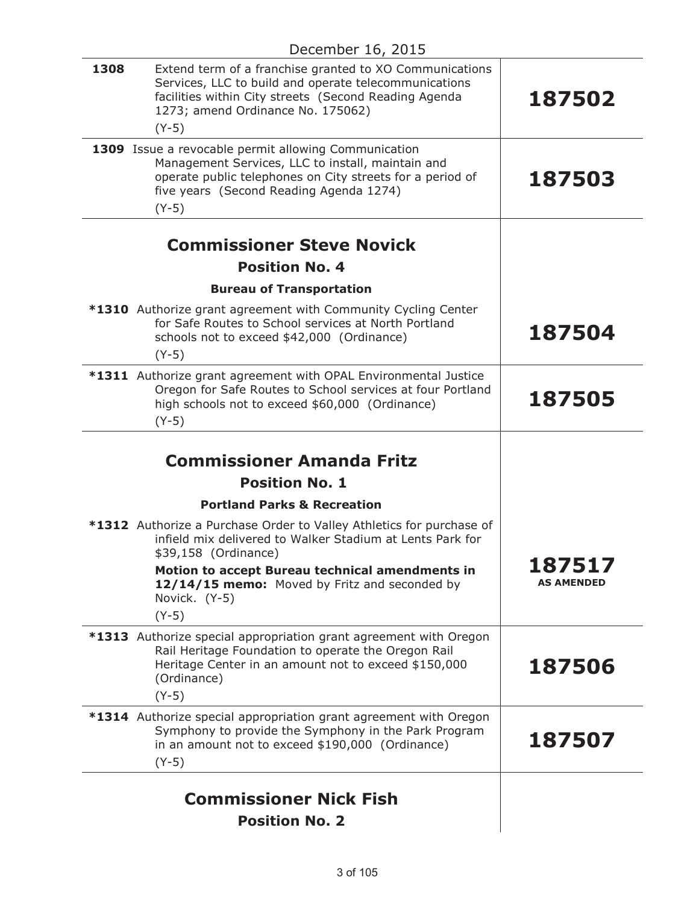| 1308 | Extend term of a franchise granted to XO Communications<br>Services, LLC to build and operate telecommunications<br>facilities within City streets (Second Reading Agenda<br>1273; amend Ordinance No. 175062)<br>$(Y-5)$    | 187502            |
|------|------------------------------------------------------------------------------------------------------------------------------------------------------------------------------------------------------------------------------|-------------------|
|      | 1309 Issue a revocable permit allowing Communication<br>Management Services, LLC to install, maintain and<br>operate public telephones on City streets for a period of<br>five years (Second Reading Agenda 1274)<br>$(Y-5)$ | 187503            |
|      | <b>Commissioner Steve Novick</b>                                                                                                                                                                                             |                   |
|      | <b>Position No. 4</b>                                                                                                                                                                                                        |                   |
|      | <b>Bureau of Transportation</b>                                                                                                                                                                                              |                   |
|      | *1310 Authorize grant agreement with Community Cycling Center<br>for Safe Routes to School services at North Portland<br>schools not to exceed \$42,000 (Ordinance)<br>$(Y-5)$                                               | 187504            |
|      | *1311 Authorize grant agreement with OPAL Environmental Justice<br>Oregon for Safe Routes to School services at four Portland<br>high schools not to exceed \$60,000 (Ordinance)<br>$(Y-5)$                                  | 187505            |
|      | <b>Commissioner Amanda Fritz</b><br><b>Position No. 1</b>                                                                                                                                                                    |                   |
|      | <b>Portland Parks &amp; Recreation</b>                                                                                                                                                                                       |                   |
|      | *1312 Authorize a Purchase Order to Valley Athletics for purchase of<br>infield mix delivered to Walker Stadium at Lents Park for<br>\$39,158 (Ordinance)<br>Motion to accept Bureau technical amendments in                 | 87517             |
|      | 12/14/15 memo: Moved by Fritz and seconded by<br>Novick. (Y-5)<br>$(Y-5)$                                                                                                                                                    | <b>AS AMENDED</b> |
|      | *1313 Authorize special appropriation grant agreement with Oregon<br>Rail Heritage Foundation to operate the Oregon Rail<br>Heritage Center in an amount not to exceed \$150,000<br>(Ordinance)<br>$(Y-5)$                   | 187506            |
|      | <b>*1314</b> Authorize special appropriation grant agreement with Oregon<br>Symphony to provide the Symphony in the Park Program<br>in an amount not to exceed \$190,000 (Ordinance)<br>$(Y-5)$                              | 187507            |
|      | <b>Commissioner Nick Fish</b><br><b>Position No. 2</b>                                                                                                                                                                       |                   |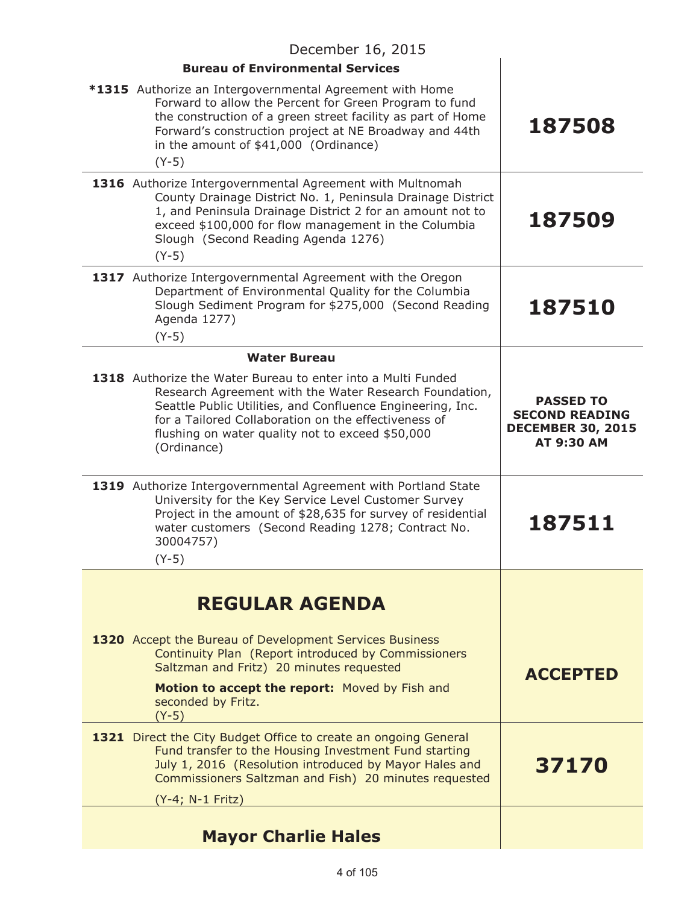| December 16, 2015                                                                                                                                                                                                                                                                                               |                                                                                     |  |
|-----------------------------------------------------------------------------------------------------------------------------------------------------------------------------------------------------------------------------------------------------------------------------------------------------------------|-------------------------------------------------------------------------------------|--|
| <b>Bureau of Environmental Services</b>                                                                                                                                                                                                                                                                         |                                                                                     |  |
| *1315 Authorize an Intergovernmental Agreement with Home<br>Forward to allow the Percent for Green Program to fund<br>the construction of a green street facility as part of Home<br>Forward's construction project at NE Broadway and 44th<br>in the amount of \$41,000 (Ordinance)<br>$(Y-5)$                 | 187508                                                                              |  |
| 1316 Authorize Intergovernmental Agreement with Multnomah<br>County Drainage District No. 1, Peninsula Drainage District<br>1, and Peninsula Drainage District 2 for an amount not to<br>exceed \$100,000 for flow management in the Columbia<br>Slough (Second Reading Agenda 1276)<br>$(Y-5)$                 | 187509                                                                              |  |
| 1317 Authorize Intergovernmental Agreement with the Oregon<br>Department of Environmental Quality for the Columbia<br>Slough Sediment Program for \$275,000 (Second Reading<br>Agenda 1277)<br>$(Y-5)$                                                                                                          | 187510                                                                              |  |
| <b>Water Bureau</b>                                                                                                                                                                                                                                                                                             |                                                                                     |  |
| 1318 Authorize the Water Bureau to enter into a Multi Funded<br>Research Agreement with the Water Research Foundation,<br>Seattle Public Utilities, and Confluence Engineering, Inc.<br>for a Tailored Collaboration on the effectiveness of<br>flushing on water quality not to exceed \$50,000<br>(Ordinance) | <b>PASSED TO</b><br><b>SECOND READING</b><br><b>DECEMBER 30, 2015</b><br>AT 9:30 AM |  |
| 1319 Authorize Intergovernmental Agreement with Portland State<br>University for the Key Service Level Customer Survey<br>Project in the amount of \$28,635 for survey of residential<br>water customers (Second Reading 1278; Contract No.<br>30004757)<br>$(Y-5)$                                             | 187511                                                                              |  |
|                                                                                                                                                                                                                                                                                                                 |                                                                                     |  |
| <b>REGULAR AGENDA</b>                                                                                                                                                                                                                                                                                           |                                                                                     |  |
| 1320 Accept the Bureau of Development Services Business<br>Continuity Plan (Report introduced by Commissioners<br>Saltzman and Fritz) 20 minutes requested<br>Motion to accept the report: Moved by Fish and<br>seconded by Fritz.<br>$(Y-5)$                                                                   | <b>ACCEPTED</b>                                                                     |  |
| 1321 Direct the City Budget Office to create an ongoing General<br>Fund transfer to the Housing Investment Fund starting<br>July 1, 2016 (Resolution introduced by Mayor Hales and<br>Commissioners Saltzman and Fish) 20 minutes requested<br>(Y-4; N-1 Fritz)                                                 | 37170                                                                               |  |
| <b>Mayor Charlie Hales</b>                                                                                                                                                                                                                                                                                      |                                                                                     |  |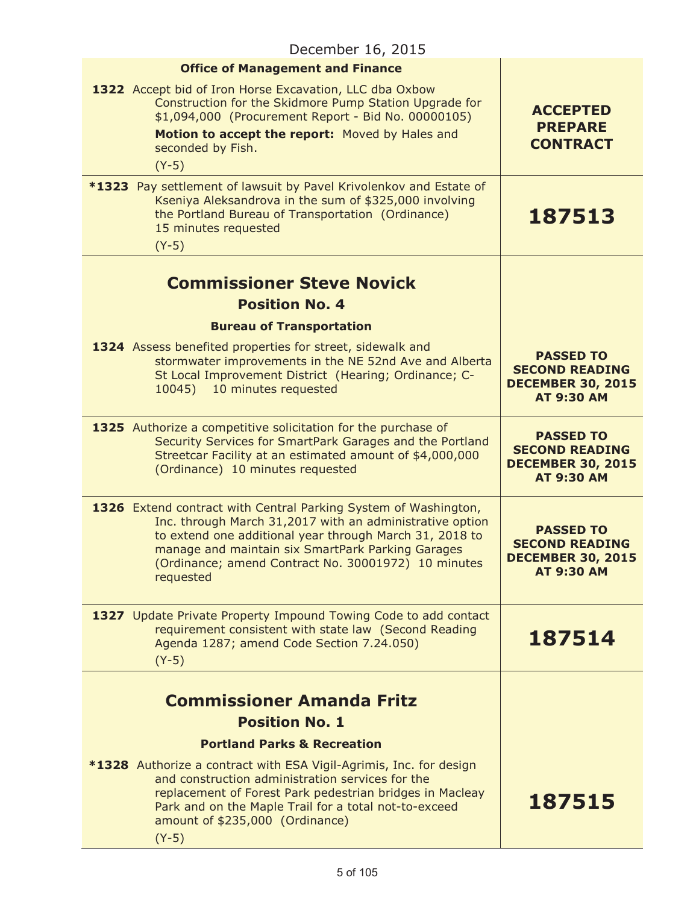| December 16, 2015 |                                                                                                                                                                                                                                                                                                                 |                                                                                            |
|-------------------|-----------------------------------------------------------------------------------------------------------------------------------------------------------------------------------------------------------------------------------------------------------------------------------------------------------------|--------------------------------------------------------------------------------------------|
|                   | <b>Office of Management and Finance</b>                                                                                                                                                                                                                                                                         |                                                                                            |
|                   | 1322 Accept bid of Iron Horse Excavation, LLC dba Oxbow<br>Construction for the Skidmore Pump Station Upgrade for<br>\$1,094,000 (Procurement Report - Bid No. 00000105)<br>Motion to accept the report: Moved by Hales and<br>seconded by Fish.<br>$(Y-5)$                                                     | <b>ACCEPTED</b><br><b>PREPARE</b><br><b>CONTRACT</b>                                       |
|                   | *1323 Pay settlement of lawsuit by Pavel Krivolenkov and Estate of<br>Kseniya Aleksandrova in the sum of \$325,000 involving<br>the Portland Bureau of Transportation (Ordinance)<br>15 minutes requested<br>$(Y-5)$                                                                                            | 187513                                                                                     |
|                   | <b>Commissioner Steve Novick</b><br><b>Position No. 4</b>                                                                                                                                                                                                                                                       |                                                                                            |
|                   | <b>Bureau of Transportation</b>                                                                                                                                                                                                                                                                                 |                                                                                            |
|                   | 1324 Assess benefited properties for street, sidewalk and<br>stormwater improvements in the NE 52nd Ave and Alberta<br>St Local Improvement District (Hearing; Ordinance; C-<br>10 minutes requested<br>10045)                                                                                                  | <b>PASSED TO</b><br><b>SECOND READING</b><br><b>DECEMBER 30, 2015</b><br><b>AT 9:30 AM</b> |
|                   | 1325 Authorize a competitive solicitation for the purchase of<br>Security Services for SmartPark Garages and the Portland<br>Streetcar Facility at an estimated amount of \$4,000,000<br>(Ordinance) 10 minutes requested                                                                                       | <b>PASSED TO</b><br><b>SECOND READING</b><br><b>DECEMBER 30, 2015</b><br><b>AT 9:30 AM</b> |
|                   | 1326 Extend contract with Central Parking System of Washington,<br>Inc. through March 31,2017 with an administrative option<br>to extend one additional year through March 31, 2018 to<br>manage and maintain six SmartPark Parking Garages<br>(Ordinance; amend Contract No. 30001972) 10 minutes<br>requested | <b>PASSED TO</b><br><b>SECOND READING</b><br><b>DECEMBER 30, 2015</b><br><b>AT 9:30 AM</b> |
|                   | 1327 Update Private Property Impound Towing Code to add contact<br>requirement consistent with state law (Second Reading<br>Agenda 1287; amend Code Section 7.24.050)<br>$(Y-5)$                                                                                                                                | 187514                                                                                     |
|                   | <b>Commissioner Amanda Fritz</b><br><b>Position No. 1</b>                                                                                                                                                                                                                                                       |                                                                                            |
|                   | <b>Portland Parks &amp; Recreation</b>                                                                                                                                                                                                                                                                          |                                                                                            |
|                   | <b>*1328</b> Authorize a contract with ESA Vigil-Agrimis, Inc. for design<br>and construction administration services for the<br>replacement of Forest Park pedestrian bridges in Macleay<br>Park and on the Maple Trail for a total not-to-exceed<br>amount of \$235,000 (Ordinance)                           | 187515                                                                                     |
|                   | $(Y-5)$                                                                                                                                                                                                                                                                                                         |                                                                                            |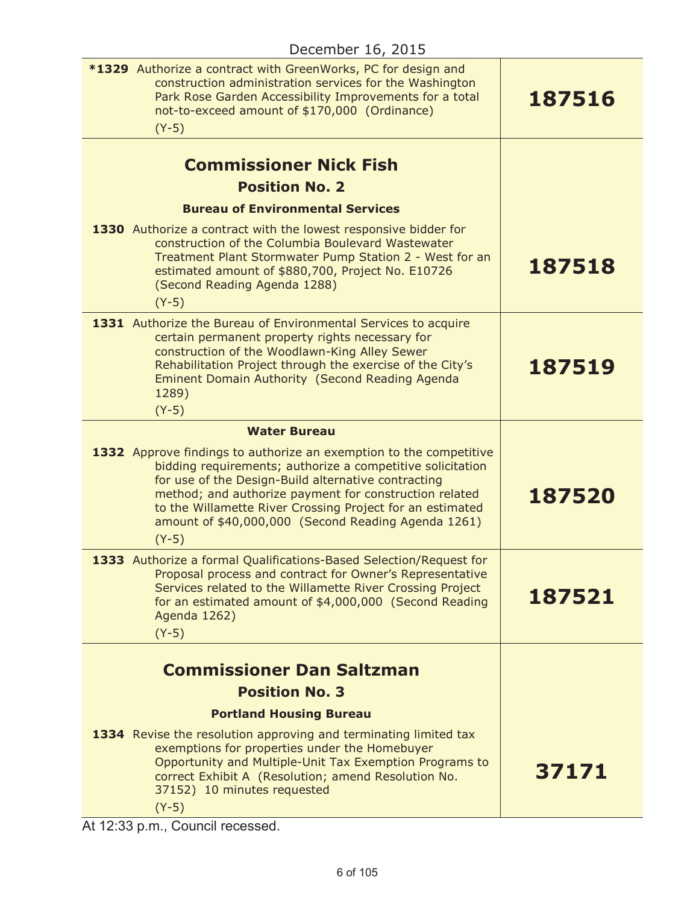| <b>*1329</b> Authorize a contract with GreenWorks, PC for design and<br>construction administration services for the Washington<br>Park Rose Garden Accessibility Improvements for a total<br>not-to-exceed amount of \$170,000 (Ordinance)<br>$(Y-5)$                                                                                                                                                  | 187516 |
|---------------------------------------------------------------------------------------------------------------------------------------------------------------------------------------------------------------------------------------------------------------------------------------------------------------------------------------------------------------------------------------------------------|--------|
| <b>Commissioner Nick Fish</b><br><b>Position No. 2</b>                                                                                                                                                                                                                                                                                                                                                  |        |
| <b>Bureau of Environmental Services</b>                                                                                                                                                                                                                                                                                                                                                                 |        |
| 1330 Authorize a contract with the lowest responsive bidder for<br>construction of the Columbia Boulevard Wastewater<br>Treatment Plant Stormwater Pump Station 2 - West for an<br>estimated amount of \$880,700, Project No. E10726<br>(Second Reading Agenda 1288)<br>$(Y-5)$                                                                                                                         | 187518 |
| 1331 Authorize the Bureau of Environmental Services to acquire<br>certain permanent property rights necessary for<br>construction of the Woodlawn-King Alley Sewer<br>Rehabilitation Project through the exercise of the City's<br>Eminent Domain Authority (Second Reading Agenda<br>1289)                                                                                                             | 187519 |
| $(Y-5)$                                                                                                                                                                                                                                                                                                                                                                                                 |        |
| <b>Water Bureau</b><br>1332 Approve findings to authorize an exemption to the competitive<br>bidding requirements; authorize a competitive solicitation<br>for use of the Design-Build alternative contracting<br>method; and authorize payment for construction related<br>to the Willamette River Crossing Project for an estimated<br>amount of \$40,000,000 (Second Reading Agenda 1261)<br>$(Y-5)$ | 187520 |
| 1333 Authorize a formal Qualifications-Based Selection/Request for<br>Proposal process and contract for Owner's Representative<br>Services related to the Willamette River Crossing Project<br>for an estimated amount of \$4,000,000 (Second Reading<br>Agenda 1262)<br>$(Y-5)$                                                                                                                        | 187521 |
|                                                                                                                                                                                                                                                                                                                                                                                                         |        |
| <b>Commissioner Dan Saltzman</b><br><b>Position No. 3</b>                                                                                                                                                                                                                                                                                                                                               |        |
| <b>Portland Housing Bureau</b>                                                                                                                                                                                                                                                                                                                                                                          |        |
| 1334 Revise the resolution approving and terminating limited tax<br>exemptions for properties under the Homebuyer<br>Opportunity and Multiple-Unit Tax Exemption Programs to<br>correct Exhibit A (Resolution; amend Resolution No.<br>37152) 10 minutes requested<br>$(Y-5)$                                                                                                                           | 37171  |

At 12:33 p.m., Council recessed.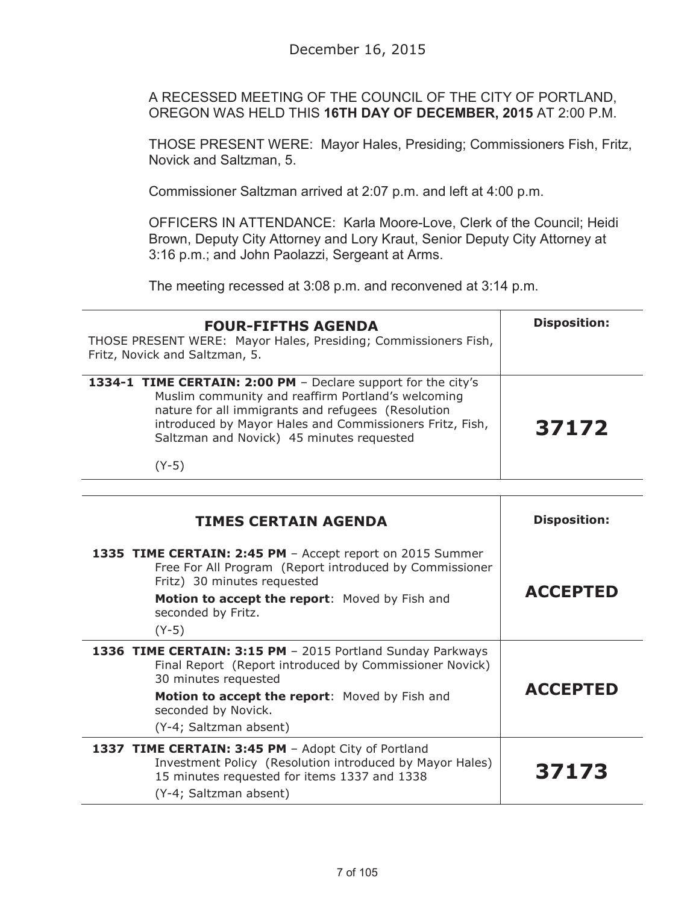A RECESSED MEETING OF THE COUNCIL OF THE CITY OF PORTLAND, OREGON WAS HELD THIS **16TH DAY OF DECEMBER, 2015** AT 2:00 P.M.

THOSE PRESENT WERE: Mayor Hales, Presiding; Commissioners Fish, Fritz, Novick and Saltzman, 5.

Commissioner Saltzman arrived at 2:07 p.m. and left at 4:00 p.m.

OFFICERS IN ATTENDANCE: Karla Moore-Love, Clerk of the Council; Heidi Brown, Deputy City Attorney and Lory Kraut, Senior Deputy City Attorney at 3:16 p.m.; and John Paolazzi, Sergeant at Arms.

The meeting recessed at 3:08 p.m. and reconvened at 3:14 p.m.

| <b>FOUR-FIFTHS AGENDA</b><br>THOSE PRESENT WERE: Mayor Hales, Presiding; Commissioners Fish,<br>Fritz, Novick and Saltzman, 5.                                                                                                                                                     | <b>Disposition:</b> |
|------------------------------------------------------------------------------------------------------------------------------------------------------------------------------------------------------------------------------------------------------------------------------------|---------------------|
| 1334-1 TIME CERTAIN: 2:00 PM - Declare support for the city's<br>Muslim community and reaffirm Portland's welcoming<br>nature for all immigrants and refugees (Resolution<br>introduced by Mayor Hales and Commissioners Fritz, Fish,<br>Saltzman and Novick) 45 minutes requested | 37172               |
| (Y-5)                                                                                                                                                                                                                                                                              |                     |

| <b>TIMES CERTAIN AGENDA</b>                                                                                                                                                                                                 | <b>Disposition:</b> |
|-----------------------------------------------------------------------------------------------------------------------------------------------------------------------------------------------------------------------------|---------------------|
| 1335 TIME CERTAIN: 2:45 PM - Accept report on 2015 Summer<br>Free For All Program (Report introduced by Commissioner<br>Fritz) 30 minutes requested<br>Motion to accept the report: Moved by Fish and<br>seconded by Fritz. | <b>ACCEPTED</b>     |
| $(Y-5)$                                                                                                                                                                                                                     |                     |
| 1336 TIME CERTAIN: 3:15 PM - 2015 Portland Sunday Parkways<br>Final Report (Report introduced by Commissioner Novick)<br>30 minutes requested                                                                               |                     |
| Motion to accept the report: Moved by Fish and<br>seconded by Novick.                                                                                                                                                       | <b>ACCEPTED</b>     |
| (Y-4; Saltzman absent)                                                                                                                                                                                                      |                     |
| 1337 TIME CERTAIN: 3:45 PM - Adopt City of Portland<br>Investment Policy (Resolution introduced by Mayor Hales)<br>15 minutes requested for items 1337 and 1338<br>(Y-4; Saltzman absent)                                   | 37173               |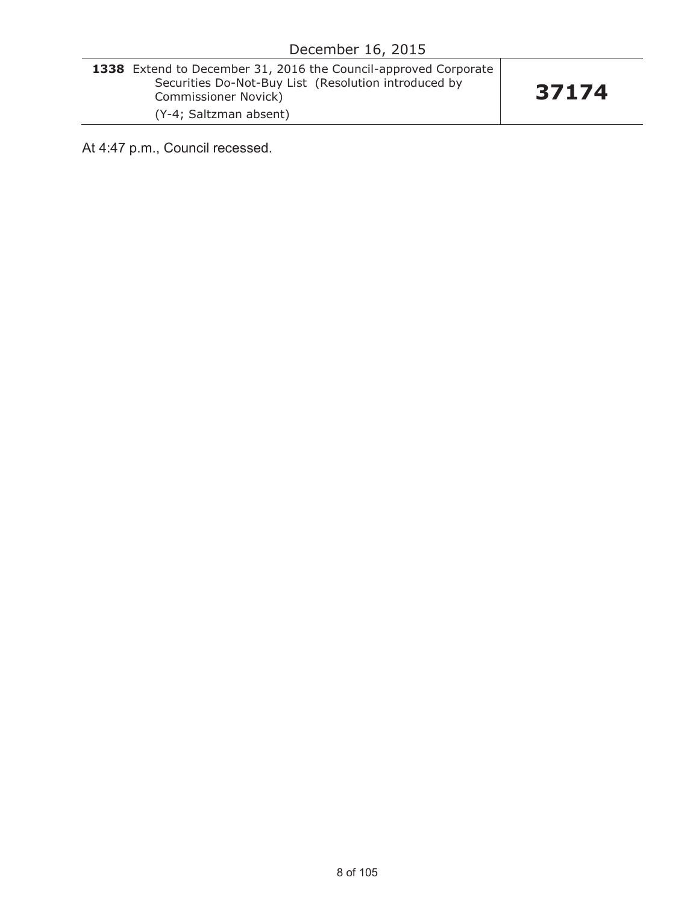| <b>1338</b> Extend to December 31, 2016 the Council-approved Corporate |  |
|------------------------------------------------------------------------|--|
| Securities Do-Not-Buy List (Resolution introduced by                   |  |
| Commissioner Novick)                                                   |  |
| (Y-4; Saltzman absent)                                                 |  |

At 4:47 p.m., Council recessed.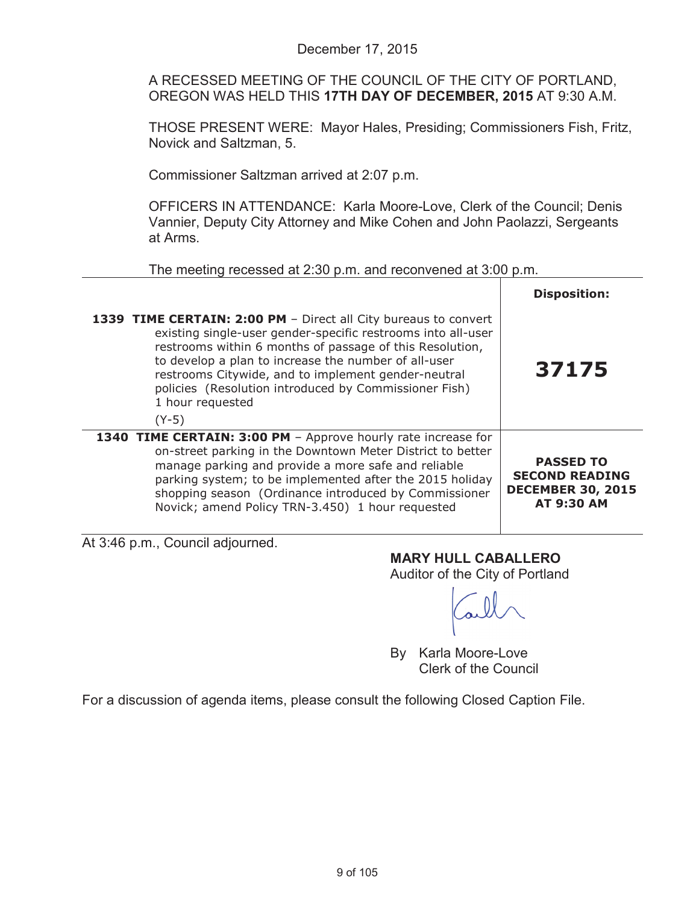A RECESSED MEETING OF THE COUNCIL OF THE CITY OF PORTLAND, OREGON WAS HELD THIS **17TH DAY OF DECEMBER, 2015** AT 9:30 A.M.

THOSE PRESENT WERE: Mayor Hales, Presiding; Commissioners Fish, Fritz, Novick and Saltzman, 5.

Commissioner Saltzman arrived at 2:07 p.m.

OFFICERS IN ATTENDANCE: Karla Moore-Love, Clerk of the Council; Denis Vannier, Deputy City Attorney and Mike Cohen and John Paolazzi, Sergeants at Arms.

The meeting recessed at 2:30 p.m. and reconvened at 3:00 p.m.

|                                                                                                                                                                                                                                                                                                                                                                                                    | <b>Disposition:</b>                                                                        |
|----------------------------------------------------------------------------------------------------------------------------------------------------------------------------------------------------------------------------------------------------------------------------------------------------------------------------------------------------------------------------------------------------|--------------------------------------------------------------------------------------------|
| 1339 TIME CERTAIN: 2:00 PM - Direct all City bureaus to convert<br>existing single-user gender-specific restrooms into all-user<br>restrooms within 6 months of passage of this Resolution,<br>to develop a plan to increase the number of all-user<br>restrooms Citywide, and to implement gender-neutral<br>policies (Resolution introduced by Commissioner Fish)<br>1 hour requested<br>$(Y-5)$ | 37175                                                                                      |
| 1340 TIME CERTAIN: 3:00 PM - Approve hourly rate increase for<br>on-street parking in the Downtown Meter District to better<br>manage parking and provide a more safe and reliable<br>parking system; to be implemented after the 2015 holiday<br>shopping season (Ordinance introduced by Commissioner<br>Novick; amend Policy TRN-3.450) 1 hour requested                                        | <b>PASSED TO</b><br><b>SECOND READING</b><br><b>DECEMBER 30, 2015</b><br><b>AT 9:30 AM</b> |

At 3:46 p.m., Council adjourned.

**MARY HULL CABALLERO**

Auditor of the City of Portland

By Karla Moore-Love Clerk of the Council

For a discussion of agenda items, please consult the following Closed Caption File.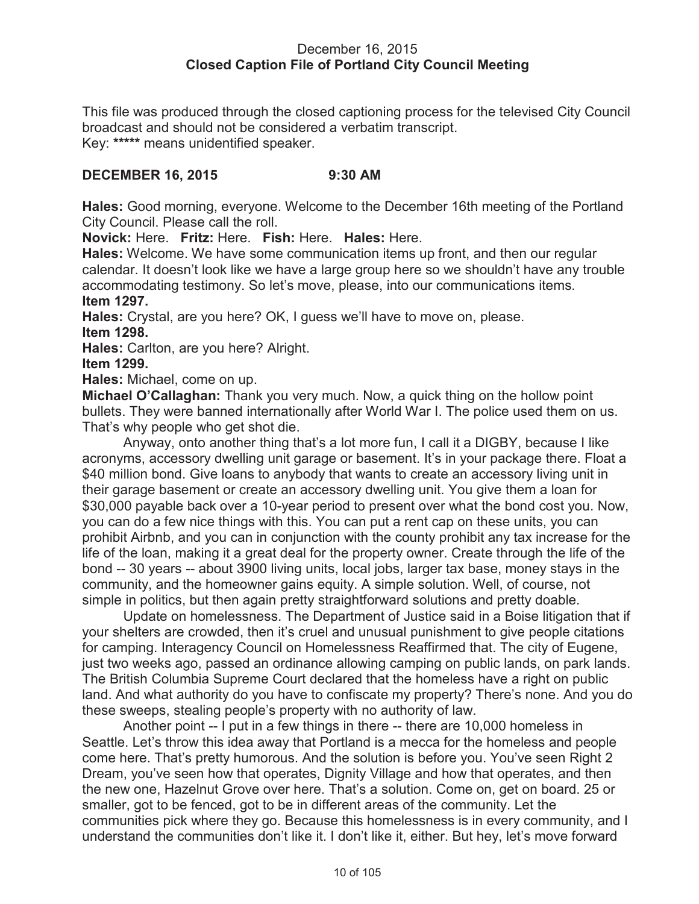### December 16, 2015 **Closed Caption File of Portland City Council Meeting**

This file was produced through the closed captioning process for the televised City Council broadcast and should not be considered a verbatim transcript. Key: **\*\*\*\*\*** means unidentified speaker.

## **DECEMBER 16, 2015 9:30 AM**

**Hales:** Good morning, everyone. Welcome to the December 16th meeting of the Portland City Council. Please call the roll.

**Novick:** Here. **Fritz:** Here. **Fish:** Here. **Hales:** Here.

**Hales:** Welcome. We have some communication items up front, and then our regular calendar. It doesn't look like we have a large group here so we shouldn't have any trouble accommodating testimony. So let's move, please, into our communications items. **Item 1297.**

**Hales:** Crystal, are you here? OK, I guess we'll have to move on, please. **Item 1298.**

**Hales:** Carlton, are you here? Alright.

**Item 1299.**

**Hales:** Michael, come on up.

**Michael O'Callaghan:** Thank you very much. Now, a quick thing on the hollow point bullets. They were banned internationally after World War I. The police used them on us. That's why people who get shot die.

Anyway, onto another thing that's a lot more fun, I call it a DIGBY, because I like acronyms, accessory dwelling unit garage or basement. It's in your package there. Float a \$40 million bond. Give loans to anybody that wants to create an accessory living unit in their garage basement or create an accessory dwelling unit. You give them a loan for \$30,000 payable back over a 10-year period to present over what the bond cost you. Now, you can do a few nice things with this. You can put a rent cap on these units, you can prohibit Airbnb, and you can in conjunction with the county prohibit any tax increase for the life of the loan, making it a great deal for the property owner. Create through the life of the bond -- 30 years -- about 3900 living units, local jobs, larger tax base, money stays in the community, and the homeowner gains equity. A simple solution. Well, of course, not simple in politics, but then again pretty straightforward solutions and pretty doable.

Update on homelessness. The Department of Justice said in a Boise litigation that if your shelters are crowded, then it's cruel and unusual punishment to give people citations for camping. Interagency Council on Homelessness Reaffirmed that. The city of Eugene, just two weeks ago, passed an ordinance allowing camping on public lands, on park lands. The British Columbia Supreme Court declared that the homeless have a right on public land. And what authority do you have to confiscate my property? There's none. And you do these sweeps, stealing people's property with no authority of law.

Another point -- I put in a few things in there -- there are 10,000 homeless in Seattle. Let's throw this idea away that Portland is a mecca for the homeless and people come here. That's pretty humorous. And the solution is before you. You've seen Right 2 Dream, you've seen how that operates, Dignity Village and how that operates, and then the new one, Hazelnut Grove over here. That's a solution. Come on, get on board. 25 or smaller, got to be fenced, got to be in different areas of the community. Let the communities pick where they go. Because this homelessness is in every community, and I understand the communities don't like it. I don't like it, either. But hey, let's move forward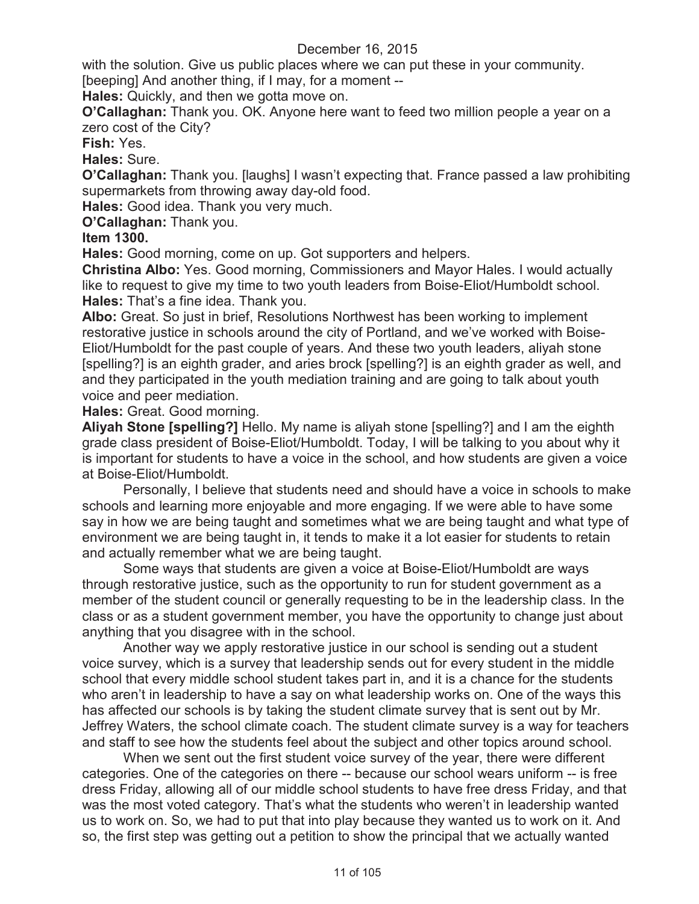with the solution. Give us public places where we can put these in your community. [beeping] And another thing, if I may, for a moment --

**Hales:** Quickly, and then we gotta move on.

**O'Callaghan:** Thank you. OK. Anyone here want to feed two million people a year on a zero cost of the City?

**Fish:** Yes.

**Hales:** Sure.

**O'Callaghan:** Thank you. [laughs] I wasn't expecting that. France passed a law prohibiting supermarkets from throwing away day-old food.

**Hales:** Good idea. Thank you very much.

**O'Callaghan:** Thank you.

## **Item 1300.**

**Hales:** Good morning, come on up. Got supporters and helpers.

**Christina Albo:** Yes. Good morning, Commissioners and Mayor Hales. I would actually like to request to give my time to two youth leaders from Boise-Eliot/Humboldt school. **Hales:** That's a fine idea. Thank you.

**Albo:** Great. So just in brief, Resolutions Northwest has been working to implement restorative justice in schools around the city of Portland, and we've worked with Boise-Eliot/Humboldt for the past couple of years. And these two youth leaders, aliyah stone [spelling?] is an eighth grader, and aries brock [spelling?] is an eighth grader as well, and and they participated in the youth mediation training and are going to talk about youth voice and peer mediation.

## **Hales:** Great. Good morning.

**Aliyah Stone [spelling?]** Hello. My name is aliyah stone [spelling?] and I am the eighth grade class president of Boise-Eliot/Humboldt. Today, I will be talking to you about why it is important for students to have a voice in the school, and how students are given a voice at Boise-Eliot/Humboldt.

Personally, I believe that students need and should have a voice in schools to make schools and learning more enjoyable and more engaging. If we were able to have some say in how we are being taught and sometimes what we are being taught and what type of environment we are being taught in, it tends to make it a lot easier for students to retain and actually remember what we are being taught.

Some ways that students are given a voice at Boise-Eliot/Humboldt are ways through restorative justice, such as the opportunity to run for student government as a member of the student council or generally requesting to be in the leadership class. In the class or as a student government member, you have the opportunity to change just about anything that you disagree with in the school.

Another way we apply restorative justice in our school is sending out a student voice survey, which is a survey that leadership sends out for every student in the middle school that every middle school student takes part in, and it is a chance for the students who aren't in leadership to have a say on what leadership works on. One of the ways this has affected our schools is by taking the student climate survey that is sent out by Mr. Jeffrey Waters, the school climate coach. The student climate survey is a way for teachers and staff to see how the students feel about the subject and other topics around school.

When we sent out the first student voice survey of the year, there were different categories. One of the categories on there -- because our school wears uniform -- is free dress Friday, allowing all of our middle school students to have free dress Friday, and that was the most voted category. That's what the students who weren't in leadership wanted us to work on. So, we had to put that into play because they wanted us to work on it. And so, the first step was getting out a petition to show the principal that we actually wanted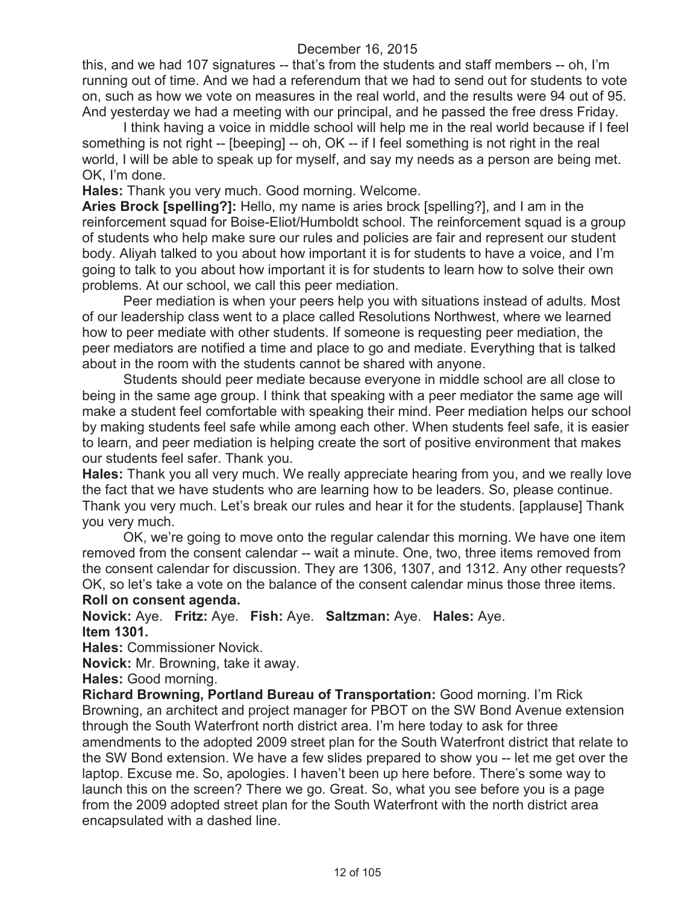this, and we had 107 signatures -- that's from the students and staff members -- oh, I'm running out of time. And we had a referendum that we had to send out for students to vote on, such as how we vote on measures in the real world, and the results were 94 out of 95. And yesterday we had a meeting with our principal, and he passed the free dress Friday.

I think having a voice in middle school will help me in the real world because if I feel something is not right -- [beeping] -- oh, OK -- if I feel something is not right in the real world, I will be able to speak up for myself, and say my needs as a person are being met. OK, I'm done.

**Hales:** Thank you very much. Good morning. Welcome.

**Aries Brock [spelling?]:** Hello, my name is aries brock [spelling?], and I am in the reinforcement squad for Boise-Eliot/Humboldt school. The reinforcement squad is a group of students who help make sure our rules and policies are fair and represent our student body. Aliyah talked to you about how important it is for students to have a voice, and I'm going to talk to you about how important it is for students to learn how to solve their own problems. At our school, we call this peer mediation.

Peer mediation is when your peers help you with situations instead of adults. Most of our leadership class went to a place called Resolutions Northwest, where we learned how to peer mediate with other students. If someone is requesting peer mediation, the peer mediators are notified a time and place to go and mediate. Everything that is talked about in the room with the students cannot be shared with anyone.

Students should peer mediate because everyone in middle school are all close to being in the same age group. I think that speaking with a peer mediator the same age will make a student feel comfortable with speaking their mind. Peer mediation helps our school by making students feel safe while among each other. When students feel safe, it is easier to learn, and peer mediation is helping create the sort of positive environment that makes our students feel safer. Thank you.

**Hales:** Thank you all very much. We really appreciate hearing from you, and we really love the fact that we have students who are learning how to be leaders. So, please continue. Thank you very much. Let's break our rules and hear it for the students. [applause] Thank you very much.

OK, we're going to move onto the regular calendar this morning. We have one item removed from the consent calendar -- wait a minute. One, two, three items removed from the consent calendar for discussion. They are 1306, 1307, and 1312. Any other requests? OK, so let's take a vote on the balance of the consent calendar minus those three items.

#### **Roll on consent agenda.**

**Novick:** Aye. **Fritz:** Aye. **Fish:** Aye. **Saltzman:** Aye. **Hales:** Aye. **Item 1301.**

**Hales:** Commissioner Novick.

**Novick:** Mr. Browning, take it away.

**Hales:** Good morning.

**Richard Browning, Portland Bureau of Transportation:** Good morning. I'm Rick Browning, an architect and project manager for PBOT on the SW Bond Avenue extension through the South Waterfront north district area. I'm here today to ask for three amendments to the adopted 2009 street plan for the South Waterfront district that relate to the SW Bond extension. We have a few slides prepared to show you -- let me get over the laptop. Excuse me. So, apologies. I haven't been up here before. There's some way to launch this on the screen? There we go. Great. So, what you see before you is a page from the 2009 adopted street plan for the South Waterfront with the north district area encapsulated with a dashed line.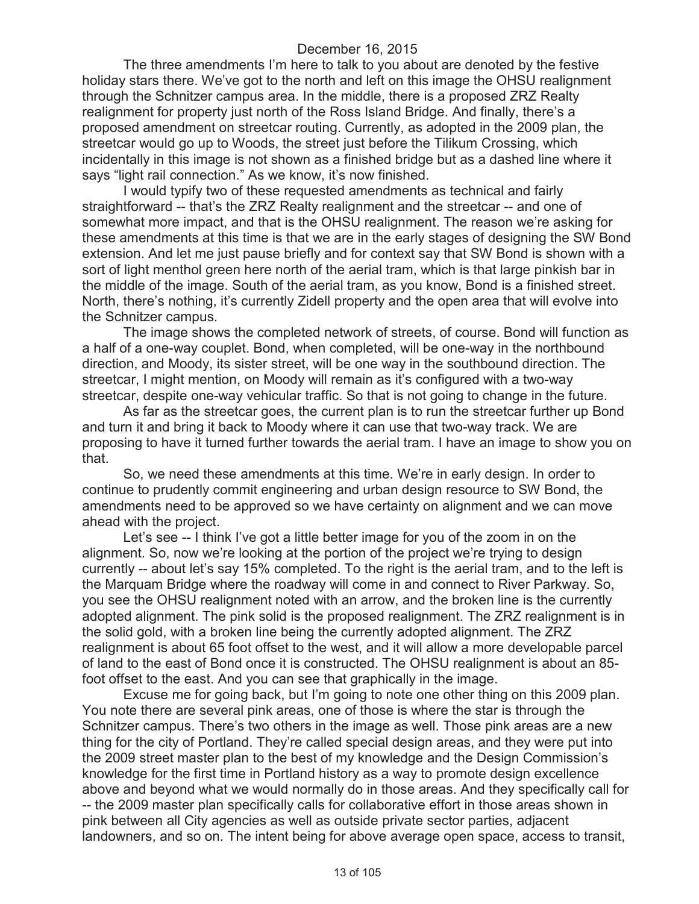The three amendments I'm here to talk to you about are denoted by the festive holiday stars there. We've got to the north and left on this image the OHSU realignment through the Schnitzer campus area. In the middle, there is a proposed ZRZ Realty realignment for property just north of the Ross Island Bridge. And finally, there's a proposed amendment on streetcar routing. Currently, as adopted in the 2009 plan, the streetcar would go up to Woods, the street just before the Tilikum Crossing, which incidentally in this image is not shown as a finished bridge but as a dashed line where it says "light rail connection." As we know, it's now finished.

I would typify two of these requested amendments as technical and fairly straightforward -- that's the ZRZ Realty realignment and the streetcar -- and one of somewhat more impact, and that is the OHSU realignment. The reason we're asking for these amendments at this time is that we are in the early stages of designing the SW Bond extension. And let me just pause briefly and for context say that SW Bond is shown with a sort of light menthol green here north of the aerial tram, which is that large pinkish bar in the middle of the image. South of the aerial tram, as you know, Bond is a finished street. North, there's nothing, it's currently Zidell property and the open area that will evolve into the Schnitzer campus.

The image shows the completed network of streets, of course. Bond will function as a half of a one-way couplet. Bond, when completed, will be one-way in the northbound direction, and Moody, its sister street, will be one way in the southbound direction. The streetcar, I might mention, on Moody will remain as it's configured with a two-way streetcar, despite one-way vehicular traffic. So that is not going to change in the future.

As far as the streetcar goes, the current plan is to run the streetcar further up Bond and turn it and bring it back to Moody where it can use that two-way track. We are proposing to have it turned further towards the aerial tram. I have an image to show you on that.

So, we need these amendments at this time. We're in early design. In order to continue to prudently commit engineering and urban design resource to SW Bond, the amendments need to be approved so we have certainty on alignment and we can move ahead with the project.

Let's see -- I think I've got a little better image for you of the zoom in on the alignment. So, now we're looking at the portion of the project we're trying to design currently -- about let's say 15% completed. To the right is the aerial tram, and to the left is the Marquam Bridge where the roadway will come in and connect to River Parkway. So, you see the OHSU realignment noted with an arrow, and the broken line is the currently adopted alignment. The pink solid is the proposed realignment. The ZRZ realignment is in the solid gold, with a broken line being the currently adopted alignment. The ZRZ realignment is about 65 foot offset to the west, and it will allow a more developable parcel of land to the east of Bond once it is constructed. The OHSU realignment is about an 85 foot offset to the east. And you can see that graphically in the image.

Excuse me for going back, but I'm going to note one other thing on this 2009 plan. You note there are several pink areas, one of those is where the star is through the Schnitzer campus. There's two others in the image as well. Those pink areas are a new thing for the city of Portland. They're called special design areas, and they were put into the 2009 street master plan to the best of my knowledge and the Design Commission's knowledge for the first time in Portland history as a way to promote design excellence above and beyond what we would normally do in those areas. And they specifically call for -- the 2009 master plan specifically calls for collaborative effort in those areas shown in pink between all City agencies as well as outside private sector parties, adjacent landowners, and so on. The intent being for above average open space, access to transit,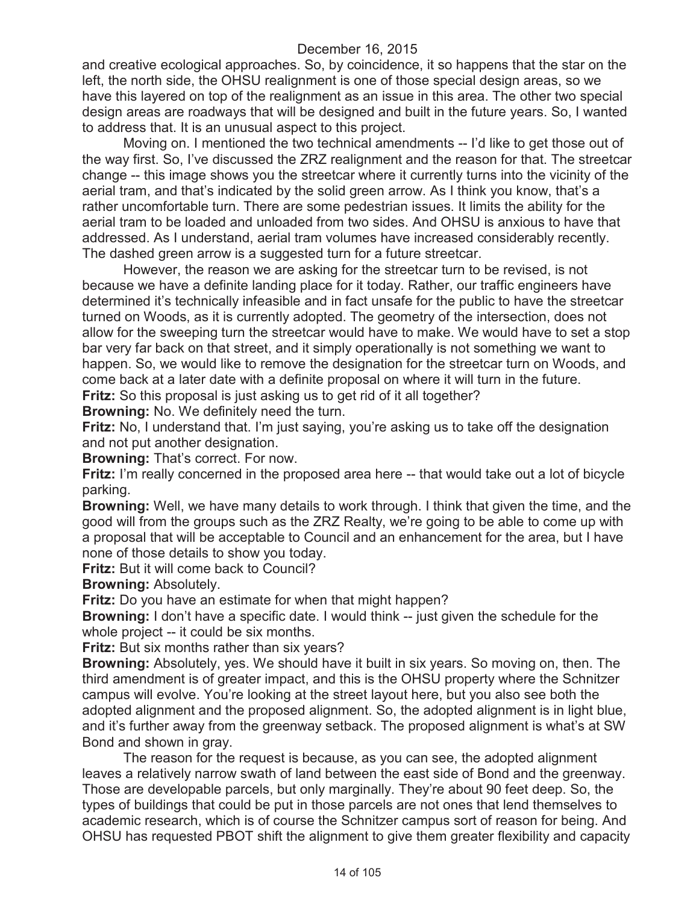and creative ecological approaches. So, by coincidence, it so happens that the star on the left, the north side, the OHSU realignment is one of those special design areas, so we have this layered on top of the realignment as an issue in this area. The other two special design areas are roadways that will be designed and built in the future years. So, I wanted to address that. It is an unusual aspect to this project.

Moving on. I mentioned the two technical amendments -- I'd like to get those out of the way first. So, I've discussed the ZRZ realignment and the reason for that. The streetcar change -- this image shows you the streetcar where it currently turns into the vicinity of the aerial tram, and that's indicated by the solid green arrow. As I think you know, that's a rather uncomfortable turn. There are some pedestrian issues. It limits the ability for the aerial tram to be loaded and unloaded from two sides. And OHSU is anxious to have that addressed. As I understand, aerial tram volumes have increased considerably recently. The dashed green arrow is a suggested turn for a future streetcar.

However, the reason we are asking for the streetcar turn to be revised, is not because we have a definite landing place for it today. Rather, our traffic engineers have determined it's technically infeasible and in fact unsafe for the public to have the streetcar turned on Woods, as it is currently adopted. The geometry of the intersection, does not allow for the sweeping turn the streetcar would have to make. We would have to set a stop bar very far back on that street, and it simply operationally is not something we want to happen. So, we would like to remove the designation for the streetcar turn on Woods, and come back at a later date with a definite proposal on where it will turn in the future. **Fritz:** So this proposal is just asking us to get rid of it all together?

**Browning:** No. We definitely need the turn.

**Fritz:** No, I understand that. I'm just saying, you're asking us to take off the designation and not put another designation.

**Browning:** That's correct. For now.

**Fritz:** I'm really concerned in the proposed area here -- that would take out a lot of bicycle parking.

**Browning:** Well, we have many details to work through. I think that given the time, and the good will from the groups such as the ZRZ Realty, we're going to be able to come up with a proposal that will be acceptable to Council and an enhancement for the area, but I have none of those details to show you today.

**Fritz:** But it will come back to Council?

**Browning:** Absolutely.

**Fritz:** Do you have an estimate for when that might happen?

**Browning:** I don't have a specific date. I would think -- just given the schedule for the whole project -- it could be six months.

**Fritz:** But six months rather than six years?

**Browning:** Absolutely, yes. We should have it built in six years. So moving on, then. The third amendment is of greater impact, and this is the OHSU property where the Schnitzer campus will evolve. You're looking at the street layout here, but you also see both the adopted alignment and the proposed alignment. So, the adopted alignment is in light blue, and it's further away from the greenway setback. The proposed alignment is what's at SW Bond and shown in gray.

The reason for the request is because, as you can see, the adopted alignment leaves a relatively narrow swath of land between the east side of Bond and the greenway. Those are developable parcels, but only marginally. They're about 90 feet deep. So, the types of buildings that could be put in those parcels are not ones that lend themselves to academic research, which is of course the Schnitzer campus sort of reason for being. And OHSU has requested PBOT shift the alignment to give them greater flexibility and capacity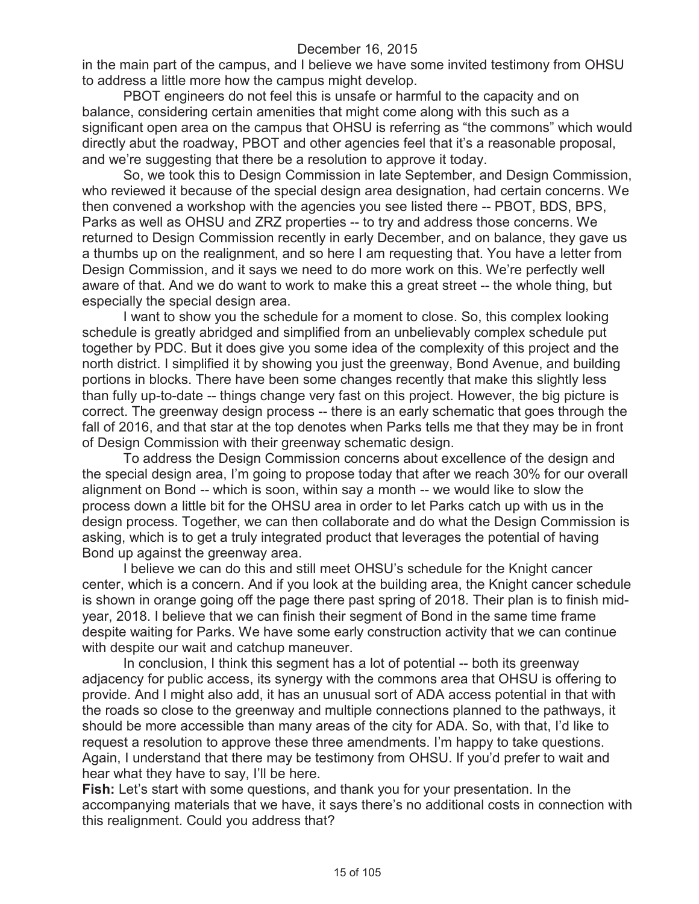in the main part of the campus, and I believe we have some invited testimony from OHSU to address a little more how the campus might develop.

PBOT engineers do not feel this is unsafe or harmful to the capacity and on balance, considering certain amenities that might come along with this such as a significant open area on the campus that OHSU is referring as "the commons" which would directly abut the roadway, PBOT and other agencies feel that it's a reasonable proposal, and we're suggesting that there be a resolution to approve it today.

So, we took this to Design Commission in late September, and Design Commission, who reviewed it because of the special design area designation, had certain concerns. We then convened a workshop with the agencies you see listed there -- PBOT, BDS, BPS, Parks as well as OHSU and ZRZ properties -- to try and address those concerns. We returned to Design Commission recently in early December, and on balance, they gave us a thumbs up on the realignment, and so here I am requesting that. You have a letter from Design Commission, and it says we need to do more work on this. We're perfectly well aware of that. And we do want to work to make this a great street -- the whole thing, but especially the special design area.

I want to show you the schedule for a moment to close. So, this complex looking schedule is greatly abridged and simplified from an unbelievably complex schedule put together by PDC. But it does give you some idea of the complexity of this project and the north district. I simplified it by showing you just the greenway, Bond Avenue, and building portions in blocks. There have been some changes recently that make this slightly less than fully up-to-date -- things change very fast on this project. However, the big picture is correct. The greenway design process -- there is an early schematic that goes through the fall of 2016, and that star at the top denotes when Parks tells me that they may be in front of Design Commission with their greenway schematic design.

To address the Design Commission concerns about excellence of the design and the special design area, I'm going to propose today that after we reach 30% for our overall alignment on Bond -- which is soon, within say a month -- we would like to slow the process down a little bit for the OHSU area in order to let Parks catch up with us in the design process. Together, we can then collaborate and do what the Design Commission is asking, which is to get a truly integrated product that leverages the potential of having Bond up against the greenway area.

I believe we can do this and still meet OHSU's schedule for the Knight cancer center, which is a concern. And if you look at the building area, the Knight cancer schedule is shown in orange going off the page there past spring of 2018. Their plan is to finish midyear, 2018. I believe that we can finish their segment of Bond in the same time frame despite waiting for Parks. We have some early construction activity that we can continue with despite our wait and catchup maneuver.

In conclusion, I think this segment has a lot of potential -- both its greenway adjacency for public access, its synergy with the commons area that OHSU is offering to provide. And I might also add, it has an unusual sort of ADA access potential in that with the roads so close to the greenway and multiple connections planned to the pathways, it should be more accessible than many areas of the city for ADA. So, with that, I'd like to request a resolution to approve these three amendments. I'm happy to take questions. Again, I understand that there may be testimony from OHSU. If you'd prefer to wait and hear what they have to say, I'll be here.

**Fish:** Let's start with some questions, and thank you for your presentation. In the accompanying materials that we have, it says there's no additional costs in connection with this realignment. Could you address that?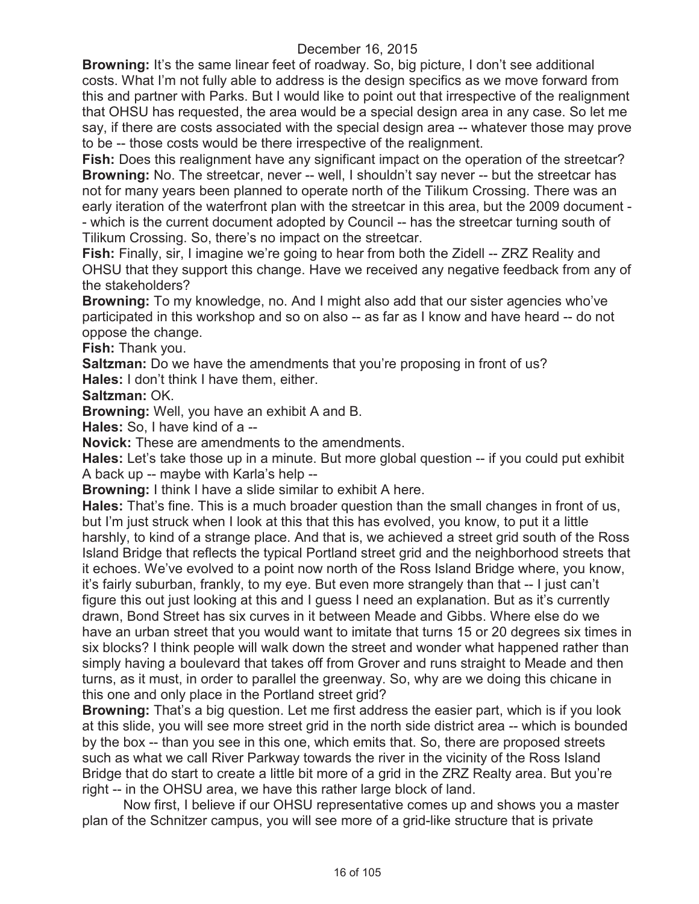**Browning:** It's the same linear feet of roadway. So, big picture, I don't see additional costs. What I'm not fully able to address is the design specifics as we move forward from this and partner with Parks. But I would like to point out that irrespective of the realignment that OHSU has requested, the area would be a special design area in any case. So let me say, if there are costs associated with the special design area -- whatever those may prove to be -- those costs would be there irrespective of the realignment.

**Fish:** Does this realignment have any significant impact on the operation of the streetcar? **Browning:** No. The streetcar, never -- well, I shouldn't say never -- but the streetcar has not for many years been planned to operate north of the Tilikum Crossing. There was an early iteration of the waterfront plan with the streetcar in this area, but the 2009 document - - which is the current document adopted by Council -- has the streetcar turning south of Tilikum Crossing. So, there's no impact on the streetcar.

**Fish:** Finally, sir, I imagine we're going to hear from both the Zidell -- ZRZ Reality and OHSU that they support this change. Have we received any negative feedback from any of the stakeholders?

**Browning:** To my knowledge, no. And I might also add that our sister agencies who've participated in this workshop and so on also -- as far as I know and have heard -- do not oppose the change.

**Fish:** Thank you.

**Saltzman:** Do we have the amendments that you're proposing in front of us? **Hales:** I don't think I have them, either.

**Saltzman:** OK.

**Browning:** Well, you have an exhibit A and B.

**Hales:** So, I have kind of a --

**Novick:** These are amendments to the amendments.

**Hales:** Let's take those up in a minute. But more global question -- if you could put exhibit A back up -- maybe with Karla's help --

**Browning:** I think I have a slide similar to exhibit A here.

**Hales:** That's fine. This is a much broader question than the small changes in front of us, but I'm just struck when I look at this that this has evolved, you know, to put it a little harshly, to kind of a strange place. And that is, we achieved a street grid south of the Ross Island Bridge that reflects the typical Portland street grid and the neighborhood streets that it echoes. We've evolved to a point now north of the Ross Island Bridge where, you know, it's fairly suburban, frankly, to my eye. But even more strangely than that -- I just can't figure this out just looking at this and I guess I need an explanation. But as it's currently drawn, Bond Street has six curves in it between Meade and Gibbs. Where else do we have an urban street that you would want to imitate that turns 15 or 20 degrees six times in six blocks? I think people will walk down the street and wonder what happened rather than simply having a boulevard that takes off from Grover and runs straight to Meade and then turns, as it must, in order to parallel the greenway. So, why are we doing this chicane in this one and only place in the Portland street grid?

**Browning:** That's a big question. Let me first address the easier part, which is if you look at this slide, you will see more street grid in the north side district area -- which is bounded by the box -- than you see in this one, which emits that. So, there are proposed streets such as what we call River Parkway towards the river in the vicinity of the Ross Island Bridge that do start to create a little bit more of a grid in the ZRZ Realty area. But you're right -- in the OHSU area, we have this rather large block of land.

Now first, I believe if our OHSU representative comes up and shows you a master plan of the Schnitzer campus, you will see more of a grid-like structure that is private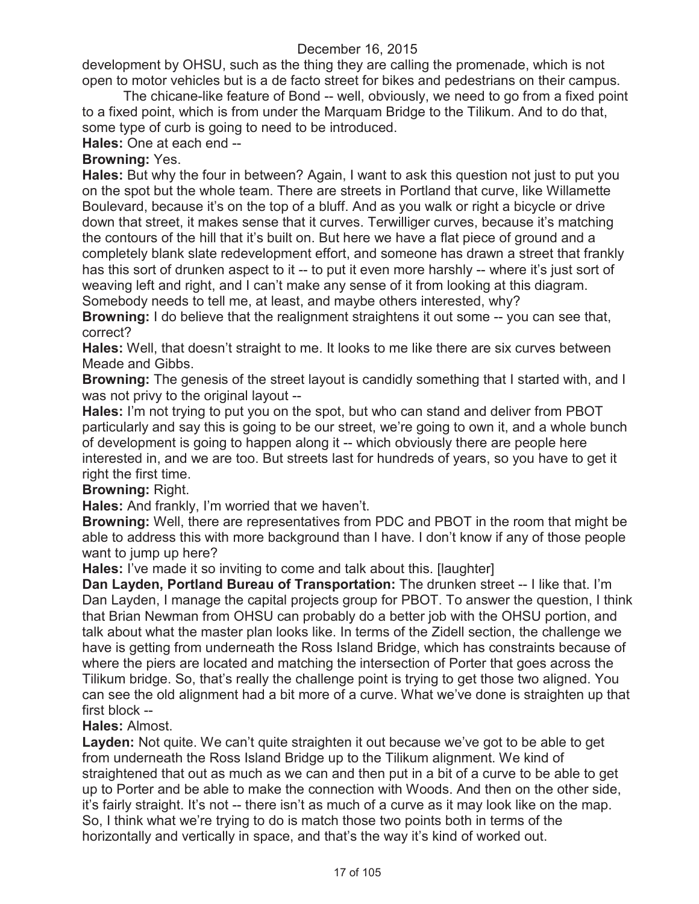development by OHSU, such as the thing they are calling the promenade, which is not open to motor vehicles but is a de facto street for bikes and pedestrians on their campus.

The chicane-like feature of Bond -- well, obviously, we need to go from a fixed point to a fixed point, which is from under the Marquam Bridge to the Tilikum. And to do that, some type of curb is going to need to be introduced.

**Hales:** One at each end --

## **Browning:** Yes.

**Hales:** But why the four in between? Again, I want to ask this question not just to put you on the spot but the whole team. There are streets in Portland that curve, like Willamette Boulevard, because it's on the top of a bluff. And as you walk or right a bicycle or drive down that street, it makes sense that it curves. Terwilliger curves, because it's matching the contours of the hill that it's built on. But here we have a flat piece of ground and a completely blank slate redevelopment effort, and someone has drawn a street that frankly has this sort of drunken aspect to it -- to put it even more harshly -- where it's just sort of weaving left and right, and I can't make any sense of it from looking at this diagram. Somebody needs to tell me, at least, and maybe others interested, why?

**Browning:** I do believe that the realignment straightens it out some -- you can see that, correct?

**Hales:** Well, that doesn't straight to me. It looks to me like there are six curves between Meade and Gibbs.

**Browning:** The genesis of the street layout is candidly something that I started with, and I was not privy to the original layout --

**Hales:** I'm not trying to put you on the spot, but who can stand and deliver from PBOT particularly and say this is going to be our street, we're going to own it, and a whole bunch of development is going to happen along it -- which obviously there are people here interested in, and we are too. But streets last for hundreds of years, so you have to get it right the first time.

## **Browning:** Right.

**Hales:** And frankly, I'm worried that we haven't.

**Browning:** Well, there are representatives from PDC and PBOT in the room that might be able to address this with more background than I have. I don't know if any of those people want to jump up here?

**Hales:** I've made it so inviting to come and talk about this. [laughter]

**Dan Layden, Portland Bureau of Transportation:** The drunken street -- I like that. I'm Dan Layden, I manage the capital projects group for PBOT. To answer the question, I think that Brian Newman from OHSU can probably do a better job with the OHSU portion, and talk about what the master plan looks like. In terms of the Zidell section, the challenge we have is getting from underneath the Ross Island Bridge, which has constraints because of where the piers are located and matching the intersection of Porter that goes across the Tilikum bridge. So, that's really the challenge point is trying to get those two aligned. You can see the old alignment had a bit more of a curve. What we've done is straighten up that first block --

#### **Hales:** Almost.

**Layden:** Not quite. We can't quite straighten it out because we've got to be able to get from underneath the Ross Island Bridge up to the Tilikum alignment. We kind of straightened that out as much as we can and then put in a bit of a curve to be able to get up to Porter and be able to make the connection with Woods. And then on the other side, it's fairly straight. It's not -- there isn't as much of a curve as it may look like on the map. So, I think what we're trying to do is match those two points both in terms of the horizontally and vertically in space, and that's the way it's kind of worked out.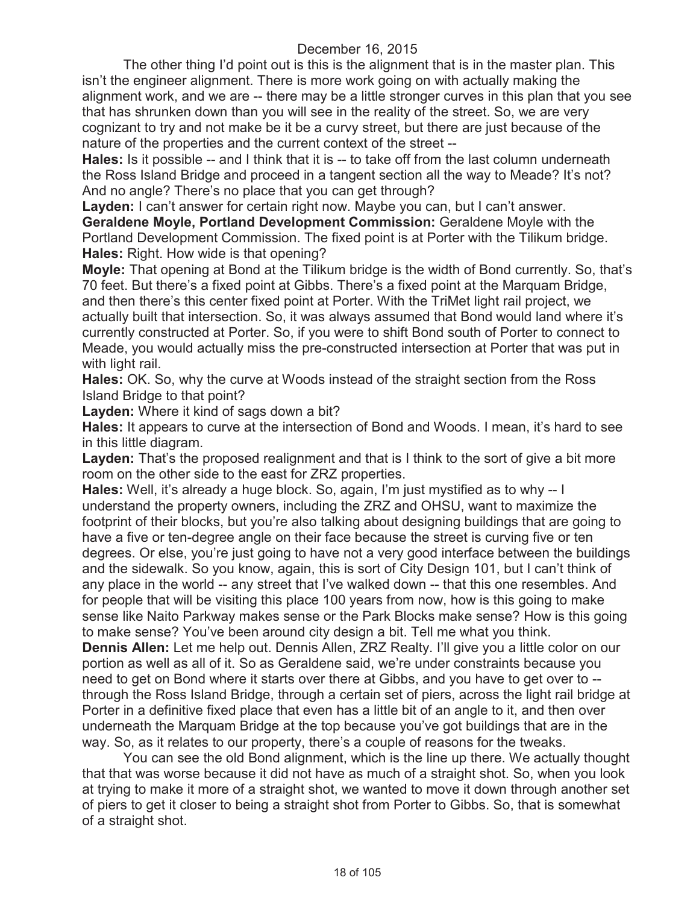The other thing I'd point out is this is the alignment that is in the master plan. This isn't the engineer alignment. There is more work going on with actually making the alignment work, and we are -- there may be a little stronger curves in this plan that you see that has shrunken down than you will see in the reality of the street. So, we are very cognizant to try and not make be it be a curvy street, but there are just because of the nature of the properties and the current context of the street --

**Hales:** Is it possible -- and I think that it is -- to take off from the last column underneath the Ross Island Bridge and proceed in a tangent section all the way to Meade? It's not? And no angle? There's no place that you can get through?

**Layden:** I can't answer for certain right now. Maybe you can, but I can't answer. **Geraldene Moyle, Portland Development Commission:** Geraldene Moyle with the Portland Development Commission. The fixed point is at Porter with the Tilikum bridge. **Hales:** Right. How wide is that opening?

**Moyle:** That opening at Bond at the Tilikum bridge is the width of Bond currently. So, that's 70 feet. But there's a fixed point at Gibbs. There's a fixed point at the Marquam Bridge, and then there's this center fixed point at Porter. With the TriMet light rail project, we actually built that intersection. So, it was always assumed that Bond would land where it's currently constructed at Porter. So, if you were to shift Bond south of Porter to connect to Meade, you would actually miss the pre-constructed intersection at Porter that was put in with light rail.

**Hales:** OK. So, why the curve at Woods instead of the straight section from the Ross Island Bridge to that point?

**Layden:** Where it kind of sags down a bit?

**Hales:** It appears to curve at the intersection of Bond and Woods. I mean, it's hard to see in this little diagram.

Layden: That's the proposed realignment and that is I think to the sort of give a bit more room on the other side to the east for ZRZ properties.

**Hales:** Well, it's already a huge block. So, again, I'm just mystified as to why -- I understand the property owners, including the ZRZ and OHSU, want to maximize the footprint of their blocks, but you're also talking about designing buildings that are going to have a five or ten-degree angle on their face because the street is curving five or ten degrees. Or else, you're just going to have not a very good interface between the buildings and the sidewalk. So you know, again, this is sort of City Design 101, but I can't think of any place in the world -- any street that I've walked down -- that this one resembles. And for people that will be visiting this place 100 years from now, how is this going to make sense like Naito Parkway makes sense or the Park Blocks make sense? How is this going to make sense? You've been around city design a bit. Tell me what you think.

**Dennis Allen:** Let me help out. Dennis Allen, ZRZ Realty. I'll give you a little color on our portion as well as all of it. So as Geraldene said, we're under constraints because you need to get on Bond where it starts over there at Gibbs, and you have to get over to - through the Ross Island Bridge, through a certain set of piers, across the light rail bridge at Porter in a definitive fixed place that even has a little bit of an angle to it, and then over underneath the Marquam Bridge at the top because you've got buildings that are in the way. So, as it relates to our property, there's a couple of reasons for the tweaks.

You can see the old Bond alignment, which is the line up there. We actually thought that that was worse because it did not have as much of a straight shot. So, when you look at trying to make it more of a straight shot, we wanted to move it down through another set of piers to get it closer to being a straight shot from Porter to Gibbs. So, that is somewhat of a straight shot.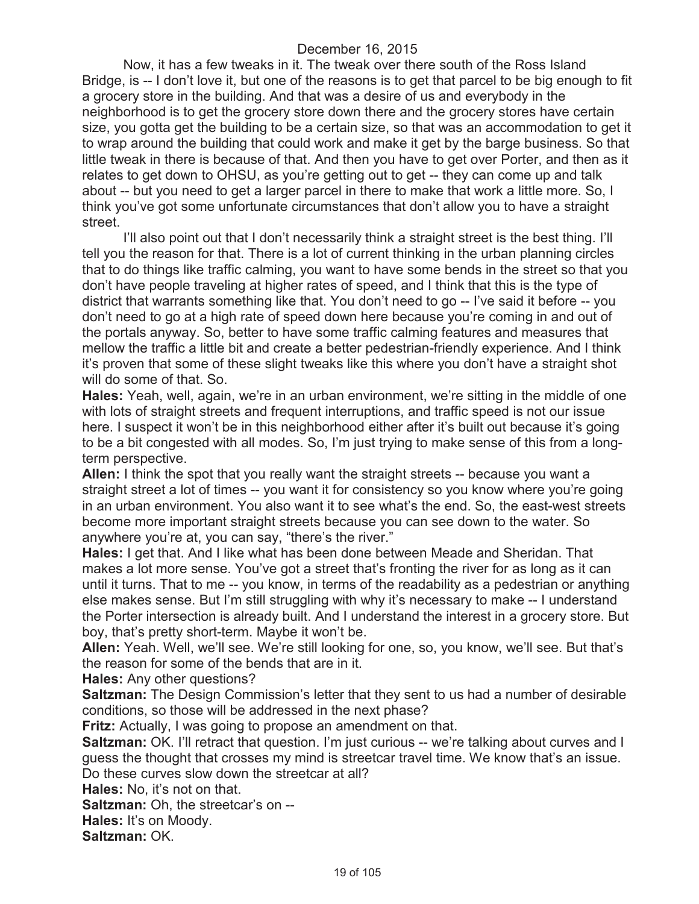Now, it has a few tweaks in it. The tweak over there south of the Ross Island Bridge, is -- I don't love it, but one of the reasons is to get that parcel to be big enough to fit a grocery store in the building. And that was a desire of us and everybody in the neighborhood is to get the grocery store down there and the grocery stores have certain size, you gotta get the building to be a certain size, so that was an accommodation to get it to wrap around the building that could work and make it get by the barge business. So that little tweak in there is because of that. And then you have to get over Porter, and then as it relates to get down to OHSU, as you're getting out to get -- they can come up and talk about -- but you need to get a larger parcel in there to make that work a little more. So, I think you've got some unfortunate circumstances that don't allow you to have a straight street.

I'll also point out that I don't necessarily think a straight street is the best thing. I'll tell you the reason for that. There is a lot of current thinking in the urban planning circles that to do things like traffic calming, you want to have some bends in the street so that you don't have people traveling at higher rates of speed, and I think that this is the type of district that warrants something like that. You don't need to go -- I've said it before -- you don't need to go at a high rate of speed down here because you're coming in and out of the portals anyway. So, better to have some traffic calming features and measures that mellow the traffic a little bit and create a better pedestrian-friendly experience. And I think it's proven that some of these slight tweaks like this where you don't have a straight shot will do some of that. So.

**Hales:** Yeah, well, again, we're in an urban environment, we're sitting in the middle of one with lots of straight streets and frequent interruptions, and traffic speed is not our issue here. I suspect it won't be in this neighborhood either after it's built out because it's going to be a bit congested with all modes. So, I'm just trying to make sense of this from a longterm perspective.

**Allen:** I think the spot that you really want the straight streets -- because you want a straight street a lot of times -- you want it for consistency so you know where you're going in an urban environment. You also want it to see what's the end. So, the east-west streets become more important straight streets because you can see down to the water. So anywhere you're at, you can say, "there's the river."

**Hales:** I get that. And I like what has been done between Meade and Sheridan. That makes a lot more sense. You've got a street that's fronting the river for as long as it can until it turns. That to me -- you know, in terms of the readability as a pedestrian or anything else makes sense. But I'm still struggling with why it's necessary to make -- I understand the Porter intersection is already built. And I understand the interest in a grocery store. But boy, that's pretty short-term. Maybe it won't be.

**Allen:** Yeah. Well, we'll see. We're still looking for one, so, you know, we'll see. But that's the reason for some of the bends that are in it.

**Hales:** Any other questions?

**Saltzman:** The Design Commission's letter that they sent to us had a number of desirable conditions, so those will be addressed in the next phase?

**Fritz:** Actually, I was going to propose an amendment on that.

**Saltzman:** OK. I'll retract that question. I'm just curious -- we're talking about curves and I guess the thought that crosses my mind is streetcar travel time. We know that's an issue. Do these curves slow down the streetcar at all?

**Hales:** No, it's not on that.

**Saltzman:** Oh, the streetcar's on --

**Hales:** It's on Moody.

**Saltzman:** OK.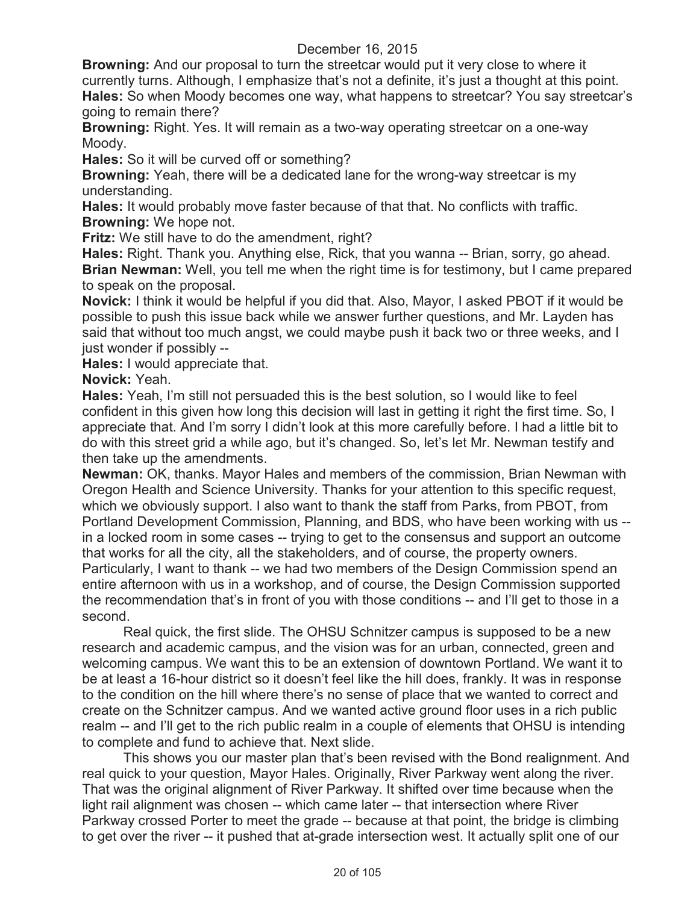**Browning:** And our proposal to turn the streetcar would put it very close to where it currently turns. Although, I emphasize that's not a definite, it's just a thought at this point. **Hales:** So when Moody becomes one way, what happens to streetcar? You say streetcar's going to remain there?

**Browning:** Right. Yes. It will remain as a two-way operating streetcar on a one-way Moody.

**Hales:** So it will be curved off or something?

**Browning:** Yeah, there will be a dedicated lane for the wrong-way streetcar is my understanding.

**Hales:** It would probably move faster because of that that. No conflicts with traffic. **Browning:** We hope not.

**Fritz:** We still have to do the amendment, right?

**Hales:** Right. Thank you. Anything else, Rick, that you wanna -- Brian, sorry, go ahead. **Brian Newman:** Well, you tell me when the right time is for testimony, but I came prepared to speak on the proposal.

**Novick:** I think it would be helpful if you did that. Also, Mayor, I asked PBOT if it would be possible to push this issue back while we answer further questions, and Mr. Layden has said that without too much angst, we could maybe push it back two or three weeks, and I just wonder if possibly --

**Hales:** I would appreciate that.

**Novick:** Yeah.

**Hales:** Yeah, I'm still not persuaded this is the best solution, so I would like to feel confident in this given how long this decision will last in getting it right the first time. So, I appreciate that. And I'm sorry I didn't look at this more carefully before. I had a little bit to do with this street grid a while ago, but it's changed. So, let's let Mr. Newman testify and then take up the amendments.

**Newman:** OK, thanks. Mayor Hales and members of the commission, Brian Newman with Oregon Health and Science University. Thanks for your attention to this specific request, which we obviously support. I also want to thank the staff from Parks, from PBOT, from Portland Development Commission, Planning, and BDS, who have been working with us - in a locked room in some cases -- trying to get to the consensus and support an outcome that works for all the city, all the stakeholders, and of course, the property owners. Particularly, I want to thank -- we had two members of the Design Commission spend an entire afternoon with us in a workshop, and of course, the Design Commission supported the recommendation that's in front of you with those conditions -- and I'll get to those in a second.

Real quick, the first slide. The OHSU Schnitzer campus is supposed to be a new research and academic campus, and the vision was for an urban, connected, green and welcoming campus. We want this to be an extension of downtown Portland. We want it to be at least a 16-hour district so it doesn't feel like the hill does, frankly. It was in response to the condition on the hill where there's no sense of place that we wanted to correct and create on the Schnitzer campus. And we wanted active ground floor uses in a rich public realm -- and I'll get to the rich public realm in a couple of elements that OHSU is intending to complete and fund to achieve that. Next slide.

This shows you our master plan that's been revised with the Bond realignment. And real quick to your question, Mayor Hales. Originally, River Parkway went along the river. That was the original alignment of River Parkway. It shifted over time because when the light rail alignment was chosen -- which came later -- that intersection where River Parkway crossed Porter to meet the grade -- because at that point, the bridge is climbing to get over the river -- it pushed that at-grade intersection west. It actually split one of our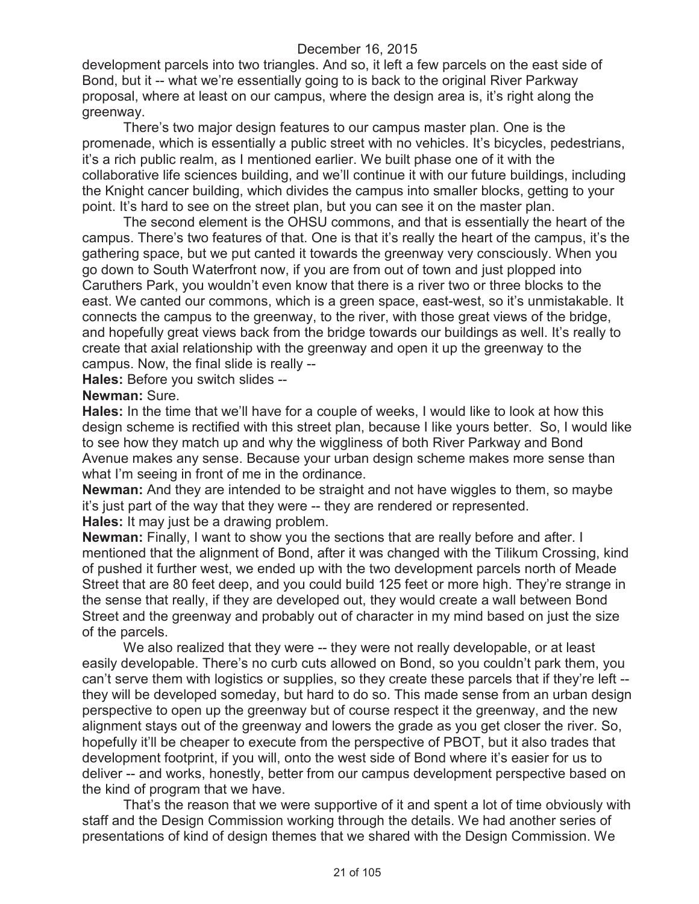development parcels into two triangles. And so, it left a few parcels on the east side of Bond, but it -- what we're essentially going to is back to the original River Parkway proposal, where at least on our campus, where the design area is, it's right along the greenway.

There's two major design features to our campus master plan. One is the promenade, which is essentially a public street with no vehicles. It's bicycles, pedestrians, it's a rich public realm, as I mentioned earlier. We built phase one of it with the collaborative life sciences building, and we'll continue it with our future buildings, including the Knight cancer building, which divides the campus into smaller blocks, getting to your point. It's hard to see on the street plan, but you can see it on the master plan.

The second element is the OHSU commons, and that is essentially the heart of the campus. There's two features of that. One is that it's really the heart of the campus, it's the gathering space, but we put canted it towards the greenway very consciously. When you go down to South Waterfront now, if you are from out of town and just plopped into Caruthers Park, you wouldn't even know that there is a river two or three blocks to the east. We canted our commons, which is a green space, east-west, so it's unmistakable. It connects the campus to the greenway, to the river, with those great views of the bridge, and hopefully great views back from the bridge towards our buildings as well. It's really to create that axial relationship with the greenway and open it up the greenway to the campus. Now, the final slide is really --

**Hales:** Before you switch slides --

#### **Newman:** Sure.

**Hales:** In the time that we'll have for a couple of weeks, I would like to look at how this design scheme is rectified with this street plan, because I like yours better. So, I would like to see how they match up and why the wiggliness of both River Parkway and Bond Avenue makes any sense. Because your urban design scheme makes more sense than what I'm seeing in front of me in the ordinance.

**Newman:** And they are intended to be straight and not have wiggles to them, so maybe it's just part of the way that they were -- they are rendered or represented. **Hales:** It may just be a drawing problem.

**Newman:** Finally, I want to show you the sections that are really before and after. I mentioned that the alignment of Bond, after it was changed with the Tilikum Crossing, kind of pushed it further west, we ended up with the two development parcels north of Meade Street that are 80 feet deep, and you could build 125 feet or more high. They're strange in the sense that really, if they are developed out, they would create a wall between Bond Street and the greenway and probably out of character in my mind based on just the size of the parcels.

We also realized that they were -- they were not really developable, or at least easily developable. There's no curb cuts allowed on Bond, so you couldn't park them, you can't serve them with logistics or supplies, so they create these parcels that if they're left - they will be developed someday, but hard to do so. This made sense from an urban design perspective to open up the greenway but of course respect it the greenway, and the new alignment stays out of the greenway and lowers the grade as you get closer the river. So, hopefully it'll be cheaper to execute from the perspective of PBOT, but it also trades that development footprint, if you will, onto the west side of Bond where it's easier for us to deliver -- and works, honestly, better from our campus development perspective based on the kind of program that we have.

That's the reason that we were supportive of it and spent a lot of time obviously with staff and the Design Commission working through the details. We had another series of presentations of kind of design themes that we shared with the Design Commission. We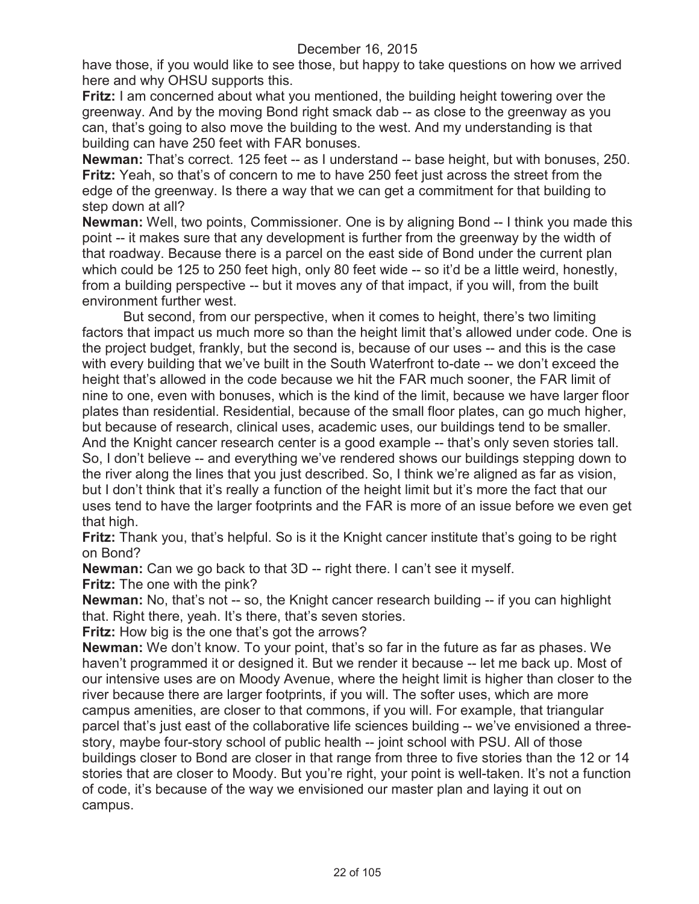have those, if you would like to see those, but happy to take questions on how we arrived here and why OHSU supports this.

**Fritz:** I am concerned about what you mentioned, the building height towering over the greenway. And by the moving Bond right smack dab -- as close to the greenway as you can, that's going to also move the building to the west. And my understanding is that building can have 250 feet with FAR bonuses.

**Newman:** That's correct. 125 feet -- as I understand -- base height, but with bonuses, 250. **Fritz:** Yeah, so that's of concern to me to have 250 feet just across the street from the edge of the greenway. Is there a way that we can get a commitment for that building to step down at all?

**Newman:** Well, two points, Commissioner. One is by aligning Bond -- I think you made this point -- it makes sure that any development is further from the greenway by the width of that roadway. Because there is a parcel on the east side of Bond under the current plan which could be 125 to 250 feet high, only 80 feet wide -- so it'd be a little weird, honestly, from a building perspective -- but it moves any of that impact, if you will, from the built environment further west.

But second, from our perspective, when it comes to height, there's two limiting factors that impact us much more so than the height limit that's allowed under code. One is the project budget, frankly, but the second is, because of our uses -- and this is the case with every building that we've built in the South Waterfront to-date -- we don't exceed the height that's allowed in the code because we hit the FAR much sooner, the FAR limit of nine to one, even with bonuses, which is the kind of the limit, because we have larger floor plates than residential. Residential, because of the small floor plates, can go much higher, but because of research, clinical uses, academic uses, our buildings tend to be smaller. And the Knight cancer research center is a good example -- that's only seven stories tall. So, I don't believe -- and everything we've rendered shows our buildings stepping down to the river along the lines that you just described. So, I think we're aligned as far as vision, but I don't think that it's really a function of the height limit but it's more the fact that our uses tend to have the larger footprints and the FAR is more of an issue before we even get that high.

**Fritz:** Thank you, that's helpful. So is it the Knight cancer institute that's going to be right on Bond?

**Newman:** Can we go back to that 3D -- right there. I can't see it myself.

**Fritz:** The one with the pink?

**Newman:** No, that's not -- so, the Knight cancer research building -- if you can highlight that. Right there, yeah. It's there, that's seven stories.

**Fritz:** How big is the one that's got the arrows?

**Newman:** We don't know. To your point, that's so far in the future as far as phases. We haven't programmed it or designed it. But we render it because -- let me back up. Most of our intensive uses are on Moody Avenue, where the height limit is higher than closer to the river because there are larger footprints, if you will. The softer uses, which are more campus amenities, are closer to that commons, if you will. For example, that triangular parcel that's just east of the collaborative life sciences building -- we've envisioned a threestory, maybe four-story school of public health -- joint school with PSU. All of those buildings closer to Bond are closer in that range from three to five stories than the 12 or 14 stories that are closer to Moody. But you're right, your point is well-taken. It's not a function of code, it's because of the way we envisioned our master plan and laying it out on campus.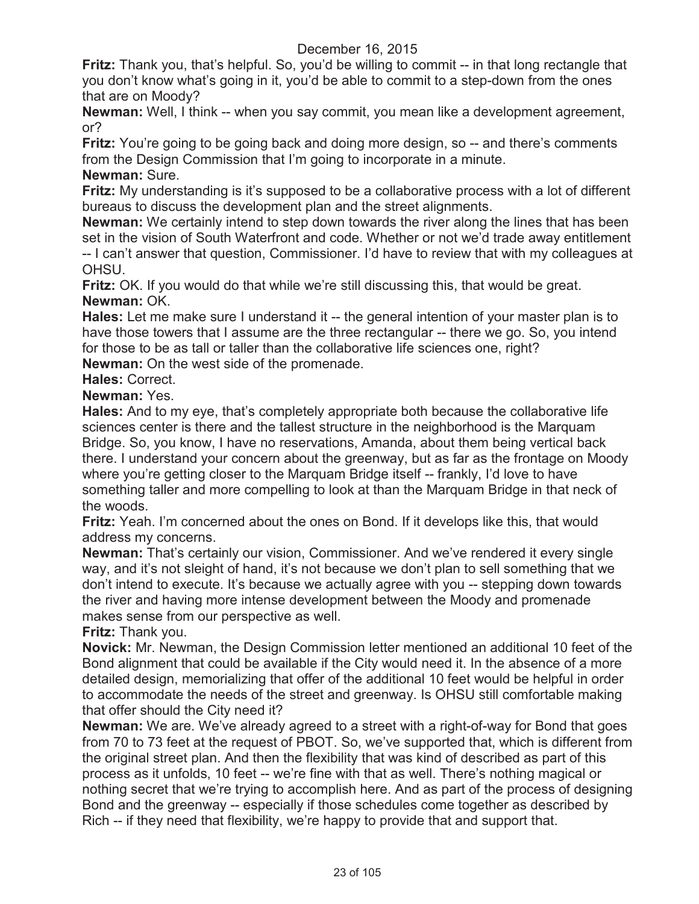**Fritz:** Thank you, that's helpful. So, you'd be willing to commit -- in that long rectangle that you don't know what's going in it, you'd be able to commit to a step-down from the ones that are on Moody?

**Newman:** Well, I think -- when you say commit, you mean like a development agreement, or?

Fritz: You're going to be going back and doing more design, so -- and there's comments from the Design Commission that I'm going to incorporate in a minute.

**Newman:** Sure.

**Fritz:** My understanding is it's supposed to be a collaborative process with a lot of different bureaus to discuss the development plan and the street alignments.

**Newman:** We certainly intend to step down towards the river along the lines that has been set in the vision of South Waterfront and code. Whether or not we'd trade away entitlement -- I can't answer that question, Commissioner. I'd have to review that with my colleagues at OHSU.

**Fritz:** OK. If you would do that while we're still discussing this, that would be great. **Newman:** OK.

**Hales:** Let me make sure I understand it -- the general intention of your master plan is to have those towers that I assume are the three rectangular -- there we go. So, you intend for those to be as tall or taller than the collaborative life sciences one, right?

**Newman:** On the west side of the promenade.

**Hales:** Correct.

**Newman:** Yes.

**Hales:** And to my eye, that's completely appropriate both because the collaborative life sciences center is there and the tallest structure in the neighborhood is the Marquam Bridge. So, you know, I have no reservations, Amanda, about them being vertical back there. I understand your concern about the greenway, but as far as the frontage on Moody where you're getting closer to the Marquam Bridge itself -- frankly, I'd love to have something taller and more compelling to look at than the Marquam Bridge in that neck of the woods.

**Fritz:** Yeah. I'm concerned about the ones on Bond. If it develops like this, that would address my concerns.

**Newman:** That's certainly our vision, Commissioner. And we've rendered it every single way, and it's not sleight of hand, it's not because we don't plan to sell something that we don't intend to execute. It's because we actually agree with you -- stepping down towards the river and having more intense development between the Moody and promenade makes sense from our perspective as well.

**Fritz:** Thank you.

**Novick:** Mr. Newman, the Design Commission letter mentioned an additional 10 feet of the Bond alignment that could be available if the City would need it. In the absence of a more detailed design, memorializing that offer of the additional 10 feet would be helpful in order to accommodate the needs of the street and greenway. Is OHSU still comfortable making that offer should the City need it?

**Newman:** We are. We've already agreed to a street with a right-of-way for Bond that goes from 70 to 73 feet at the request of PBOT. So, we've supported that, which is different from the original street plan. And then the flexibility that was kind of described as part of this process as it unfolds, 10 feet -- we're fine with that as well. There's nothing magical or nothing secret that we're trying to accomplish here. And as part of the process of designing Bond and the greenway -- especially if those schedules come together as described by Rich -- if they need that flexibility, we're happy to provide that and support that.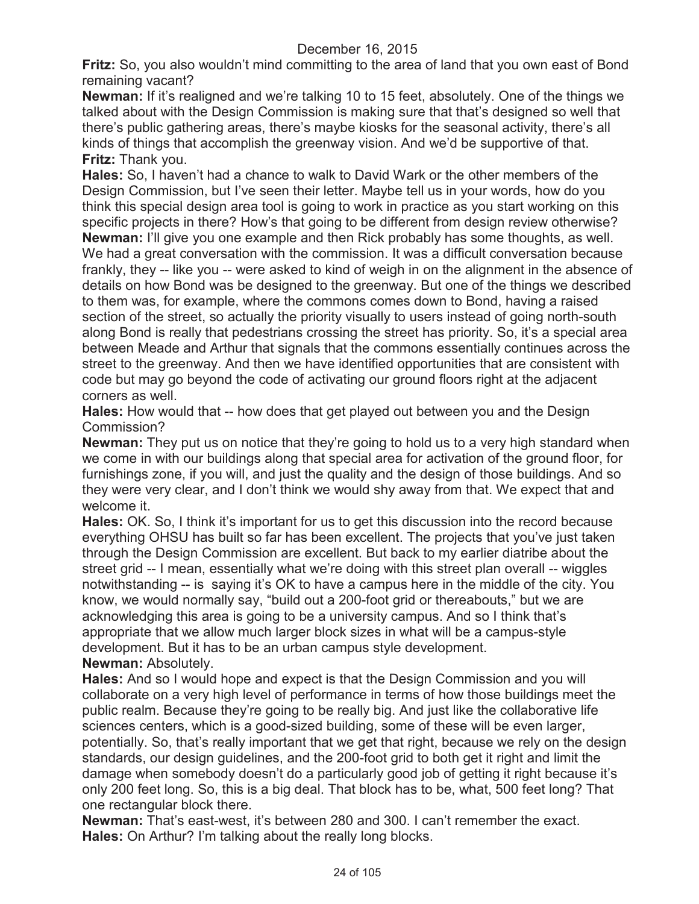**Fritz:** So, you also wouldn't mind committing to the area of land that you own east of Bond remaining vacant?

**Newman:** If it's realigned and we're talking 10 to 15 feet, absolutely. One of the things we talked about with the Design Commission is making sure that that's designed so well that there's public gathering areas, there's maybe kiosks for the seasonal activity, there's all kinds of things that accomplish the greenway vision. And we'd be supportive of that. **Fritz:** Thank you.

**Hales:** So, I haven't had a chance to walk to David Wark or the other members of the Design Commission, but I've seen their letter. Maybe tell us in your words, how do you think this special design area tool is going to work in practice as you start working on this specific projects in there? How's that going to be different from design review otherwise? **Newman:** I'll give you one example and then Rick probably has some thoughts, as well. We had a great conversation with the commission. It was a difficult conversation because frankly, they -- like you -- were asked to kind of weigh in on the alignment in the absence of details on how Bond was be designed to the greenway. But one of the things we described to them was, for example, where the commons comes down to Bond, having a raised section of the street, so actually the priority visually to users instead of going north-south along Bond is really that pedestrians crossing the street has priority. So, it's a special area between Meade and Arthur that signals that the commons essentially continues across the street to the greenway. And then we have identified opportunities that are consistent with code but may go beyond the code of activating our ground floors right at the adjacent corners as well.

**Hales:** How would that -- how does that get played out between you and the Design Commission?

**Newman:** They put us on notice that they're going to hold us to a very high standard when we come in with our buildings along that special area for activation of the ground floor, for furnishings zone, if you will, and just the quality and the design of those buildings. And so they were very clear, and I don't think we would shy away from that. We expect that and welcome it.

Hales: OK. So, I think it's important for us to get this discussion into the record because everything OHSU has built so far has been excellent. The projects that you've just taken through the Design Commission are excellent. But back to my earlier diatribe about the street grid -- I mean, essentially what we're doing with this street plan overall -- wiggles notwithstanding -- is saying it's OK to have a campus here in the middle of the city. You know, we would normally say, "build out a 200-foot grid or thereabouts," but we are acknowledging this area is going to be a university campus. And so I think that's appropriate that we allow much larger block sizes in what will be a campus-style development. But it has to be an urban campus style development. **Newman:** Absolutely.

**Hales:** And so I would hope and expect is that the Design Commission and you will collaborate on a very high level of performance in terms of how those buildings meet the public realm. Because they're going to be really big. And just like the collaborative life sciences centers, which is a good-sized building, some of these will be even larger, potentially. So, that's really important that we get that right, because we rely on the design standards, our design guidelines, and the 200-foot grid to both get it right and limit the damage when somebody doesn't do a particularly good job of getting it right because it's only 200 feet long. So, this is a big deal. That block has to be, what, 500 feet long? That one rectangular block there.

**Newman:** That's east-west, it's between 280 and 300. I can't remember the exact. **Hales:** On Arthur? I'm talking about the really long blocks.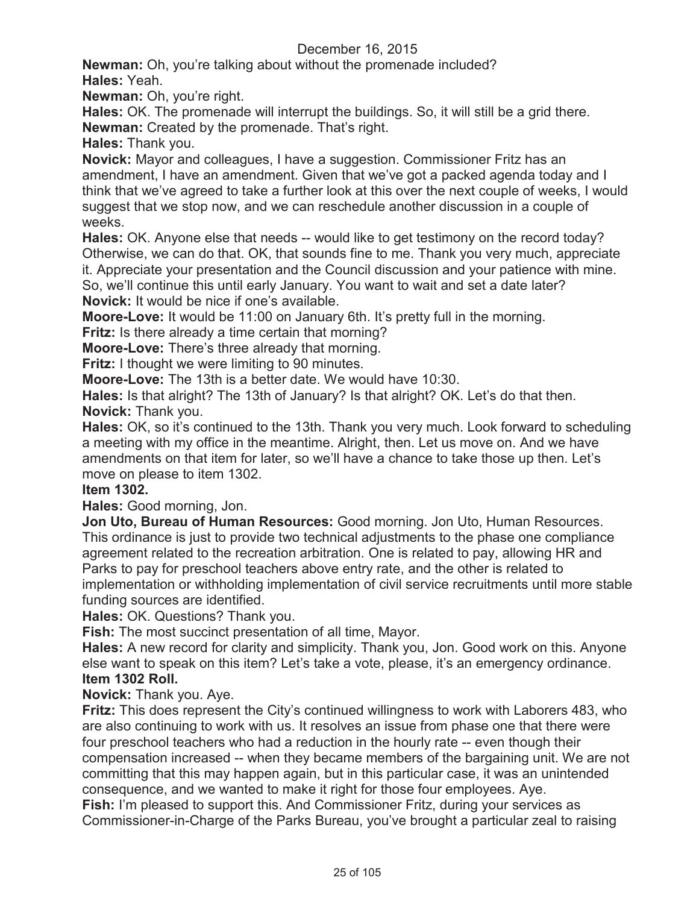**Newman:** Oh, you're talking about without the promenade included? **Hales:** Yeah.

**Newman:** Oh, you're right.

**Hales:** OK. The promenade will interrupt the buildings. So, it will still be a grid there. **Newman:** Created by the promenade. That's right.

**Hales:** Thank you.

**Novick:** Mayor and colleagues, I have a suggestion. Commissioner Fritz has an amendment, I have an amendment. Given that we've got a packed agenda today and I think that we've agreed to take a further look at this over the next couple of weeks, I would suggest that we stop now, and we can reschedule another discussion in a couple of weeks.

**Hales:** OK. Anyone else that needs -- would like to get testimony on the record today? Otherwise, we can do that. OK, that sounds fine to me. Thank you very much, appreciate it. Appreciate your presentation and the Council discussion and your patience with mine. So, we'll continue this until early January. You want to wait and set a date later?

**Novick:** It would be nice if one's available.

**Moore-Love:** It would be 11:00 on January 6th. It's pretty full in the morning.

**Fritz:** Is there already a time certain that morning?

**Moore-Love:** There's three already that morning.

**Fritz:** I thought we were limiting to 90 minutes.

**Moore-Love:** The 13th is a better date. We would have 10:30.

**Hales:** Is that alright? The 13th of January? Is that alright? OK. Let's do that then. **Novick:** Thank you.

**Hales:** OK, so it's continued to the 13th. Thank you very much. Look forward to scheduling a meeting with my office in the meantime. Alright, then. Let us move on. And we have amendments on that item for later, so we'll have a chance to take those up then. Let's move on please to item 1302.

## **Item 1302.**

**Hales:** Good morning, Jon.

**Jon Uto, Bureau of Human Resources:** Good morning. Jon Uto, Human Resources. This ordinance is just to provide two technical adjustments to the phase one compliance agreement related to the recreation arbitration. One is related to pay, allowing HR and Parks to pay for preschool teachers above entry rate, and the other is related to implementation or withholding implementation of civil service recruitments until more stable funding sources are identified.

**Hales:** OK. Questions? Thank you.

**Fish:** The most succinct presentation of all time, Mayor.

**Hales:** A new record for clarity and simplicity. Thank you, Jon. Good work on this. Anyone else want to speak on this item? Let's take a vote, please, it's an emergency ordinance. **Item 1302 Roll.**

**Novick:** Thank you. Aye.

**Fritz:** This does represent the City's continued willingness to work with Laborers 483, who are also continuing to work with us. It resolves an issue from phase one that there were four preschool teachers who had a reduction in the hourly rate -- even though their compensation increased -- when they became members of the bargaining unit. We are not committing that this may happen again, but in this particular case, it was an unintended consequence, and we wanted to make it right for those four employees. Aye.

**Fish:** I'm pleased to support this. And Commissioner Fritz, during your services as Commissioner-in-Charge of the Parks Bureau, you've brought a particular zeal to raising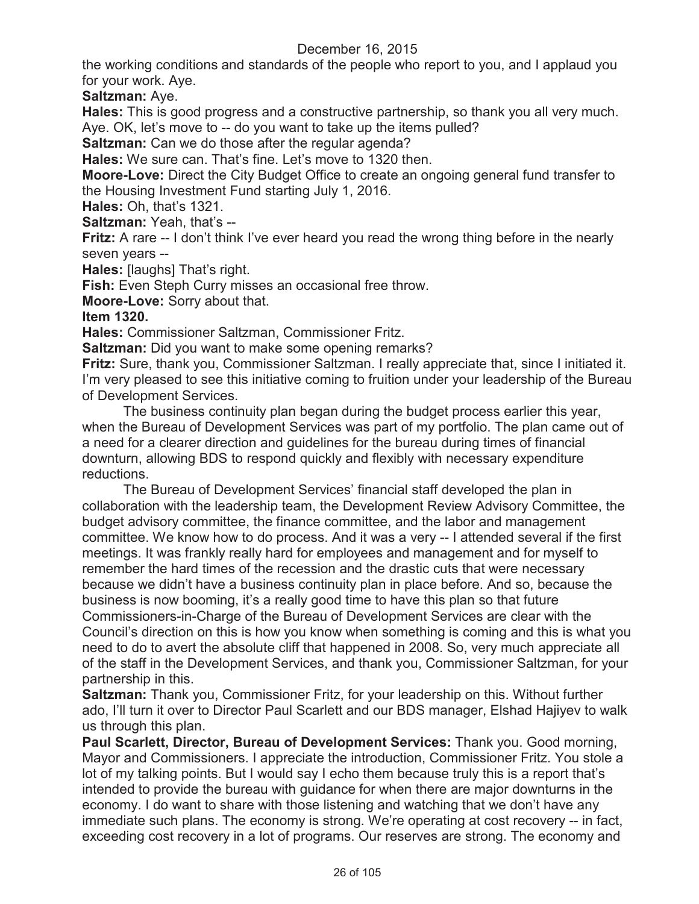the working conditions and standards of the people who report to you, and I applaud you for your work. Aye.

**Saltzman:** Aye.

**Hales:** This is good progress and a constructive partnership, so thank you all very much. Aye. OK, let's move to -- do you want to take up the items pulled?

**Saltzman:** Can we do those after the regular agenda?

**Hales:** We sure can. That's fine. Let's move to 1320 then.

**Moore-Love:** Direct the City Budget Office to create an ongoing general fund transfer to the Housing Investment Fund starting July 1, 2016.

**Hales:** Oh, that's 1321.

**Saltzman:** Yeah, that's --

**Fritz:** A rare -- I don't think I've ever heard you read the wrong thing before in the nearly seven years --

**Hales:** [laughs] That's right.

**Fish:** Even Steph Curry misses an occasional free throw.

**Moore-Love:** Sorry about that.

## **Item 1320.**

**Hales:** Commissioner Saltzman, Commissioner Fritz.

**Saltzman:** Did you want to make some opening remarks?

**Fritz:** Sure, thank you, Commissioner Saltzman. I really appreciate that, since I initiated it. I'm very pleased to see this initiative coming to fruition under your leadership of the Bureau of Development Services.

The business continuity plan began during the budget process earlier this year, when the Bureau of Development Services was part of my portfolio. The plan came out of a need for a clearer direction and guidelines for the bureau during times of financial downturn, allowing BDS to respond quickly and flexibly with necessary expenditure reductions.

The Bureau of Development Services' financial staff developed the plan in collaboration with the leadership team, the Development Review Advisory Committee, the budget advisory committee, the finance committee, and the labor and management committee. We know how to do process. And it was a very -- I attended several if the first meetings. It was frankly really hard for employees and management and for myself to remember the hard times of the recession and the drastic cuts that were necessary because we didn't have a business continuity plan in place before. And so, because the business is now booming, it's a really good time to have this plan so that future Commissioners-in-Charge of the Bureau of Development Services are clear with the Council's direction on this is how you know when something is coming and this is what you need to do to avert the absolute cliff that happened in 2008. So, very much appreciate all of the staff in the Development Services, and thank you, Commissioner Saltzman, for your partnership in this.

**Saltzman:** Thank you, Commissioner Fritz, for your leadership on this. Without further ado, I'll turn it over to Director Paul Scarlett and our BDS manager, Elshad Hajiyev to walk us through this plan.

**Paul Scarlett, Director, Bureau of Development Services:** Thank you. Good morning, Mayor and Commissioners. I appreciate the introduction, Commissioner Fritz. You stole a lot of my talking points. But I would say I echo them because truly this is a report that's intended to provide the bureau with guidance for when there are major downturns in the economy. I do want to share with those listening and watching that we don't have any immediate such plans. The economy is strong. We're operating at cost recovery -- in fact, exceeding cost recovery in a lot of programs. Our reserves are strong. The economy and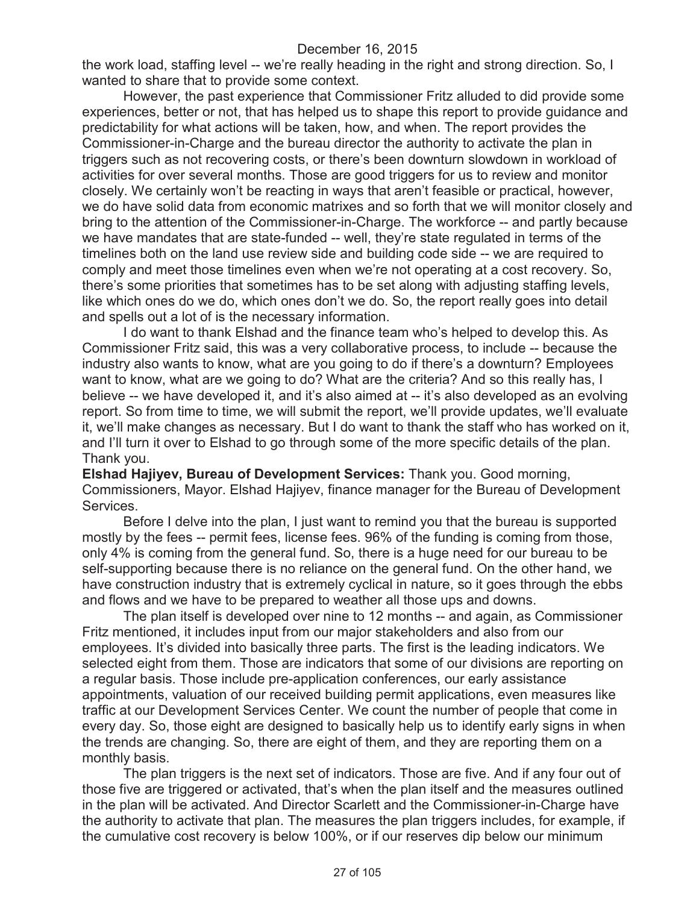the work load, staffing level -- we're really heading in the right and strong direction. So, I wanted to share that to provide some context.

However, the past experience that Commissioner Fritz alluded to did provide some experiences, better or not, that has helped us to shape this report to provide guidance and predictability for what actions will be taken, how, and when. The report provides the Commissioner-in-Charge and the bureau director the authority to activate the plan in triggers such as not recovering costs, or there's been downturn slowdown in workload of activities for over several months. Those are good triggers for us to review and monitor closely. We certainly won't be reacting in ways that aren't feasible or practical, however, we do have solid data from economic matrixes and so forth that we will monitor closely and bring to the attention of the Commissioner-in-Charge. The workforce -- and partly because we have mandates that are state-funded -- well, they're state regulated in terms of the timelines both on the land use review side and building code side -- we are required to comply and meet those timelines even when we're not operating at a cost recovery. So, there's some priorities that sometimes has to be set along with adjusting staffing levels, like which ones do we do, which ones don't we do. So, the report really goes into detail and spells out a lot of is the necessary information.

I do want to thank Elshad and the finance team who's helped to develop this. As Commissioner Fritz said, this was a very collaborative process, to include -- because the industry also wants to know, what are you going to do if there's a downturn? Employees want to know, what are we going to do? What are the criteria? And so this really has, I believe -- we have developed it, and it's also aimed at -- it's also developed as an evolving report. So from time to time, we will submit the report, we'll provide updates, we'll evaluate it, we'll make changes as necessary. But I do want to thank the staff who has worked on it, and I'll turn it over to Elshad to go through some of the more specific details of the plan. Thank you.

**Elshad Hajiyev, Bureau of Development Services:** Thank you. Good morning, Commissioners, Mayor. Elshad Hajiyev, finance manager for the Bureau of Development Services.

Before I delve into the plan, I just want to remind you that the bureau is supported mostly by the fees -- permit fees, license fees. 96% of the funding is coming from those, only 4% is coming from the general fund. So, there is a huge need for our bureau to be self-supporting because there is no reliance on the general fund. On the other hand, we have construction industry that is extremely cyclical in nature, so it goes through the ebbs and flows and we have to be prepared to weather all those ups and downs.

The plan itself is developed over nine to 12 months -- and again, as Commissioner Fritz mentioned, it includes input from our major stakeholders and also from our employees. It's divided into basically three parts. The first is the leading indicators. We selected eight from them. Those are indicators that some of our divisions are reporting on a regular basis. Those include pre-application conferences, our early assistance appointments, valuation of our received building permit applications, even measures like traffic at our Development Services Center. We count the number of people that come in every day. So, those eight are designed to basically help us to identify early signs in when the trends are changing. So, there are eight of them, and they are reporting them on a monthly basis.

The plan triggers is the next set of indicators. Those are five. And if any four out of those five are triggered or activated, that's when the plan itself and the measures outlined in the plan will be activated. And Director Scarlett and the Commissioner-in-Charge have the authority to activate that plan. The measures the plan triggers includes, for example, if the cumulative cost recovery is below 100%, or if our reserves dip below our minimum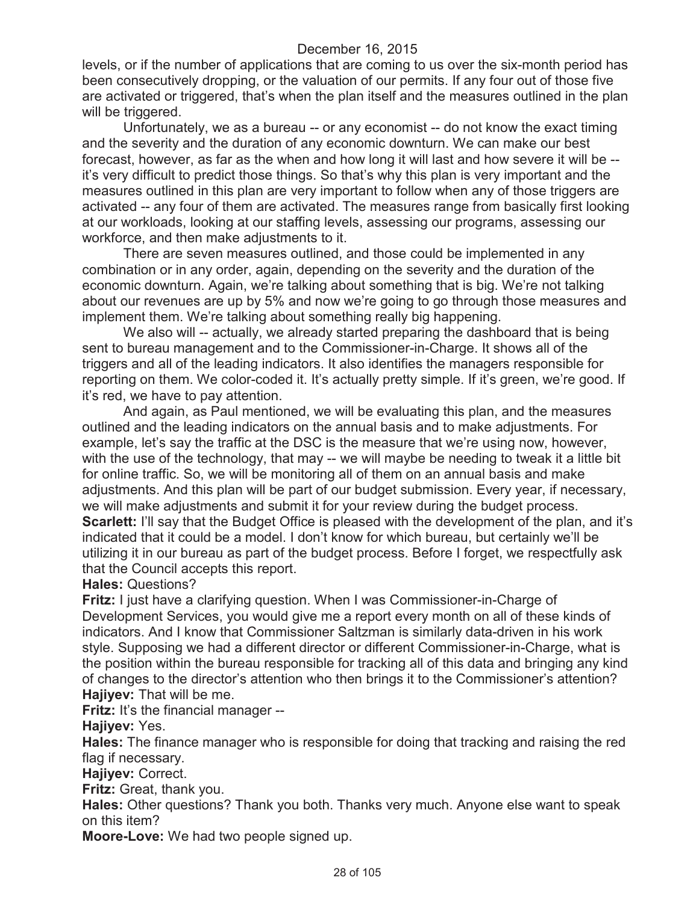levels, or if the number of applications that are coming to us over the six-month period has been consecutively dropping, or the valuation of our permits. If any four out of those five are activated or triggered, that's when the plan itself and the measures outlined in the plan will be triggered.

Unfortunately, we as a bureau -- or any economist -- do not know the exact timing and the severity and the duration of any economic downturn. We can make our best forecast, however, as far as the when and how long it will last and how severe it will be - it's very difficult to predict those things. So that's why this plan is very important and the measures outlined in this plan are very important to follow when any of those triggers are activated -- any four of them are activated. The measures range from basically first looking at our workloads, looking at our staffing levels, assessing our programs, assessing our workforce, and then make adjustments to it.

There are seven measures outlined, and those could be implemented in any combination or in any order, again, depending on the severity and the duration of the economic downturn. Again, we're talking about something that is big. We're not talking about our revenues are up by 5% and now we're going to go through those measures and implement them. We're talking about something really big happening.

We also will -- actually, we already started preparing the dashboard that is being sent to bureau management and to the Commissioner-in-Charge. It shows all of the triggers and all of the leading indicators. It also identifies the managers responsible for reporting on them. We color-coded it. It's actually pretty simple. If it's green, we're good. If it's red, we have to pay attention.

And again, as Paul mentioned, we will be evaluating this plan, and the measures outlined and the leading indicators on the annual basis and to make adjustments. For example, let's say the traffic at the DSC is the measure that we're using now, however, with the use of the technology, that may -- we will maybe be needing to tweak it a little bit for online traffic. So, we will be monitoring all of them on an annual basis and make adjustments. And this plan will be part of our budget submission. Every year, if necessary, we will make adjustments and submit it for your review during the budget process. **Scarlett:** I'll say that the Budget Office is pleased with the development of the plan, and it's indicated that it could be a model. I don't know for which bureau, but certainly we'll be utilizing it in our bureau as part of the budget process. Before I forget, we respectfully ask that the Council accepts this report.

**Hales:** Questions?

**Fritz:** I just have a clarifying question. When I was Commissioner-in-Charge of Development Services, you would give me a report every month on all of these kinds of indicators. And I know that Commissioner Saltzman is similarly data-driven in his work style. Supposing we had a different director or different Commissioner-in-Charge, what is the position within the bureau responsible for tracking all of this data and bringing any kind of changes to the director's attention who then brings it to the Commissioner's attention? **Hajiyev:** That will be me.

**Fritz:** It's the financial manager --

**Hajiyev:** Yes.

**Hales:** The finance manager who is responsible for doing that tracking and raising the red flag if necessary.

**Hajiyev:** Correct.

**Fritz:** Great, thank you.

**Hales:** Other questions? Thank you both. Thanks very much. Anyone else want to speak on this item?

**Moore-Love:** We had two people signed up.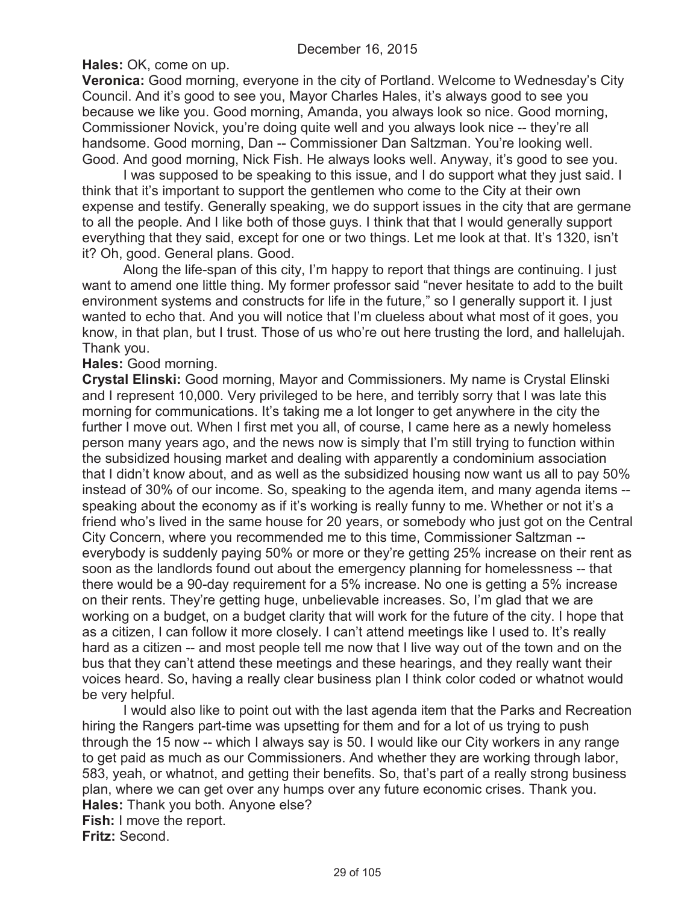**Hales:** OK, come on up.

**Veronica:** Good morning, everyone in the city of Portland. Welcome to Wednesday's City Council. And it's good to see you, Mayor Charles Hales, it's always good to see you because we like you. Good morning, Amanda, you always look so nice. Good morning, Commissioner Novick, you're doing quite well and you always look nice -- they're all handsome. Good morning, Dan -- Commissioner Dan Saltzman. You're looking well. Good. And good morning, Nick Fish. He always looks well. Anyway, it's good to see you.

I was supposed to be speaking to this issue, and I do support what they just said. I think that it's important to support the gentlemen who come to the City at their own expense and testify. Generally speaking, we do support issues in the city that are germane to all the people. And I like both of those guys. I think that that I would generally support everything that they said, except for one or two things. Let me look at that. It's 1320, isn't it? Oh, good. General plans. Good.

Along the life-span of this city, I'm happy to report that things are continuing. I just want to amend one little thing. My former professor said "never hesitate to add to the built environment systems and constructs for life in the future," so I generally support it. I just wanted to echo that. And you will notice that I'm clueless about what most of it goes, you know, in that plan, but I trust. Those of us who're out here trusting the lord, and hallelujah. Thank you.

### **Hales:** Good morning.

**Crystal Elinski:** Good morning, Mayor and Commissioners. My name is Crystal Elinski and I represent 10,000. Very privileged to be here, and terribly sorry that I was late this morning for communications. It's taking me a lot longer to get anywhere in the city the further I move out. When I first met you all, of course, I came here as a newly homeless person many years ago, and the news now is simply that I'm still trying to function within the subsidized housing market and dealing with apparently a condominium association that I didn't know about, and as well as the subsidized housing now want us all to pay 50% instead of 30% of our income. So, speaking to the agenda item, and many agenda items - speaking about the economy as if it's working is really funny to me. Whether or not it's a friend who's lived in the same house for 20 years, or somebody who just got on the Central City Concern, where you recommended me to this time, Commissioner Saltzman - everybody is suddenly paying 50% or more or they're getting 25% increase on their rent as soon as the landlords found out about the emergency planning for homelessness -- that there would be a 90-day requirement for a 5% increase. No one is getting a 5% increase on their rents. They're getting huge, unbelievable increases. So, I'm glad that we are working on a budget, on a budget clarity that will work for the future of the city. I hope that as a citizen, I can follow it more closely. I can't attend meetings like I used to. It's really hard as a citizen -- and most people tell me now that I live way out of the town and on the bus that they can't attend these meetings and these hearings, and they really want their voices heard. So, having a really clear business plan I think color coded or whatnot would be very helpful.

I would also like to point out with the last agenda item that the Parks and Recreation hiring the Rangers part-time was upsetting for them and for a lot of us trying to push through the 15 now -- which I always say is 50. I would like our City workers in any range to get paid as much as our Commissioners. And whether they are working through labor, 583, yeah, or whatnot, and getting their benefits. So, that's part of a really strong business plan, where we can get over any humps over any future economic crises. Thank you. **Hales:** Thank you both. Anyone else? **Fish:** I move the report. **Fritz:** Second.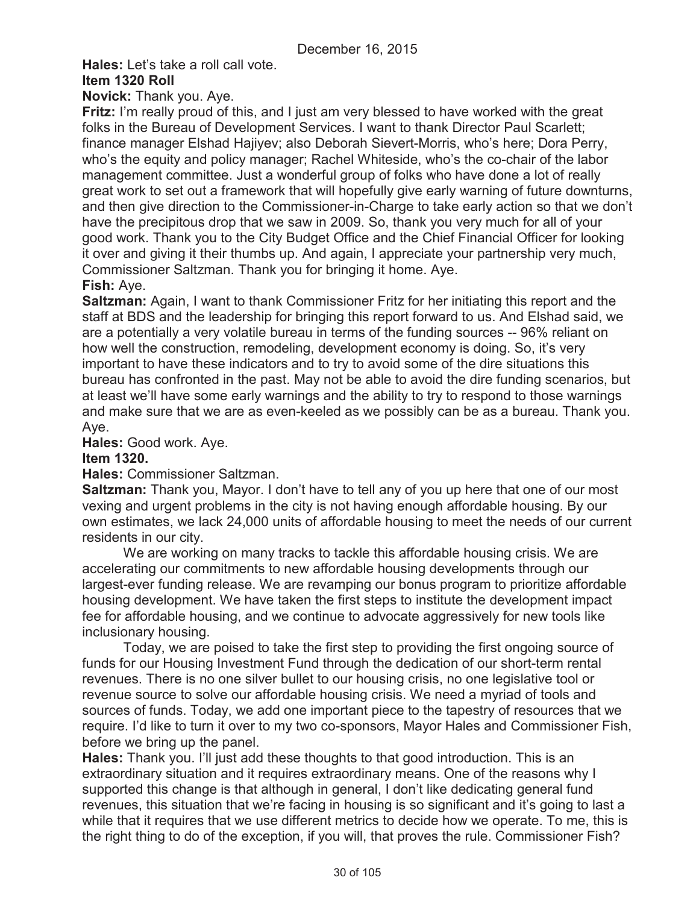**Hales:** Let's take a roll call vote.

## **Item 1320 Roll**

**Novick:** Thank you. Aye.

**Fritz:** I'm really proud of this, and I just am very blessed to have worked with the great folks in the Bureau of Development Services. I want to thank Director Paul Scarlett; finance manager Elshad Hajiyev; also Deborah Sievert-Morris, who's here; Dora Perry, who's the equity and policy manager; Rachel Whiteside, who's the co-chair of the labor management committee. Just a wonderful group of folks who have done a lot of really great work to set out a framework that will hopefully give early warning of future downturns, and then give direction to the Commissioner-in-Charge to take early action so that we don't have the precipitous drop that we saw in 2009. So, thank you very much for all of your good work. Thank you to the City Budget Office and the Chief Financial Officer for looking it over and giving it their thumbs up. And again, I appreciate your partnership very much, Commissioner Saltzman. Thank you for bringing it home. Aye.

# **Fish:** Aye.

**Saltzman:** Again, I want to thank Commissioner Fritz for her initiating this report and the staff at BDS and the leadership for bringing this report forward to us. And Elshad said, we are a potentially a very volatile bureau in terms of the funding sources -- 96% reliant on how well the construction, remodeling, development economy is doing. So, it's very important to have these indicators and to try to avoid some of the dire situations this bureau has confronted in the past. May not be able to avoid the dire funding scenarios, but at least we'll have some early warnings and the ability to try to respond to those warnings and make sure that we are as even-keeled as we possibly can be as a bureau. Thank you. Aye.

**Hales:** Good work. Aye.

## **Item 1320.**

**Hales:** Commissioner Saltzman.

**Saltzman:** Thank you, Mayor. I don't have to tell any of you up here that one of our most vexing and urgent problems in the city is not having enough affordable housing. By our own estimates, we lack 24,000 units of affordable housing to meet the needs of our current residents in our city.

We are working on many tracks to tackle this affordable housing crisis. We are accelerating our commitments to new affordable housing developments through our largest-ever funding release. We are revamping our bonus program to prioritize affordable housing development. We have taken the first steps to institute the development impact fee for affordable housing, and we continue to advocate aggressively for new tools like inclusionary housing.

Today, we are poised to take the first step to providing the first ongoing source of funds for our Housing Investment Fund through the dedication of our short-term rental revenues. There is no one silver bullet to our housing crisis, no one legislative tool or revenue source to solve our affordable housing crisis. We need a myriad of tools and sources of funds. Today, we add one important piece to the tapestry of resources that we require. I'd like to turn it over to my two co-sponsors, Mayor Hales and Commissioner Fish, before we bring up the panel.

**Hales:** Thank you. I'll just add these thoughts to that good introduction. This is an extraordinary situation and it requires extraordinary means. One of the reasons why I supported this change is that although in general, I don't like dedicating general fund revenues, this situation that we're facing in housing is so significant and it's going to last a while that it requires that we use different metrics to decide how we operate. To me, this is the right thing to do of the exception, if you will, that proves the rule. Commissioner Fish?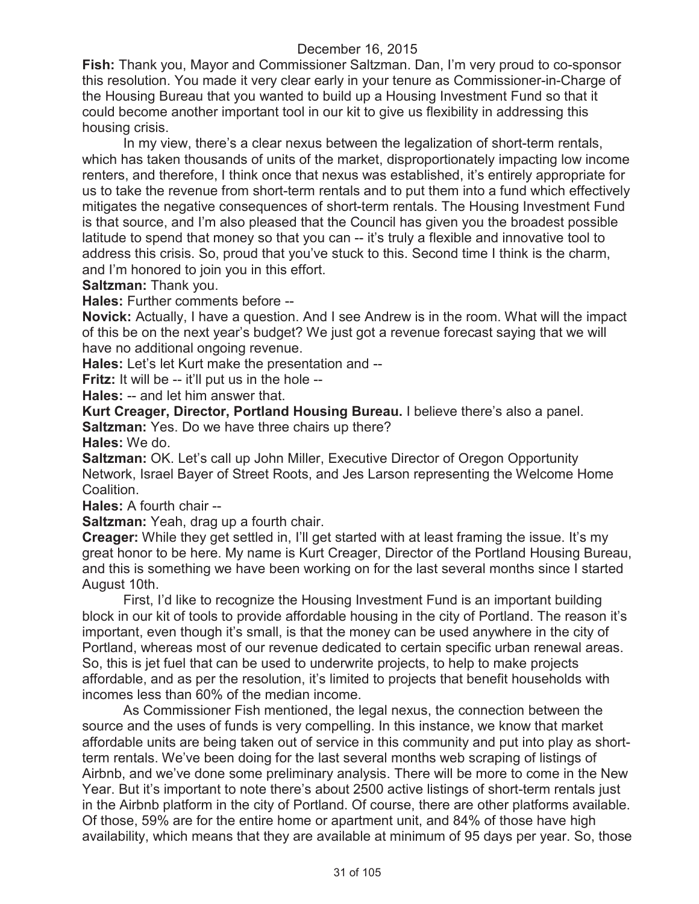**Fish:** Thank you, Mayor and Commissioner Saltzman. Dan, I'm very proud to co-sponsor this resolution. You made it very clear early in your tenure as Commissioner-in-Charge of the Housing Bureau that you wanted to build up a Housing Investment Fund so that it could become another important tool in our kit to give us flexibility in addressing this housing crisis.

In my view, there's a clear nexus between the legalization of short-term rentals, which has taken thousands of units of the market, disproportionately impacting low income renters, and therefore, I think once that nexus was established, it's entirely appropriate for us to take the revenue from short-term rentals and to put them into a fund which effectively mitigates the negative consequences of short-term rentals. The Housing Investment Fund is that source, and I'm also pleased that the Council has given you the broadest possible latitude to spend that money so that you can -- it's truly a flexible and innovative tool to address this crisis. So, proud that you've stuck to this. Second time I think is the charm, and I'm honored to join you in this effort.

**Saltzman:** Thank you.

**Hales:** Further comments before --

**Novick:** Actually, I have a question. And I see Andrew is in the room. What will the impact of this be on the next year's budget? We just got a revenue forecast saying that we will have no additional ongoing revenue.

**Hales:** Let's let Kurt make the presentation and --

**Fritz:** It will be -- it'll put us in the hole --

**Hales:** -- and let him answer that.

**Kurt Creager, Director, Portland Housing Bureau.** I believe there's also a panel. **Saltzman:** Yes. Do we have three chairs up there?

**Hales:** We do.

**Saltzman:** OK. Let's call up John Miller, Executive Director of Oregon Opportunity Network, Israel Bayer of Street Roots, and Jes Larson representing the Welcome Home Coalition.

**Hales:** A fourth chair --

**Saltzman:** Yeah, drag up a fourth chair.

**Creager:** While they get settled in, I'll get started with at least framing the issue. It's my great honor to be here. My name is Kurt Creager, Director of the Portland Housing Bureau, and this is something we have been working on for the last several months since I started August 10th.

First, I'd like to recognize the Housing Investment Fund is an important building block in our kit of tools to provide affordable housing in the city of Portland. The reason it's important, even though it's small, is that the money can be used anywhere in the city of Portland, whereas most of our revenue dedicated to certain specific urban renewal areas. So, this is jet fuel that can be used to underwrite projects, to help to make projects affordable, and as per the resolution, it's limited to projects that benefit households with incomes less than 60% of the median income.

As Commissioner Fish mentioned, the legal nexus, the connection between the source and the uses of funds is very compelling. In this instance, we know that market affordable units are being taken out of service in this community and put into play as shortterm rentals. We've been doing for the last several months web scraping of listings of Airbnb, and we've done some preliminary analysis. There will be more to come in the New Year. But it's important to note there's about 2500 active listings of short-term rentals just in the Airbnb platform in the city of Portland. Of course, there are other platforms available. Of those, 59% are for the entire home or apartment unit, and 84% of those have high availability, which means that they are available at minimum of 95 days per year. So, those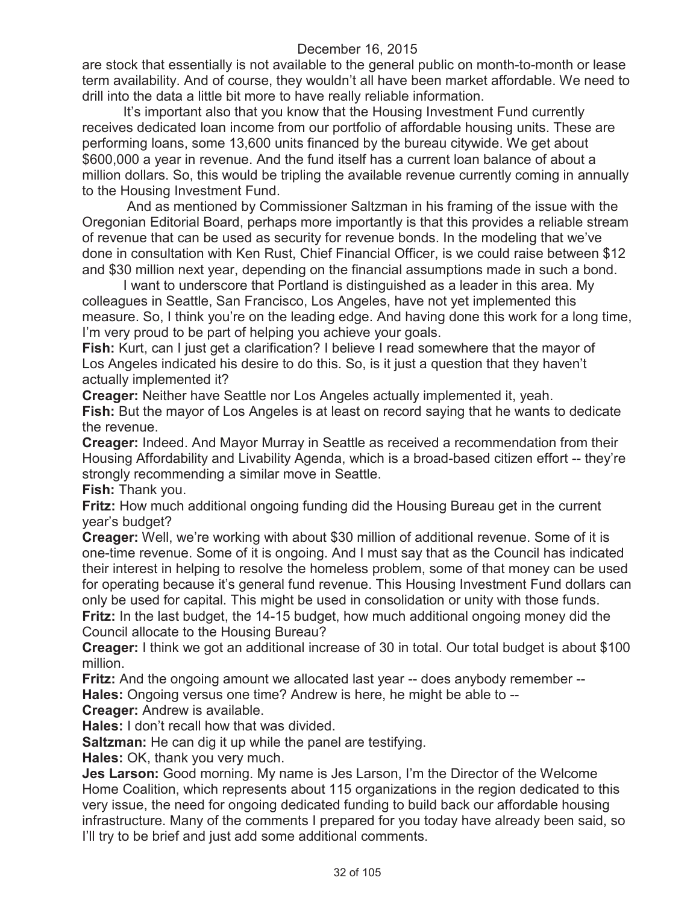are stock that essentially is not available to the general public on month-to-month or lease term availability. And of course, they wouldn't all have been market affordable. We need to drill into the data a little bit more to have really reliable information.

It's important also that you know that the Housing Investment Fund currently receives dedicated loan income from our portfolio of affordable housing units. These are performing loans, some 13,600 units financed by the bureau citywide. We get about \$600,000 a year in revenue. And the fund itself has a current loan balance of about a million dollars. So, this would be tripling the available revenue currently coming in annually to the Housing Investment Fund.

And as mentioned by Commissioner Saltzman in his framing of the issue with the Oregonian Editorial Board, perhaps more importantly is that this provides a reliable stream of revenue that can be used as security for revenue bonds. In the modeling that we've done in consultation with Ken Rust, Chief Financial Officer, is we could raise between \$12 and \$30 million next year, depending on the financial assumptions made in such a bond.

I want to underscore that Portland is distinguished as a leader in this area. My colleagues in Seattle, San Francisco, Los Angeles, have not yet implemented this measure. So, I think you're on the leading edge. And having done this work for a long time, I'm very proud to be part of helping you achieve your goals.

**Fish:** Kurt, can I just get a clarification? I believe I read somewhere that the mayor of Los Angeles indicated his desire to do this. So, is it just a question that they haven't actually implemented it?

**Creager:** Neither have Seattle nor Los Angeles actually implemented it, yeah. **Fish:** But the mayor of Los Angeles is at least on record saying that he wants to dedicate the revenue.

**Creager:** Indeed. And Mayor Murray in Seattle as received a recommendation from their Housing Affordability and Livability Agenda, which is a broad-based citizen effort -- they're strongly recommending a similar move in Seattle.

**Fish:** Thank you.

**Fritz:** How much additional ongoing funding did the Housing Bureau get in the current year's budget?

**Creager:** Well, we're working with about \$30 million of additional revenue. Some of it is one-time revenue. Some of it is ongoing. And I must say that as the Council has indicated their interest in helping to resolve the homeless problem, some of that money can be used for operating because it's general fund revenue. This Housing Investment Fund dollars can only be used for capital. This might be used in consolidation or unity with those funds. **Fritz:** In the last budget, the 14-15 budget, how much additional ongoing money did the Council allocate to the Housing Bureau?

**Creager:** I think we got an additional increase of 30 in total. Our total budget is about \$100 million.

**Fritz:** And the ongoing amount we allocated last year -- does anybody remember --

**Hales:** Ongoing versus one time? Andrew is here, he might be able to --

**Creager:** Andrew is available.

**Hales:** I don't recall how that was divided.

**Saltzman:** He can dig it up while the panel are testifying.

**Hales:** OK, thank you very much.

**Jes Larson:** Good morning. My name is Jes Larson, I'm the Director of the Welcome Home Coalition, which represents about 115 organizations in the region dedicated to this very issue, the need for ongoing dedicated funding to build back our affordable housing infrastructure. Many of the comments I prepared for you today have already been said, so I'll try to be brief and just add some additional comments.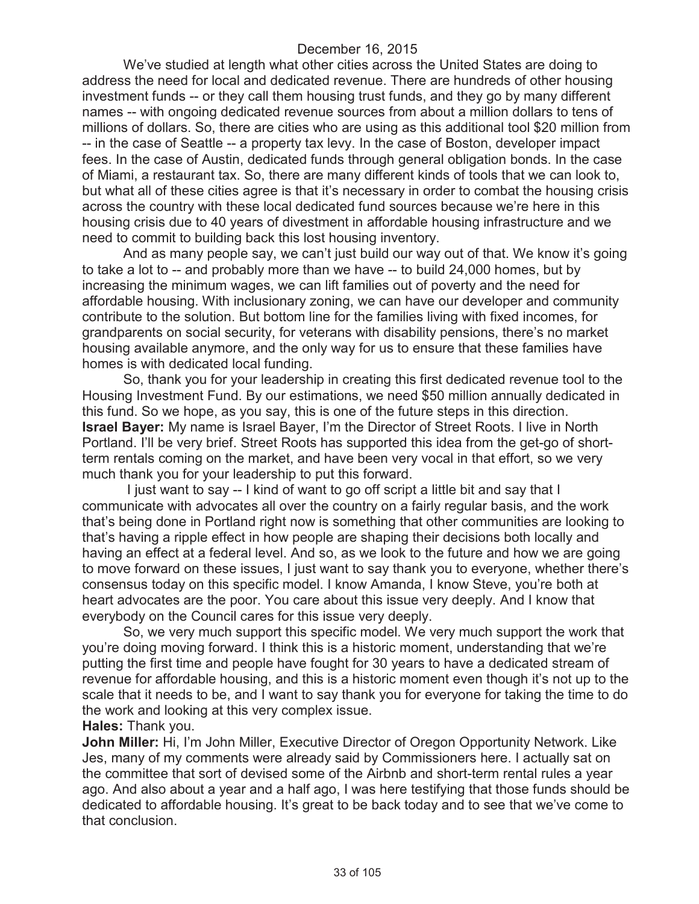We've studied at length what other cities across the United States are doing to address the need for local and dedicated revenue. There are hundreds of other housing investment funds -- or they call them housing trust funds, and they go by many different names -- with ongoing dedicated revenue sources from about a million dollars to tens of millions of dollars. So, there are cities who are using as this additional tool \$20 million from -- in the case of Seattle -- a property tax levy. In the case of Boston, developer impact fees. In the case of Austin, dedicated funds through general obligation bonds. In the case of Miami, a restaurant tax. So, there are many different kinds of tools that we can look to, but what all of these cities agree is that it's necessary in order to combat the housing crisis across the country with these local dedicated fund sources because we're here in this housing crisis due to 40 years of divestment in affordable housing infrastructure and we need to commit to building back this lost housing inventory.

And as many people say, we can't just build our way out of that. We know it's going to take a lot to -- and probably more than we have -- to build 24,000 homes, but by increasing the minimum wages, we can lift families out of poverty and the need for affordable housing. With inclusionary zoning, we can have our developer and community contribute to the solution. But bottom line for the families living with fixed incomes, for grandparents on social security, for veterans with disability pensions, there's no market housing available anymore, and the only way for us to ensure that these families have homes is with dedicated local funding.

So, thank you for your leadership in creating this first dedicated revenue tool to the Housing Investment Fund. By our estimations, we need \$50 million annually dedicated in this fund. So we hope, as you say, this is one of the future steps in this direction. **Israel Bayer:** My name is Israel Bayer, I'm the Director of Street Roots. I live in North Portland. I'll be very brief. Street Roots has supported this idea from the get-go of shortterm rentals coming on the market, and have been very vocal in that effort, so we very much thank you for your leadership to put this forward.

I just want to say -- I kind of want to go off script a little bit and say that I communicate with advocates all over the country on a fairly regular basis, and the work that's being done in Portland right now is something that other communities are looking to that's having a ripple effect in how people are shaping their decisions both locally and having an effect at a federal level. And so, as we look to the future and how we are going to move forward on these issues, I just want to say thank you to everyone, whether there's consensus today on this specific model. I know Amanda, I know Steve, you're both at heart advocates are the poor. You care about this issue very deeply. And I know that everybody on the Council cares for this issue very deeply.

So, we very much support this specific model. We very much support the work that you're doing moving forward. I think this is a historic moment, understanding that we're putting the first time and people have fought for 30 years to have a dedicated stream of revenue for affordable housing, and this is a historic moment even though it's not up to the scale that it needs to be, and I want to say thank you for everyone for taking the time to do the work and looking at this very complex issue.

#### **Hales:** Thank you.

**John Miller:** Hi, I'm John Miller, Executive Director of Oregon Opportunity Network. Like Jes, many of my comments were already said by Commissioners here. I actually sat on the committee that sort of devised some of the Airbnb and short-term rental rules a year ago. And also about a year and a half ago, I was here testifying that those funds should be dedicated to affordable housing. It's great to be back today and to see that we've come to that conclusion.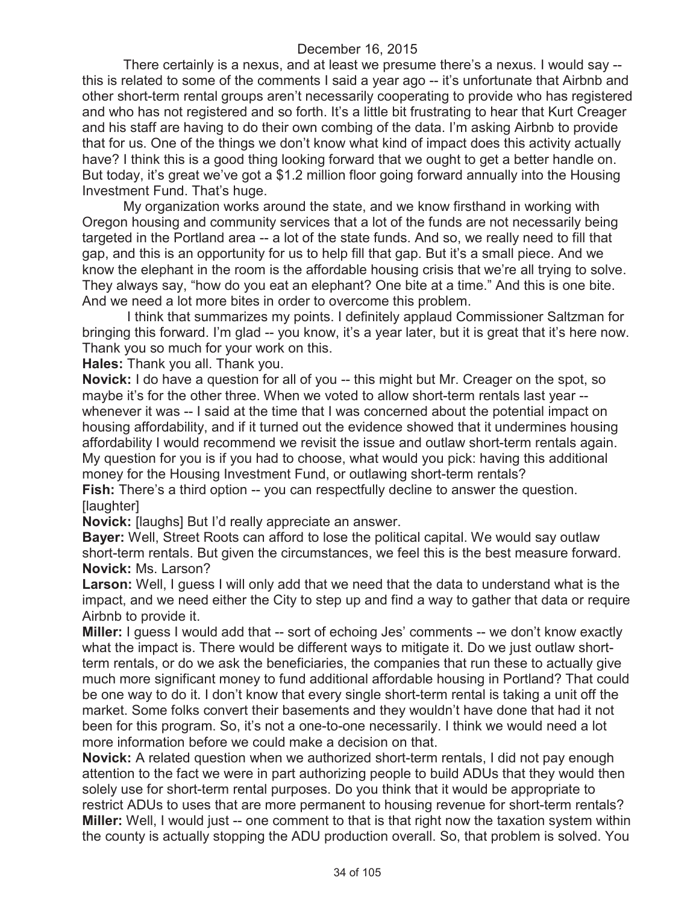There certainly is a nexus, and at least we presume there's a nexus. I would say - this is related to some of the comments I said a year ago -- it's unfortunate that Airbnb and other short-term rental groups aren't necessarily cooperating to provide who has registered and who has not registered and so forth. It's a little bit frustrating to hear that Kurt Creager and his staff are having to do their own combing of the data. I'm asking Airbnb to provide that for us. One of the things we don't know what kind of impact does this activity actually have? I think this is a good thing looking forward that we ought to get a better handle on. But today, it's great we've got a \$1.2 million floor going forward annually into the Housing Investment Fund. That's huge.

My organization works around the state, and we know firsthand in working with Oregon housing and community services that a lot of the funds are not necessarily being targeted in the Portland area -- a lot of the state funds. And so, we really need to fill that gap, and this is an opportunity for us to help fill that gap. But it's a small piece. And we know the elephant in the room is the affordable housing crisis that we're all trying to solve. They always say, "how do you eat an elephant? One bite at a time." And this is one bite. And we need a lot more bites in order to overcome this problem.

I think that summarizes my points. I definitely applaud Commissioner Saltzman for bringing this forward. I'm glad -- you know, it's a year later, but it is great that it's here now. Thank you so much for your work on this.

**Hales:** Thank you all. Thank you.

**Novick:** I do have a question for all of you -- this might but Mr. Creager on the spot, so maybe it's for the other three. When we voted to allow short-term rentals last year - whenever it was -- I said at the time that I was concerned about the potential impact on housing affordability, and if it turned out the evidence showed that it undermines housing affordability I would recommend we revisit the issue and outlaw short-term rentals again. My question for you is if you had to choose, what would you pick: having this additional money for the Housing Investment Fund, or outlawing short-term rentals?

**Fish:** There's a third option -- you can respectfully decline to answer the question. [laughter]

**Novick:** [laughs] But I'd really appreciate an answer.

**Bayer:** Well, Street Roots can afford to lose the political capital. We would say outlaw short-term rentals. But given the circumstances, we feel this is the best measure forward. **Novick:** Ms. Larson?

**Larson:** Well, I guess I will only add that we need that the data to understand what is the impact, and we need either the City to step up and find a way to gather that data or require Airbnb to provide it.

**Miller:** I guess I would add that -- sort of echoing Jes' comments -- we don't know exactly what the impact is. There would be different ways to mitigate it. Do we just outlaw shortterm rentals, or do we ask the beneficiaries, the companies that run these to actually give much more significant money to fund additional affordable housing in Portland? That could be one way to do it. I don't know that every single short-term rental is taking a unit off the market. Some folks convert their basements and they wouldn't have done that had it not been for this program. So, it's not a one-to-one necessarily. I think we would need a lot more information before we could make a decision on that.

**Novick:** A related question when we authorized short-term rentals, I did not pay enough attention to the fact we were in part authorizing people to build ADUs that they would then solely use for short-term rental purposes. Do you think that it would be appropriate to restrict ADUs to uses that are more permanent to housing revenue for short-term rentals? **Miller:** Well, I would just -- one comment to that is that right now the taxation system within the county is actually stopping the ADU production overall. So, that problem is solved. You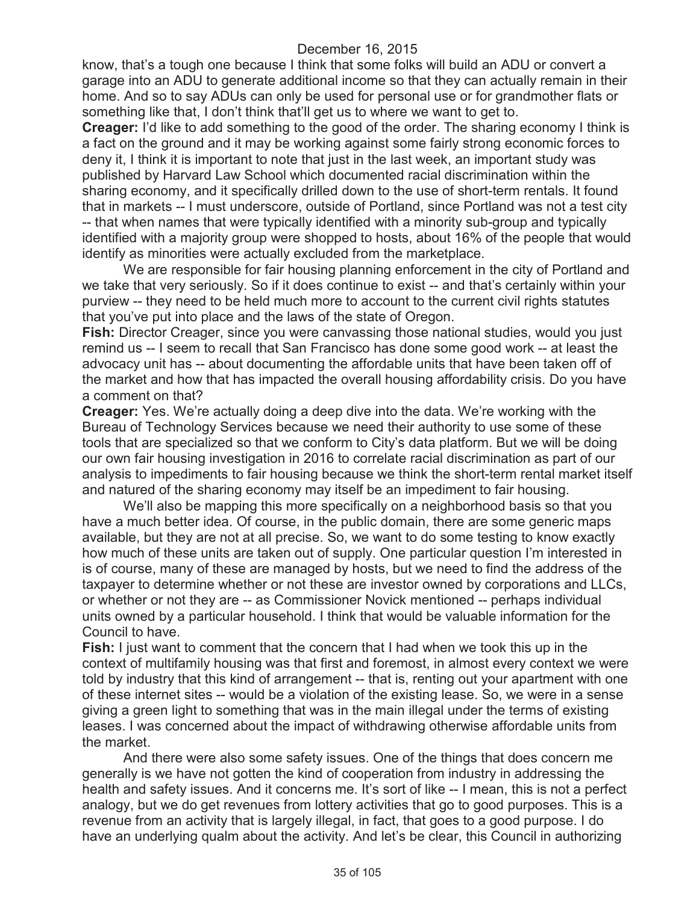know, that's a tough one because I think that some folks will build an ADU or convert a garage into an ADU to generate additional income so that they can actually remain in their home. And so to say ADUs can only be used for personal use or for grandmother flats or something like that, I don't think that'll get us to where we want to get to.

**Creager:** I'd like to add something to the good of the order. The sharing economy I think is a fact on the ground and it may be working against some fairly strong economic forces to deny it, I think it is important to note that just in the last week, an important study was published by Harvard Law School which documented racial discrimination within the sharing economy, and it specifically drilled down to the use of short-term rentals. It found that in markets -- I must underscore, outside of Portland, since Portland was not a test city -- that when names that were typically identified with a minority sub-group and typically identified with a majority group were shopped to hosts, about 16% of the people that would identify as minorities were actually excluded from the marketplace.

We are responsible for fair housing planning enforcement in the city of Portland and we take that very seriously. So if it does continue to exist -- and that's certainly within your purview -- they need to be held much more to account to the current civil rights statutes that you've put into place and the laws of the state of Oregon.

**Fish:** Director Creager, since you were canvassing those national studies, would you just remind us -- I seem to recall that San Francisco has done some good work -- at least the advocacy unit has -- about documenting the affordable units that have been taken off of the market and how that has impacted the overall housing affordability crisis. Do you have a comment on that?

**Creager:** Yes. We're actually doing a deep dive into the data. We're working with the Bureau of Technology Services because we need their authority to use some of these tools that are specialized so that we conform to City's data platform. But we will be doing our own fair housing investigation in 2016 to correlate racial discrimination as part of our analysis to impediments to fair housing because we think the short-term rental market itself and natured of the sharing economy may itself be an impediment to fair housing.

We'll also be mapping this more specifically on a neighborhood basis so that you have a much better idea. Of course, in the public domain, there are some generic maps available, but they are not at all precise. So, we want to do some testing to know exactly how much of these units are taken out of supply. One particular question I'm interested in is of course, many of these are managed by hosts, but we need to find the address of the taxpayer to determine whether or not these are investor owned by corporations and LLCs, or whether or not they are -- as Commissioner Novick mentioned -- perhaps individual units owned by a particular household. I think that would be valuable information for the Council to have.

**Fish:** I just want to comment that the concern that I had when we took this up in the context of multifamily housing was that first and foremost, in almost every context we were told by industry that this kind of arrangement -- that is, renting out your apartment with one of these internet sites -- would be a violation of the existing lease. So, we were in a sense giving a green light to something that was in the main illegal under the terms of existing leases. I was concerned about the impact of withdrawing otherwise affordable units from the market.

And there were also some safety issues. One of the things that does concern me generally is we have not gotten the kind of cooperation from industry in addressing the health and safety issues. And it concerns me. It's sort of like -- I mean, this is not a perfect analogy, but we do get revenues from lottery activities that go to good purposes. This is a revenue from an activity that is largely illegal, in fact, that goes to a good purpose. I do have an underlying qualm about the activity. And let's be clear, this Council in authorizing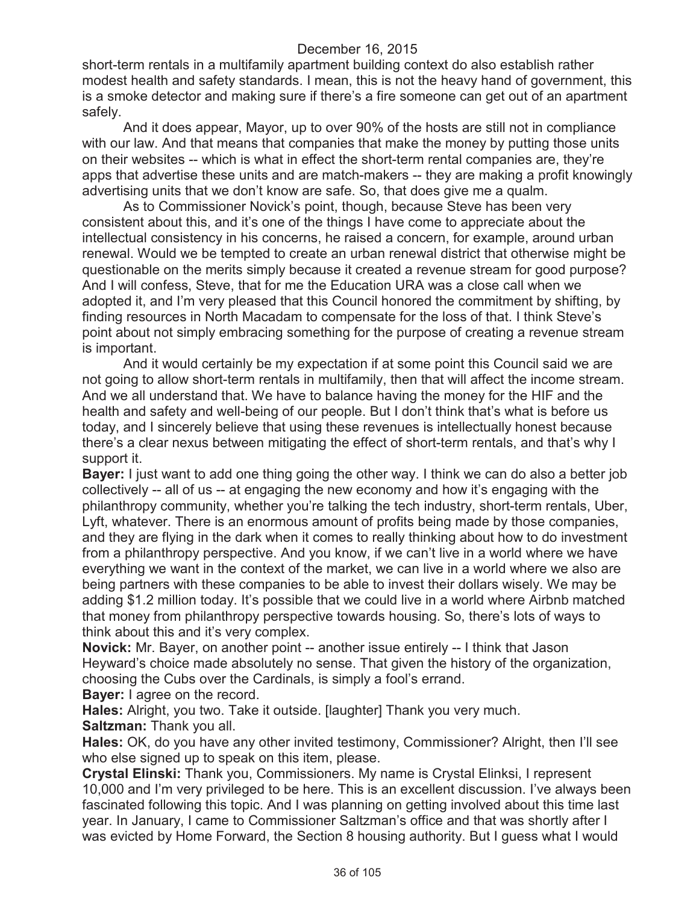short-term rentals in a multifamily apartment building context do also establish rather modest health and safety standards. I mean, this is not the heavy hand of government, this is a smoke detector and making sure if there's a fire someone can get out of an apartment safely.

And it does appear, Mayor, up to over 90% of the hosts are still not in compliance with our law. And that means that companies that make the money by putting those units on their websites -- which is what in effect the short-term rental companies are, they're apps that advertise these units and are match-makers -- they are making a profit knowingly advertising units that we don't know are safe. So, that does give me a qualm.

As to Commissioner Novick's point, though, because Steve has been very consistent about this, and it's one of the things I have come to appreciate about the intellectual consistency in his concerns, he raised a concern, for example, around urban renewal. Would we be tempted to create an urban renewal district that otherwise might be questionable on the merits simply because it created a revenue stream for good purpose? And I will confess, Steve, that for me the Education URA was a close call when we adopted it, and I'm very pleased that this Council honored the commitment by shifting, by finding resources in North Macadam to compensate for the loss of that. I think Steve's point about not simply embracing something for the purpose of creating a revenue stream is important.

And it would certainly be my expectation if at some point this Council said we are not going to allow short-term rentals in multifamily, then that will affect the income stream. And we all understand that. We have to balance having the money for the HIF and the health and safety and well-being of our people. But I don't think that's what is before us today, and I sincerely believe that using these revenues is intellectually honest because there's a clear nexus between mitigating the effect of short-term rentals, and that's why I support it.

**Bayer:** I just want to add one thing going the other way. I think we can do also a better job collectively -- all of us -- at engaging the new economy and how it's engaging with the philanthropy community, whether you're talking the tech industry, short-term rentals, Uber, Lyft, whatever. There is an enormous amount of profits being made by those companies, and they are flying in the dark when it comes to really thinking about how to do investment from a philanthropy perspective. And you know, if we can't live in a world where we have everything we want in the context of the market, we can live in a world where we also are being partners with these companies to be able to invest their dollars wisely. We may be adding \$1.2 million today. It's possible that we could live in a world where Airbnb matched that money from philanthropy perspective towards housing. So, there's lots of ways to think about this and it's very complex.

**Novick:** Mr. Bayer, on another point -- another issue entirely -- I think that Jason Heyward's choice made absolutely no sense. That given the history of the organization, choosing the Cubs over the Cardinals, is simply a fool's errand.

**Bayer:** I agree on the record.

**Hales:** Alright, you two. Take it outside. [laughter] Thank you very much. **Saltzman:** Thank you all.

**Hales:** OK, do you have any other invited testimony, Commissioner? Alright, then I'll see who else signed up to speak on this item, please.

**Crystal Elinski:** Thank you, Commissioners. My name is Crystal Elinksi, I represent 10,000 and I'm very privileged to be here. This is an excellent discussion. I've always been fascinated following this topic. And I was planning on getting involved about this time last year. In January, I came to Commissioner Saltzman's office and that was shortly after I was evicted by Home Forward, the Section 8 housing authority. But I guess what I would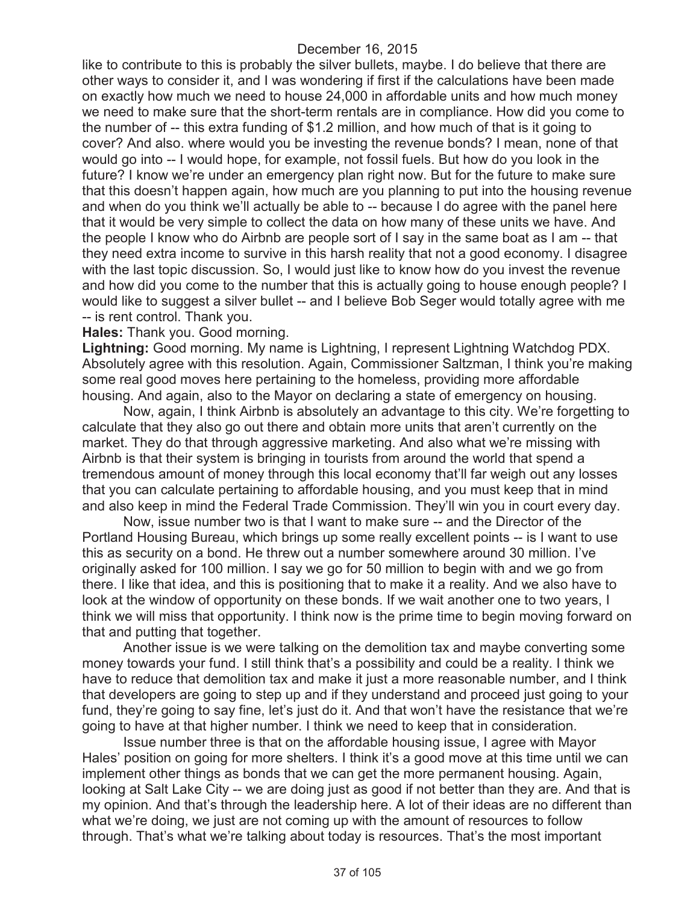like to contribute to this is probably the silver bullets, maybe. I do believe that there are other ways to consider it, and I was wondering if first if the calculations have been made on exactly how much we need to house 24,000 in affordable units and how much money we need to make sure that the short-term rentals are in compliance. How did you come to the number of -- this extra funding of \$1.2 million, and how much of that is it going to cover? And also. where would you be investing the revenue bonds? I mean, none of that would go into -- I would hope, for example, not fossil fuels. But how do you look in the future? I know we're under an emergency plan right now. But for the future to make sure that this doesn't happen again, how much are you planning to put into the housing revenue and when do you think we'll actually be able to -- because I do agree with the panel here that it would be very simple to collect the data on how many of these units we have. And the people I know who do Airbnb are people sort of I say in the same boat as I am -- that they need extra income to survive in this harsh reality that not a good economy. I disagree with the last topic discussion. So, I would just like to know how do you invest the revenue and how did you come to the number that this is actually going to house enough people? I would like to suggest a silver bullet -- and I believe Bob Seger would totally agree with me -- is rent control. Thank you.

#### **Hales:** Thank you. Good morning.

**Lightning:** Good morning. My name is Lightning, I represent Lightning Watchdog PDX. Absolutely agree with this resolution. Again, Commissioner Saltzman, I think you're making some real good moves here pertaining to the homeless, providing more affordable housing. And again, also to the Mayor on declaring a state of emergency on housing.

Now, again, I think Airbnb is absolutely an advantage to this city. We're forgetting to calculate that they also go out there and obtain more units that aren't currently on the market. They do that through aggressive marketing. And also what we're missing with Airbnb is that their system is bringing in tourists from around the world that spend a tremendous amount of money through this local economy that'll far weigh out any losses that you can calculate pertaining to affordable housing, and you must keep that in mind and also keep in mind the Federal Trade Commission. They'll win you in court every day.

Now, issue number two is that I want to make sure -- and the Director of the Portland Housing Bureau, which brings up some really excellent points -- is I want to use this as security on a bond. He threw out a number somewhere around 30 million. I've originally asked for 100 million. I say we go for 50 million to begin with and we go from there. I like that idea, and this is positioning that to make it a reality. And we also have to look at the window of opportunity on these bonds. If we wait another one to two years, I think we will miss that opportunity. I think now is the prime time to begin moving forward on that and putting that together.

Another issue is we were talking on the demolition tax and maybe converting some money towards your fund. I still think that's a possibility and could be a reality. I think we have to reduce that demolition tax and make it just a more reasonable number, and I think that developers are going to step up and if they understand and proceed just going to your fund, they're going to say fine, let's just do it. And that won't have the resistance that we're going to have at that higher number. I think we need to keep that in consideration.

Issue number three is that on the affordable housing issue, I agree with Mayor Hales' position on going for more shelters. I think it's a good move at this time until we can implement other things as bonds that we can get the more permanent housing. Again, looking at Salt Lake City -- we are doing just as good if not better than they are. And that is my opinion. And that's through the leadership here. A lot of their ideas are no different than what we're doing, we just are not coming up with the amount of resources to follow through. That's what we're talking about today is resources. That's the most important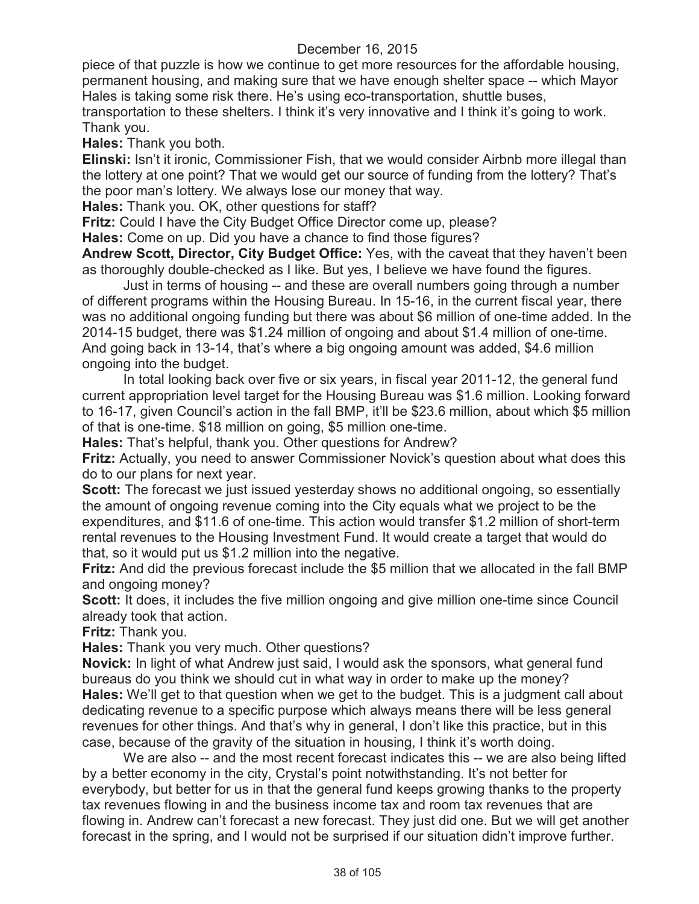piece of that puzzle is how we continue to get more resources for the affordable housing, permanent housing, and making sure that we have enough shelter space -- which Mayor Hales is taking some risk there. He's using eco-transportation, shuttle buses,

transportation to these shelters. I think it's very innovative and I think it's going to work. Thank you.

**Hales:** Thank you both.

**Elinski:** Isn't it ironic, Commissioner Fish, that we would consider Airbnb more illegal than the lottery at one point? That we would get our source of funding from the lottery? That's the poor man's lottery. We always lose our money that way.

**Hales:** Thank you. OK, other questions for staff?

**Fritz:** Could I have the City Budget Office Director come up, please?

**Hales:** Come on up. Did you have a chance to find those figures?

**Andrew Scott, Director, City Budget Office:** Yes, with the caveat that they haven't been as thoroughly double-checked as I like. But yes, I believe we have found the figures.

Just in terms of housing -- and these are overall numbers going through a number of different programs within the Housing Bureau. In 15-16, in the current fiscal year, there was no additional ongoing funding but there was about \$6 million of one-time added. In the 2014-15 budget, there was \$1.24 million of ongoing and about \$1.4 million of one-time. And going back in 13-14, that's where a big ongoing amount was added, \$4.6 million ongoing into the budget.

In total looking back over five or six years, in fiscal year 2011-12, the general fund current appropriation level target for the Housing Bureau was \$1.6 million. Looking forward to 16-17, given Council's action in the fall BMP, it'll be \$23.6 million, about which \$5 million of that is one-time. \$18 million on going, \$5 million one-time.

**Hales:** That's helpful, thank you. Other questions for Andrew?

**Fritz:** Actually, you need to answer Commissioner Novick's question about what does this do to our plans for next year.

**Scott:** The forecast we just issued yesterday shows no additional ongoing, so essentially the amount of ongoing revenue coming into the City equals what we project to be the expenditures, and \$11.6 of one-time. This action would transfer \$1.2 million of short-term rental revenues to the Housing Investment Fund. It would create a target that would do that, so it would put us \$1.2 million into the negative.

**Fritz:** And did the previous forecast include the \$5 million that we allocated in the fall BMP and ongoing money?

**Scott:** It does, it includes the five million ongoing and give million one-time since Council already took that action.

**Fritz:** Thank you.

**Hales:** Thank you very much. Other questions?

**Novick:** In light of what Andrew just said, I would ask the sponsors, what general fund bureaus do you think we should cut in what way in order to make up the money? **Hales:** We'll get to that question when we get to the budget. This is a judgment call about dedicating revenue to a specific purpose which always means there will be less general revenues for other things. And that's why in general, I don't like this practice, but in this case, because of the gravity of the situation in housing, I think it's worth doing.

We are also -- and the most recent forecast indicates this -- we are also being lifted by a better economy in the city, Crystal's point notwithstanding. It's not better for everybody, but better for us in that the general fund keeps growing thanks to the property tax revenues flowing in and the business income tax and room tax revenues that are flowing in. Andrew can't forecast a new forecast. They just did one. But we will get another forecast in the spring, and I would not be surprised if our situation didn't improve further.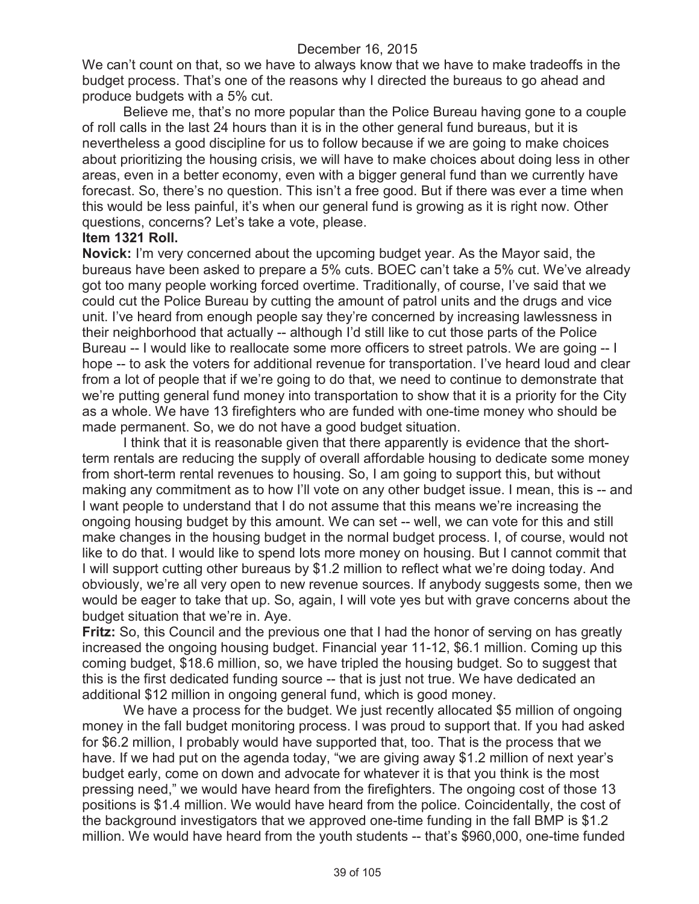We can't count on that, so we have to always know that we have to make tradeoffs in the budget process. That's one of the reasons why I directed the bureaus to go ahead and produce budgets with a 5% cut.

Believe me, that's no more popular than the Police Bureau having gone to a couple of roll calls in the last 24 hours than it is in the other general fund bureaus, but it is nevertheless a good discipline for us to follow because if we are going to make choices about prioritizing the housing crisis, we will have to make choices about doing less in other areas, even in a better economy, even with a bigger general fund than we currently have forecast. So, there's no question. This isn't a free good. But if there was ever a time when this would be less painful, it's when our general fund is growing as it is right now. Other questions, concerns? Let's take a vote, please.

#### **Item 1321 Roll.**

**Novick:** I'm very concerned about the upcoming budget year. As the Mayor said, the bureaus have been asked to prepare a 5% cuts. BOEC can't take a 5% cut. We've already got too many people working forced overtime. Traditionally, of course, I've said that we could cut the Police Bureau by cutting the amount of patrol units and the drugs and vice unit. I've heard from enough people say they're concerned by increasing lawlessness in their neighborhood that actually -- although I'd still like to cut those parts of the Police Bureau -- I would like to reallocate some more officers to street patrols. We are going -- I hope -- to ask the voters for additional revenue for transportation. I've heard loud and clear from a lot of people that if we're going to do that, we need to continue to demonstrate that we're putting general fund money into transportation to show that it is a priority for the City as a whole. We have 13 firefighters who are funded with one-time money who should be made permanent. So, we do not have a good budget situation.

I think that it is reasonable given that there apparently is evidence that the shortterm rentals are reducing the supply of overall affordable housing to dedicate some money from short-term rental revenues to housing. So, I am going to support this, but without making any commitment as to how I'll vote on any other budget issue. I mean, this is -- and I want people to understand that I do not assume that this means we're increasing the ongoing housing budget by this amount. We can set -- well, we can vote for this and still make changes in the housing budget in the normal budget process. I, of course, would not like to do that. I would like to spend lots more money on housing. But I cannot commit that I will support cutting other bureaus by \$1.2 million to reflect what we're doing today. And obviously, we're all very open to new revenue sources. If anybody suggests some, then we would be eager to take that up. So, again, I will vote yes but with grave concerns about the budget situation that we're in. Aye.

**Fritz:** So, this Council and the previous one that I had the honor of serving on has greatly increased the ongoing housing budget. Financial year 11-12, \$6.1 million. Coming up this coming budget, \$18.6 million, so, we have tripled the housing budget. So to suggest that this is the first dedicated funding source -- that is just not true. We have dedicated an additional \$12 million in ongoing general fund, which is good money.

We have a process for the budget. We just recently allocated \$5 million of ongoing money in the fall budget monitoring process. I was proud to support that. If you had asked for \$6.2 million, I probably would have supported that, too. That is the process that we have. If we had put on the agenda today, "we are giving away \$1.2 million of next year's budget early, come on down and advocate for whatever it is that you think is the most pressing need," we would have heard from the firefighters. The ongoing cost of those 13 positions is \$1.4 million. We would have heard from the police. Coincidentally, the cost of the background investigators that we approved one-time funding in the fall BMP is \$1.2 million. We would have heard from the youth students -- that's \$960,000, one-time funded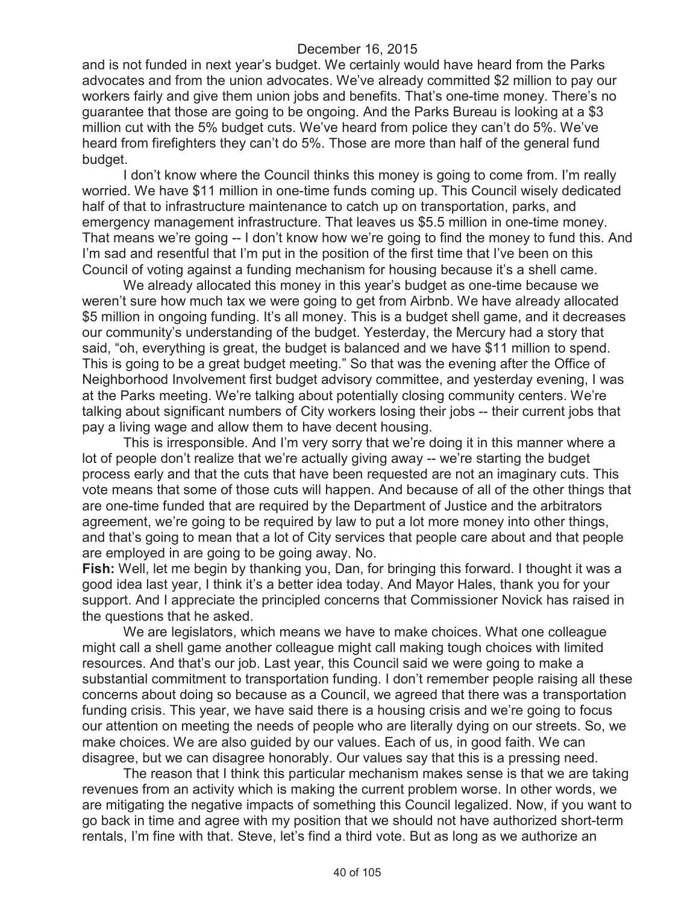and is not funded in next year's budget. We certainly would have heard from the Parks advocates and from the union advocates. We've already committed \$2 million to pay our workers fairly and give them union jobs and benefits. That's one-time money. There's no guarantee that those are going to be ongoing. And the Parks Bureau is looking at a \$3 million cut with the 5% budget cuts. We've heard from police they can't do 5%. We've heard from firefighters they can't do 5%. Those are more than half of the general fund budget.

I don't know where the Council thinks this money is going to come from. I'm really worried. We have \$11 million in one-time funds coming up. This Council wisely dedicated half of that to infrastructure maintenance to catch up on transportation, parks, and emergency management infrastructure. That leaves us \$5.5 million in one-time money. That means we're going -- I don't know how we're going to find the money to fund this. And I'm sad and resentful that I'm put in the position of the first time that I've been on this Council of voting against a funding mechanism for housing because it's a shell came.

We already allocated this money in this year's budget as one-time because we weren't sure how much tax we were going to get from Airbnb. We have already allocated \$5 million in ongoing funding. It's all money. This is a budget shell game, and it decreases our community's understanding of the budget. Yesterday, the Mercury had a story that said, "oh, everything is great, the budget is balanced and we have \$11 million to spend. This is going to be a great budget meeting." So that was the evening after the Office of Neighborhood Involvement first budget advisory committee, and yesterday evening, I was at the Parks meeting. We're talking about potentially closing community centers. We're talking about significant numbers of City workers losing their jobs -- their current jobs that pay a living wage and allow them to have decent housing.

This is irresponsible. And I'm very sorry that we're doing it in this manner where a lot of people don't realize that we're actually giving away -- we're starting the budget process early and that the cuts that have been requested are not an imaginary cuts. This vote means that some of those cuts will happen. And because of all of the other things that are one-time funded that are required by the Department of Justice and the arbitrators agreement, we're going to be required by law to put a lot more money into other things, and that's going to mean that a lot of City services that people care about and that people are employed in are going to be going away. No.

**Fish:** Well, let me begin by thanking you, Dan, for bringing this forward. I thought it was a good idea last year, I think it's a better idea today. And Mayor Hales, thank you for your support. And I appreciate the principled concerns that Commissioner Novick has raised in the questions that he asked.

We are legislators, which means we have to make choices. What one colleague might call a shell game another colleague might call making tough choices with limited resources. And that's our job. Last year, this Council said we were going to make a substantial commitment to transportation funding. I don't remember people raising all these concerns about doing so because as a Council, we agreed that there was a transportation funding crisis. This year, we have said there is a housing crisis and we're going to focus our attention on meeting the needs of people who are literally dying on our streets. So, we make choices. We are also guided by our values. Each of us, in good faith. We can disagree, but we can disagree honorably. Our values say that this is a pressing need.

The reason that I think this particular mechanism makes sense is that we are taking revenues from an activity which is making the current problem worse. In other words, we are mitigating the negative impacts of something this Council legalized. Now, if you want to go back in time and agree with my position that we should not have authorized short-term rentals, I'm fine with that. Steve, let's find a third vote. But as long as we authorize an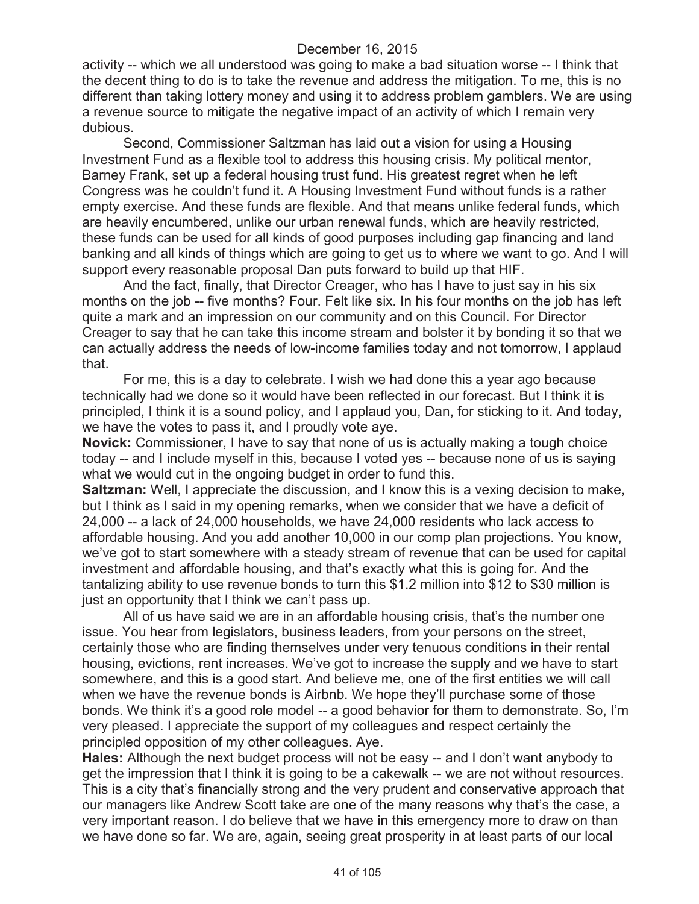activity -- which we all understood was going to make a bad situation worse -- I think that the decent thing to do is to take the revenue and address the mitigation. To me, this is no different than taking lottery money and using it to address problem gamblers. We are using a revenue source to mitigate the negative impact of an activity of which I remain very dubious.

Second, Commissioner Saltzman has laid out a vision for using a Housing Investment Fund as a flexible tool to address this housing crisis. My political mentor, Barney Frank, set up a federal housing trust fund. His greatest regret when he left Congress was he couldn't fund it. A Housing Investment Fund without funds is a rather empty exercise. And these funds are flexible. And that means unlike federal funds, which are heavily encumbered, unlike our urban renewal funds, which are heavily restricted, these funds can be used for all kinds of good purposes including gap financing and land banking and all kinds of things which are going to get us to where we want to go. And I will support every reasonable proposal Dan puts forward to build up that HIF.

And the fact, finally, that Director Creager, who has I have to just say in his six months on the job -- five months? Four. Felt like six. In his four months on the job has left quite a mark and an impression on our community and on this Council. For Director Creager to say that he can take this income stream and bolster it by bonding it so that we can actually address the needs of low-income families today and not tomorrow, I applaud that.

For me, this is a day to celebrate. I wish we had done this a year ago because technically had we done so it would have been reflected in our forecast. But I think it is principled, I think it is a sound policy, and I applaud you, Dan, for sticking to it. And today, we have the votes to pass it, and I proudly vote aye.

**Novick:** Commissioner, I have to say that none of us is actually making a tough choice today -- and I include myself in this, because I voted yes -- because none of us is saying what we would cut in the ongoing budget in order to fund this.

**Saltzman:** Well, I appreciate the discussion, and I know this is a vexing decision to make, but I think as I said in my opening remarks, when we consider that we have a deficit of 24,000 -- a lack of 24,000 households, we have 24,000 residents who lack access to affordable housing. And you add another 10,000 in our comp plan projections. You know, we've got to start somewhere with a steady stream of revenue that can be used for capital investment and affordable housing, and that's exactly what this is going for. And the tantalizing ability to use revenue bonds to turn this \$1.2 million into \$12 to \$30 million is just an opportunity that I think we can't pass up.

All of us have said we are in an affordable housing crisis, that's the number one issue. You hear from legislators, business leaders, from your persons on the street, certainly those who are finding themselves under very tenuous conditions in their rental housing, evictions, rent increases. We've got to increase the supply and we have to start somewhere, and this is a good start. And believe me, one of the first entities we will call when we have the revenue bonds is Airbnb. We hope they'll purchase some of those bonds. We think it's a good role model -- a good behavior for them to demonstrate. So, I'm very pleased. I appreciate the support of my colleagues and respect certainly the principled opposition of my other colleagues. Aye.

**Hales:** Although the next budget process will not be easy -- and I don't want anybody to get the impression that I think it is going to be a cakewalk -- we are not without resources. This is a city that's financially strong and the very prudent and conservative approach that our managers like Andrew Scott take are one of the many reasons why that's the case, a very important reason. I do believe that we have in this emergency more to draw on than we have done so far. We are, again, seeing great prosperity in at least parts of our local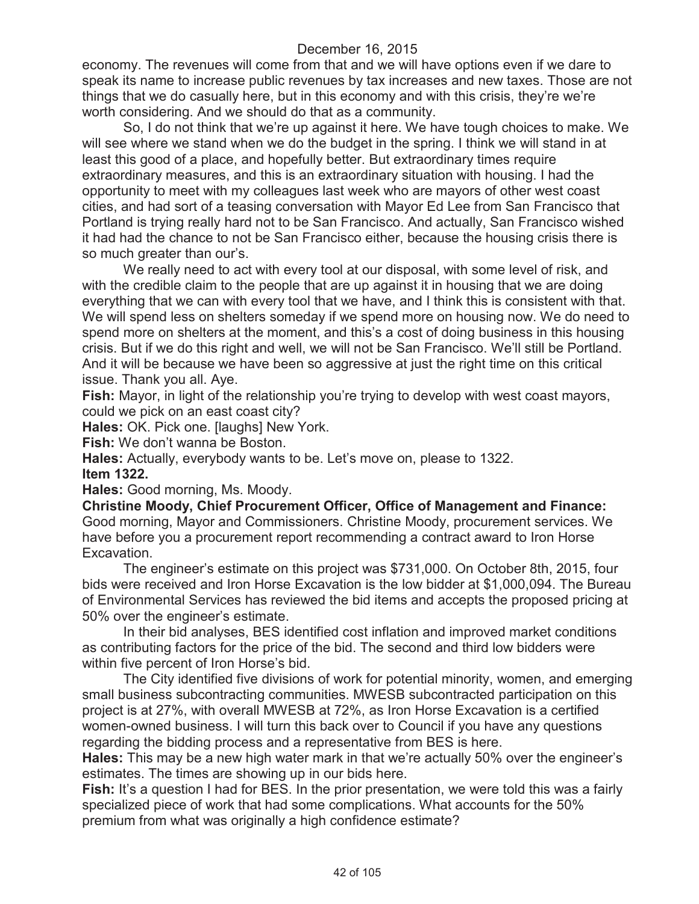economy. The revenues will come from that and we will have options even if we dare to speak its name to increase public revenues by tax increases and new taxes. Those are not things that we do casually here, but in this economy and with this crisis, they're we're worth considering. And we should do that as a community.

So, I do not think that we're up against it here. We have tough choices to make. We will see where we stand when we do the budget in the spring. I think we will stand in at least this good of a place, and hopefully better. But extraordinary times require extraordinary measures, and this is an extraordinary situation with housing. I had the opportunity to meet with my colleagues last week who are mayors of other west coast cities, and had sort of a teasing conversation with Mayor Ed Lee from San Francisco that Portland is trying really hard not to be San Francisco. And actually, San Francisco wished it had had the chance to not be San Francisco either, because the housing crisis there is so much greater than our's.

We really need to act with every tool at our disposal, with some level of risk, and with the credible claim to the people that are up against it in housing that we are doing everything that we can with every tool that we have, and I think this is consistent with that. We will spend less on shelters someday if we spend more on housing now. We do need to spend more on shelters at the moment, and this's a cost of doing business in this housing crisis. But if we do this right and well, we will not be San Francisco. We'll still be Portland. And it will be because we have been so aggressive at just the right time on this critical issue. Thank you all. Aye.

**Fish:** Mayor, in light of the relationship you're trying to develop with west coast mayors, could we pick on an east coast city?

**Hales:** OK. Pick one. [laughs] New York.

**Fish:** We don't wanna be Boston.

**Hales:** Actually, everybody wants to be. Let's move on, please to 1322.

**Item 1322.**

**Hales:** Good morning, Ms. Moody.

**Christine Moody, Chief Procurement Officer, Office of Management and Finance:**  Good morning, Mayor and Commissioners. Christine Moody, procurement services. We have before you a procurement report recommending a contract award to Iron Horse Excavation.

The engineer's estimate on this project was \$731,000. On October 8th, 2015, four bids were received and Iron Horse Excavation is the low bidder at \$1,000,094. The Bureau of Environmental Services has reviewed the bid items and accepts the proposed pricing at 50% over the engineer's estimate.

In their bid analyses, BES identified cost inflation and improved market conditions as contributing factors for the price of the bid. The second and third low bidders were within five percent of Iron Horse's bid.

The City identified five divisions of work for potential minority, women, and emerging small business subcontracting communities. MWESB subcontracted participation on this project is at 27%, with overall MWESB at 72%, as Iron Horse Excavation is a certified women-owned business. I will turn this back over to Council if you have any questions regarding the bidding process and a representative from BES is here.

**Hales:** This may be a new high water mark in that we're actually 50% over the engineer's estimates. The times are showing up in our bids here.

**Fish:** It's a question I had for BES. In the prior presentation, we were told this was a fairly specialized piece of work that had some complications. What accounts for the 50% premium from what was originally a high confidence estimate?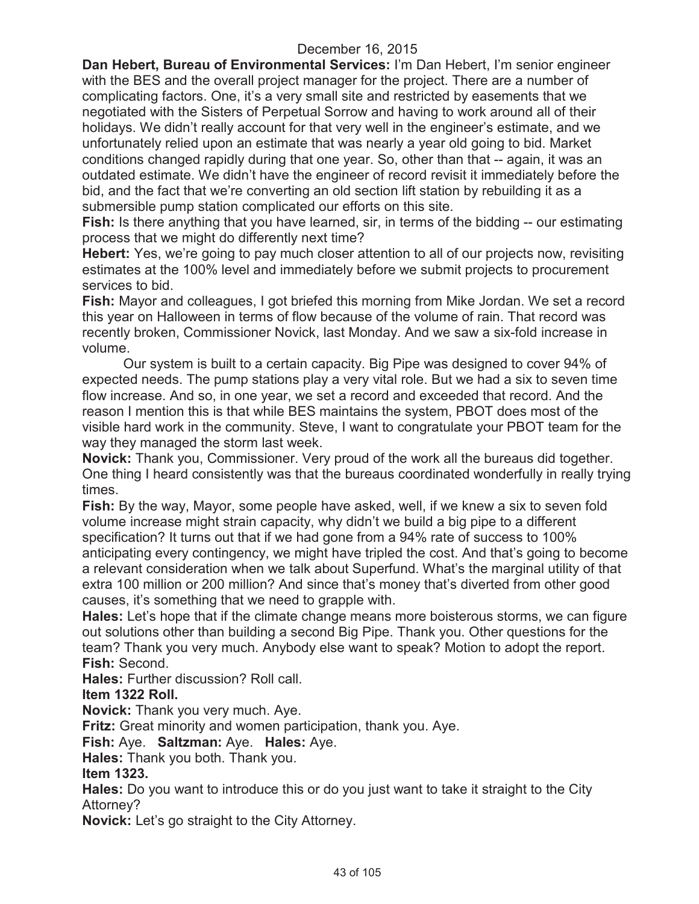**Dan Hebert, Bureau of Environmental Services:** I'm Dan Hebert, I'm senior engineer with the BES and the overall project manager for the project. There are a number of complicating factors. One, it's a very small site and restricted by easements that we negotiated with the Sisters of Perpetual Sorrow and having to work around all of their holidays. We didn't really account for that very well in the engineer's estimate, and we unfortunately relied upon an estimate that was nearly a year old going to bid. Market conditions changed rapidly during that one year. So, other than that -- again, it was an outdated estimate. We didn't have the engineer of record revisit it immediately before the bid, and the fact that we're converting an old section lift station by rebuilding it as a submersible pump station complicated our efforts on this site.

**Fish:** Is there anything that you have learned, sir, in terms of the bidding -- our estimating process that we might do differently next time?

**Hebert:** Yes, we're going to pay much closer attention to all of our projects now, revisiting estimates at the 100% level and immediately before we submit projects to procurement services to bid.

**Fish:** Mayor and colleagues, I got briefed this morning from Mike Jordan. We set a record this year on Halloween in terms of flow because of the volume of rain. That record was recently broken, Commissioner Novick, last Monday. And we saw a six-fold increase in volume.

Our system is built to a certain capacity. Big Pipe was designed to cover 94% of expected needs. The pump stations play a very vital role. But we had a six to seven time flow increase. And so, in one year, we set a record and exceeded that record. And the reason I mention this is that while BES maintains the system, PBOT does most of the visible hard work in the community. Steve, I want to congratulate your PBOT team for the way they managed the storm last week.

**Novick:** Thank you, Commissioner. Very proud of the work all the bureaus did together. One thing I heard consistently was that the bureaus coordinated wonderfully in really trying times.

**Fish:** By the way, Mayor, some people have asked, well, if we knew a six to seven fold volume increase might strain capacity, why didn't we build a big pipe to a different specification? It turns out that if we had gone from a 94% rate of success to 100% anticipating every contingency, we might have tripled the cost. And that's going to become a relevant consideration when we talk about Superfund. What's the marginal utility of that extra 100 million or 200 million? And since that's money that's diverted from other good causes, it's something that we need to grapple with.

**Hales:** Let's hope that if the climate change means more boisterous storms, we can figure out solutions other than building a second Big Pipe. Thank you. Other questions for the team? Thank you very much. Anybody else want to speak? Motion to adopt the report. **Fish:** Second.

**Hales:** Further discussion? Roll call.

# **Item 1322 Roll.**

**Novick:** Thank you very much. Aye.

**Fritz:** Great minority and women participation, thank you. Aye.

**Fish:** Aye. **Saltzman:** Aye. **Hales:** Aye.

**Hales:** Thank you both. Thank you.

## **Item 1323.**

**Hales:** Do you want to introduce this or do you just want to take it straight to the City Attorney?

**Novick:** Let's go straight to the City Attorney.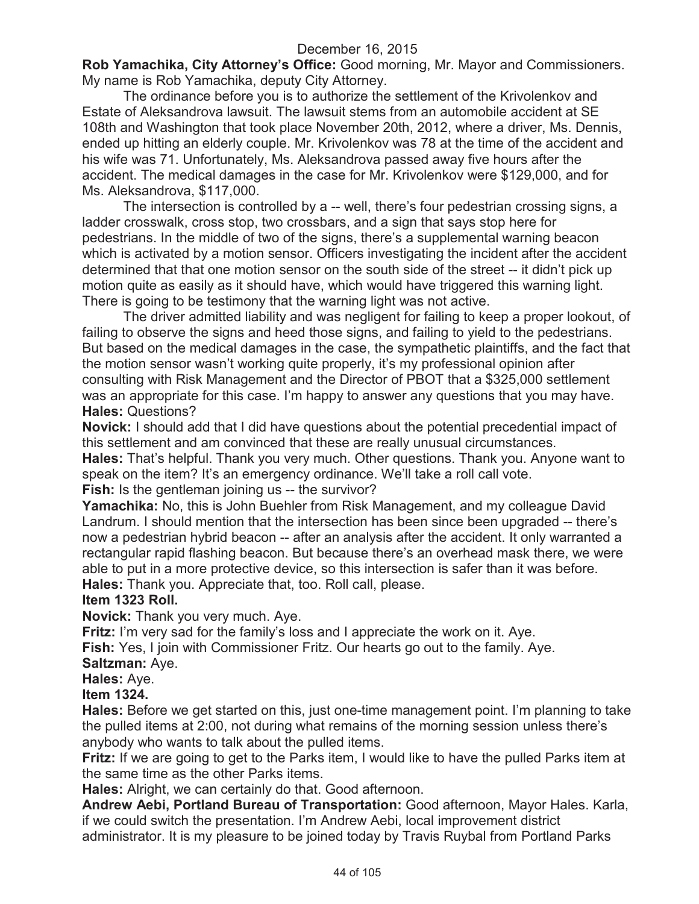**Rob Yamachika, City Attorney's Office:** Good morning, Mr. Mayor and Commissioners. My name is Rob Yamachika, deputy City Attorney.

The ordinance before you is to authorize the settlement of the Krivolenkov and Estate of Aleksandrova lawsuit. The lawsuit stems from an automobile accident at SE 108th and Washington that took place November 20th, 2012, where a driver, Ms. Dennis, ended up hitting an elderly couple. Mr. Krivolenkov was 78 at the time of the accident and his wife was 71. Unfortunately, Ms. Aleksandrova passed away five hours after the accident. The medical damages in the case for Mr. Krivolenkov were \$129,000, and for Ms. Aleksandrova, \$117,000.

The intersection is controlled by a -- well, there's four pedestrian crossing signs, a ladder crosswalk, cross stop, two crossbars, and a sign that says stop here for pedestrians. In the middle of two of the signs, there's a supplemental warning beacon which is activated by a motion sensor. Officers investigating the incident after the accident determined that that one motion sensor on the south side of the street -- it didn't pick up motion quite as easily as it should have, which would have triggered this warning light. There is going to be testimony that the warning light was not active.

The driver admitted liability and was negligent for failing to keep a proper lookout, of failing to observe the signs and heed those signs, and failing to yield to the pedestrians. But based on the medical damages in the case, the sympathetic plaintiffs, and the fact that the motion sensor wasn't working quite properly, it's my professional opinion after consulting with Risk Management and the Director of PBOT that a \$325,000 settlement was an appropriate for this case. I'm happy to answer any questions that you may have. **Hales:** Questions?

**Novick:** I should add that I did have questions about the potential precedential impact of this settlement and am convinced that these are really unusual circumstances.

**Hales:** That's helpful. Thank you very much. Other questions. Thank you. Anyone want to speak on the item? It's an emergency ordinance. We'll take a roll call vote.

### **Fish:** Is the gentleman joining us -- the survivor?

**Yamachika:** No, this is John Buehler from Risk Management, and my colleague David Landrum. I should mention that the intersection has been since been upgraded -- there's now a pedestrian hybrid beacon -- after an analysis after the accident. It only warranted a rectangular rapid flashing beacon. But because there's an overhead mask there, we were able to put in a more protective device, so this intersection is safer than it was before. **Hales:** Thank you. Appreciate that, too. Roll call, please.

## **Item 1323 Roll.**

**Novick:** Thank you very much. Aye.

**Fritz:** I'm very sad for the family's loss and I appreciate the work on it. Aye.

**Fish:** Yes, I join with Commissioner Fritz. Our hearts go out to the family. Aye.

#### **Saltzman:** Aye.

**Hales:** Aye.

## **Item 1324.**

**Hales:** Before we get started on this, just one-time management point. I'm planning to take the pulled items at 2:00, not during what remains of the morning session unless there's anybody who wants to talk about the pulled items.

**Fritz:** If we are going to get to the Parks item, I would like to have the pulled Parks item at the same time as the other Parks items.

**Hales:** Alright, we can certainly do that. Good afternoon.

**Andrew Aebi, Portland Bureau of Transportation:** Good afternoon, Mayor Hales. Karla, if we could switch the presentation. I'm Andrew Aebi, local improvement district administrator. It is my pleasure to be joined today by Travis Ruybal from Portland Parks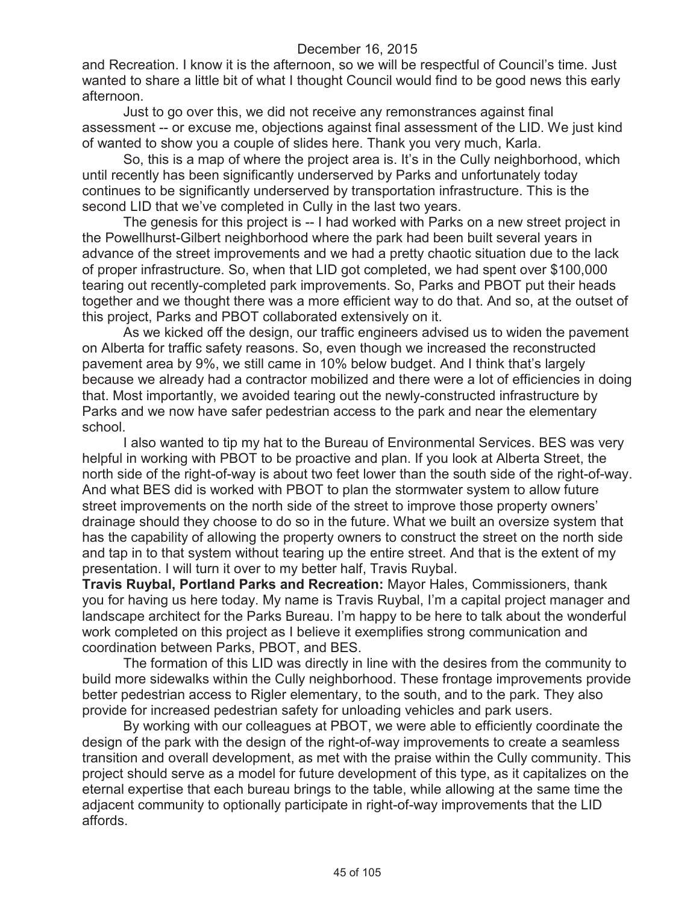and Recreation. I know it is the afternoon, so we will be respectful of Council's time. Just wanted to share a little bit of what I thought Council would find to be good news this early afternoon.

Just to go over this, we did not receive any remonstrances against final assessment -- or excuse me, objections against final assessment of the LID. We just kind of wanted to show you a couple of slides here. Thank you very much, Karla.

So, this is a map of where the project area is. It's in the Cully neighborhood, which until recently has been significantly underserved by Parks and unfortunately today continues to be significantly underserved by transportation infrastructure. This is the second LID that we've completed in Cully in the last two years.

The genesis for this project is -- I had worked with Parks on a new street project in the Powellhurst-Gilbert neighborhood where the park had been built several years in advance of the street improvements and we had a pretty chaotic situation due to the lack of proper infrastructure. So, when that LID got completed, we had spent over \$100,000 tearing out recently-completed park improvements. So, Parks and PBOT put their heads together and we thought there was a more efficient way to do that. And so, at the outset of this project, Parks and PBOT collaborated extensively on it.

As we kicked off the design, our traffic engineers advised us to widen the pavement on Alberta for traffic safety reasons. So, even though we increased the reconstructed pavement area by 9%, we still came in 10% below budget. And I think that's largely because we already had a contractor mobilized and there were a lot of efficiencies in doing that. Most importantly, we avoided tearing out the newly-constructed infrastructure by Parks and we now have safer pedestrian access to the park and near the elementary school.

I also wanted to tip my hat to the Bureau of Environmental Services. BES was very helpful in working with PBOT to be proactive and plan. If you look at Alberta Street, the north side of the right-of-way is about two feet lower than the south side of the right-of-way. And what BES did is worked with PBOT to plan the stormwater system to allow future street improvements on the north side of the street to improve those property owners' drainage should they choose to do so in the future. What we built an oversize system that has the capability of allowing the property owners to construct the street on the north side and tap in to that system without tearing up the entire street. And that is the extent of my presentation. I will turn it over to my better half, Travis Ruybal.

**Travis Ruybal, Portland Parks and Recreation:** Mayor Hales, Commissioners, thank you for having us here today. My name is Travis Ruybal, I'm a capital project manager and landscape architect for the Parks Bureau. I'm happy to be here to talk about the wonderful work completed on this project as I believe it exemplifies strong communication and coordination between Parks, PBOT, and BES.

The formation of this LID was directly in line with the desires from the community to build more sidewalks within the Cully neighborhood. These frontage improvements provide better pedestrian access to Rigler elementary, to the south, and to the park. They also provide for increased pedestrian safety for unloading vehicles and park users.

By working with our colleagues at PBOT, we were able to efficiently coordinate the design of the park with the design of the right-of-way improvements to create a seamless transition and overall development, as met with the praise within the Cully community. This project should serve as a model for future development of this type, as it capitalizes on the eternal expertise that each bureau brings to the table, while allowing at the same time the adjacent community to optionally participate in right-of-way improvements that the LID affords.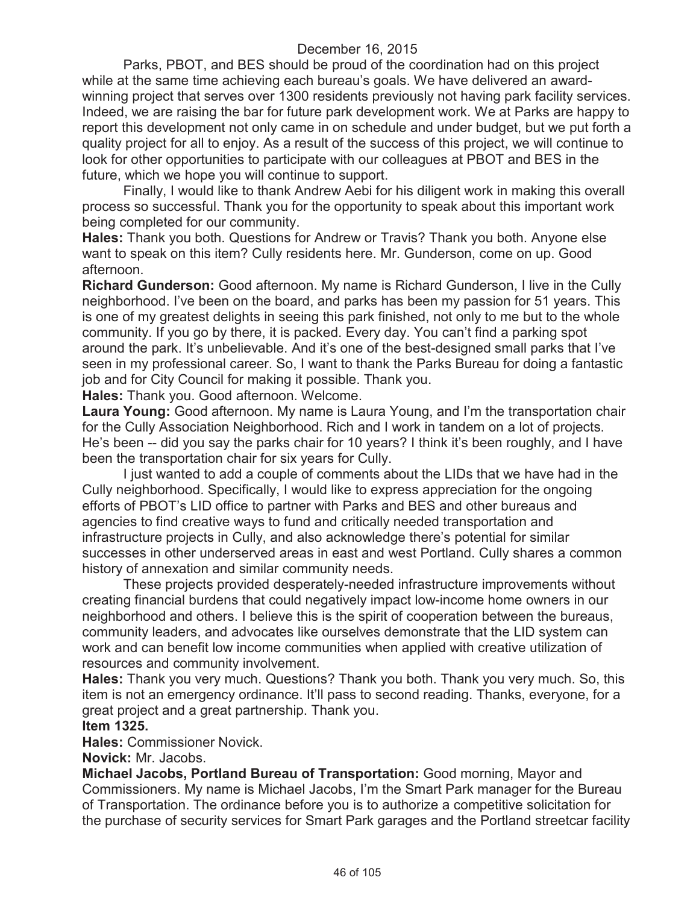Parks, PBOT, and BES should be proud of the coordination had on this project while at the same time achieving each bureau's goals. We have delivered an awardwinning project that serves over 1300 residents previously not having park facility services. Indeed, we are raising the bar for future park development work. We at Parks are happy to report this development not only came in on schedule and under budget, but we put forth a quality project for all to enjoy. As a result of the success of this project, we will continue to look for other opportunities to participate with our colleagues at PBOT and BES in the future, which we hope you will continue to support.

Finally, I would like to thank Andrew Aebi for his diligent work in making this overall process so successful. Thank you for the opportunity to speak about this important work being completed for our community.

**Hales:** Thank you both. Questions for Andrew or Travis? Thank you both. Anyone else want to speak on this item? Cully residents here. Mr. Gunderson, come on up. Good afternoon.

**Richard Gunderson:** Good afternoon. My name is Richard Gunderson, I live in the Cully neighborhood. I've been on the board, and parks has been my passion for 51 years. This is one of my greatest delights in seeing this park finished, not only to me but to the whole community. If you go by there, it is packed. Every day. You can't find a parking spot around the park. It's unbelievable. And it's one of the best-designed small parks that I've seen in my professional career. So, I want to thank the Parks Bureau for doing a fantastic job and for City Council for making it possible. Thank you.

**Hales:** Thank you. Good afternoon. Welcome.

**Laura Young:** Good afternoon. My name is Laura Young, and I'm the transportation chair for the Cully Association Neighborhood. Rich and I work in tandem on a lot of projects. He's been -- did you say the parks chair for 10 years? I think it's been roughly, and I have been the transportation chair for six years for Cully.

I just wanted to add a couple of comments about the LIDs that we have had in the Cully neighborhood. Specifically, I would like to express appreciation for the ongoing efforts of PBOT's LID office to partner with Parks and BES and other bureaus and agencies to find creative ways to fund and critically needed transportation and infrastructure projects in Cully, and also acknowledge there's potential for similar successes in other underserved areas in east and west Portland. Cully shares a common history of annexation and similar community needs.

These projects provided desperately-needed infrastructure improvements without creating financial burdens that could negatively impact low-income home owners in our neighborhood and others. I believe this is the spirit of cooperation between the bureaus, community leaders, and advocates like ourselves demonstrate that the LID system can work and can benefit low income communities when applied with creative utilization of resources and community involvement.

**Hales:** Thank you very much. Questions? Thank you both. Thank you very much. So, this item is not an emergency ordinance. It'll pass to second reading. Thanks, everyone, for a great project and a great partnership. Thank you.

#### **Item 1325.**

**Hales:** Commissioner Novick.

**Novick:** Mr. Jacobs.

**Michael Jacobs, Portland Bureau of Transportation:** Good morning, Mayor and Commissioners. My name is Michael Jacobs, I'm the Smart Park manager for the Bureau of Transportation. The ordinance before you is to authorize a competitive solicitation for the purchase of security services for Smart Park garages and the Portland streetcar facility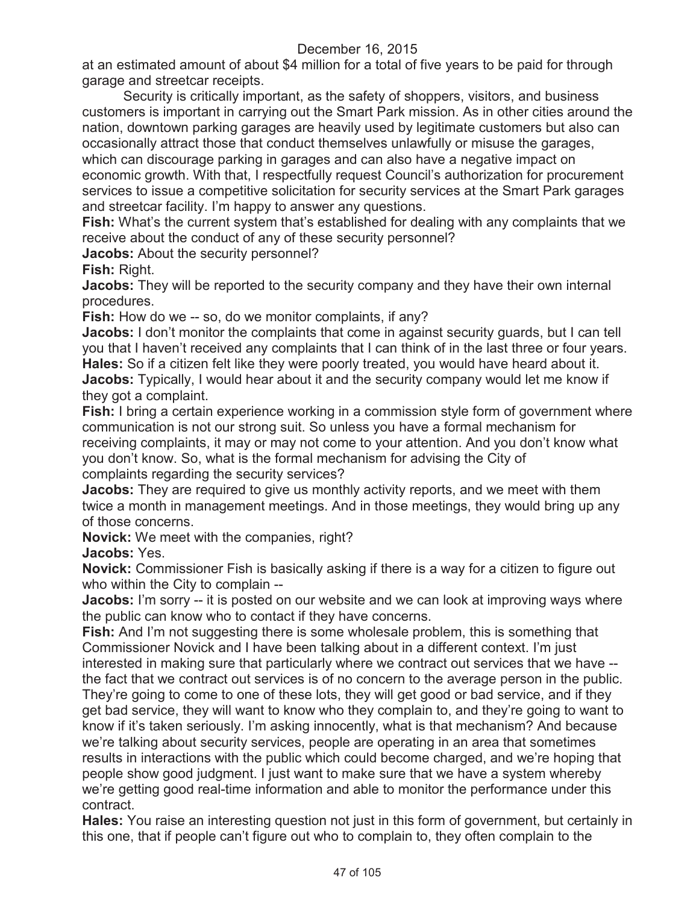at an estimated amount of about \$4 million for a total of five years to be paid for through garage and streetcar receipts.

Security is critically important, as the safety of shoppers, visitors, and business customers is important in carrying out the Smart Park mission. As in other cities around the nation, downtown parking garages are heavily used by legitimate customers but also can occasionally attract those that conduct themselves unlawfully or misuse the garages, which can discourage parking in garages and can also have a negative impact on economic growth. With that, I respectfully request Council's authorization for procurement services to issue a competitive solicitation for security services at the Smart Park garages and streetcar facility. I'm happy to answer any questions.

**Fish:** What's the current system that's established for dealing with any complaints that we receive about the conduct of any of these security personnel?

**Jacobs:** About the security personnel?

**Fish:** Right.

**Jacobs:** They will be reported to the security company and they have their own internal procedures.

**Fish:** How do we -- so, do we monitor complaints, if any?

**Jacobs:** I don't monitor the complaints that come in against security guards, but I can tell you that I haven't received any complaints that I can think of in the last three or four years. **Hales:** So if a citizen felt like they were poorly treated, you would have heard about it. Jacobs: Typically, I would hear about it and the security company would let me know if they got a complaint.

**Fish:** I bring a certain experience working in a commission style form of government where communication is not our strong suit. So unless you have a formal mechanism for receiving complaints, it may or may not come to your attention. And you don't know what you don't know. So, what is the formal mechanism for advising the City of complaints regarding the security services?

**Jacobs:** They are required to give us monthly activity reports, and we meet with them twice a month in management meetings. And in those meetings, they would bring up any of those concerns.

**Novick:** We meet with the companies, right?

**Jacobs:** Yes.

**Novick:** Commissioner Fish is basically asking if there is a way for a citizen to figure out who within the City to complain --

**Jacobs:** I'm sorry -- it is posted on our website and we can look at improving ways where the public can know who to contact if they have concerns.

**Fish:** And I'm not suggesting there is some wholesale problem, this is something that Commissioner Novick and I have been talking about in a different context. I'm just interested in making sure that particularly where we contract out services that we have --

the fact that we contract out services is of no concern to the average person in the public. They're going to come to one of these lots, they will get good or bad service, and if they get bad service, they will want to know who they complain to, and they're going to want to know if it's taken seriously. I'm asking innocently, what is that mechanism? And because we're talking about security services, people are operating in an area that sometimes results in interactions with the public which could become charged, and we're hoping that people show good judgment. I just want to make sure that we have a system whereby we're getting good real-time information and able to monitor the performance under this contract.

**Hales:** You raise an interesting question not just in this form of government, but certainly in this one, that if people can't figure out who to complain to, they often complain to the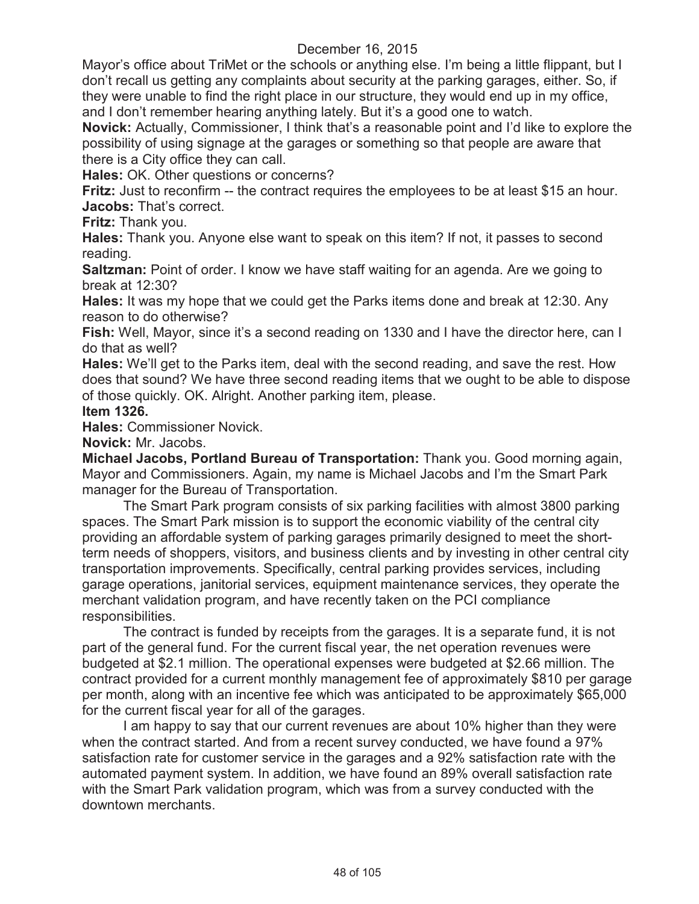Mayor's office about TriMet or the schools or anything else. I'm being a little flippant, but I don't recall us getting any complaints about security at the parking garages, either. So, if they were unable to find the right place in our structure, they would end up in my office, and I don't remember hearing anything lately. But it's a good one to watch.

**Novick:** Actually, Commissioner, I think that's a reasonable point and I'd like to explore the possibility of using signage at the garages or something so that people are aware that there is a City office they can call.

**Hales:** OK. Other questions or concerns?

**Fritz:** Just to reconfirm -- the contract requires the employees to be at least \$15 an hour. **Jacobs:** That's correct.

**Fritz:** Thank you.

**Hales:** Thank you. Anyone else want to speak on this item? If not, it passes to second reading.

**Saltzman:** Point of order. I know we have staff waiting for an agenda. Are we going to break at 12:30?

**Hales:** It was my hope that we could get the Parks items done and break at 12:30. Any reason to do otherwise?

**Fish:** Well, Mayor, since it's a second reading on 1330 and I have the director here, can I do that as well?

**Hales:** We'll get to the Parks item, deal with the second reading, and save the rest. How does that sound? We have three second reading items that we ought to be able to dispose of those quickly. OK. Alright. Another parking item, please.

#### **Item 1326.**

**Hales:** Commissioner Novick.

**Novick:** Mr. Jacobs.

**Michael Jacobs, Portland Bureau of Transportation:** Thank you. Good morning again, Mayor and Commissioners. Again, my name is Michael Jacobs and I'm the Smart Park manager for the Bureau of Transportation.

The Smart Park program consists of six parking facilities with almost 3800 parking spaces. The Smart Park mission is to support the economic viability of the central city providing an affordable system of parking garages primarily designed to meet the shortterm needs of shoppers, visitors, and business clients and by investing in other central city transportation improvements. Specifically, central parking provides services, including garage operations, janitorial services, equipment maintenance services, they operate the merchant validation program, and have recently taken on the PCI compliance responsibilities.

The contract is funded by receipts from the garages. It is a separate fund, it is not part of the general fund. For the current fiscal year, the net operation revenues were budgeted at \$2.1 million. The operational expenses were budgeted at \$2.66 million. The contract provided for a current monthly management fee of approximately \$810 per garage per month, along with an incentive fee which was anticipated to be approximately \$65,000 for the current fiscal year for all of the garages.

I am happy to say that our current revenues are about 10% higher than they were when the contract started. And from a recent survey conducted, we have found a 97% satisfaction rate for customer service in the garages and a 92% satisfaction rate with the automated payment system. In addition, we have found an 89% overall satisfaction rate with the Smart Park validation program, which was from a survey conducted with the downtown merchants.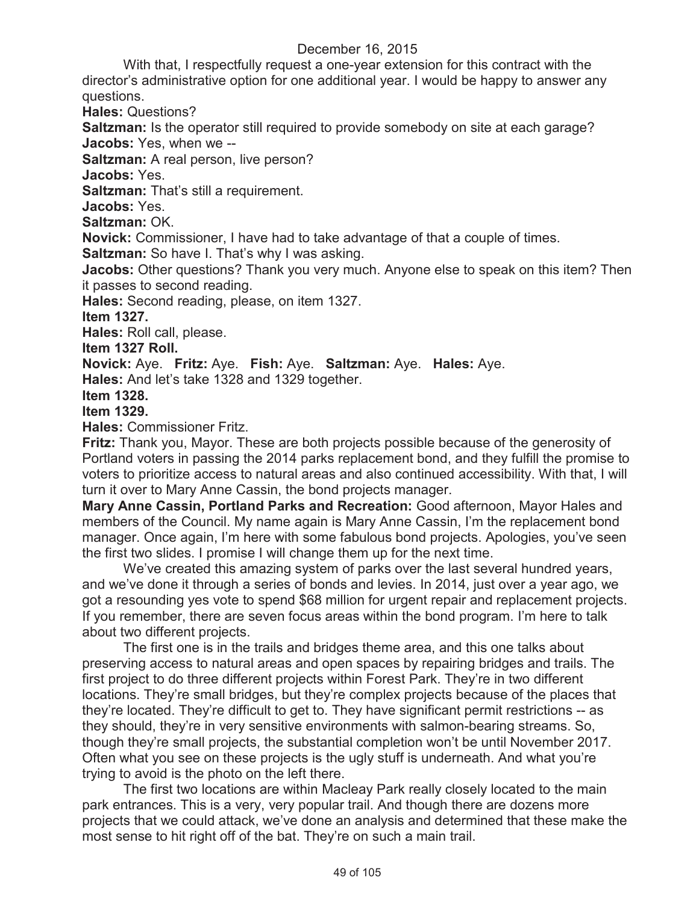With that, I respectfully request a one-year extension for this contract with the director's administrative option for one additional year. I would be happy to answer any questions.

**Hales:** Questions?

**Saltzman:** Is the operator still required to provide somebody on site at each garage? **Jacobs:** Yes, when we --

**Saltzman:** A real person, live person?

**Jacobs:** Yes.

**Saltzman:** That's still a requirement.

**Jacobs:** Yes.

**Saltzman:** OK.

**Novick:** Commissioner, I have had to take advantage of that a couple of times.

**Saltzman:** So have I. That's why I was asking.

**Jacobs:** Other questions? Thank you very much. Anyone else to speak on this item? Then it passes to second reading.

**Hales:** Second reading, please, on item 1327.

**Item 1327.**

**Hales:** Roll call, please.

**Item 1327 Roll.**

**Novick:** Aye. **Fritz:** Aye. **Fish:** Aye. **Saltzman:** Aye. **Hales:** Aye.

**Hales:** And let's take 1328 and 1329 together.

**Item 1328.**

**Item 1329.**

**Hales:** Commissioner Fritz.

**Fritz:** Thank you, Mayor. These are both projects possible because of the generosity of Portland voters in passing the 2014 parks replacement bond, and they fulfill the promise to voters to prioritize access to natural areas and also continued accessibility. With that, I will turn it over to Mary Anne Cassin, the bond projects manager.

**Mary Anne Cassin, Portland Parks and Recreation:** Good afternoon, Mayor Hales and members of the Council. My name again is Mary Anne Cassin, I'm the replacement bond manager. Once again, I'm here with some fabulous bond projects. Apologies, you've seen the first two slides. I promise I will change them up for the next time.

We've created this amazing system of parks over the last several hundred years, and we've done it through a series of bonds and levies. In 2014, just over a year ago, we got a resounding yes vote to spend \$68 million for urgent repair and replacement projects. If you remember, there are seven focus areas within the bond program. I'm here to talk about two different projects.

The first one is in the trails and bridges theme area, and this one talks about preserving access to natural areas and open spaces by repairing bridges and trails. The first project to do three different projects within Forest Park. They're in two different locations. They're small bridges, but they're complex projects because of the places that they're located. They're difficult to get to. They have significant permit restrictions -- as they should, they're in very sensitive environments with salmon-bearing streams. So, though they're small projects, the substantial completion won't be until November 2017. Often what you see on these projects is the ugly stuff is underneath. And what you're trying to avoid is the photo on the left there.

The first two locations are within Macleay Park really closely located to the main park entrances. This is a very, very popular trail. And though there are dozens more projects that we could attack, we've done an analysis and determined that these make the most sense to hit right off of the bat. They're on such a main trail.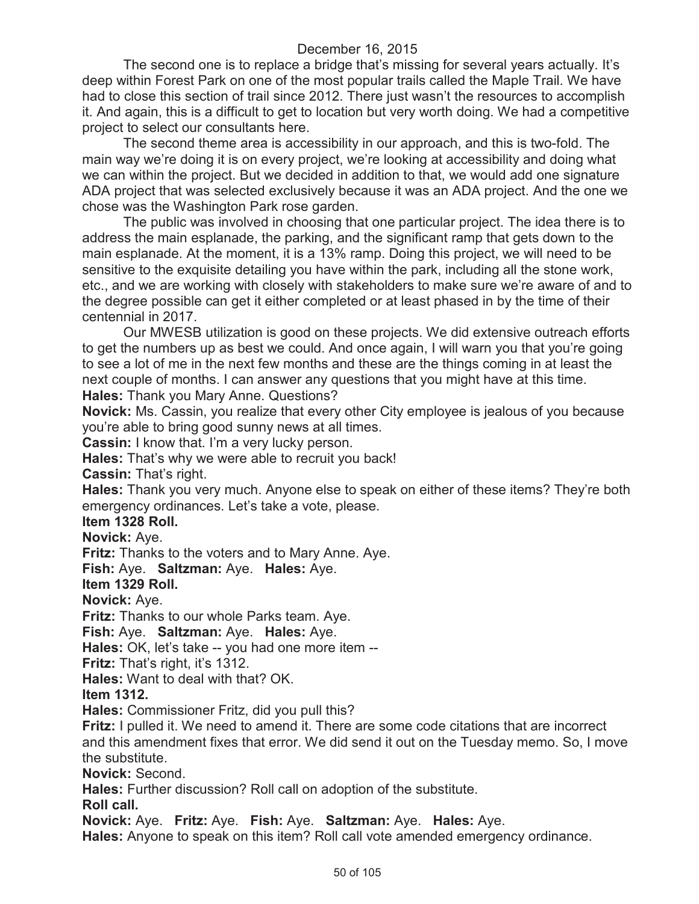The second one is to replace a bridge that's missing for several years actually. It's deep within Forest Park on one of the most popular trails called the Maple Trail. We have had to close this section of trail since 2012. There just wasn't the resources to accomplish it. And again, this is a difficult to get to location but very worth doing. We had a competitive project to select our consultants here.

The second theme area is accessibility in our approach, and this is two-fold. The main way we're doing it is on every project, we're looking at accessibility and doing what we can within the project. But we decided in addition to that, we would add one signature ADA project that was selected exclusively because it was an ADA project. And the one we chose was the Washington Park rose garden.

The public was involved in choosing that one particular project. The idea there is to address the main esplanade, the parking, and the significant ramp that gets down to the main esplanade. At the moment, it is a 13% ramp. Doing this project, we will need to be sensitive to the exquisite detailing you have within the park, including all the stone work, etc., and we are working with closely with stakeholders to make sure we're aware of and to the degree possible can get it either completed or at least phased in by the time of their centennial in 2017.

Our MWESB utilization is good on these projects. We did extensive outreach efforts to get the numbers up as best we could. And once again, I will warn you that you're going to see a lot of me in the next few months and these are the things coming in at least the next couple of months. I can answer any questions that you might have at this time. **Hales:** Thank you Mary Anne. Questions?

**Novick:** Ms. Cassin, you realize that every other City employee is jealous of you because you're able to bring good sunny news at all times.

**Cassin:** I know that. I'm a very lucky person.

**Hales:** That's why we were able to recruit you back!

**Cassin:** That's right.

**Hales:** Thank you very much. Anyone else to speak on either of these items? They're both emergency ordinances. Let's take a vote, please.

#### **Item 1328 Roll.**

**Novick:** Aye.

**Fritz:** Thanks to the voters and to Mary Anne. Aye.

**Fish:** Aye. **Saltzman:** Aye. **Hales:** Aye.

**Item 1329 Roll.**

**Novick:** Aye.

**Fritz:** Thanks to our whole Parks team. Aye.

**Fish:** Aye. **Saltzman:** Aye. **Hales:** Aye.

**Hales:** OK, let's take -- you had one more item --

**Fritz:** That's right, it's 1312.

**Hales:** Want to deal with that? OK.

**Item 1312.**

**Hales:** Commissioner Fritz, did you pull this?

**Fritz:** I pulled it. We need to amend it. There are some code citations that are incorrect and this amendment fixes that error. We did send it out on the Tuesday memo. So, I move the substitute.

**Novick:** Second.

**Hales:** Further discussion? Roll call on adoption of the substitute.

**Roll call.**

**Novick:** Aye. **Fritz:** Aye. **Fish:** Aye. **Saltzman:** Aye. **Hales:** Aye.

**Hales:** Anyone to speak on this item? Roll call vote amended emergency ordinance.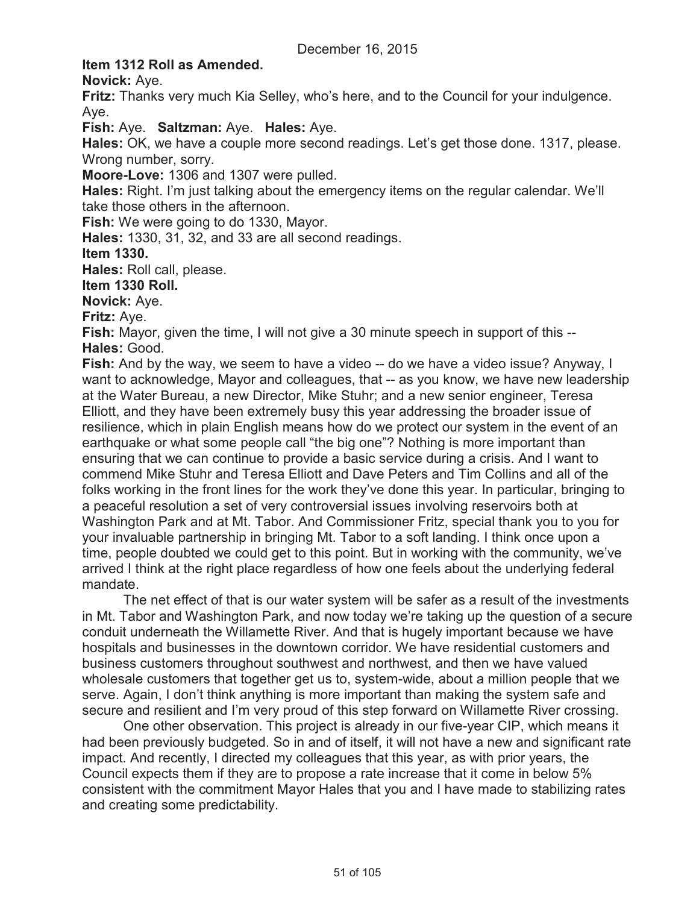## **Item 1312 Roll as Amended.**

**Novick:** Aye.

**Fritz:** Thanks very much Kia Selley, who's here, and to the Council for your indulgence. Aye.

**Fish:** Aye. **Saltzman:** Aye. **Hales:** Aye.

**Hales:** OK, we have a couple more second readings. Let's get those done. 1317, please. Wrong number, sorry.

**Moore-Love:** 1306 and 1307 were pulled.

**Hales:** Right. I'm just talking about the emergency items on the regular calendar. We'll take those others in the afternoon.

**Fish:** We were going to do 1330, Mayor.

**Hales:** 1330, 31, 32, and 33 are all second readings.

**Item 1330.**

**Hales:** Roll call, please.

**Item 1330 Roll.**

**Novick:** Aye.

**Fritz:** Aye.

**Fish:** Mayor, given the time, I will not give a 30 minute speech in support of this -- **Hales:** Good.

**Fish:** And by the way, we seem to have a video -- do we have a video issue? Anyway, I want to acknowledge, Mayor and colleagues, that -- as you know, we have new leadership at the Water Bureau, a new Director, Mike Stuhr; and a new senior engineer, Teresa Elliott, and they have been extremely busy this year addressing the broader issue of resilience, which in plain English means how do we protect our system in the event of an earthquake or what some people call "the big one"? Nothing is more important than ensuring that we can continue to provide a basic service during a crisis. And I want to commend Mike Stuhr and Teresa Elliott and Dave Peters and Tim Collins and all of the folks working in the front lines for the work they've done this year. In particular, bringing to a peaceful resolution a set of very controversial issues involving reservoirs both at Washington Park and at Mt. Tabor. And Commissioner Fritz, special thank you to you for your invaluable partnership in bringing Mt. Tabor to a soft landing. I think once upon a time, people doubted we could get to this point. But in working with the community, we've arrived I think at the right place regardless of how one feels about the underlying federal mandate.

The net effect of that is our water system will be safer as a result of the investments in Mt. Tabor and Washington Park, and now today we're taking up the question of a secure conduit underneath the Willamette River. And that is hugely important because we have hospitals and businesses in the downtown corridor. We have residential customers and business customers throughout southwest and northwest, and then we have valued wholesale customers that together get us to, system-wide, about a million people that we serve. Again, I don't think anything is more important than making the system safe and secure and resilient and I'm very proud of this step forward on Willamette River crossing.

One other observation. This project is already in our five-year CIP, which means it had been previously budgeted. So in and of itself, it will not have a new and significant rate impact. And recently, I directed my colleagues that this year, as with prior years, the Council expects them if they are to propose a rate increase that it come in below 5% consistent with the commitment Mayor Hales that you and I have made to stabilizing rates and creating some predictability.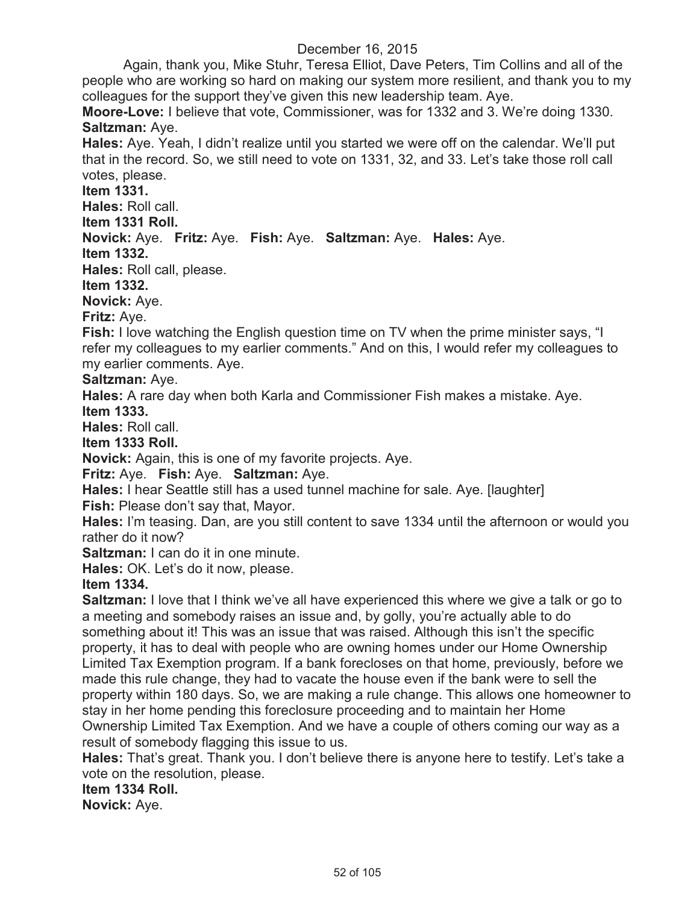Again, thank you, Mike Stuhr, Teresa Elliot, Dave Peters, Tim Collins and all of the people who are working so hard on making our system more resilient, and thank you to my colleagues for the support they've given this new leadership team. Aye.

**Moore-Love:** I believe that vote, Commissioner, was for 1332 and 3. We're doing 1330. **Saltzman:** Aye.

**Hales:** Aye. Yeah, I didn't realize until you started we were off on the calendar. We'll put that in the record. So, we still need to vote on 1331, 32, and 33. Let's take those roll call votes, please.

**Item 1331.**

**Hales:** Roll call.

**Item 1331 Roll.**

# **Novick:** Aye. **Fritz:** Aye. **Fish:** Aye. **Saltzman:** Aye. **Hales:** Aye.

**Item 1332.**

**Hales:** Roll call, please.

**Item 1332.**

**Novick:** Aye.

**Fritz:** Aye.

**Fish:** I love watching the English question time on TV when the prime minister says, "I refer my colleagues to my earlier comments." And on this, I would refer my colleagues to my earlier comments. Aye.

## **Saltzman:** Aye.

**Hales:** A rare day when both Karla and Commissioner Fish makes a mistake. Aye. **Item 1333.**

**Hales:** Roll call.

**Item 1333 Roll.**

**Novick:** Again, this is one of my favorite projects. Aye.

**Fritz:** Aye. **Fish:** Aye. **Saltzman:** Aye.

**Hales:** I hear Seattle still has a used tunnel machine for sale. Aye. [laughter] **Fish:** Please don't say that, Mayor.

**Hales:** I'm teasing. Dan, are you still content to save 1334 until the afternoon or would you rather do it now?

**Saltzman:** I can do it in one minute.

**Hales:** OK. Let's do it now, please.

**Item 1334.**

**Saltzman:** I love that I think we've all have experienced this where we give a talk or go to a meeting and somebody raises an issue and, by golly, you're actually able to do something about it! This was an issue that was raised. Although this isn't the specific property, it has to deal with people who are owning homes under our Home Ownership Limited Tax Exemption program. If a bank forecloses on that home, previously, before we made this rule change, they had to vacate the house even if the bank were to sell the property within 180 days. So, we are making a rule change. This allows one homeowner to stay in her home pending this foreclosure proceeding and to maintain her Home Ownership Limited Tax Exemption. And we have a couple of others coming our way as a result of somebody flagging this issue to us.

**Hales:** That's great. Thank you. I don't believe there is anyone here to testify. Let's take a vote on the resolution, please.

**Item 1334 Roll.**

**Novick:** Aye.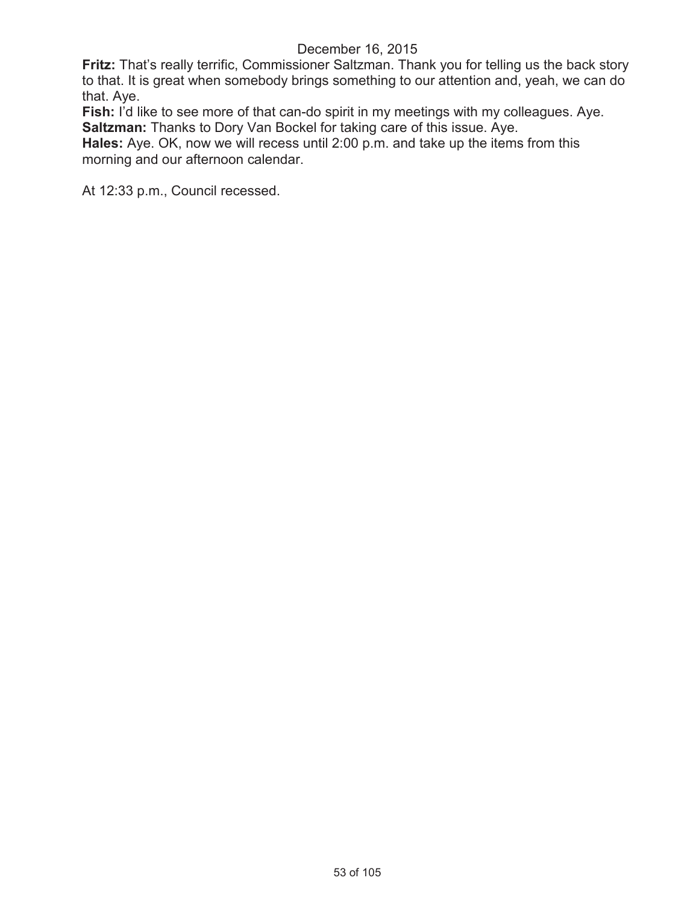**Fritz:** That's really terrific, Commissioner Saltzman. Thank you for telling us the back story to that. It is great when somebody brings something to our attention and, yeah, we can do that. Aye.

**Fish:** I'd like to see more of that can-do spirit in my meetings with my colleagues. Aye. **Saltzman:** Thanks to Dory Van Bockel for taking care of this issue. Aye.

**Hales:** Aye. OK, now we will recess until 2:00 p.m. and take up the items from this morning and our afternoon calendar.

At 12:33 p.m., Council recessed.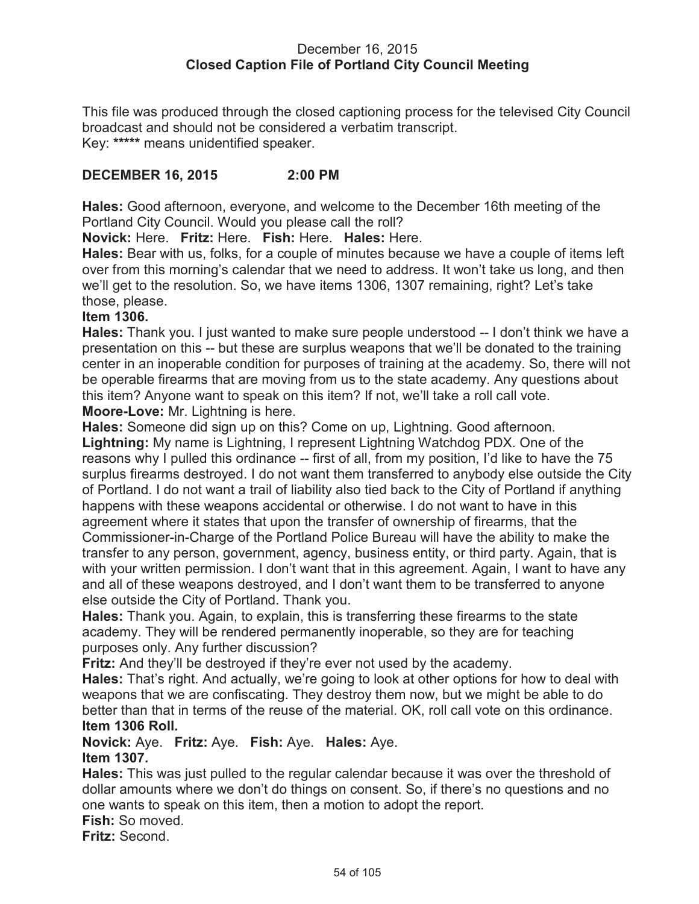### December 16, 2015 **Closed Caption File of Portland City Council Meeting**

This file was produced through the closed captioning process for the televised City Council broadcast and should not be considered a verbatim transcript. Key: **\*\*\*\*\*** means unidentified speaker.

## **DECEMBER 16, 2015 2:00 PM**

**Hales:** Good afternoon, everyone, and welcome to the December 16th meeting of the Portland City Council. Would you please call the roll?

**Novick:** Here. **Fritz:** Here. **Fish:** Here. **Hales:** Here.

**Hales:** Bear with us, folks, for a couple of minutes because we have a couple of items left over from this morning's calendar that we need to address. It won't take us long, and then we'll get to the resolution. So, we have items 1306, 1307 remaining, right? Let's take those, please.

#### **Item 1306.**

**Hales:** Thank you. I just wanted to make sure people understood -- I don't think we have a presentation on this -- but these are surplus weapons that we'll be donated to the training center in an inoperable condition for purposes of training at the academy. So, there will not be operable firearms that are moving from us to the state academy. Any questions about this item? Anyone want to speak on this item? If not, we'll take a roll call vote. **Moore-Love:** Mr. Lightning is here.

**Hales:** Someone did sign up on this? Come on up, Lightning. Good afternoon.

**Lightning:** My name is Lightning, I represent Lightning Watchdog PDX. One of the reasons why I pulled this ordinance -- first of all, from my position, I'd like to have the 75 surplus firearms destroyed. I do not want them transferred to anybody else outside the City of Portland. I do not want a trail of liability also tied back to the City of Portland if anything happens with these weapons accidental or otherwise. I do not want to have in this agreement where it states that upon the transfer of ownership of firearms, that the Commissioner-in-Charge of the Portland Police Bureau will have the ability to make the transfer to any person, government, agency, business entity, or third party. Again, that is with your written permission. I don't want that in this agreement. Again, I want to have any and all of these weapons destroyed, and I don't want them to be transferred to anyone else outside the City of Portland. Thank you.

**Hales:** Thank you. Again, to explain, this is transferring these firearms to the state academy. They will be rendered permanently inoperable, so they are for teaching purposes only. Any further discussion?

**Fritz:** And they'll be destroyed if they're ever not used by the academy.

**Hales:** That's right. And actually, we're going to look at other options for how to deal with weapons that we are confiscating. They destroy them now, but we might be able to do better than that in terms of the reuse of the material. OK, roll call vote on this ordinance. **Item 1306 Roll.**

**Novick:** Aye. **Fritz:** Aye. **Fish:** Aye. **Hales:** Aye. **Item 1307.**

**Hales:** This was just pulled to the regular calendar because it was over the threshold of dollar amounts where we don't do things on consent. So, if there's no questions and no one wants to speak on this item, then a motion to adopt the report.

**Fish:** So moved.

**Fritz:** Second.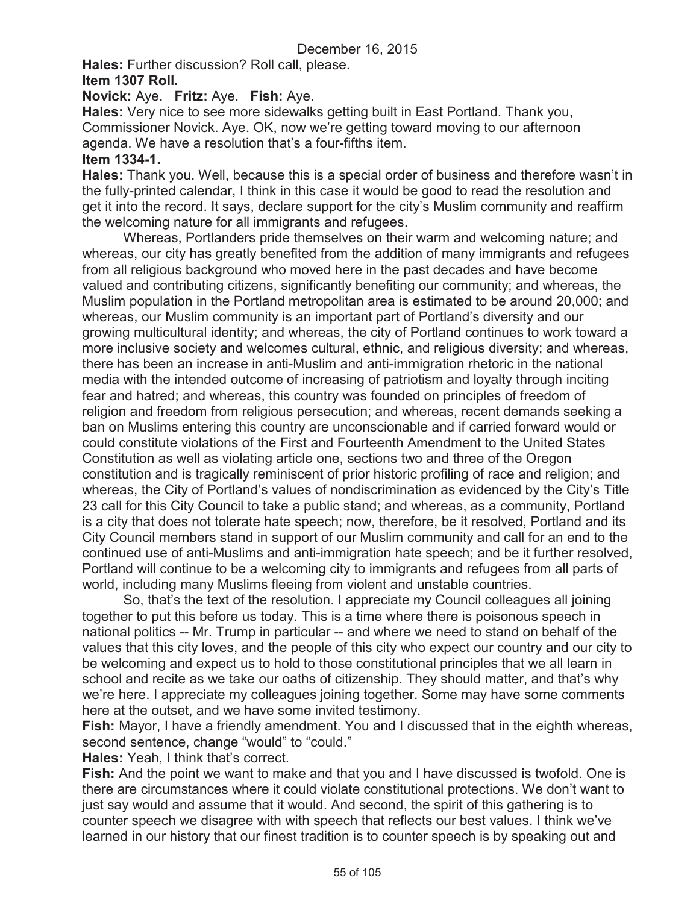**Hales:** Further discussion? Roll call, please.

#### **Item 1307 Roll.**

### **Novick:** Aye. **Fritz:** Aye. **Fish:** Aye.

**Hales:** Very nice to see more sidewalks getting built in East Portland. Thank you, Commissioner Novick. Aye. OK, now we're getting toward moving to our afternoon agenda. We have a resolution that's a four-fifths item.

#### **Item 1334-1.**

**Hales:** Thank you. Well, because this is a special order of business and therefore wasn't in the fully-printed calendar, I think in this case it would be good to read the resolution and get it into the record. It says, declare support for the city's Muslim community and reaffirm the welcoming nature for all immigrants and refugees.

Whereas, Portlanders pride themselves on their warm and welcoming nature; and whereas, our city has greatly benefited from the addition of many immigrants and refugees from all religious background who moved here in the past decades and have become valued and contributing citizens, significantly benefiting our community; and whereas, the Muslim population in the Portland metropolitan area is estimated to be around 20,000; and whereas, our Muslim community is an important part of Portland's diversity and our growing multicultural identity; and whereas, the city of Portland continues to work toward a more inclusive society and welcomes cultural, ethnic, and religious diversity; and whereas, there has been an increase in anti-Muslim and anti-immigration rhetoric in the national media with the intended outcome of increasing of patriotism and loyalty through inciting fear and hatred; and whereas, this country was founded on principles of freedom of religion and freedom from religious persecution; and whereas, recent demands seeking a ban on Muslims entering this country are unconscionable and if carried forward would or could constitute violations of the First and Fourteenth Amendment to the United States Constitution as well as violating article one, sections two and three of the Oregon constitution and is tragically reminiscent of prior historic profiling of race and religion; and whereas, the City of Portland's values of nondiscrimination as evidenced by the City's Title 23 call for this City Council to take a public stand; and whereas, as a community, Portland is a city that does not tolerate hate speech; now, therefore, be it resolved, Portland and its City Council members stand in support of our Muslim community and call for an end to the continued use of anti-Muslims and anti-immigration hate speech; and be it further resolved, Portland will continue to be a welcoming city to immigrants and refugees from all parts of world, including many Muslims fleeing from violent and unstable countries.

So, that's the text of the resolution. I appreciate my Council colleagues all joining together to put this before us today. This is a time where there is poisonous speech in national politics -- Mr. Trump in particular -- and where we need to stand on behalf of the values that this city loves, and the people of this city who expect our country and our city to be welcoming and expect us to hold to those constitutional principles that we all learn in school and recite as we take our oaths of citizenship. They should matter, and that's why we're here. I appreciate my colleagues joining together. Some may have some comments here at the outset, and we have some invited testimony.

**Fish:** Mayor, I have a friendly amendment. You and I discussed that in the eighth whereas, second sentence, change "would" to "could."

**Hales:** Yeah, I think that's correct.

**Fish:** And the point we want to make and that you and I have discussed is twofold. One is there are circumstances where it could violate constitutional protections. We don't want to just say would and assume that it would. And second, the spirit of this gathering is to counter speech we disagree with with speech that reflects our best values. I think we've learned in our history that our finest tradition is to counter speech is by speaking out and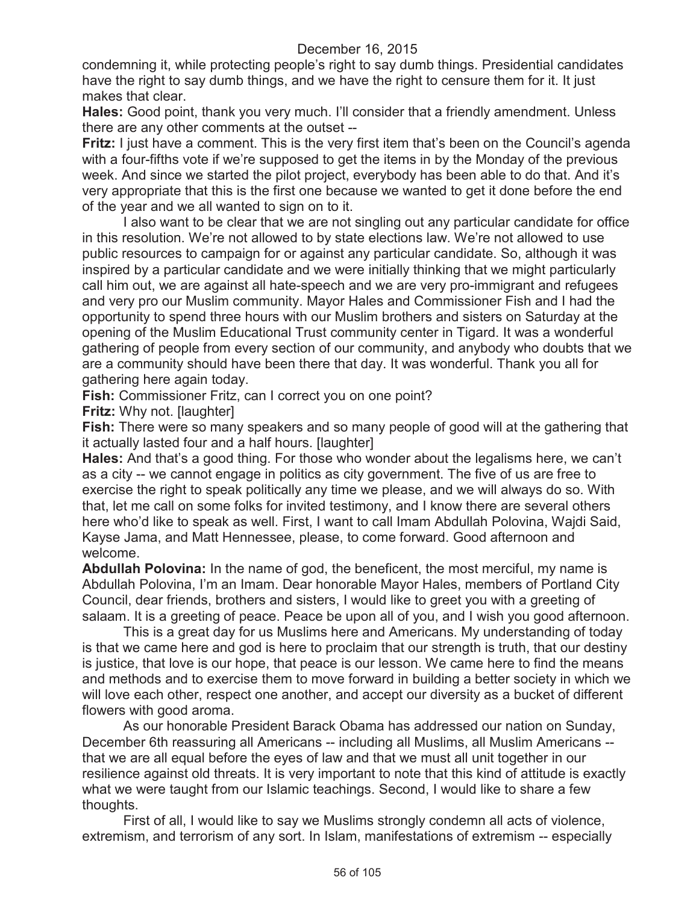condemning it, while protecting people's right to say dumb things. Presidential candidates have the right to say dumb things, and we have the right to censure them for it. It just makes that clear.

**Hales:** Good point, thank you very much. I'll consider that a friendly amendment. Unless there are any other comments at the outset --

**Fritz:** I just have a comment. This is the very first item that's been on the Council's agenda with a four-fifths vote if we're supposed to get the items in by the Monday of the previous week. And since we started the pilot project, everybody has been able to do that. And it's very appropriate that this is the first one because we wanted to get it done before the end of the year and we all wanted to sign on to it.

I also want to be clear that we are not singling out any particular candidate for office in this resolution. We're not allowed to by state elections law. We're not allowed to use public resources to campaign for or against any particular candidate. So, although it was inspired by a particular candidate and we were initially thinking that we might particularly call him out, we are against all hate-speech and we are very pro-immigrant and refugees and very pro our Muslim community. Mayor Hales and Commissioner Fish and I had the opportunity to spend three hours with our Muslim brothers and sisters on Saturday at the opening of the Muslim Educational Trust community center in Tigard. It was a wonderful gathering of people from every section of our community, and anybody who doubts that we are a community should have been there that day. It was wonderful. Thank you all for gathering here again today.

**Fish:** Commissioner Fritz, can I correct you on one point?

**Fritz:** Why not. [laughter]

**Fish:** There were so many speakers and so many people of good will at the gathering that it actually lasted four and a half hours. [laughter]

**Hales:** And that's a good thing. For those who wonder about the legalisms here, we can't as a city -- we cannot engage in politics as city government. The five of us are free to exercise the right to speak politically any time we please, and we will always do so. With that, let me call on some folks for invited testimony, and I know there are several others here who'd like to speak as well. First, I want to call Imam Abdullah Polovina, Wajdi Said, Kayse Jama, and Matt Hennessee, please, to come forward. Good afternoon and welcome.

**Abdullah Polovina:** In the name of god, the beneficent, the most merciful, my name is Abdullah Polovina, I'm an Imam. Dear honorable Mayor Hales, members of Portland City Council, dear friends, brothers and sisters, I would like to greet you with a greeting of salaam. It is a greeting of peace. Peace be upon all of you, and I wish you good afternoon.

This is a great day for us Muslims here and Americans. My understanding of today is that we came here and god is here to proclaim that our strength is truth, that our destiny is justice, that love is our hope, that peace is our lesson. We came here to find the means and methods and to exercise them to move forward in building a better society in which we will love each other, respect one another, and accept our diversity as a bucket of different flowers with good aroma.

As our honorable President Barack Obama has addressed our nation on Sunday, December 6th reassuring all Americans -- including all Muslims, all Muslim Americans - that we are all equal before the eyes of law and that we must all unit together in our resilience against old threats. It is very important to note that this kind of attitude is exactly what we were taught from our Islamic teachings. Second, I would like to share a few thoughts.

First of all, I would like to say we Muslims strongly condemn all acts of violence, extremism, and terrorism of any sort. In Islam, manifestations of extremism -- especially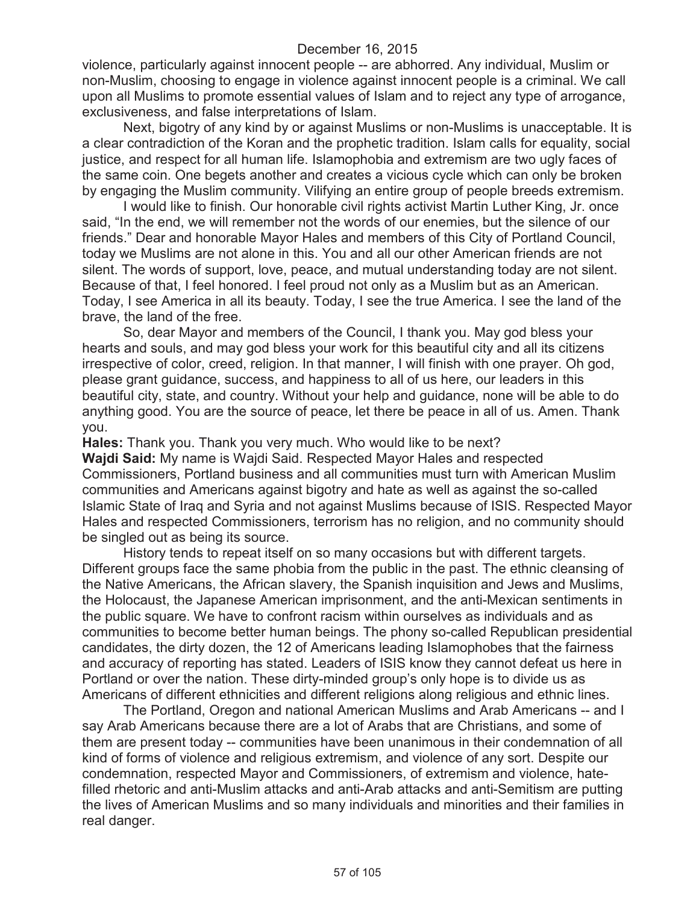violence, particularly against innocent people -- are abhorred. Any individual, Muslim or non-Muslim, choosing to engage in violence against innocent people is a criminal. We call upon all Muslims to promote essential values of Islam and to reject any type of arrogance, exclusiveness, and false interpretations of Islam.

Next, bigotry of any kind by or against Muslims or non-Muslims is unacceptable. It is a clear contradiction of the Koran and the prophetic tradition. Islam calls for equality, social justice, and respect for all human life. Islamophobia and extremism are two ugly faces of the same coin. One begets another and creates a vicious cycle which can only be broken by engaging the Muslim community. Vilifying an entire group of people breeds extremism.

I would like to finish. Our honorable civil rights activist Martin Luther King, Jr. once said, "In the end, we will remember not the words of our enemies, but the silence of our friends." Dear and honorable Mayor Hales and members of this City of Portland Council, today we Muslims are not alone in this. You and all our other American friends are not silent. The words of support, love, peace, and mutual understanding today are not silent. Because of that, I feel honored. I feel proud not only as a Muslim but as an American. Today, I see America in all its beauty. Today, I see the true America. I see the land of the brave, the land of the free.

So, dear Mayor and members of the Council, I thank you. May god bless your hearts and souls, and may god bless your work for this beautiful city and all its citizens irrespective of color, creed, religion. In that manner, I will finish with one prayer. Oh god, please grant guidance, success, and happiness to all of us here, our leaders in this beautiful city, state, and country. Without your help and guidance, none will be able to do anything good. You are the source of peace, let there be peace in all of us. Amen. Thank you.

**Hales:** Thank you. Thank you very much. Who would like to be next? **Wajdi Said:** My name is Wajdi Said. Respected Mayor Hales and respected Commissioners, Portland business and all communities must turn with American Muslim communities and Americans against bigotry and hate as well as against the so-called Islamic State of Iraq and Syria and not against Muslims because of ISIS. Respected Mayor Hales and respected Commissioners, terrorism has no religion, and no community should be singled out as being its source.

History tends to repeat itself on so many occasions but with different targets. Different groups face the same phobia from the public in the past. The ethnic cleansing of the Native Americans, the African slavery, the Spanish inquisition and Jews and Muslims, the Holocaust, the Japanese American imprisonment, and the anti-Mexican sentiments in the public square. We have to confront racism within ourselves as individuals and as communities to become better human beings. The phony so-called Republican presidential candidates, the dirty dozen, the 12 of Americans leading Islamophobes that the fairness and accuracy of reporting has stated. Leaders of ISIS know they cannot defeat us here in Portland or over the nation. These dirty-minded group's only hope is to divide us as Americans of different ethnicities and different religions along religious and ethnic lines.

The Portland, Oregon and national American Muslims and Arab Americans -- and I say Arab Americans because there are a lot of Arabs that are Christians, and some of them are present today -- communities have been unanimous in their condemnation of all kind of forms of violence and religious extremism, and violence of any sort. Despite our condemnation, respected Mayor and Commissioners, of extremism and violence, hatefilled rhetoric and anti-Muslim attacks and anti-Arab attacks and anti-Semitism are putting the lives of American Muslims and so many individuals and minorities and their families in real danger.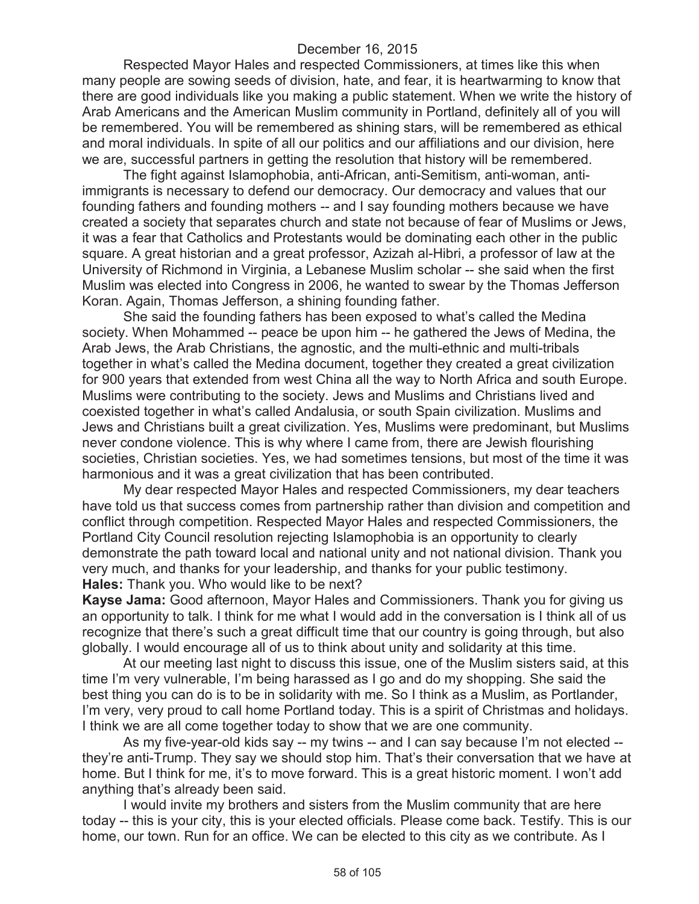Respected Mayor Hales and respected Commissioners, at times like this when many people are sowing seeds of division, hate, and fear, it is heartwarming to know that there are good individuals like you making a public statement. When we write the history of Arab Americans and the American Muslim community in Portland, definitely all of you will be remembered. You will be remembered as shining stars, will be remembered as ethical and moral individuals. In spite of all our politics and our affiliations and our division, here we are, successful partners in getting the resolution that history will be remembered.

The fight against Islamophobia, anti-African, anti-Semitism, anti-woman, antiimmigrants is necessary to defend our democracy. Our democracy and values that our founding fathers and founding mothers -- and I say founding mothers because we have created a society that separates church and state not because of fear of Muslims or Jews, it was a fear that Catholics and Protestants would be dominating each other in the public square. A great historian and a great professor, Azizah al-Hibri, a professor of law at the University of Richmond in Virginia, a Lebanese Muslim scholar -- she said when the first Muslim was elected into Congress in 2006, he wanted to swear by the Thomas Jefferson Koran. Again, Thomas Jefferson, a shining founding father.

She said the founding fathers has been exposed to what's called the Medina society. When Mohammed -- peace be upon him -- he gathered the Jews of Medina, the Arab Jews, the Arab Christians, the agnostic, and the multi-ethnic and multi-tribals together in what's called the Medina document, together they created a great civilization for 900 years that extended from west China all the way to North Africa and south Europe. Muslims were contributing to the society. Jews and Muslims and Christians lived and coexisted together in what's called Andalusia, or south Spain civilization. Muslims and Jews and Christians built a great civilization. Yes, Muslims were predominant, but Muslims never condone violence. This is why where I came from, there are Jewish flourishing societies, Christian societies. Yes, we had sometimes tensions, but most of the time it was harmonious and it was a great civilization that has been contributed.

My dear respected Mayor Hales and respected Commissioners, my dear teachers have told us that success comes from partnership rather than division and competition and conflict through competition. Respected Mayor Hales and respected Commissioners, the Portland City Council resolution rejecting Islamophobia is an opportunity to clearly demonstrate the path toward local and national unity and not national division. Thank you very much, and thanks for your leadership, and thanks for your public testimony. **Hales:** Thank you. Who would like to be next?

**Kayse Jama:** Good afternoon, Mayor Hales and Commissioners. Thank you for giving us an opportunity to talk. I think for me what I would add in the conversation is I think all of us recognize that there's such a great difficult time that our country is going through, but also globally. I would encourage all of us to think about unity and solidarity at this time.

At our meeting last night to discuss this issue, one of the Muslim sisters said, at this time I'm very vulnerable, I'm being harassed as I go and do my shopping. She said the best thing you can do is to be in solidarity with me. So I think as a Muslim, as Portlander, I'm very, very proud to call home Portland today. This is a spirit of Christmas and holidays. I think we are all come together today to show that we are one community.

As my five-year-old kids say -- my twins -- and I can say because I'm not elected - they're anti-Trump. They say we should stop him. That's their conversation that we have at home. But I think for me, it's to move forward. This is a great historic moment. I won't add anything that's already been said.

I would invite my brothers and sisters from the Muslim community that are here today -- this is your city, this is your elected officials. Please come back. Testify. This is our home, our town. Run for an office. We can be elected to this city as we contribute. As I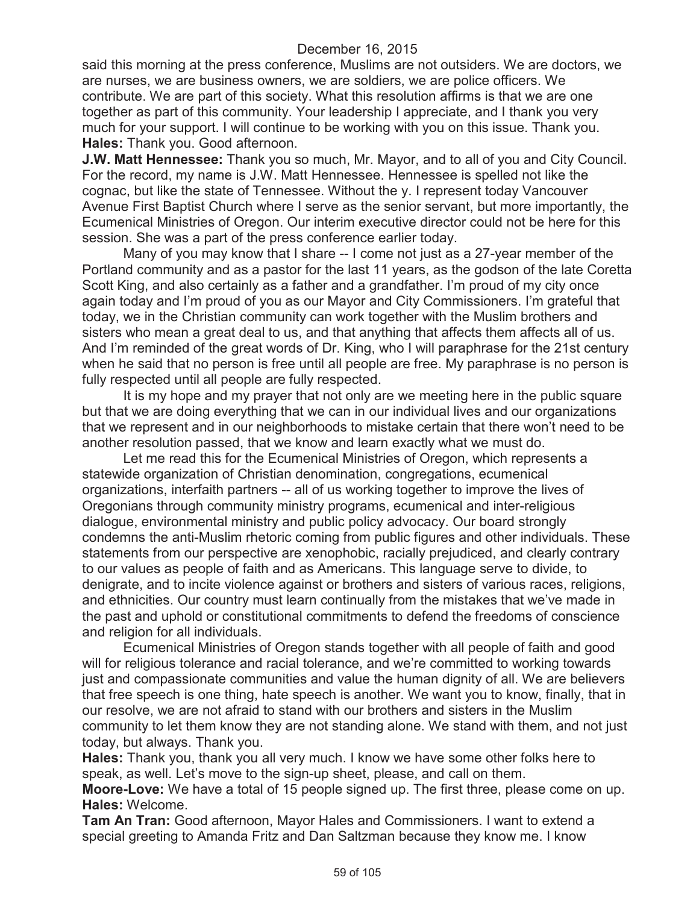said this morning at the press conference, Muslims are not outsiders. We are doctors, we are nurses, we are business owners, we are soldiers, we are police officers. We contribute. We are part of this society. What this resolution affirms is that we are one together as part of this community. Your leadership I appreciate, and I thank you very much for your support. I will continue to be working with you on this issue. Thank you. **Hales:** Thank you. Good afternoon.

**J.W. Matt Hennessee:** Thank you so much, Mr. Mayor, and to all of you and City Council. For the record, my name is J.W. Matt Hennessee. Hennessee is spelled not like the cognac, but like the state of Tennessee. Without the y. I represent today Vancouver Avenue First Baptist Church where I serve as the senior servant, but more importantly, the Ecumenical Ministries of Oregon. Our interim executive director could not be here for this session. She was a part of the press conference earlier today.

Many of you may know that I share -- I come not just as a 27-year member of the Portland community and as a pastor for the last 11 years, as the godson of the late Coretta Scott King, and also certainly as a father and a grandfather. I'm proud of my city once again today and I'm proud of you as our Mayor and City Commissioners. I'm grateful that today, we in the Christian community can work together with the Muslim brothers and sisters who mean a great deal to us, and that anything that affects them affects all of us. And I'm reminded of the great words of Dr. King, who I will paraphrase for the 21st century when he said that no person is free until all people are free. My paraphrase is no person is fully respected until all people are fully respected.

It is my hope and my prayer that not only are we meeting here in the public square but that we are doing everything that we can in our individual lives and our organizations that we represent and in our neighborhoods to mistake certain that there won't need to be another resolution passed, that we know and learn exactly what we must do.

Let me read this for the Ecumenical Ministries of Oregon, which represents a statewide organization of Christian denomination, congregations, ecumenical organizations, interfaith partners -- all of us working together to improve the lives of Oregonians through community ministry programs, ecumenical and inter-religious dialogue, environmental ministry and public policy advocacy. Our board strongly condemns the anti-Muslim rhetoric coming from public figures and other individuals. These statements from our perspective are xenophobic, racially prejudiced, and clearly contrary to our values as people of faith and as Americans. This language serve to divide, to denigrate, and to incite violence against or brothers and sisters of various races, religions, and ethnicities. Our country must learn continually from the mistakes that we've made in the past and uphold or constitutional commitments to defend the freedoms of conscience and religion for all individuals.

Ecumenical Ministries of Oregon stands together with all people of faith and good will for religious tolerance and racial tolerance, and we're committed to working towards just and compassionate communities and value the human dignity of all. We are believers that free speech is one thing, hate speech is another. We want you to know, finally, that in our resolve, we are not afraid to stand with our brothers and sisters in the Muslim community to let them know they are not standing alone. We stand with them, and not just today, but always. Thank you.

**Hales:** Thank you, thank you all very much. I know we have some other folks here to speak, as well. Let's move to the sign-up sheet, please, and call on them.

**Moore-Love:** We have a total of 15 people signed up. The first three, please come on up. **Hales:** Welcome.

**Tam An Tran:** Good afternoon, Mayor Hales and Commissioners. I want to extend a special greeting to Amanda Fritz and Dan Saltzman because they know me. I know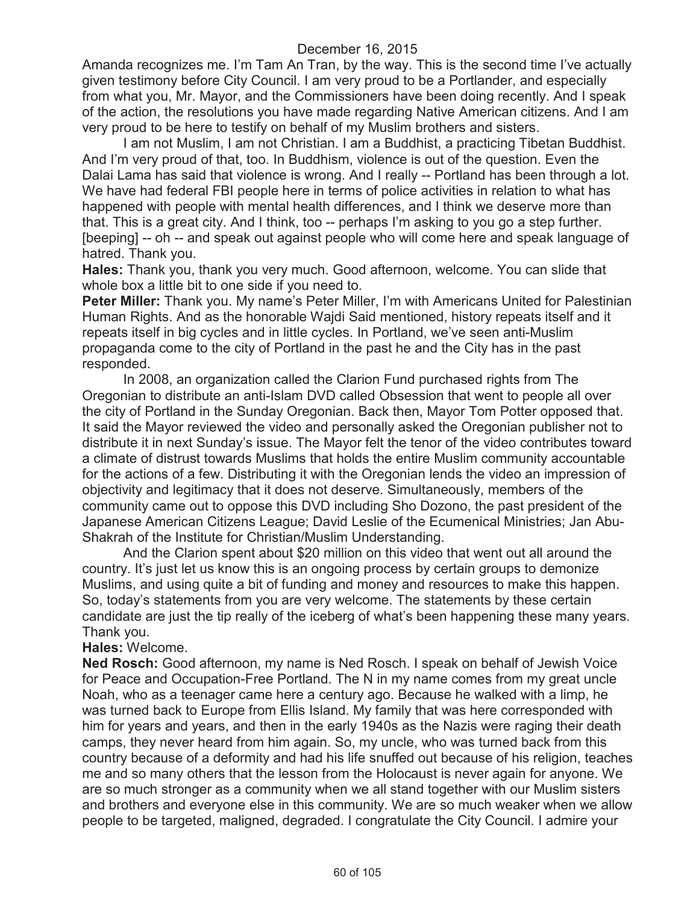Amanda recognizes me. I'm Tam An Tran, by the way. This is the second time I've actually given testimony before City Council. I am very proud to be a Portlander, and especially from what you, Mr. Mayor, and the Commissioners have been doing recently. And I speak of the action, the resolutions you have made regarding Native American citizens. And I am very proud to be here to testify on behalf of my Muslim brothers and sisters.

I am not Muslim, I am not Christian. I am a Buddhist, a practicing Tibetan Buddhist. And I'm very proud of that, too. In Buddhism, violence is out of the question. Even the Dalai Lama has said that violence is wrong. And I really -- Portland has been through a lot. We have had federal FBI people here in terms of police activities in relation to what has happened with people with mental health differences, and I think we deserve more than that. This is a great city. And I think, too -- perhaps I'm asking to you go a step further. [beeping] -- oh -- and speak out against people who will come here and speak language of hatred. Thank you.

**Hales:** Thank you, thank you very much. Good afternoon, welcome. You can slide that whole box a little bit to one side if you need to.

**Peter Miller:** Thank you. My name's Peter Miller, I'm with Americans United for Palestinian Human Rights. And as the honorable Wajdi Said mentioned, history repeats itself and it repeats itself in big cycles and in little cycles. In Portland, we've seen anti-Muslim propaganda come to the city of Portland in the past he and the City has in the past responded.

In 2008, an organization called the Clarion Fund purchased rights from The Oregonian to distribute an anti-Islam DVD called Obsession that went to people all over the city of Portland in the Sunday Oregonian. Back then, Mayor Tom Potter opposed that. It said the Mayor reviewed the video and personally asked the Oregonian publisher not to distribute it in next Sunday's issue. The Mayor felt the tenor of the video contributes toward a climate of distrust towards Muslims that holds the entire Muslim community accountable for the actions of a few. Distributing it with the Oregonian lends the video an impression of objectivity and legitimacy that it does not deserve. Simultaneously, members of the community came out to oppose this DVD including Sho Dozono, the past president of the Japanese American Citizens League; David Leslie of the Ecumenical Ministries; Jan Abu-Shakrah of the Institute for Christian/Muslim Understanding.

And the Clarion spent about \$20 million on this video that went out all around the country. It's just let us know this is an ongoing process by certain groups to demonize Muslims, and using quite a bit of funding and money and resources to make this happen. So, today's statements from you are very welcome. The statements by these certain candidate are just the tip really of the iceberg of what's been happening these many years. Thank you.

#### **Hales:** Welcome.

**Ned Rosch:** Good afternoon, my name is Ned Rosch. I speak on behalf of Jewish Voice for Peace and Occupation-Free Portland. The N in my name comes from my great uncle Noah, who as a teenager came here a century ago. Because he walked with a limp, he was turned back to Europe from Ellis Island. My family that was here corresponded with him for years and years, and then in the early 1940s as the Nazis were raging their death camps, they never heard from him again. So, my uncle, who was turned back from this country because of a deformity and had his life snuffed out because of his religion, teaches me and so many others that the lesson from the Holocaust is never again for anyone. We are so much stronger as a community when we all stand together with our Muslim sisters and brothers and everyone else in this community. We are so much weaker when we allow people to be targeted, maligned, degraded. I congratulate the City Council. I admire your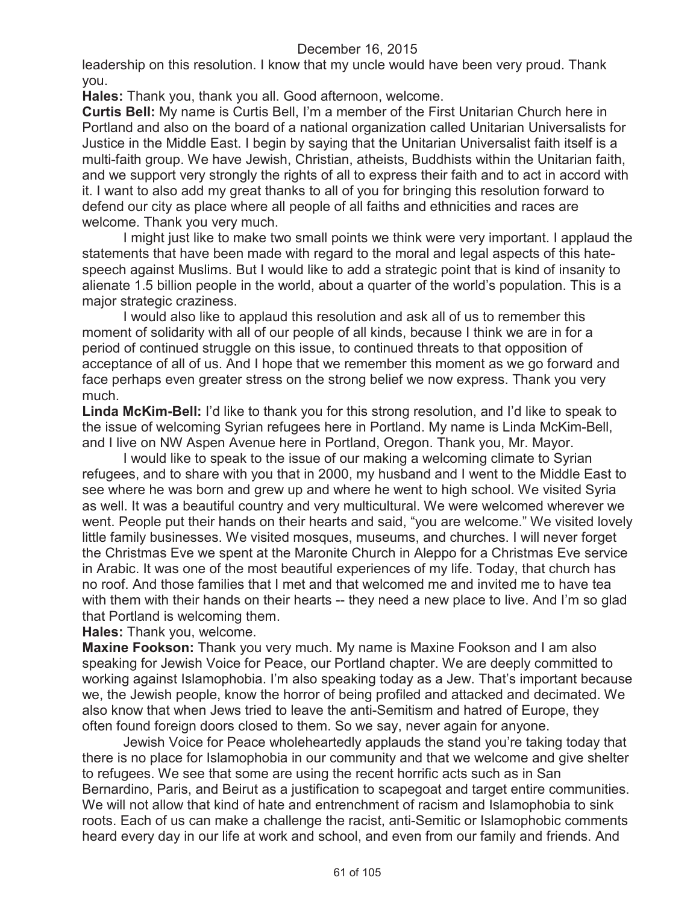leadership on this resolution. I know that my uncle would have been very proud. Thank you.

**Hales:** Thank you, thank you all. Good afternoon, welcome.

**Curtis Bell:** My name is Curtis Bell, I'm a member of the First Unitarian Church here in Portland and also on the board of a national organization called Unitarian Universalists for Justice in the Middle East. I begin by saying that the Unitarian Universalist faith itself is a multi-faith group. We have Jewish, Christian, atheists, Buddhists within the Unitarian faith, and we support very strongly the rights of all to express their faith and to act in accord with it. I want to also add my great thanks to all of you for bringing this resolution forward to defend our city as place where all people of all faiths and ethnicities and races are welcome. Thank you very much.

I might just like to make two small points we think were very important. I applaud the statements that have been made with regard to the moral and legal aspects of this hatespeech against Muslims. But I would like to add a strategic point that is kind of insanity to alienate 1.5 billion people in the world, about a quarter of the world's population. This is a major strategic craziness.

I would also like to applaud this resolution and ask all of us to remember this moment of solidarity with all of our people of all kinds, because I think we are in for a period of continued struggle on this issue, to continued threats to that opposition of acceptance of all of us. And I hope that we remember this moment as we go forward and face perhaps even greater stress on the strong belief we now express. Thank you very much.

**Linda McKim-Bell:** I'd like to thank you for this strong resolution, and I'd like to speak to the issue of welcoming Syrian refugees here in Portland. My name is Linda McKim-Bell, and I live on NW Aspen Avenue here in Portland, Oregon. Thank you, Mr. Mayor.

I would like to speak to the issue of our making a welcoming climate to Syrian refugees, and to share with you that in 2000, my husband and I went to the Middle East to see where he was born and grew up and where he went to high school. We visited Syria as well. It was a beautiful country and very multicultural. We were welcomed wherever we went. People put their hands on their hearts and said, "you are welcome." We visited lovely little family businesses. We visited mosques, museums, and churches. I will never forget the Christmas Eve we spent at the Maronite Church in Aleppo for a Christmas Eve service in Arabic. It was one of the most beautiful experiences of my life. Today, that church has no roof. And those families that I met and that welcomed me and invited me to have tea with them with their hands on their hearts -- they need a new place to live. And I'm so glad that Portland is welcoming them.

**Hales:** Thank you, welcome.

**Maxine Fookson:** Thank you very much. My name is Maxine Fookson and I am also speaking for Jewish Voice for Peace, our Portland chapter. We are deeply committed to working against Islamophobia. I'm also speaking today as a Jew. That's important because we, the Jewish people, know the horror of being profiled and attacked and decimated. We also know that when Jews tried to leave the anti-Semitism and hatred of Europe, they often found foreign doors closed to them. So we say, never again for anyone.

Jewish Voice for Peace wholeheartedly applauds the stand you're taking today that there is no place for Islamophobia in our community and that we welcome and give shelter to refugees. We see that some are using the recent horrific acts such as in San Bernardino, Paris, and Beirut as a justification to scapegoat and target entire communities. We will not allow that kind of hate and entrenchment of racism and Islamophobia to sink roots. Each of us can make a challenge the racist, anti-Semitic or Islamophobic comments heard every day in our life at work and school, and even from our family and friends. And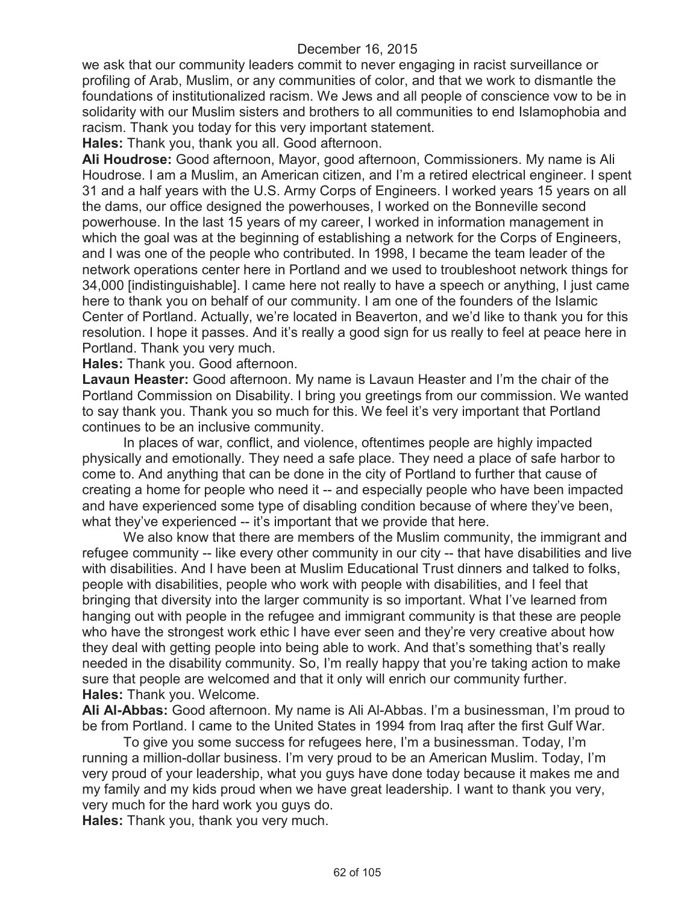we ask that our community leaders commit to never engaging in racist surveillance or profiling of Arab, Muslim, or any communities of color, and that we work to dismantle the foundations of institutionalized racism. We Jews and all people of conscience vow to be in solidarity with our Muslim sisters and brothers to all communities to end Islamophobia and racism. Thank you today for this very important statement.

**Hales:** Thank you, thank you all. Good afternoon.

**Ali Houdrose:** Good afternoon, Mayor, good afternoon, Commissioners. My name is Ali Houdrose. I am a Muslim, an American citizen, and I'm a retired electrical engineer. I spent 31 and a half years with the U.S. Army Corps of Engineers. I worked years 15 years on all the dams, our office designed the powerhouses, I worked on the Bonneville second powerhouse. In the last 15 years of my career, I worked in information management in which the goal was at the beginning of establishing a network for the Corps of Engineers, and I was one of the people who contributed. In 1998, I became the team leader of the network operations center here in Portland and we used to troubleshoot network things for 34,000 [indistinguishable]. I came here not really to have a speech or anything, I just came here to thank you on behalf of our community. I am one of the founders of the Islamic Center of Portland. Actually, we're located in Beaverton, and we'd like to thank you for this resolution. I hope it passes. And it's really a good sign for us really to feel at peace here in Portland. Thank you very much.

**Hales:** Thank you. Good afternoon.

**Lavaun Heaster:** Good afternoon. My name is Lavaun Heaster and I'm the chair of the Portland Commission on Disability. I bring you greetings from our commission. We wanted to say thank you. Thank you so much for this. We feel it's very important that Portland continues to be an inclusive community.

In places of war, conflict, and violence, oftentimes people are highly impacted physically and emotionally. They need a safe place. They need a place of safe harbor to come to. And anything that can be done in the city of Portland to further that cause of creating a home for people who need it -- and especially people who have been impacted and have experienced some type of disabling condition because of where they've been, what they've experienced -- it's important that we provide that here.

We also know that there are members of the Muslim community, the immigrant and refugee community -- like every other community in our city -- that have disabilities and live with disabilities. And I have been at Muslim Educational Trust dinners and talked to folks, people with disabilities, people who work with people with disabilities, and I feel that bringing that diversity into the larger community is so important. What I've learned from hanging out with people in the refugee and immigrant community is that these are people who have the strongest work ethic I have ever seen and they're very creative about how they deal with getting people into being able to work. And that's something that's really needed in the disability community. So, I'm really happy that you're taking action to make sure that people are welcomed and that it only will enrich our community further. **Hales:** Thank you. Welcome.

**Ali Al-Abbas:** Good afternoon. My name is Ali Al-Abbas. I'm a businessman, I'm proud to be from Portland. I came to the United States in 1994 from Iraq after the first Gulf War.

To give you some success for refugees here, I'm a businessman. Today, I'm running a million-dollar business. I'm very proud to be an American Muslim. Today, I'm very proud of your leadership, what you guys have done today because it makes me and my family and my kids proud when we have great leadership. I want to thank you very, very much for the hard work you guys do.

**Hales:** Thank you, thank you very much.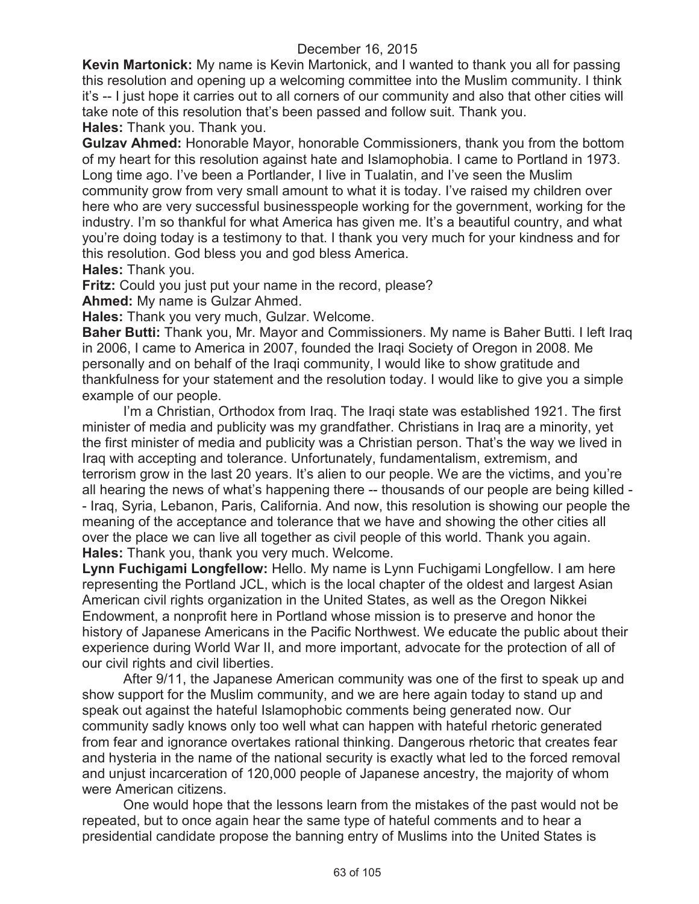**Kevin Martonick:** My name is Kevin Martonick, and I wanted to thank you all for passing this resolution and opening up a welcoming committee into the Muslim community. I think it's -- I just hope it carries out to all corners of our community and also that other cities will take note of this resolution that's been passed and follow suit. Thank you.

**Hales:** Thank you. Thank you.

**Gulzav Ahmed:** Honorable Mayor, honorable Commissioners, thank you from the bottom of my heart for this resolution against hate and Islamophobia. I came to Portland in 1973. Long time ago. I've been a Portlander, I live in Tualatin, and I've seen the Muslim community grow from very small amount to what it is today. I've raised my children over here who are very successful businesspeople working for the government, working for the industry. I'm so thankful for what America has given me. It's a beautiful country, and what you're doing today is a testimony to that. I thank you very much for your kindness and for this resolution. God bless you and god bless America.

**Hales:** Thank you.

**Fritz:** Could you just put your name in the record, please?

**Ahmed:** My name is Gulzar Ahmed.

**Hales:** Thank you very much, Gulzar. Welcome.

**Baher Butti:** Thank you, Mr. Mayor and Commissioners. My name is Baher Butti. I left Iraq in 2006, I came to America in 2007, founded the Iraqi Society of Oregon in 2008. Me personally and on behalf of the Iraqi community, I would like to show gratitude and thankfulness for your statement and the resolution today. I would like to give you a simple example of our people.

I'm a Christian, Orthodox from Iraq. The Iraqi state was established 1921. The first minister of media and publicity was my grandfather. Christians in Iraq are a minority, yet the first minister of media and publicity was a Christian person. That's the way we lived in Iraq with accepting and tolerance. Unfortunately, fundamentalism, extremism, and terrorism grow in the last 20 years. It's alien to our people. We are the victims, and you're all hearing the news of what's happening there -- thousands of our people are being killed - - Iraq, Syria, Lebanon, Paris, California. And now, this resolution is showing our people the meaning of the acceptance and tolerance that we have and showing the other cities all over the place we can live all together as civil people of this world. Thank you again. **Hales:** Thank you, thank you very much. Welcome.

**Lynn Fuchigami Longfellow:** Hello. My name is Lynn Fuchigami Longfellow. I am here representing the Portland JCL, which is the local chapter of the oldest and largest Asian American civil rights organization in the United States, as well as the Oregon Nikkei Endowment, a nonprofit here in Portland whose mission is to preserve and honor the history of Japanese Americans in the Pacific Northwest. We educate the public about their experience during World War II, and more important, advocate for the protection of all of our civil rights and civil liberties.

After 9/11, the Japanese American community was one of the first to speak up and show support for the Muslim community, and we are here again today to stand up and speak out against the hateful Islamophobic comments being generated now. Our community sadly knows only too well what can happen with hateful rhetoric generated from fear and ignorance overtakes rational thinking. Dangerous rhetoric that creates fear and hysteria in the name of the national security is exactly what led to the forced removal and unjust incarceration of 120,000 people of Japanese ancestry, the majority of whom were American citizens.

One would hope that the lessons learn from the mistakes of the past would not be repeated, but to once again hear the same type of hateful comments and to hear a presidential candidate propose the banning entry of Muslims into the United States is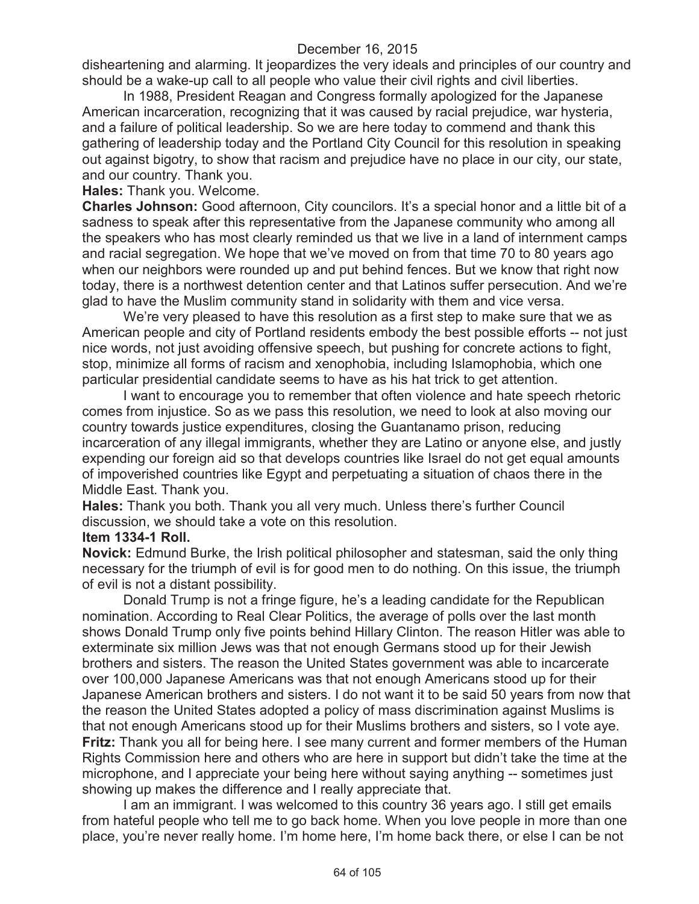disheartening and alarming. It jeopardizes the very ideals and principles of our country and should be a wake-up call to all people who value their civil rights and civil liberties.

In 1988, President Reagan and Congress formally apologized for the Japanese American incarceration, recognizing that it was caused by racial prejudice, war hysteria, and a failure of political leadership. So we are here today to commend and thank this gathering of leadership today and the Portland City Council for this resolution in speaking out against bigotry, to show that racism and prejudice have no place in our city, our state, and our country. Thank you.

**Hales:** Thank you. Welcome.

**Charles Johnson:** Good afternoon, City councilors. It's a special honor and a little bit of a sadness to speak after this representative from the Japanese community who among all the speakers who has most clearly reminded us that we live in a land of internment camps and racial segregation. We hope that we've moved on from that time 70 to 80 years ago when our neighbors were rounded up and put behind fences. But we know that right now today, there is a northwest detention center and that Latinos suffer persecution. And we're glad to have the Muslim community stand in solidarity with them and vice versa.

We're very pleased to have this resolution as a first step to make sure that we as American people and city of Portland residents embody the best possible efforts -- not just nice words, not just avoiding offensive speech, but pushing for concrete actions to fight, stop, minimize all forms of racism and xenophobia, including Islamophobia, which one particular presidential candidate seems to have as his hat trick to get attention.

I want to encourage you to remember that often violence and hate speech rhetoric comes from injustice. So as we pass this resolution, we need to look at also moving our country towards justice expenditures, closing the Guantanamo prison, reducing incarceration of any illegal immigrants, whether they are Latino or anyone else, and justly expending our foreign aid so that develops countries like Israel do not get equal amounts of impoverished countries like Egypt and perpetuating a situation of chaos there in the Middle East. Thank you.

**Hales:** Thank you both. Thank you all very much. Unless there's further Council discussion, we should take a vote on this resolution.

#### **Item 1334-1 Roll.**

**Novick:** Edmund Burke, the Irish political philosopher and statesman, said the only thing necessary for the triumph of evil is for good men to do nothing. On this issue, the triumph of evil is not a distant possibility.

Donald Trump is not a fringe figure, he's a leading candidate for the Republican nomination. According to Real Clear Politics, the average of polls over the last month shows Donald Trump only five points behind Hillary Clinton. The reason Hitler was able to exterminate six million Jews was that not enough Germans stood up for their Jewish brothers and sisters. The reason the United States government was able to incarcerate over 100,000 Japanese Americans was that not enough Americans stood up for their Japanese American brothers and sisters. I do not want it to be said 50 years from now that the reason the United States adopted a policy of mass discrimination against Muslims is that not enough Americans stood up for their Muslims brothers and sisters, so I vote aye. **Fritz:** Thank you all for being here. I see many current and former members of the Human Rights Commission here and others who are here in support but didn't take the time at the microphone, and I appreciate your being here without saying anything -- sometimes just showing up makes the difference and I really appreciate that.

I am an immigrant. I was welcomed to this country 36 years ago. I still get emails from hateful people who tell me to go back home. When you love people in more than one place, you're never really home. I'm home here, I'm home back there, or else I can be not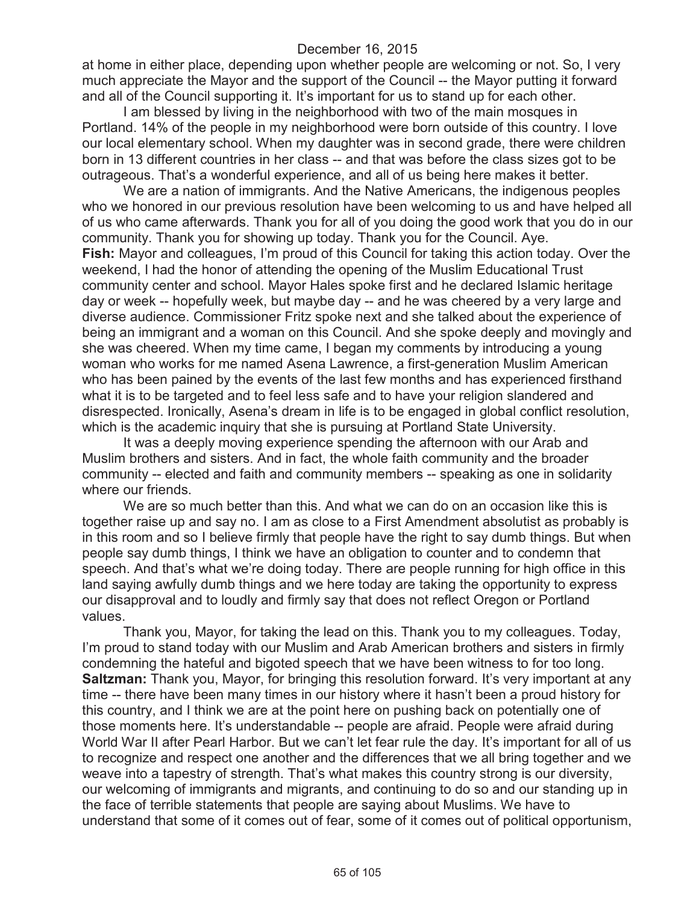at home in either place, depending upon whether people are welcoming or not. So, I very much appreciate the Mayor and the support of the Council -- the Mayor putting it forward and all of the Council supporting it. It's important for us to stand up for each other.

I am blessed by living in the neighborhood with two of the main mosques in Portland. 14% of the people in my neighborhood were born outside of this country. I love our local elementary school. When my daughter was in second grade, there were children born in 13 different countries in her class -- and that was before the class sizes got to be outrageous. That's a wonderful experience, and all of us being here makes it better.

We are a nation of immigrants. And the Native Americans, the indigenous peoples who we honored in our previous resolution have been welcoming to us and have helped all of us who came afterwards. Thank you for all of you doing the good work that you do in our community. Thank you for showing up today. Thank you for the Council. Aye. **Fish:** Mayor and colleagues, I'm proud of this Council for taking this action today. Over the weekend, I had the honor of attending the opening of the Muslim Educational Trust community center and school. Mayor Hales spoke first and he declared Islamic heritage day or week -- hopefully week, but maybe day -- and he was cheered by a very large and diverse audience. Commissioner Fritz spoke next and she talked about the experience of being an immigrant and a woman on this Council. And she spoke deeply and movingly and she was cheered. When my time came, I began my comments by introducing a young woman who works for me named Asena Lawrence, a first-generation Muslim American who has been pained by the events of the last few months and has experienced firsthand what it is to be targeted and to feel less safe and to have your religion slandered and disrespected. Ironically, Asena's dream in life is to be engaged in global conflict resolution, which is the academic inquiry that she is pursuing at Portland State University.

It was a deeply moving experience spending the afternoon with our Arab and Muslim brothers and sisters. And in fact, the whole faith community and the broader community -- elected and faith and community members -- speaking as one in solidarity where our friends.

We are so much better than this. And what we can do on an occasion like this is together raise up and say no. I am as close to a First Amendment absolutist as probably is in this room and so I believe firmly that people have the right to say dumb things. But when people say dumb things, I think we have an obligation to counter and to condemn that speech. And that's what we're doing today. There are people running for high office in this land saying awfully dumb things and we here today are taking the opportunity to express our disapproval and to loudly and firmly say that does not reflect Oregon or Portland values.

Thank you, Mayor, for taking the lead on this. Thank you to my colleagues. Today, I'm proud to stand today with our Muslim and Arab American brothers and sisters in firmly condemning the hateful and bigoted speech that we have been witness to for too long. **Saltzman:** Thank you, Mayor, for bringing this resolution forward. It's very important at any time -- there have been many times in our history where it hasn't been a proud history for this country, and I think we are at the point here on pushing back on potentially one of those moments here. It's understandable -- people are afraid. People were afraid during World War II after Pearl Harbor. But we can't let fear rule the day. It's important for all of us to recognize and respect one another and the differences that we all bring together and we weave into a tapestry of strength. That's what makes this country strong is our diversity, our welcoming of immigrants and migrants, and continuing to do so and our standing up in the face of terrible statements that people are saying about Muslims. We have to understand that some of it comes out of fear, some of it comes out of political opportunism,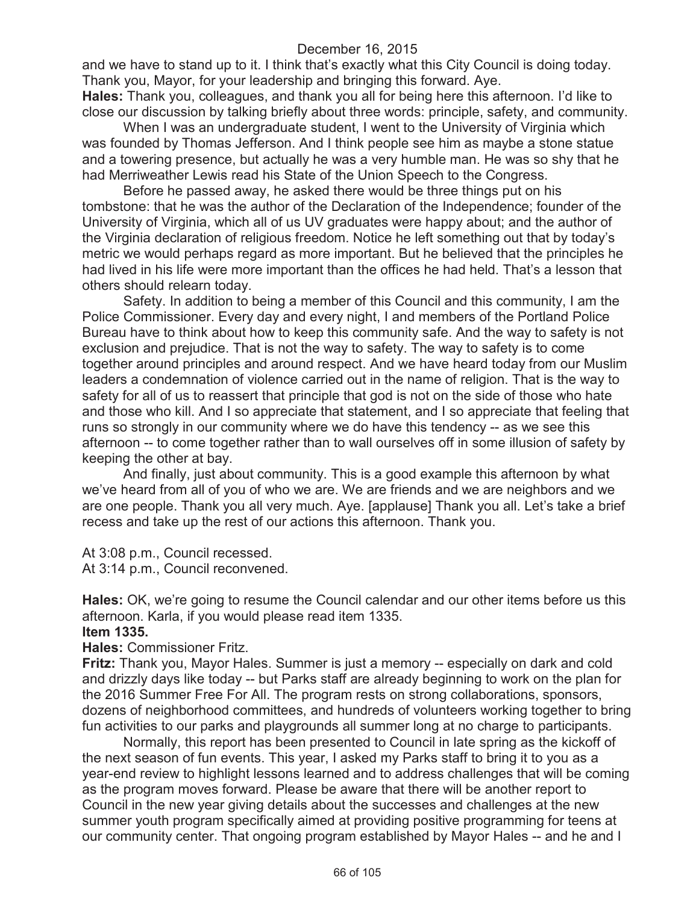and we have to stand up to it. I think that's exactly what this City Council is doing today. Thank you, Mayor, for your leadership and bringing this forward. Aye.

**Hales:** Thank you, colleagues, and thank you all for being here this afternoon. I'd like to close our discussion by talking briefly about three words: principle, safety, and community.

When I was an undergraduate student, I went to the University of Virginia which was founded by Thomas Jefferson. And I think people see him as maybe a stone statue and a towering presence, but actually he was a very humble man. He was so shy that he had Merriweather Lewis read his State of the Union Speech to the Congress.

Before he passed away, he asked there would be three things put on his tombstone: that he was the author of the Declaration of the Independence; founder of the University of Virginia, which all of us UV graduates were happy about; and the author of the Virginia declaration of religious freedom. Notice he left something out that by today's metric we would perhaps regard as more important. But he believed that the principles he had lived in his life were more important than the offices he had held. That's a lesson that others should relearn today.

Safety. In addition to being a member of this Council and this community, I am the Police Commissioner. Every day and every night, I and members of the Portland Police Bureau have to think about how to keep this community safe. And the way to safety is not exclusion and prejudice. That is not the way to safety. The way to safety is to come together around principles and around respect. And we have heard today from our Muslim leaders a condemnation of violence carried out in the name of religion. That is the way to safety for all of us to reassert that principle that god is not on the side of those who hate and those who kill. And I so appreciate that statement, and I so appreciate that feeling that runs so strongly in our community where we do have this tendency -- as we see this afternoon -- to come together rather than to wall ourselves off in some illusion of safety by keeping the other at bay.

And finally, just about community. This is a good example this afternoon by what we've heard from all of you of who we are. We are friends and we are neighbors and we are one people. Thank you all very much. Aye. [applause] Thank you all. Let's take a brief recess and take up the rest of our actions this afternoon. Thank you.

At 3:08 p.m., Council recessed. At 3:14 p.m., Council reconvened.

**Hales:** OK, we're going to resume the Council calendar and our other items before us this afternoon. Karla, if you would please read item 1335.

### **Item 1335.**

**Hales:** Commissioner Fritz.

**Fritz:** Thank you, Mayor Hales. Summer is just a memory -- especially on dark and cold and drizzly days like today -- but Parks staff are already beginning to work on the plan for the 2016 Summer Free For All. The program rests on strong collaborations, sponsors, dozens of neighborhood committees, and hundreds of volunteers working together to bring fun activities to our parks and playgrounds all summer long at no charge to participants.

Normally, this report has been presented to Council in late spring as the kickoff of the next season of fun events. This year, I asked my Parks staff to bring it to you as a year-end review to highlight lessons learned and to address challenges that will be coming as the program moves forward. Please be aware that there will be another report to Council in the new year giving details about the successes and challenges at the new summer youth program specifically aimed at providing positive programming for teens at our community center. That ongoing program established by Mayor Hales -- and he and I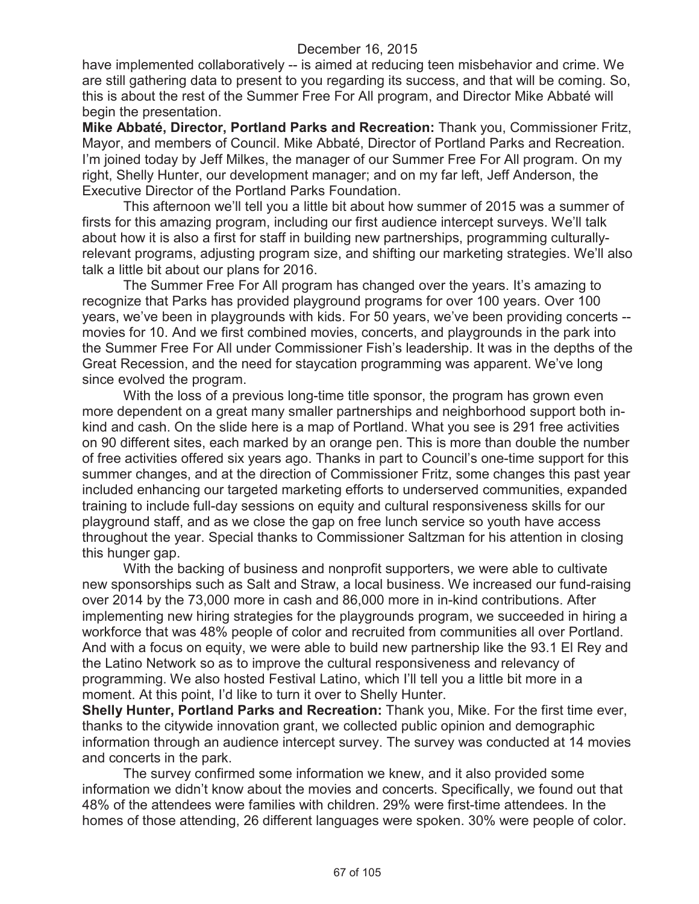have implemented collaboratively -- is aimed at reducing teen misbehavior and crime. We are still gathering data to present to you regarding its success, and that will be coming. So, this is about the rest of the Summer Free For All program, and Director Mike Abbaté will begin the presentation.

**Mike Abbaté, Director, Portland Parks and Recreation:** Thank you, Commissioner Fritz, Mayor, and members of Council. Mike Abbaté, Director of Portland Parks and Recreation. I'm joined today by Jeff Milkes, the manager of our Summer Free For All program. On my right, Shelly Hunter, our development manager; and on my far left, Jeff Anderson, the Executive Director of the Portland Parks Foundation.

This afternoon we'll tell you a little bit about how summer of 2015 was a summer of firsts for this amazing program, including our first audience intercept surveys. We'll talk about how it is also a first for staff in building new partnerships, programming culturallyrelevant programs, adjusting program size, and shifting our marketing strategies. We'll also talk a little bit about our plans for 2016.

The Summer Free For All program has changed over the years. It's amazing to recognize that Parks has provided playground programs for over 100 years. Over 100 years, we've been in playgrounds with kids. For 50 years, we've been providing concerts - movies for 10. And we first combined movies, concerts, and playgrounds in the park into the Summer Free For All under Commissioner Fish's leadership. It was in the depths of the Great Recession, and the need for staycation programming was apparent. We've long since evolved the program.

With the loss of a previous long-time title sponsor, the program has grown even more dependent on a great many smaller partnerships and neighborhood support both inkind and cash. On the slide here is a map of Portland. What you see is 291 free activities on 90 different sites, each marked by an orange pen. This is more than double the number of free activities offered six years ago. Thanks in part to Council's one-time support for this summer changes, and at the direction of Commissioner Fritz, some changes this past year included enhancing our targeted marketing efforts to underserved communities, expanded training to include full-day sessions on equity and cultural responsiveness skills for our playground staff, and as we close the gap on free lunch service so youth have access throughout the year. Special thanks to Commissioner Saltzman for his attention in closing this hunger gap.

With the backing of business and nonprofit supporters, we were able to cultivate new sponsorships such as Salt and Straw, a local business. We increased our fund-raising over 2014 by the 73,000 more in cash and 86,000 more in in-kind contributions. After implementing new hiring strategies for the playgrounds program, we succeeded in hiring a workforce that was 48% people of color and recruited from communities all over Portland. And with a focus on equity, we were able to build new partnership like the 93.1 El Rey and the Latino Network so as to improve the cultural responsiveness and relevancy of programming. We also hosted Festival Latino, which I'll tell you a little bit more in a moment. At this point, I'd like to turn it over to Shelly Hunter.

**Shelly Hunter, Portland Parks and Recreation:** Thank you, Mike. For the first time ever, thanks to the citywide innovation grant, we collected public opinion and demographic information through an audience intercept survey. The survey was conducted at 14 movies and concerts in the park.

The survey confirmed some information we knew, and it also provided some information we didn't know about the movies and concerts. Specifically, we found out that 48% of the attendees were families with children. 29% were first-time attendees. In the homes of those attending, 26 different languages were spoken. 30% were people of color.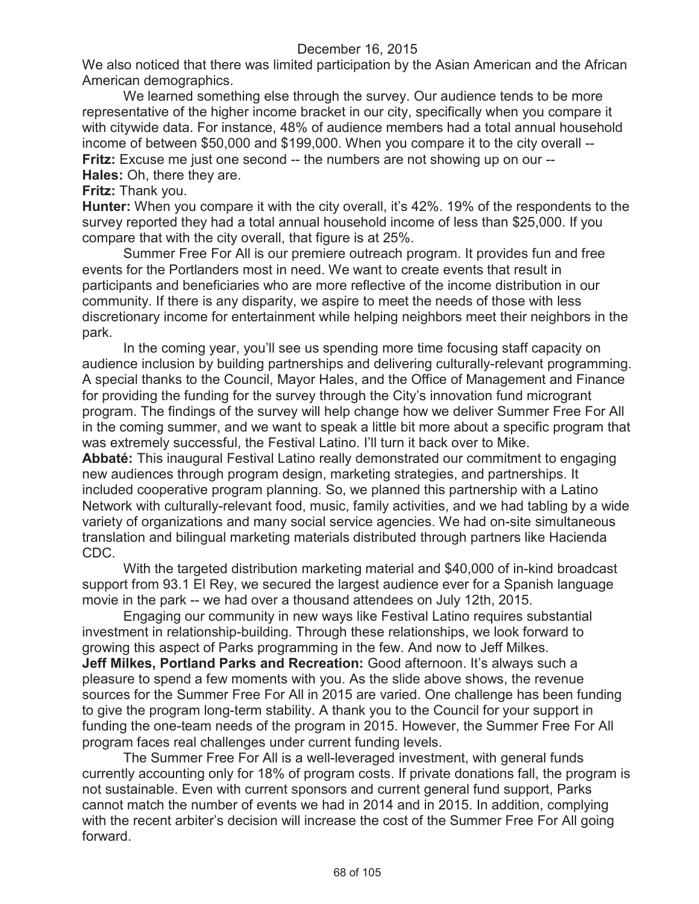We also noticed that there was limited participation by the Asian American and the African American demographics.

We learned something else through the survey. Our audience tends to be more representative of the higher income bracket in our city, specifically when you compare it with citywide data. For instance, 48% of audience members had a total annual household income of between \$50,000 and \$199,000. When you compare it to the city overall -- **Fritz:** Excuse me just one second -- the numbers are not showing up on our -- **Hales:** Oh, there they are.

### **Fritz:** Thank you.

**Hunter:** When you compare it with the city overall, it's 42%. 19% of the respondents to the survey reported they had a total annual household income of less than \$25,000. If you compare that with the city overall, that figure is at 25%.

Summer Free For All is our premiere outreach program. It provides fun and free events for the Portlanders most in need. We want to create events that result in participants and beneficiaries who are more reflective of the income distribution in our community. If there is any disparity, we aspire to meet the needs of those with less discretionary income for entertainment while helping neighbors meet their neighbors in the park.

In the coming year, you'll see us spending more time focusing staff capacity on audience inclusion by building partnerships and delivering culturally-relevant programming. A special thanks to the Council, Mayor Hales, and the Office of Management and Finance for providing the funding for the survey through the City's innovation fund microgrant program. The findings of the survey will help change how we deliver Summer Free For All in the coming summer, and we want to speak a little bit more about a specific program that was extremely successful, the Festival Latino. I'll turn it back over to Mike.

**Abbaté:** This inaugural Festival Latino really demonstrated our commitment to engaging new audiences through program design, marketing strategies, and partnerships. It included cooperative program planning. So, we planned this partnership with a Latino Network with culturally-relevant food, music, family activities, and we had tabling by a wide variety of organizations and many social service agencies. We had on-site simultaneous translation and bilingual marketing materials distributed through partners like Hacienda CDC.

With the targeted distribution marketing material and \$40,000 of in-kind broadcast support from 93.1 El Rey, we secured the largest audience ever for a Spanish language movie in the park -- we had over a thousand attendees on July 12th, 2015.

Engaging our community in new ways like Festival Latino requires substantial investment in relationship-building. Through these relationships, we look forward to growing this aspect of Parks programming in the few. And now to Jeff Milkes. **Jeff Milkes, Portland Parks and Recreation:** Good afternoon. It's always such a pleasure to spend a few moments with you. As the slide above shows, the revenue sources for the Summer Free For All in 2015 are varied. One challenge has been funding to give the program long-term stability. A thank you to the Council for your support in funding the one-team needs of the program in 2015. However, the Summer Free For All program faces real challenges under current funding levels.

The Summer Free For All is a well-leveraged investment, with general funds currently accounting only for 18% of program costs. If private donations fall, the program is not sustainable. Even with current sponsors and current general fund support, Parks cannot match the number of events we had in 2014 and in 2015. In addition, complying with the recent arbiter's decision will increase the cost of the Summer Free For All going forward.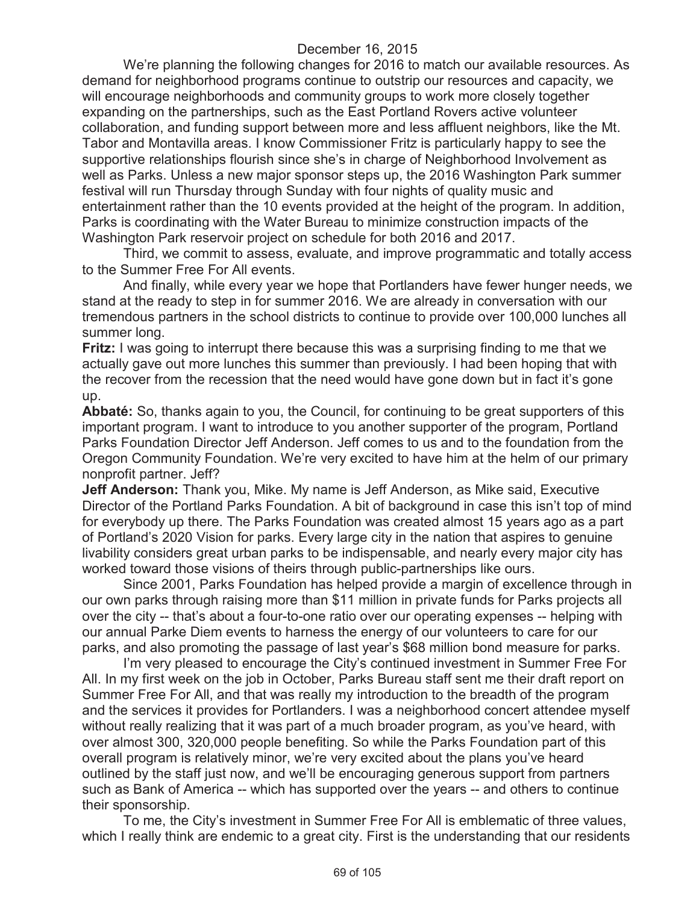We're planning the following changes for 2016 to match our available resources. As demand for neighborhood programs continue to outstrip our resources and capacity, we will encourage neighborhoods and community groups to work more closely together expanding on the partnerships, such as the East Portland Rovers active volunteer collaboration, and funding support between more and less affluent neighbors, like the Mt. Tabor and Montavilla areas. I know Commissioner Fritz is particularly happy to see the supportive relationships flourish since she's in charge of Neighborhood Involvement as well as Parks. Unless a new major sponsor steps up, the 2016 Washington Park summer festival will run Thursday through Sunday with four nights of quality music and entertainment rather than the 10 events provided at the height of the program. In addition, Parks is coordinating with the Water Bureau to minimize construction impacts of the Washington Park reservoir project on schedule for both 2016 and 2017.

Third, we commit to assess, evaluate, and improve programmatic and totally access to the Summer Free For All events.

And finally, while every year we hope that Portlanders have fewer hunger needs, we stand at the ready to step in for summer 2016. We are already in conversation with our tremendous partners in the school districts to continue to provide over 100,000 lunches all summer long.

**Fritz:** I was going to interrupt there because this was a surprising finding to me that we actually gave out more lunches this summer than previously. I had been hoping that with the recover from the recession that the need would have gone down but in fact it's gone up.

**Abbaté:** So, thanks again to you, the Council, for continuing to be great supporters of this important program. I want to introduce to you another supporter of the program, Portland Parks Foundation Director Jeff Anderson. Jeff comes to us and to the foundation from the Oregon Community Foundation. We're very excited to have him at the helm of our primary nonprofit partner. Jeff?

**Jeff Anderson:** Thank you, Mike. My name is Jeff Anderson, as Mike said, Executive Director of the Portland Parks Foundation. A bit of background in case this isn't top of mind for everybody up there. The Parks Foundation was created almost 15 years ago as a part of Portland's 2020 Vision for parks. Every large city in the nation that aspires to genuine livability considers great urban parks to be indispensable, and nearly every major city has worked toward those visions of theirs through public-partnerships like ours.

Since 2001, Parks Foundation has helped provide a margin of excellence through in our own parks through raising more than \$11 million in private funds for Parks projects all over the city -- that's about a four-to-one ratio over our operating expenses -- helping with our annual Parke Diem events to harness the energy of our volunteers to care for our parks, and also promoting the passage of last year's \$68 million bond measure for parks.

I'm very pleased to encourage the City's continued investment in Summer Free For All. In my first week on the job in October, Parks Bureau staff sent me their draft report on Summer Free For All, and that was really my introduction to the breadth of the program and the services it provides for Portlanders. I was a neighborhood concert attendee myself without really realizing that it was part of a much broader program, as you've heard, with over almost 300, 320,000 people benefiting. So while the Parks Foundation part of this overall program is relatively minor, we're very excited about the plans you've heard outlined by the staff just now, and we'll be encouraging generous support from partners such as Bank of America -- which has supported over the years -- and others to continue their sponsorship.

To me, the City's investment in Summer Free For All is emblematic of three values, which I really think are endemic to a great city. First is the understanding that our residents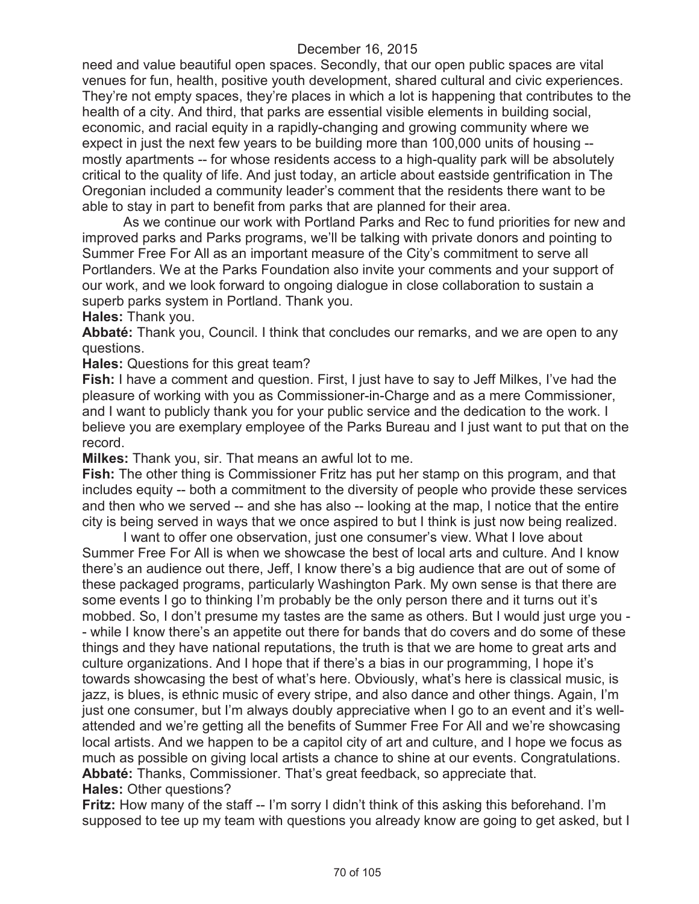need and value beautiful open spaces. Secondly, that our open public spaces are vital venues for fun, health, positive youth development, shared cultural and civic experiences. They're not empty spaces, they're places in which a lot is happening that contributes to the health of a city. And third, that parks are essential visible elements in building social, economic, and racial equity in a rapidly-changing and growing community where we expect in just the next few years to be building more than 100,000 units of housing - mostly apartments -- for whose residents access to a high-quality park will be absolutely critical to the quality of life. And just today, an article about eastside gentrification in The Oregonian included a community leader's comment that the residents there want to be able to stay in part to benefit from parks that are planned for their area.

As we continue our work with Portland Parks and Rec to fund priorities for new and improved parks and Parks programs, we'll be talking with private donors and pointing to Summer Free For All as an important measure of the City's commitment to serve all Portlanders. We at the Parks Foundation also invite your comments and your support of our work, and we look forward to ongoing dialogue in close collaboration to sustain a superb parks system in Portland. Thank you.

**Hales:** Thank you.

**Abbaté:** Thank you, Council. I think that concludes our remarks, and we are open to any questions.

**Hales:** Questions for this great team?

**Fish:** I have a comment and question. First, I just have to say to Jeff Milkes, I've had the pleasure of working with you as Commissioner-in-Charge and as a mere Commissioner, and I want to publicly thank you for your public service and the dedication to the work. I believe you are exemplary employee of the Parks Bureau and I just want to put that on the record.

**Milkes:** Thank you, sir. That means an awful lot to me.

**Fish:** The other thing is Commissioner Fritz has put her stamp on this program, and that includes equity -- both a commitment to the diversity of people who provide these services and then who we served -- and she has also -- looking at the map, I notice that the entire city is being served in ways that we once aspired to but I think is just now being realized.

I want to offer one observation, just one consumer's view. What I love about Summer Free For All is when we showcase the best of local arts and culture. And I know there's an audience out there, Jeff, I know there's a big audience that are out of some of these packaged programs, particularly Washington Park. My own sense is that there are some events I go to thinking I'm probably be the only person there and it turns out it's mobbed. So, I don't presume my tastes are the same as others. But I would just urge you - - while I know there's an appetite out there for bands that do covers and do some of these things and they have national reputations, the truth is that we are home to great arts and culture organizations. And I hope that if there's a bias in our programming, I hope it's towards showcasing the best of what's here. Obviously, what's here is classical music, is jazz, is blues, is ethnic music of every stripe, and also dance and other things. Again, I'm just one consumer, but I'm always doubly appreciative when I go to an event and it's wellattended and we're getting all the benefits of Summer Free For All and we're showcasing local artists. And we happen to be a capitol city of art and culture, and I hope we focus as much as possible on giving local artists a chance to shine at our events. Congratulations. **Abbaté:** Thanks, Commissioner. That's great feedback, so appreciate that. **Hales:** Other questions?

**Fritz:** How many of the staff -- I'm sorry I didn't think of this asking this beforehand. I'm supposed to tee up my team with questions you already know are going to get asked, but I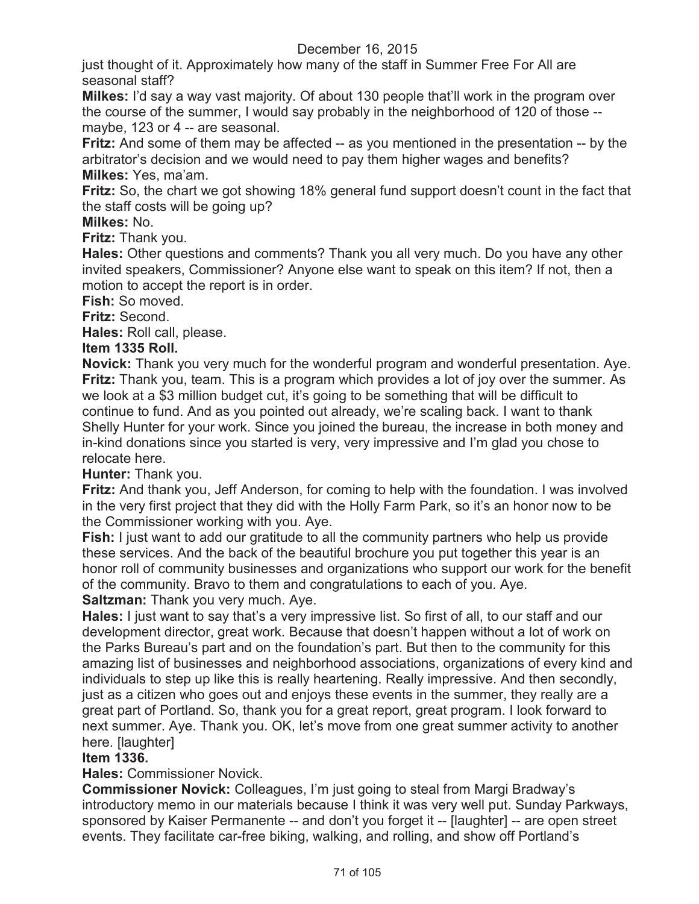just thought of it. Approximately how many of the staff in Summer Free For All are seasonal staff?

**Milkes:** I'd say a way vast majority. Of about 130 people that'll work in the program over the course of the summer, I would say probably in the neighborhood of 120 of those - maybe, 123 or 4 -- are seasonal.

**Fritz:** And some of them may be affected -- as you mentioned in the presentation -- by the arbitrator's decision and we would need to pay them higher wages and benefits? **Milkes:** Yes, ma'am.

**Fritz:** So, the chart we got showing 18% general fund support doesn't count in the fact that the staff costs will be going up?

**Milkes:** No.

**Fritz:** Thank you.

**Hales:** Other questions and comments? Thank you all very much. Do you have any other invited speakers, Commissioner? Anyone else want to speak on this item? If not, then a motion to accept the report is in order.

**Fish:** So moved.

**Fritz:** Second.

**Hales:** Roll call, please.

## **Item 1335 Roll.**

**Novick:** Thank you very much for the wonderful program and wonderful presentation. Aye. **Fritz:** Thank you, team. This is a program which provides a lot of joy over the summer. As we look at a \$3 million budget cut, it's going to be something that will be difficult to continue to fund. And as you pointed out already, we're scaling back. I want to thank Shelly Hunter for your work. Since you joined the bureau, the increase in both money and in-kind donations since you started is very, very impressive and I'm glad you chose to relocate here.

**Hunter:** Thank you.

**Fritz:** And thank you, Jeff Anderson, for coming to help with the foundation. I was involved in the very first project that they did with the Holly Farm Park, so it's an honor now to be the Commissioner working with you. Aye.

**Fish:** I just want to add our gratitude to all the community partners who help us provide these services. And the back of the beautiful brochure you put together this year is an honor roll of community businesses and organizations who support our work for the benefit of the community. Bravo to them and congratulations to each of you. Aye.

**Saltzman:** Thank you very much. Aye.

**Hales:** I just want to say that's a very impressive list. So first of all, to our staff and our development director, great work. Because that doesn't happen without a lot of work on the Parks Bureau's part and on the foundation's part. But then to the community for this amazing list of businesses and neighborhood associations, organizations of every kind and individuals to step up like this is really heartening. Really impressive. And then secondly, just as a citizen who goes out and enjoys these events in the summer, they really are a great part of Portland. So, thank you for a great report, great program. I look forward to next summer. Aye. Thank you. OK, let's move from one great summer activity to another here. [laughter]

## **Item 1336.**

**Hales:** Commissioner Novick.

**Commissioner Novick:** Colleagues, I'm just going to steal from Margi Bradway's introductory memo in our materials because I think it was very well put. Sunday Parkways, sponsored by Kaiser Permanente -- and don't you forget it -- [laughter] -- are open street events. They facilitate car-free biking, walking, and rolling, and show off Portland's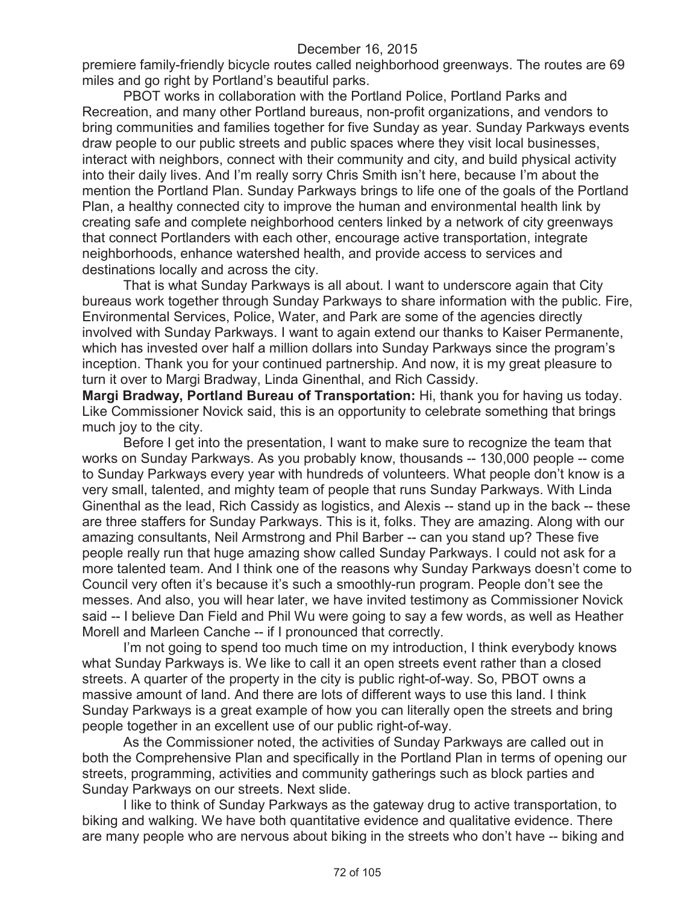premiere family-friendly bicycle routes called neighborhood greenways. The routes are 69 miles and go right by Portland's beautiful parks.

PBOT works in collaboration with the Portland Police, Portland Parks and Recreation, and many other Portland bureaus, non-profit organizations, and vendors to bring communities and families together for five Sunday as year. Sunday Parkways events draw people to our public streets and public spaces where they visit local businesses, interact with neighbors, connect with their community and city, and build physical activity into their daily lives. And I'm really sorry Chris Smith isn't here, because I'm about the mention the Portland Plan. Sunday Parkways brings to life one of the goals of the Portland Plan, a healthy connected city to improve the human and environmental health link by creating safe and complete neighborhood centers linked by a network of city greenways that connect Portlanders with each other, encourage active transportation, integrate neighborhoods, enhance watershed health, and provide access to services and destinations locally and across the city.

That is what Sunday Parkways is all about. I want to underscore again that City bureaus work together through Sunday Parkways to share information with the public. Fire, Environmental Services, Police, Water, and Park are some of the agencies directly involved with Sunday Parkways. I want to again extend our thanks to Kaiser Permanente, which has invested over half a million dollars into Sunday Parkways since the program's inception. Thank you for your continued partnership. And now, it is my great pleasure to turn it over to Margi Bradway, Linda Ginenthal, and Rich Cassidy.

**Margi Bradway, Portland Bureau of Transportation:** Hi, thank you for having us today. Like Commissioner Novick said, this is an opportunity to celebrate something that brings much joy to the city.

Before I get into the presentation, I want to make sure to recognize the team that works on Sunday Parkways. As you probably know, thousands -- 130,000 people -- come to Sunday Parkways every year with hundreds of volunteers. What people don't know is a very small, talented, and mighty team of people that runs Sunday Parkways. With Linda Ginenthal as the lead, Rich Cassidy as logistics, and Alexis -- stand up in the back -- these are three staffers for Sunday Parkways. This is it, folks. They are amazing. Along with our amazing consultants, Neil Armstrong and Phil Barber -- can you stand up? These five people really run that huge amazing show called Sunday Parkways. I could not ask for a more talented team. And I think one of the reasons why Sunday Parkways doesn't come to Council very often it's because it's such a smoothly-run program. People don't see the messes. And also, you will hear later, we have invited testimony as Commissioner Novick said -- I believe Dan Field and Phil Wu were going to say a few words, as well as Heather Morell and Marleen Canche -- if I pronounced that correctly.

I'm not going to spend too much time on my introduction, I think everybody knows what Sunday Parkways is. We like to call it an open streets event rather than a closed streets. A quarter of the property in the city is public right-of-way. So, PBOT owns a massive amount of land. And there are lots of different ways to use this land. I think Sunday Parkways is a great example of how you can literally open the streets and bring people together in an excellent use of our public right-of-way.

As the Commissioner noted, the activities of Sunday Parkways are called out in both the Comprehensive Plan and specifically in the Portland Plan in terms of opening our streets, programming, activities and community gatherings such as block parties and Sunday Parkways on our streets. Next slide.

I like to think of Sunday Parkways as the gateway drug to active transportation, to biking and walking. We have both quantitative evidence and qualitative evidence. There are many people who are nervous about biking in the streets who don't have -- biking and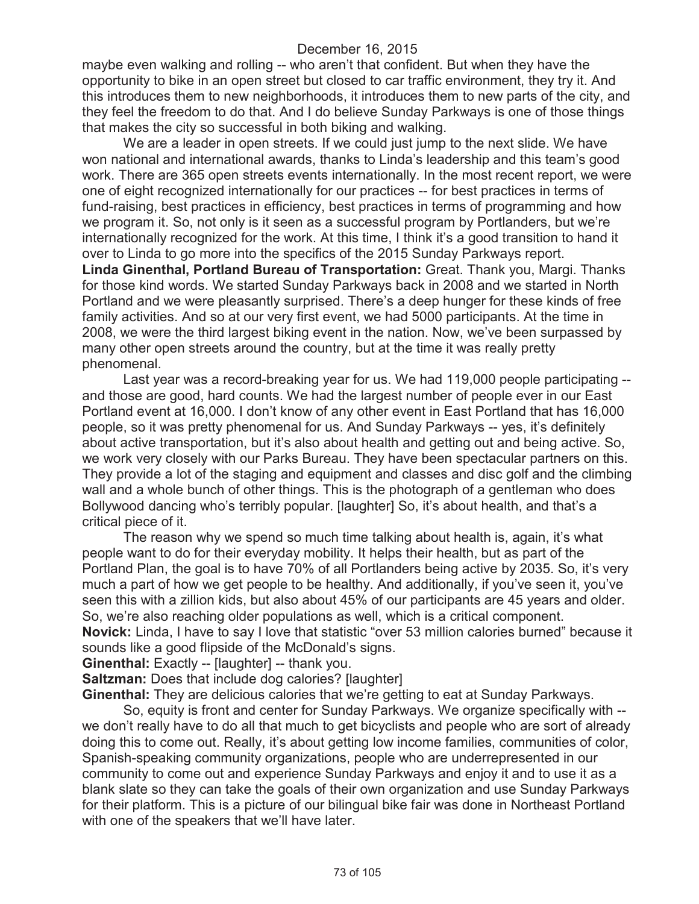maybe even walking and rolling -- who aren't that confident. But when they have the opportunity to bike in an open street but closed to car traffic environment, they try it. And this introduces them to new neighborhoods, it introduces them to new parts of the city, and they feel the freedom to do that. And I do believe Sunday Parkways is one of those things that makes the city so successful in both biking and walking.

We are a leader in open streets. If we could just jump to the next slide. We have won national and international awards, thanks to Linda's leadership and this team's good work. There are 365 open streets events internationally. In the most recent report, we were one of eight recognized internationally for our practices -- for best practices in terms of fund-raising, best practices in efficiency, best practices in terms of programming and how we program it. So, not only is it seen as a successful program by Portlanders, but we're internationally recognized for the work. At this time, I think it's a good transition to hand it over to Linda to go more into the specifics of the 2015 Sunday Parkways report. **Linda Ginenthal, Portland Bureau of Transportation:** Great. Thank you, Margi. Thanks for those kind words. We started Sunday Parkways back in 2008 and we started in North Portland and we were pleasantly surprised. There's a deep hunger for these kinds of free family activities. And so at our very first event, we had 5000 participants. At the time in 2008, we were the third largest biking event in the nation. Now, we've been surpassed by many other open streets around the country, but at the time it was really pretty phenomenal.

Last year was a record-breaking year for us. We had 119,000 people participating - and those are good, hard counts. We had the largest number of people ever in our East Portland event at 16,000. I don't know of any other event in East Portland that has 16,000 people, so it was pretty phenomenal for us. And Sunday Parkways -- yes, it's definitely about active transportation, but it's also about health and getting out and being active. So, we work very closely with our Parks Bureau. They have been spectacular partners on this. They provide a lot of the staging and equipment and classes and disc golf and the climbing wall and a whole bunch of other things. This is the photograph of a gentleman who does Bollywood dancing who's terribly popular. [laughter] So, it's about health, and that's a critical piece of it.

The reason why we spend so much time talking about health is, again, it's what people want to do for their everyday mobility. It helps their health, but as part of the Portland Plan, the goal is to have 70% of all Portlanders being active by 2035. So, it's very much a part of how we get people to be healthy. And additionally, if you've seen it, you've seen this with a zillion kids, but also about 45% of our participants are 45 years and older. So, we're also reaching older populations as well, which is a critical component.

**Novick:** Linda, I have to say I love that statistic "over 53 million calories burned" because it sounds like a good flipside of the McDonald's signs.

**Ginenthal:** Exactly -- [laughter] -- thank you.

**Saltzman:** Does that include dog calories? [laughter]

**Ginenthal:** They are delicious calories that we're getting to eat at Sunday Parkways.

So, equity is front and center for Sunday Parkways. We organize specifically with - we don't really have to do all that much to get bicyclists and people who are sort of already doing this to come out. Really, it's about getting low income families, communities of color, Spanish-speaking community organizations, people who are underrepresented in our community to come out and experience Sunday Parkways and enjoy it and to use it as a blank slate so they can take the goals of their own organization and use Sunday Parkways for their platform. This is a picture of our bilingual bike fair was done in Northeast Portland with one of the speakers that we'll have later.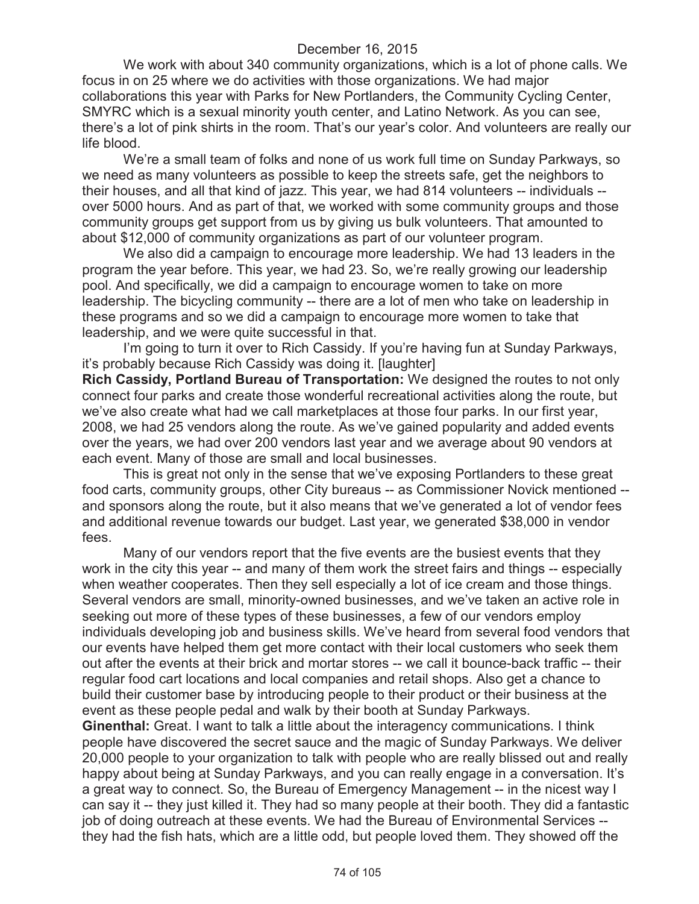We work with about 340 community organizations, which is a lot of phone calls. We focus in on 25 where we do activities with those organizations. We had major collaborations this year with Parks for New Portlanders, the Community Cycling Center, SMYRC which is a sexual minority youth center, and Latino Network. As you can see, there's a lot of pink shirts in the room. That's our year's color. And volunteers are really our life blood.

We're a small team of folks and none of us work full time on Sunday Parkways, so we need as many volunteers as possible to keep the streets safe, get the neighbors to their houses, and all that kind of jazz. This year, we had 814 volunteers -- individuals - over 5000 hours. And as part of that, we worked with some community groups and those community groups get support from us by giving us bulk volunteers. That amounted to about \$12,000 of community organizations as part of our volunteer program.

We also did a campaign to encourage more leadership. We had 13 leaders in the program the year before. This year, we had 23. So, we're really growing our leadership pool. And specifically, we did a campaign to encourage women to take on more leadership. The bicycling community -- there are a lot of men who take on leadership in these programs and so we did a campaign to encourage more women to take that leadership, and we were quite successful in that.

I'm going to turn it over to Rich Cassidy. If you're having fun at Sunday Parkways, it's probably because Rich Cassidy was doing it. [laughter]

**Rich Cassidy, Portland Bureau of Transportation:** We designed the routes to not only connect four parks and create those wonderful recreational activities along the route, but we've also create what had we call marketplaces at those four parks. In our first year, 2008, we had 25 vendors along the route. As we've gained popularity and added events over the years, we had over 200 vendors last year and we average about 90 vendors at each event. Many of those are small and local businesses.

This is great not only in the sense that we've exposing Portlanders to these great food carts, community groups, other City bureaus -- as Commissioner Novick mentioned - and sponsors along the route, but it also means that we've generated a lot of vendor fees and additional revenue towards our budget. Last year, we generated \$38,000 in vendor fees.

Many of our vendors report that the five events are the busiest events that they work in the city this year -- and many of them work the street fairs and things -- especially when weather cooperates. Then they sell especially a lot of ice cream and those things. Several vendors are small, minority-owned businesses, and we've taken an active role in seeking out more of these types of these businesses, a few of our vendors employ individuals developing job and business skills. We've heard from several food vendors that our events have helped them get more contact with their local customers who seek them out after the events at their brick and mortar stores -- we call it bounce-back traffic -- their regular food cart locations and local companies and retail shops. Also get a chance to build their customer base by introducing people to their product or their business at the event as these people pedal and walk by their booth at Sunday Parkways.

**Ginenthal:** Great. I want to talk a little about the interagency communications. I think people have discovered the secret sauce and the magic of Sunday Parkways. We deliver 20,000 people to your organization to talk with people who are really blissed out and really happy about being at Sunday Parkways, and you can really engage in a conversation. It's a great way to connect. So, the Bureau of Emergency Management -- in the nicest way I can say it -- they just killed it. They had so many people at their booth. They did a fantastic job of doing outreach at these events. We had the Bureau of Environmental Services - they had the fish hats, which are a little odd, but people loved them. They showed off the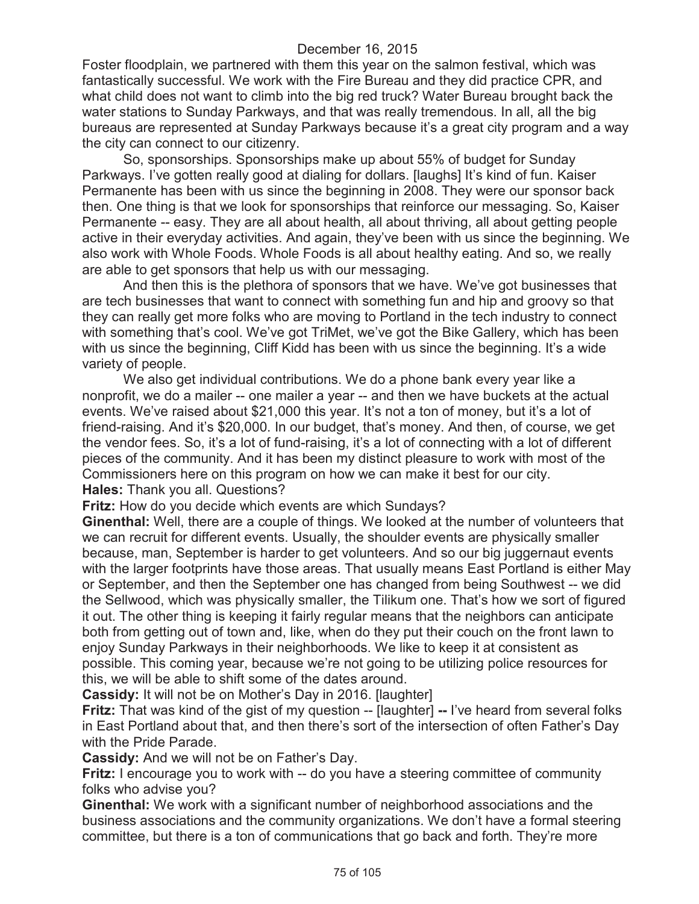Foster floodplain, we partnered with them this year on the salmon festival, which was fantastically successful. We work with the Fire Bureau and they did practice CPR, and what child does not want to climb into the big red truck? Water Bureau brought back the water stations to Sunday Parkways, and that was really tremendous. In all, all the big bureaus are represented at Sunday Parkways because it's a great city program and a way the city can connect to our citizenry.

So, sponsorships. Sponsorships make up about 55% of budget for Sunday Parkways. I've gotten really good at dialing for dollars. [laughs] It's kind of fun. Kaiser Permanente has been with us since the beginning in 2008. They were our sponsor back then. One thing is that we look for sponsorships that reinforce our messaging. So, Kaiser Permanente -- easy. They are all about health, all about thriving, all about getting people active in their everyday activities. And again, they've been with us since the beginning. We also work with Whole Foods. Whole Foods is all about healthy eating. And so, we really are able to get sponsors that help us with our messaging.

And then this is the plethora of sponsors that we have. We've got businesses that are tech businesses that want to connect with something fun and hip and groovy so that they can really get more folks who are moving to Portland in the tech industry to connect with something that's cool. We've got TriMet, we've got the Bike Gallery, which has been with us since the beginning, Cliff Kidd has been with us since the beginning. It's a wide variety of people.

We also get individual contributions. We do a phone bank every year like a nonprofit, we do a mailer -- one mailer a year -- and then we have buckets at the actual events. We've raised about \$21,000 this year. It's not a ton of money, but it's a lot of friend-raising. And it's \$20,000. In our budget, that's money. And then, of course, we get the vendor fees. So, it's a lot of fund-raising, it's a lot of connecting with a lot of different pieces of the community. And it has been my distinct pleasure to work with most of the Commissioners here on this program on how we can make it best for our city. **Hales:** Thank you all. Questions?

**Fritz:** How do you decide which events are which Sundays?

**Ginenthal:** Well, there are a couple of things. We looked at the number of volunteers that we can recruit for different events. Usually, the shoulder events are physically smaller because, man, September is harder to get volunteers. And so our big juggernaut events with the larger footprints have those areas. That usually means East Portland is either May or September, and then the September one has changed from being Southwest -- we did the Sellwood, which was physically smaller, the Tilikum one. That's how we sort of figured it out. The other thing is keeping it fairly regular means that the neighbors can anticipate both from getting out of town and, like, when do they put their couch on the front lawn to enjoy Sunday Parkways in their neighborhoods. We like to keep it at consistent as possible. This coming year, because we're not going to be utilizing police resources for this, we will be able to shift some of the dates around.

**Cassidy:** It will not be on Mother's Day in 2016. [laughter]

**Fritz:** That was kind of the gist of my question -- [laughter] -- I've heard from several folks in East Portland about that, and then there's sort of the intersection of often Father's Day with the Pride Parade.

**Cassidy:** And we will not be on Father's Day.

**Fritz:** I encourage you to work with -- do you have a steering committee of community folks who advise you?

**Ginenthal:** We work with a significant number of neighborhood associations and the business associations and the community organizations. We don't have a formal steering committee, but there is a ton of communications that go back and forth. They're more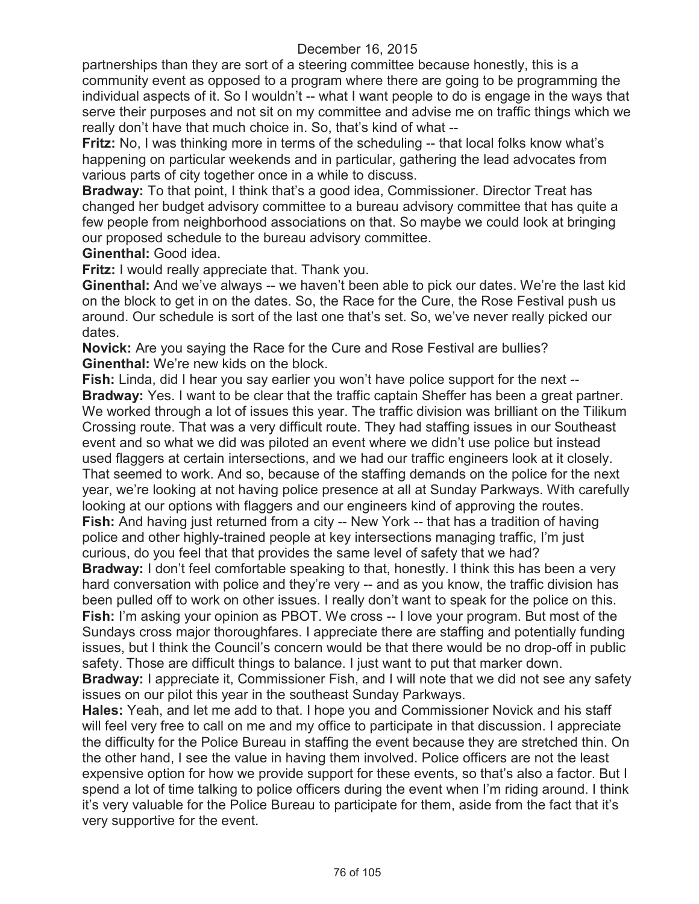partnerships than they are sort of a steering committee because honestly, this is a community event as opposed to a program where there are going to be programming the individual aspects of it. So I wouldn't -- what I want people to do is engage in the ways that serve their purposes and not sit on my committee and advise me on traffic things which we really don't have that much choice in. So, that's kind of what --

**Fritz:** No, I was thinking more in terms of the scheduling -- that local folks know what's happening on particular weekends and in particular, gathering the lead advocates from various parts of city together once in a while to discuss.

**Bradway:** To that point, I think that's a good idea, Commissioner. Director Treat has changed her budget advisory committee to a bureau advisory committee that has quite a few people from neighborhood associations on that. So maybe we could look at bringing our proposed schedule to the bureau advisory committee.

**Ginenthal:** Good idea.

**Fritz:** I would really appreciate that. Thank you.

**Ginenthal:** And we've always -- we haven't been able to pick our dates. We're the last kid on the block to get in on the dates. So, the Race for the Cure, the Rose Festival push us around. Our schedule is sort of the last one that's set. So, we've never really picked our dates.

**Novick:** Are you saying the Race for the Cure and Rose Festival are bullies? **Ginenthal:** We're new kids on the block.

**Fish:** Linda, did I hear you say earlier you won't have police support for the next -- **Bradway:** Yes. I want to be clear that the traffic captain Sheffer has been a great partner. We worked through a lot of issues this year. The traffic division was brilliant on the Tilikum Crossing route. That was a very difficult route. They had staffing issues in our Southeast event and so what we did was piloted an event where we didn't use police but instead used flaggers at certain intersections, and we had our traffic engineers look at it closely. That seemed to work. And so, because of the staffing demands on the police for the next year, we're looking at not having police presence at all at Sunday Parkways. With carefully looking at our options with flaggers and our engineers kind of approving the routes. **Fish:** And having just returned from a city -- New York -- that has a tradition of having police and other highly-trained people at key intersections managing traffic, I'm just curious, do you feel that that provides the same level of safety that we had?

**Bradway:** I don't feel comfortable speaking to that, honestly. I think this has been a very hard conversation with police and they're very -- and as you know, the traffic division has been pulled off to work on other issues. I really don't want to speak for the police on this. **Fish:** I'm asking your opinion as PBOT. We cross -- I love your program. But most of the Sundays cross major thoroughfares. I appreciate there are staffing and potentially funding issues, but I think the Council's concern would be that there would be no drop-off in public safety. Those are difficult things to balance. I just want to put that marker down.

**Bradway:** I appreciate it, Commissioner Fish, and I will note that we did not see any safety issues on our pilot this year in the southeast Sunday Parkways.

**Hales:** Yeah, and let me add to that. I hope you and Commissioner Novick and his staff will feel very free to call on me and my office to participate in that discussion. I appreciate the difficulty for the Police Bureau in staffing the event because they are stretched thin. On the other hand, I see the value in having them involved. Police officers are not the least expensive option for how we provide support for these events, so that's also a factor. But I spend a lot of time talking to police officers during the event when I'm riding around. I think it's very valuable for the Police Bureau to participate for them, aside from the fact that it's very supportive for the event.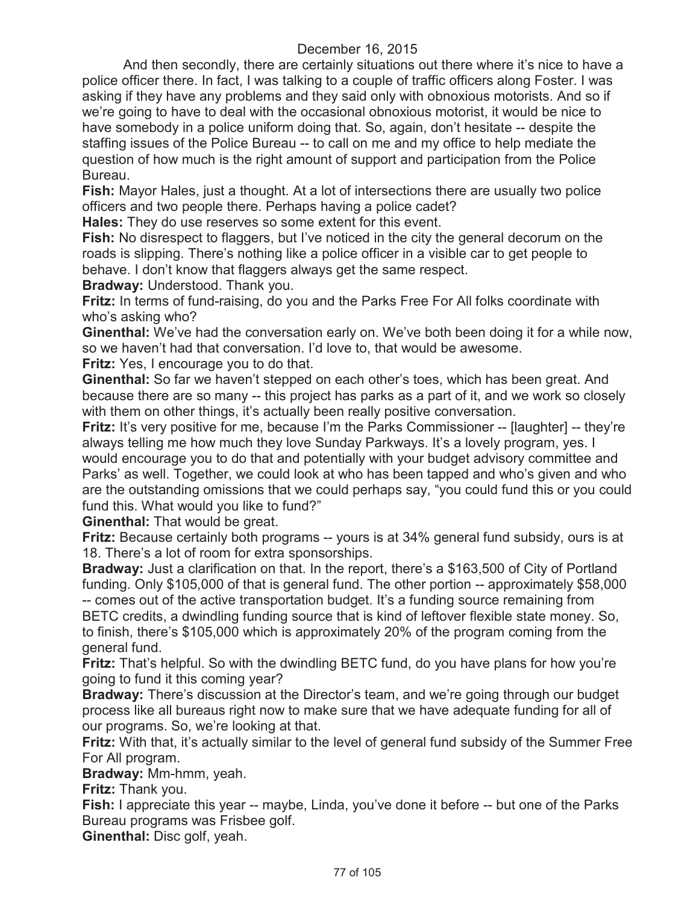And then secondly, there are certainly situations out there where it's nice to have a police officer there. In fact, I was talking to a couple of traffic officers along Foster. I was asking if they have any problems and they said only with obnoxious motorists. And so if we're going to have to deal with the occasional obnoxious motorist, it would be nice to have somebody in a police uniform doing that. So, again, don't hesitate -- despite the staffing issues of the Police Bureau -- to call on me and my office to help mediate the question of how much is the right amount of support and participation from the Police Bureau.

**Fish:** Mayor Hales, just a thought. At a lot of intersections there are usually two police officers and two people there. Perhaps having a police cadet?

**Hales:** They do use reserves so some extent for this event.

**Fish:** No disrespect to flaggers, but I've noticed in the city the general decorum on the roads is slipping. There's nothing like a police officer in a visible car to get people to behave. I don't know that flaggers always get the same respect.

**Bradway:** Understood. Thank you.

**Fritz:** In terms of fund-raising, do you and the Parks Free For All folks coordinate with who's asking who?

**Ginenthal:** We've had the conversation early on. We've both been doing it for a while now, so we haven't had that conversation. I'd love to, that would be awesome.

**Fritz:** Yes, I encourage you to do that.

**Ginenthal:** So far we haven't stepped on each other's toes, which has been great. And because there are so many -- this project has parks as a part of it, and we work so closely with them on other things, it's actually been really positive conversation.

**Fritz:** It's very positive for me, because I'm the Parks Commissioner -- [laughter] -- they're always telling me how much they love Sunday Parkways. It's a lovely program, yes. I would encourage you to do that and potentially with your budget advisory committee and Parks' as well. Together, we could look at who has been tapped and who's given and who are the outstanding omissions that we could perhaps say, "you could fund this or you could fund this. What would you like to fund?"

**Ginenthal:** That would be great.

**Fritz:** Because certainly both programs -- yours is at 34% general fund subsidy, ours is at 18. There's a lot of room for extra sponsorships.

**Bradway:** Just a clarification on that. In the report, there's a \$163,500 of City of Portland funding. Only \$105,000 of that is general fund. The other portion -- approximately \$58,000

-- comes out of the active transportation budget. It's a funding source remaining from BETC credits, a dwindling funding source that is kind of leftover flexible state money. So, to finish, there's \$105,000 which is approximately 20% of the program coming from the general fund.

**Fritz:** That's helpful. So with the dwindling BETC fund, do you have plans for how you're going to fund it this coming year?

**Bradway:** There's discussion at the Director's team, and we're going through our budget process like all bureaus right now to make sure that we have adequate funding for all of our programs. So, we're looking at that.

**Fritz:** With that, it's actually similar to the level of general fund subsidy of the Summer Free For All program.

**Bradway:** Mm-hmm, yeah.

**Fritz:** Thank you.

**Fish:** I appreciate this year -- maybe, Linda, you've done it before -- but one of the Parks Bureau programs was Frisbee golf.

**Ginenthal:** Disc golf, yeah.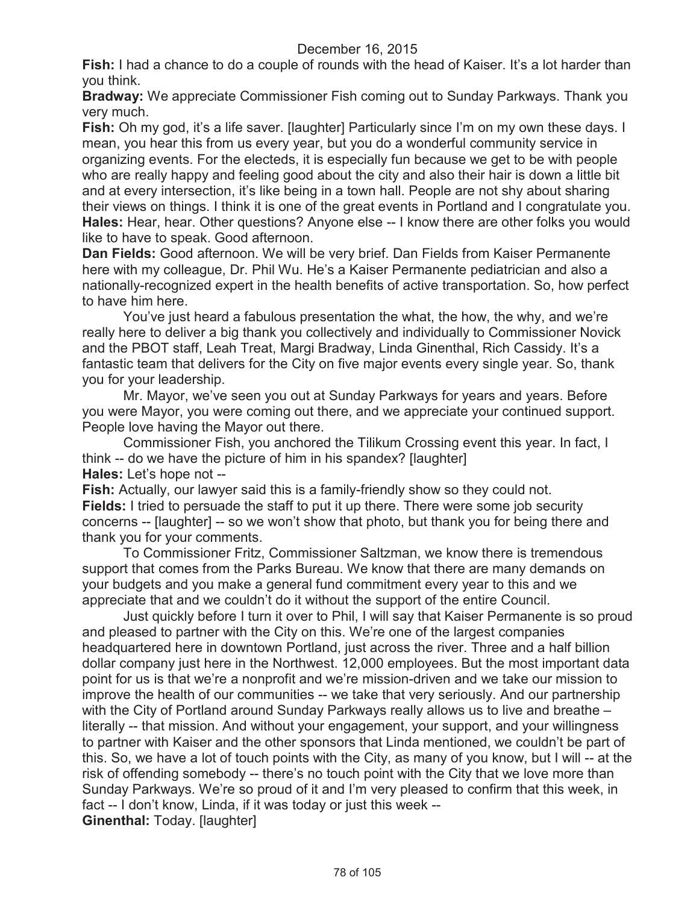**Fish:** I had a chance to do a couple of rounds with the head of Kaiser. It's a lot harder than you think.

**Bradway:** We appreciate Commissioner Fish coming out to Sunday Parkways. Thank you very much.

**Fish:** Oh my god, it's a life saver. [laughter] Particularly since I'm on my own these days. I mean, you hear this from us every year, but you do a wonderful community service in organizing events. For the electeds, it is especially fun because we get to be with people who are really happy and feeling good about the city and also their hair is down a little bit and at every intersection, it's like being in a town hall. People are not shy about sharing their views on things. I think it is one of the great events in Portland and I congratulate you. **Hales:** Hear, hear. Other questions? Anyone else -- I know there are other folks you would like to have to speak. Good afternoon.

**Dan Fields:** Good afternoon. We will be very brief. Dan Fields from Kaiser Permanente here with my colleague, Dr. Phil Wu. He's a Kaiser Permanente pediatrician and also a nationally-recognized expert in the health benefits of active transportation. So, how perfect to have him here.

You've just heard a fabulous presentation the what, the how, the why, and we're really here to deliver a big thank you collectively and individually to Commissioner Novick and the PBOT staff, Leah Treat, Margi Bradway, Linda Ginenthal, Rich Cassidy. It's a fantastic team that delivers for the City on five major events every single year. So, thank you for your leadership.

Mr. Mayor, we've seen you out at Sunday Parkways for years and years. Before you were Mayor, you were coming out there, and we appreciate your continued support. People love having the Mayor out there.

Commissioner Fish, you anchored the Tilikum Crossing event this year. In fact, I think -- do we have the picture of him in his spandex? [laughter] **Hales:** Let's hope not --

**Fish:** Actually, our lawyer said this is a family-friendly show so they could not. **Fields:** I tried to persuade the staff to put it up there. There were some job security concerns -- [laughter] -- so we won't show that photo, but thank you for being there and thank you for your comments.

To Commissioner Fritz, Commissioner Saltzman, we know there is tremendous support that comes from the Parks Bureau. We know that there are many demands on your budgets and you make a general fund commitment every year to this and we appreciate that and we couldn't do it without the support of the entire Council.

Just quickly before I turn it over to Phil, I will say that Kaiser Permanente is so proud and pleased to partner with the City on this. We're one of the largest companies headquartered here in downtown Portland, just across the river. Three and a half billion dollar company just here in the Northwest. 12,000 employees. But the most important data point for us is that we're a nonprofit and we're mission-driven and we take our mission to improve the health of our communities -- we take that very seriously. And our partnership with the City of Portland around Sunday Parkways really allows us to live and breathe – literally -- that mission. And without your engagement, your support, and your willingness to partner with Kaiser and the other sponsors that Linda mentioned, we couldn't be part of this. So, we have a lot of touch points with the City, as many of you know, but I will -- at the risk of offending somebody -- there's no touch point with the City that we love more than Sunday Parkways. We're so proud of it and I'm very pleased to confirm that this week, in fact -- I don't know, Linda, if it was today or just this week -- **Ginenthal:** Today. [laughter]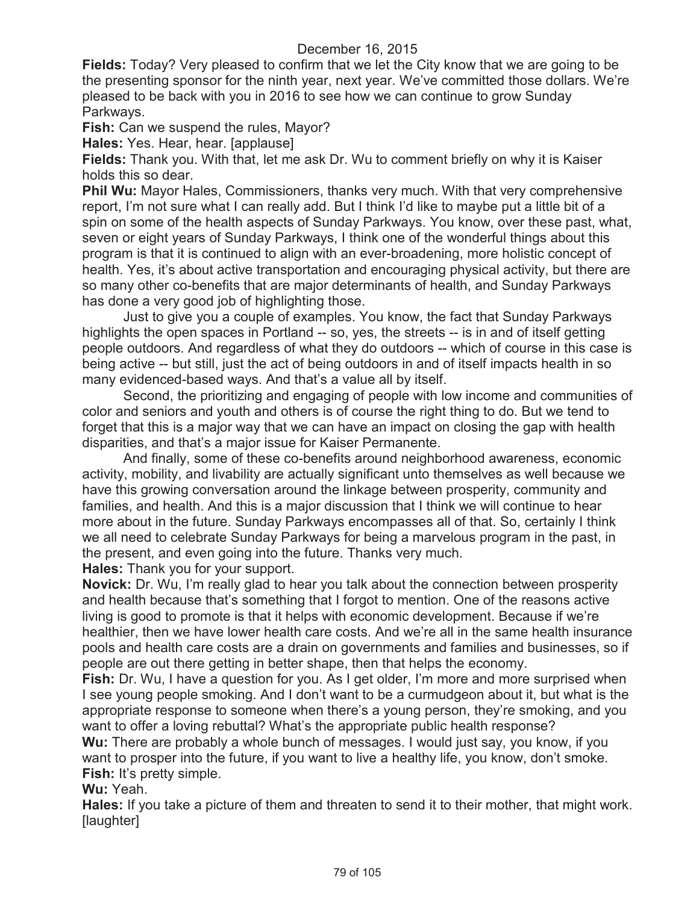**Fields:** Today? Very pleased to confirm that we let the City know that we are going to be the presenting sponsor for the ninth year, next year. We've committed those dollars. We're pleased to be back with you in 2016 to see how we can continue to grow Sunday Parkways.

**Fish:** Can we suspend the rules, Mayor?

**Hales:** Yes. Hear, hear. [applause]

**Fields:** Thank you. With that, let me ask Dr. Wu to comment briefly on why it is Kaiser holds this so dear.

**Phil Wu:** Mayor Hales, Commissioners, thanks very much. With that very comprehensive report, I'm not sure what I can really add. But I think I'd like to maybe put a little bit of a spin on some of the health aspects of Sunday Parkways. You know, over these past, what, seven or eight years of Sunday Parkways, I think one of the wonderful things about this program is that it is continued to align with an ever-broadening, more holistic concept of health. Yes, it's about active transportation and encouraging physical activity, but there are so many other co-benefits that are major determinants of health, and Sunday Parkways has done a very good job of highlighting those.

Just to give you a couple of examples. You know, the fact that Sunday Parkways highlights the open spaces in Portland -- so, yes, the streets -- is in and of itself getting people outdoors. And regardless of what they do outdoors -- which of course in this case is being active -- but still, just the act of being outdoors in and of itself impacts health in so many evidenced-based ways. And that's a value all by itself.

Second, the prioritizing and engaging of people with low income and communities of color and seniors and youth and others is of course the right thing to do. But we tend to forget that this is a major way that we can have an impact on closing the gap with health disparities, and that's a major issue for Kaiser Permanente.

And finally, some of these co-benefits around neighborhood awareness, economic activity, mobility, and livability are actually significant unto themselves as well because we have this growing conversation around the linkage between prosperity, community and families, and health. And this is a major discussion that I think we will continue to hear more about in the future. Sunday Parkways encompasses all of that. So, certainly I think we all need to celebrate Sunday Parkways for being a marvelous program in the past, in the present, and even going into the future. Thanks very much.

**Hales:** Thank you for your support.

**Novick:** Dr. Wu, I'm really glad to hear you talk about the connection between prosperity and health because that's something that I forgot to mention. One of the reasons active living is good to promote is that it helps with economic development. Because if we're healthier, then we have lower health care costs. And we're all in the same health insurance pools and health care costs are a drain on governments and families and businesses, so if people are out there getting in better shape, then that helps the economy.

**Fish:** Dr. Wu, I have a question for you. As I get older, I'm more and more surprised when I see young people smoking. And I don't want to be a curmudgeon about it, but what is the appropriate response to someone when there's a young person, they're smoking, and you want to offer a loving rebuttal? What's the appropriate public health response?

**Wu:** There are probably a whole bunch of messages. I would just say, you know, if you want to prosper into the future, if you want to live a healthy life, you know, don't smoke. **Fish:** It's pretty simple.

**Wu:** Yeah.

**Hales:** If you take a picture of them and threaten to send it to their mother, that might work. [laughter]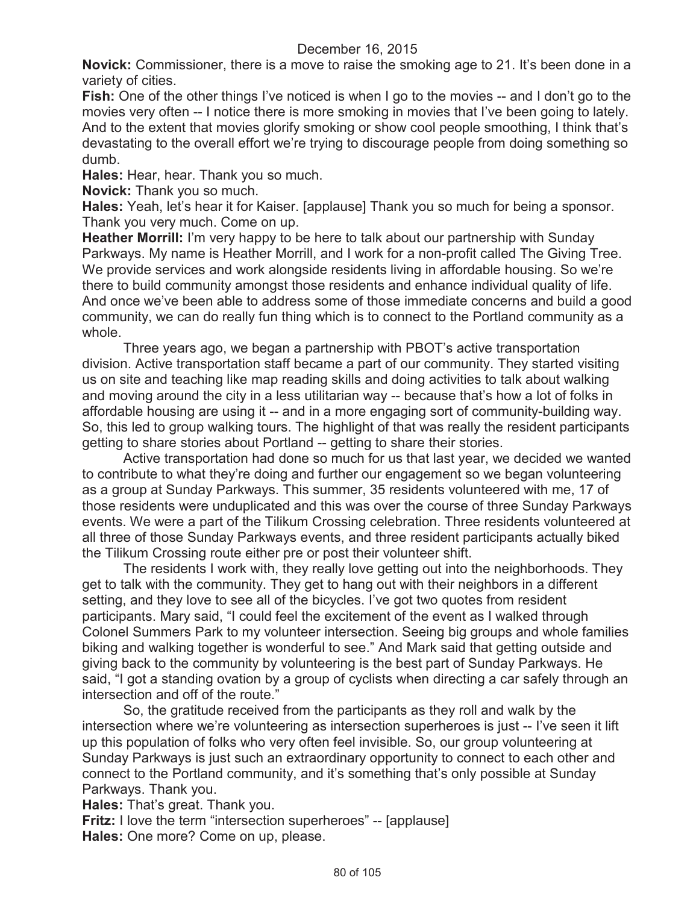**Novick:** Commissioner, there is a move to raise the smoking age to 21. It's been done in a variety of cities.

**Fish:** One of the other things I've noticed is when I go to the movies -- and I don't go to the movies very often -- I notice there is more smoking in movies that I've been going to lately. And to the extent that movies glorify smoking or show cool people smoothing, I think that's devastating to the overall effort we're trying to discourage people from doing something so dumb.

**Hales:** Hear, hear. Thank you so much.

**Novick:** Thank you so much.

**Hales:** Yeah, let's hear it for Kaiser. [applause] Thank you so much for being a sponsor. Thank you very much. Come on up.

**Heather Morrill:** I'm very happy to be here to talk about our partnership with Sunday Parkways. My name is Heather Morrill, and I work for a non-profit called The Giving Tree. We provide services and work alongside residents living in affordable housing. So we're there to build community amongst those residents and enhance individual quality of life. And once we've been able to address some of those immediate concerns and build a good community, we can do really fun thing which is to connect to the Portland community as a whole.

Three years ago, we began a partnership with PBOT's active transportation division. Active transportation staff became a part of our community. They started visiting us on site and teaching like map reading skills and doing activities to talk about walking and moving around the city in a less utilitarian way -- because that's how a lot of folks in affordable housing are using it -- and in a more engaging sort of community-building way. So, this led to group walking tours. The highlight of that was really the resident participants getting to share stories about Portland -- getting to share their stories.

Active transportation had done so much for us that last year, we decided we wanted to contribute to what they're doing and further our engagement so we began volunteering as a group at Sunday Parkways. This summer, 35 residents volunteered with me, 17 of those residents were unduplicated and this was over the course of three Sunday Parkways events. We were a part of the Tilikum Crossing celebration. Three residents volunteered at all three of those Sunday Parkways events, and three resident participants actually biked the Tilikum Crossing route either pre or post their volunteer shift.

The residents I work with, they really love getting out into the neighborhoods. They get to talk with the community. They get to hang out with their neighbors in a different setting, and they love to see all of the bicycles. I've got two quotes from resident participants. Mary said, "I could feel the excitement of the event as I walked through Colonel Summers Park to my volunteer intersection. Seeing big groups and whole families biking and walking together is wonderful to see." And Mark said that getting outside and giving back to the community by volunteering is the best part of Sunday Parkways. He said, "I got a standing ovation by a group of cyclists when directing a car safely through an intersection and off of the route."

So, the gratitude received from the participants as they roll and walk by the intersection where we're volunteering as intersection superheroes is just -- I've seen it lift up this population of folks who very often feel invisible. So, our group volunteering at Sunday Parkways is just such an extraordinary opportunity to connect to each other and connect to the Portland community, and it's something that's only possible at Sunday Parkways. Thank you.

**Hales:** That's great. Thank you.

**Fritz:** I love the term "intersection superheroes" -- [applause] **Hales:** One more? Come on up, please.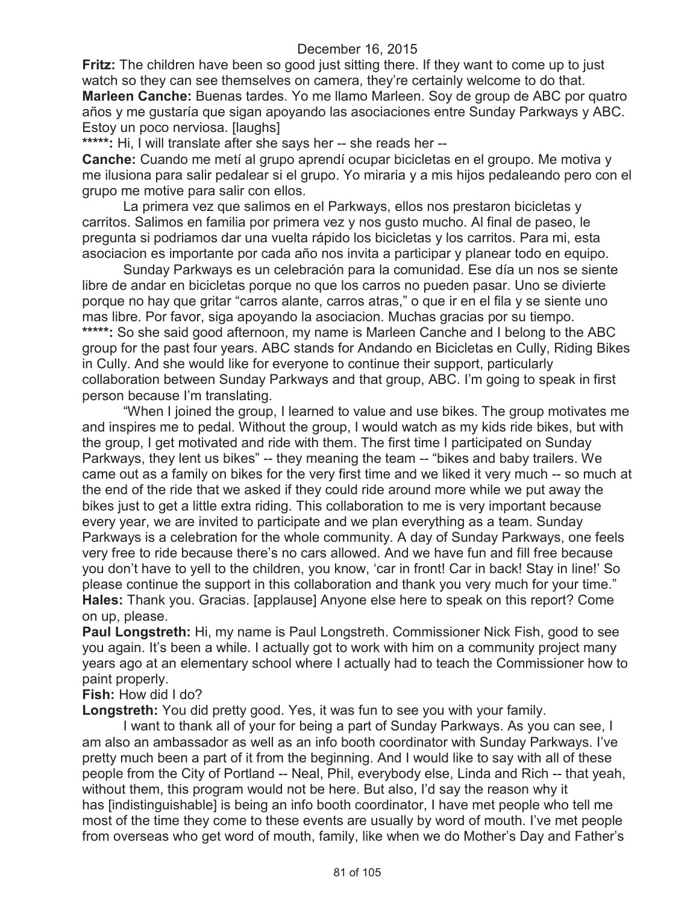**Fritz:** The children have been so good just sitting there. If they want to come up to just watch so they can see themselves on camera, they're certainly welcome to do that. **Marleen Canche:** Buenas tardes. Yo me llamo Marleen. Soy de group de ABC por quatro años y me gustaría que sigan apoyando las asociaciones entre Sunday Parkways y ABC. Estoy un poco nerviosa. [laughs]

**\*\*\*\*\*:** Hi, I will translate after she says her -- she reads her --

**Canche:** Cuando me metí al grupo aprendí ocupar bicicletas en el groupo. Me motiva y me ilusiona para salir pedalear si el grupo. Yo miraria y a mis hijos pedaleando pero con el grupo me motive para salir con ellos.

La primera vez que salimos en el Parkways, ellos nos prestaron bicicletas y carritos. Salimos en familia por primera vez y nos gusto mucho. Al final de paseo, le pregunta si podriamos dar una vuelta rápido los bicicletas y los carritos. Para mi, esta asociacion es importante por cada año nos invita a participar y planear todo en equipo.

Sunday Parkways es un celebración para la comunidad. Ese día un nos se siente libre de andar en bicicletas porque no que los carros no pueden pasar. Uno se divierte porque no hay que gritar "carros alante, carros atras," o que ir en el fila y se siente uno mas libre. Por favor, siga apoyando la asociacion. Muchas gracias por su tiempo. \*\*\*\*\*: So she said good afternoon, my name is Marleen Canche and I belong to the ABC group for the past four years. ABC stands for Andando en Bicicletas en Cully, Riding Bikes in Cully. And she would like for everyone to continue their support, particularly collaboration between Sunday Parkways and that group, ABC. I'm going to speak in first person because I'm translating.

"When I joined the group, I learned to value and use bikes. The group motivates me and inspires me to pedal. Without the group, I would watch as my kids ride bikes, but with the group, I get motivated and ride with them. The first time I participated on Sunday Parkways, they lent us bikes" -- they meaning the team -- "bikes and baby trailers. We came out as a family on bikes for the very first time and we liked it very much -- so much at the end of the ride that we asked if they could ride around more while we put away the bikes just to get a little extra riding. This collaboration to me is very important because every year, we are invited to participate and we plan everything as a team. Sunday Parkways is a celebration for the whole community. A day of Sunday Parkways, one feels very free to ride because there's no cars allowed. And we have fun and fill free because you don't have to yell to the children, you know, 'car in front! Car in back! Stay in line!' So please continue the support in this collaboration and thank you very much for your time." **Hales:** Thank you. Gracias. [applause] Anyone else here to speak on this report? Come on up, please.

**Paul Longstreth:** Hi, my name is Paul Longstreth. Commissioner Nick Fish, good to see you again. It's been a while. I actually got to work with him on a community project many years ago at an elementary school where I actually had to teach the Commissioner how to paint properly.

**Fish:** How did I do?

**Longstreth:** You did pretty good. Yes, it was fun to see you with your family.

I want to thank all of your for being a part of Sunday Parkways. As you can see, I am also an ambassador as well as an info booth coordinator with Sunday Parkways. I've pretty much been a part of it from the beginning. And I would like to say with all of these people from the City of Portland -- Neal, Phil, everybody else, Linda and Rich -- that yeah, without them, this program would not be here. But also, I'd say the reason why it has [indistinguishable] is being an info booth coordinator, I have met people who tell me most of the time they come to these events are usually by word of mouth. I've met people from overseas who get word of mouth, family, like when we do Mother's Day and Father's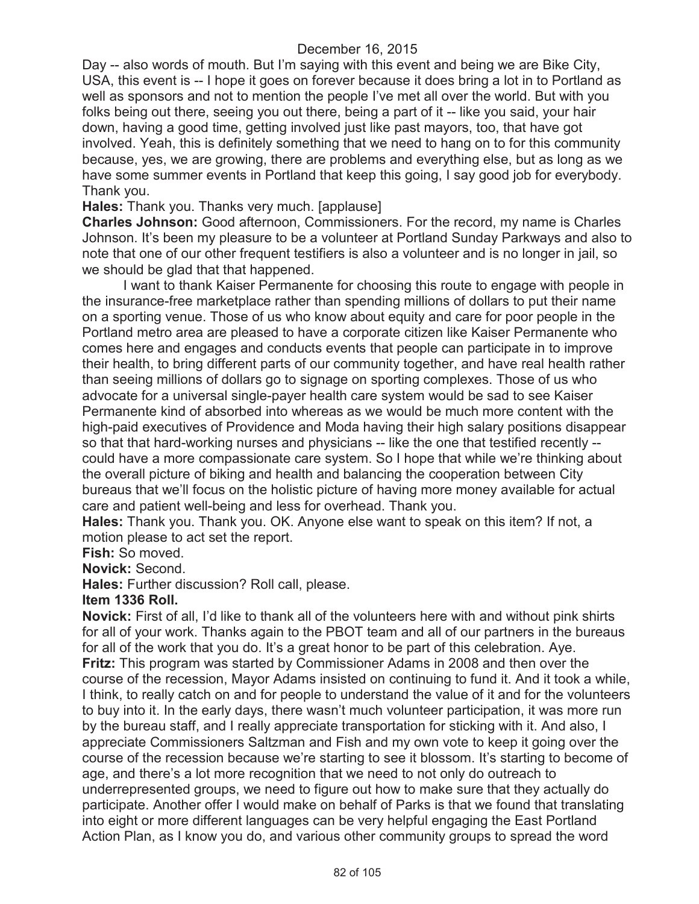Day -- also words of mouth. But I'm saying with this event and being we are Bike City, USA, this event is -- I hope it goes on forever because it does bring a lot in to Portland as well as sponsors and not to mention the people I've met all over the world. But with you folks being out there, seeing you out there, being a part of it -- like you said, your hair down, having a good time, getting involved just like past mayors, too, that have got involved. Yeah, this is definitely something that we need to hang on to for this community because, yes, we are growing, there are problems and everything else, but as long as we have some summer events in Portland that keep this going, I say good job for everybody. Thank you.

## **Hales:** Thank you. Thanks very much. [applause]

**Charles Johnson:** Good afternoon, Commissioners. For the record, my name is Charles Johnson. It's been my pleasure to be a volunteer at Portland Sunday Parkways and also to note that one of our other frequent testifiers is also a volunteer and is no longer in jail, so we should be glad that that happened.

I want to thank Kaiser Permanente for choosing this route to engage with people in the insurance-free marketplace rather than spending millions of dollars to put their name on a sporting venue. Those of us who know about equity and care for poor people in the Portland metro area are pleased to have a corporate citizen like Kaiser Permanente who comes here and engages and conducts events that people can participate in to improve their health, to bring different parts of our community together, and have real health rather than seeing millions of dollars go to signage on sporting complexes. Those of us who advocate for a universal single-payer health care system would be sad to see Kaiser Permanente kind of absorbed into whereas as we would be much more content with the high-paid executives of Providence and Moda having their high salary positions disappear so that that hard-working nurses and physicians -- like the one that testified recently - could have a more compassionate care system. So I hope that while we're thinking about the overall picture of biking and health and balancing the cooperation between City bureaus that we'll focus on the holistic picture of having more money available for actual care and patient well-being and less for overhead. Thank you.

**Hales:** Thank you. Thank you. OK. Anyone else want to speak on this item? If not, a motion please to act set the report.

**Fish:** So moved.

**Novick:** Second.

**Hales:** Further discussion? Roll call, please.

#### **Item 1336 Roll.**

**Novick:** First of all, I'd like to thank all of the volunteers here with and without pink shirts for all of your work. Thanks again to the PBOT team and all of our partners in the bureaus for all of the work that you do. It's a great honor to be part of this celebration. Aye. **Fritz:** This program was started by Commissioner Adams in 2008 and then over the course of the recession, Mayor Adams insisted on continuing to fund it. And it took a while, I think, to really catch on and for people to understand the value of it and for the volunteers to buy into it. In the early days, there wasn't much volunteer participation, it was more run by the bureau staff, and I really appreciate transportation for sticking with it. And also, I appreciate Commissioners Saltzman and Fish and my own vote to keep it going over the course of the recession because we're starting to see it blossom. It's starting to become of age, and there's a lot more recognition that we need to not only do outreach to underrepresented groups, we need to figure out how to make sure that they actually do participate. Another offer I would make on behalf of Parks is that we found that translating into eight or more different languages can be very helpful engaging the East Portland Action Plan, as I know you do, and various other community groups to spread the word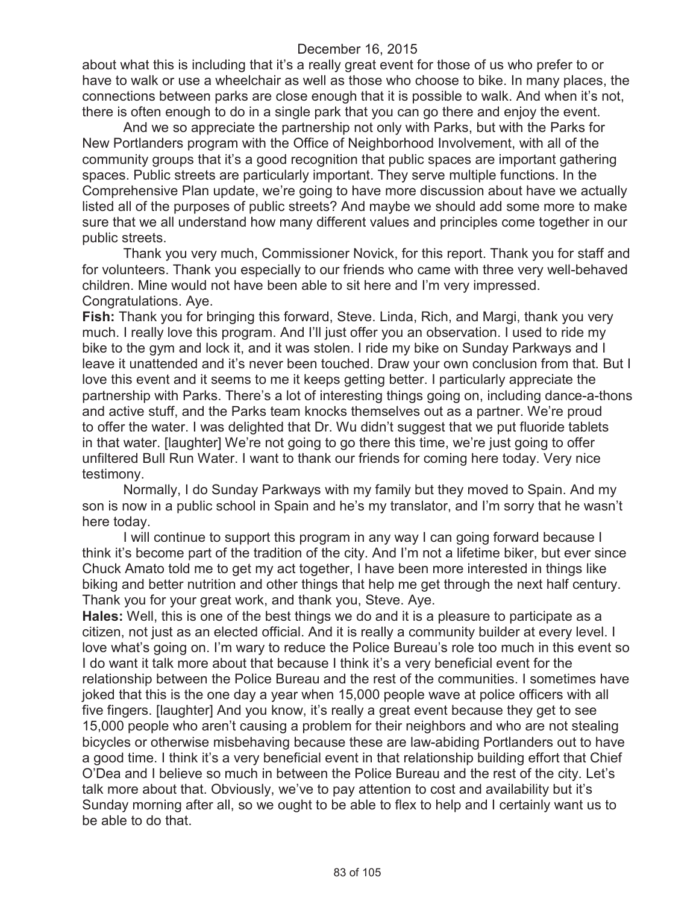about what this is including that it's a really great event for those of us who prefer to or have to walk or use a wheelchair as well as those who choose to bike. In many places, the connections between parks are close enough that it is possible to walk. And when it's not, there is often enough to do in a single park that you can go there and enjoy the event.

And we so appreciate the partnership not only with Parks, but with the Parks for New Portlanders program with the Office of Neighborhood Involvement, with all of the community groups that it's a good recognition that public spaces are important gathering spaces. Public streets are particularly important. They serve multiple functions. In the Comprehensive Plan update, we're going to have more discussion about have we actually listed all of the purposes of public streets? And maybe we should add some more to make sure that we all understand how many different values and principles come together in our public streets.

Thank you very much, Commissioner Novick, for this report. Thank you for staff and for volunteers. Thank you especially to our friends who came with three very well-behaved children. Mine would not have been able to sit here and I'm very impressed. Congratulations. Aye.

**Fish:** Thank you for bringing this forward, Steve. Linda, Rich, and Margi, thank you very much. I really love this program. And I'll just offer you an observation. I used to ride my bike to the gym and lock it, and it was stolen. I ride my bike on Sunday Parkways and I leave it unattended and it's never been touched. Draw your own conclusion from that. But I love this event and it seems to me it keeps getting better. I particularly appreciate the partnership with Parks. There's a lot of interesting things going on, including dance-a-thons and active stuff, and the Parks team knocks themselves out as a partner. We're proud to offer the water. I was delighted that Dr. Wu didn't suggest that we put fluoride tablets in that water. [laughter] We're not going to go there this time, we're just going to offer unfiltered Bull Run Water. I want to thank our friends for coming here today. Very nice testimony.

Normally, I do Sunday Parkways with my family but they moved to Spain. And my son is now in a public school in Spain and he's my translator, and I'm sorry that he wasn't here today.

I will continue to support this program in any way I can going forward because I think it's become part of the tradition of the city. And I'm not a lifetime biker, but ever since Chuck Amato told me to get my act together, I have been more interested in things like biking and better nutrition and other things that help me get through the next half century. Thank you for your great work, and thank you, Steve. Aye.

**Hales:** Well, this is one of the best things we do and it is a pleasure to participate as a citizen, not just as an elected official. And it is really a community builder at every level. I love what's going on. I'm wary to reduce the Police Bureau's role too much in this event so I do want it talk more about that because I think it's a very beneficial event for the relationship between the Police Bureau and the rest of the communities. I sometimes have joked that this is the one day a year when 15,000 people wave at police officers with all five fingers. [laughter] And you know, it's really a great event because they get to see 15,000 people who aren't causing a problem for their neighbors and who are not stealing bicycles or otherwise misbehaving because these are law-abiding Portlanders out to have a good time. I think it's a very beneficial event in that relationship building effort that Chief O'Dea and I believe so much in between the Police Bureau and the rest of the city. Let's talk more about that. Obviously, we've to pay attention to cost and availability but it's Sunday morning after all, so we ought to be able to flex to help and I certainly want us to be able to do that.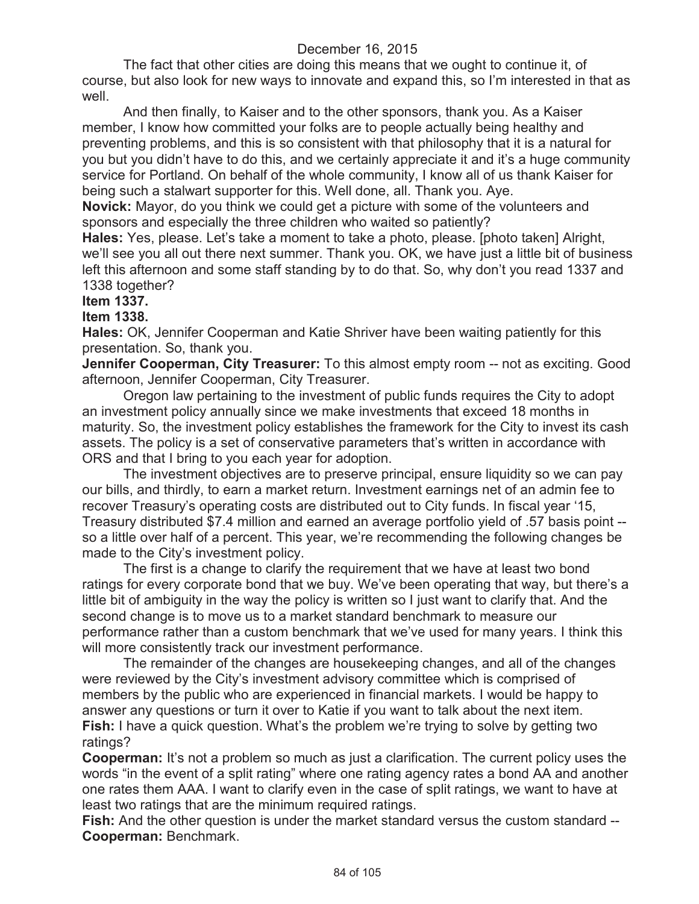The fact that other cities are doing this means that we ought to continue it, of course, but also look for new ways to innovate and expand this, so I'm interested in that as well.

And then finally, to Kaiser and to the other sponsors, thank you. As a Kaiser member, I know how committed your folks are to people actually being healthy and preventing problems, and this is so consistent with that philosophy that it is a natural for you but you didn't have to do this, and we certainly appreciate it and it's a huge community service for Portland. On behalf of the whole community, I know all of us thank Kaiser for being such a stalwart supporter for this. Well done, all. Thank you. Aye.

**Novick:** Mayor, do you think we could get a picture with some of the volunteers and sponsors and especially the three children who waited so patiently?

**Hales:** Yes, please. Let's take a moment to take a photo, please. [photo taken] Alright, we'll see you all out there next summer. Thank you. OK, we have just a little bit of business left this afternoon and some staff standing by to do that. So, why don't you read 1337 and 1338 together?

**Item 1337.**

**Item 1338.**

**Hales:** OK, Jennifer Cooperman and Katie Shriver have been waiting patiently for this presentation. So, thank you.

**Jennifer Cooperman, City Treasurer:** To this almost empty room -- not as exciting. Good afternoon, Jennifer Cooperman, City Treasurer.

Oregon law pertaining to the investment of public funds requires the City to adopt an investment policy annually since we make investments that exceed 18 months in maturity. So, the investment policy establishes the framework for the City to invest its cash assets. The policy is a set of conservative parameters that's written in accordance with ORS and that I bring to you each year for adoption.

The investment objectives are to preserve principal, ensure liquidity so we can pay our bills, and thirdly, to earn a market return. Investment earnings net of an admin fee to recover Treasury's operating costs are distributed out to City funds. In fiscal year '15, Treasury distributed \$7.4 million and earned an average portfolio yield of .57 basis point - so a little over half of a percent. This year, we're recommending the following changes be made to the City's investment policy.

The first is a change to clarify the requirement that we have at least two bond ratings for every corporate bond that we buy. We've been operating that way, but there's a little bit of ambiguity in the way the policy is written so I just want to clarify that. And the second change is to move us to a market standard benchmark to measure our performance rather than a custom benchmark that we've used for many years. I think this will more consistently track our investment performance.

The remainder of the changes are housekeeping changes, and all of the changes were reviewed by the City's investment advisory committee which is comprised of members by the public who are experienced in financial markets. I would be happy to answer any questions or turn it over to Katie if you want to talk about the next item. **Fish:** I have a quick question. What's the problem we're trying to solve by getting two ratings?

**Cooperman:** It's not a problem so much as just a clarification. The current policy uses the words "in the event of a split rating" where one rating agency rates a bond AA and another one rates them AAA. I want to clarify even in the case of split ratings, we want to have at least two ratings that are the minimum required ratings.

**Fish:** And the other question is under the market standard versus the custom standard -- **Cooperman:** Benchmark.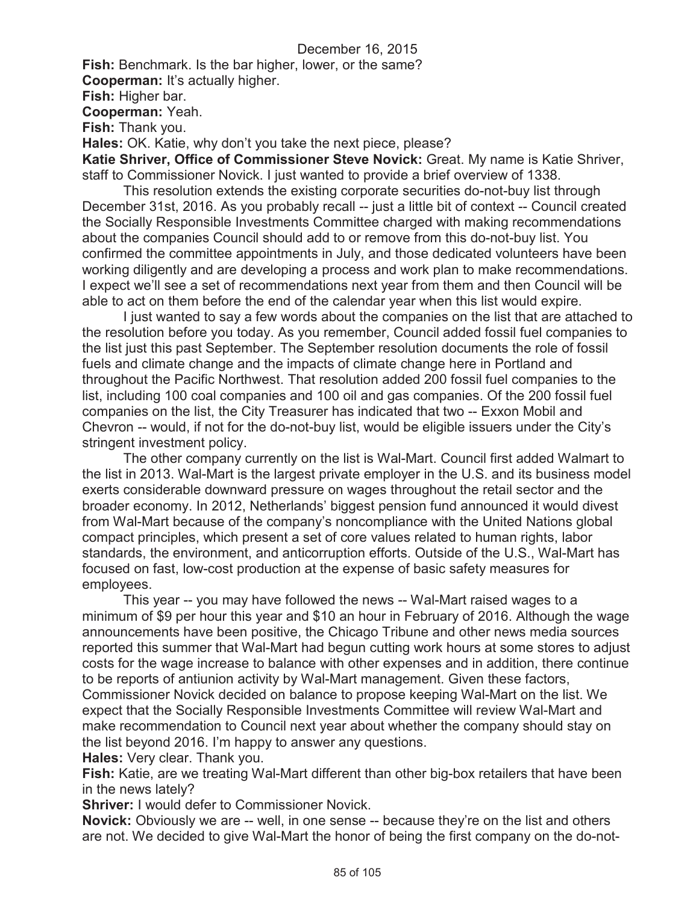**Fish:** Benchmark. Is the bar higher, lower, or the same?

**Cooperman:** It's actually higher.

**Fish:** Higher bar.

**Cooperman:** Yeah.

**Fish:** Thank you.

**Hales:** OK. Katie, why don't you take the next piece, please?

**Katie Shriver, Office of Commissioner Steve Novick:** Great. My name is Katie Shriver, staff to Commissioner Novick. I just wanted to provide a brief overview of 1338.

This resolution extends the existing corporate securities do-not-buy list through December 31st, 2016. As you probably recall -- just a little bit of context -- Council created the Socially Responsible Investments Committee charged with making recommendations about the companies Council should add to or remove from this do-not-buy list. You confirmed the committee appointments in July, and those dedicated volunteers have been working diligently and are developing a process and work plan to make recommendations. I expect we'll see a set of recommendations next year from them and then Council will be able to act on them before the end of the calendar year when this list would expire.

I just wanted to say a few words about the companies on the list that are attached to the resolution before you today. As you remember, Council added fossil fuel companies to the list just this past September. The September resolution documents the role of fossil fuels and climate change and the impacts of climate change here in Portland and throughout the Pacific Northwest. That resolution added 200 fossil fuel companies to the list, including 100 coal companies and 100 oil and gas companies. Of the 200 fossil fuel companies on the list, the City Treasurer has indicated that two -- Exxon Mobil and Chevron -- would, if not for the do-not-buy list, would be eligible issuers under the City's stringent investment policy.

The other company currently on the list is Wal-Mart. Council first added Walmart to the list in 2013. Wal-Mart is the largest private employer in the U.S. and its business model exerts considerable downward pressure on wages throughout the retail sector and the broader economy. In 2012, Netherlands' biggest pension fund announced it would divest from Wal-Mart because of the company's noncompliance with the United Nations global compact principles, which present a set of core values related to human rights, labor standards, the environment, and anticorruption efforts. Outside of the U.S., Wal-Mart has focused on fast, low-cost production at the expense of basic safety measures for employees.

This year -- you may have followed the news -- Wal-Mart raised wages to a minimum of \$9 per hour this year and \$10 an hour in February of 2016. Although the wage announcements have been positive, the Chicago Tribune and other news media sources reported this summer that Wal-Mart had begun cutting work hours at some stores to adjust costs for the wage increase to balance with other expenses and in addition, there continue to be reports of antiunion activity by Wal-Mart management. Given these factors, Commissioner Novick decided on balance to propose keeping Wal-Mart on the list. We expect that the Socially Responsible Investments Committee will review Wal-Mart and make recommendation to Council next year about whether the company should stay on the list beyond 2016. I'm happy to answer any questions.

**Hales:** Very clear. Thank you.

**Fish:** Katie, are we treating Wal-Mart different than other big-box retailers that have been in the news lately?

**Shriver:** I would defer to Commissioner Novick.

**Novick:** Obviously we are -- well, in one sense -- because they're on the list and others are not. We decided to give Wal-Mart the honor of being the first company on the do-not-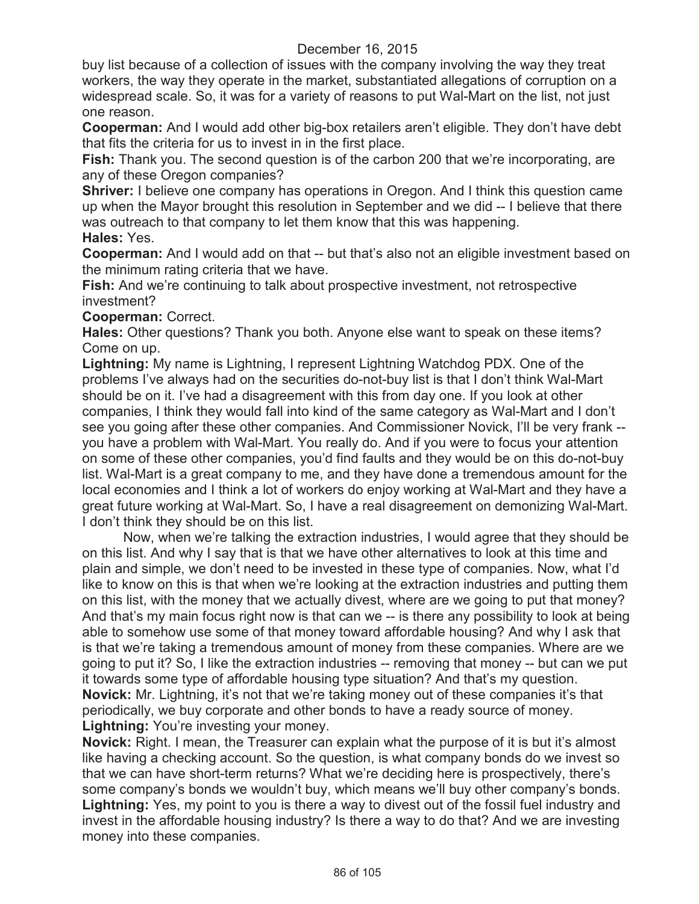buy list because of a collection of issues with the company involving the way they treat workers, the way they operate in the market, substantiated allegations of corruption on a widespread scale. So, it was for a variety of reasons to put Wal-Mart on the list, not just one reason.

**Cooperman:** And I would add other big-box retailers aren't eligible. They don't have debt that fits the criteria for us to invest in in the first place.

**Fish:** Thank you. The second question is of the carbon 200 that we're incorporating, are any of these Oregon companies?

**Shriver:** I believe one company has operations in Oregon. And I think this question came up when the Mayor brought this resolution in September and we did -- I believe that there was outreach to that company to let them know that this was happening.

**Hales:** Yes.

**Cooperman:** And I would add on that -- but that's also not an eligible investment based on the minimum rating criteria that we have.

**Fish:** And we're continuing to talk about prospective investment, not retrospective investment?

### **Cooperman:** Correct.

**Hales:** Other questions? Thank you both. Anyone else want to speak on these items? Come on up.

**Lightning:** My name is Lightning, I represent Lightning Watchdog PDX. One of the problems I've always had on the securities do-not-buy list is that I don't think Wal-Mart should be on it. I've had a disagreement with this from day one. If you look at other companies, I think they would fall into kind of the same category as Wal-Mart and I don't see you going after these other companies. And Commissioner Novick, I'll be very frank - you have a problem with Wal-Mart. You really do. And if you were to focus your attention on some of these other companies, you'd find faults and they would be on this do-not-buy list. Wal-Mart is a great company to me, and they have done a tremendous amount for the local economies and I think a lot of workers do enjoy working at Wal-Mart and they have a great future working at Wal-Mart. So, I have a real disagreement on demonizing Wal-Mart. I don't think they should be on this list.

Now, when we're talking the extraction industries, I would agree that they should be on this list. And why I say that is that we have other alternatives to look at this time and plain and simple, we don't need to be invested in these type of companies. Now, what I'd like to know on this is that when we're looking at the extraction industries and putting them on this list, with the money that we actually divest, where are we going to put that money? And that's my main focus right now is that can we -- is there any possibility to look at being able to somehow use some of that money toward affordable housing? And why I ask that is that we're taking a tremendous amount of money from these companies. Where are we going to put it? So, I like the extraction industries -- removing that money -- but can we put it towards some type of affordable housing type situation? And that's my question. **Novick:** Mr. Lightning, it's not that we're taking money out of these companies it's that periodically, we buy corporate and other bonds to have a ready source of money. **Lightning:** You're investing your money.

**Novick:** Right. I mean, the Treasurer can explain what the purpose of it is but it's almost like having a checking account. So the question, is what company bonds do we invest so that we can have short-term returns? What we're deciding here is prospectively, there's some company's bonds we wouldn't buy, which means we'll buy other company's bonds. **Lightning:** Yes, my point to you is there a way to divest out of the fossil fuel industry and invest in the affordable housing industry? Is there a way to do that? And we are investing money into these companies.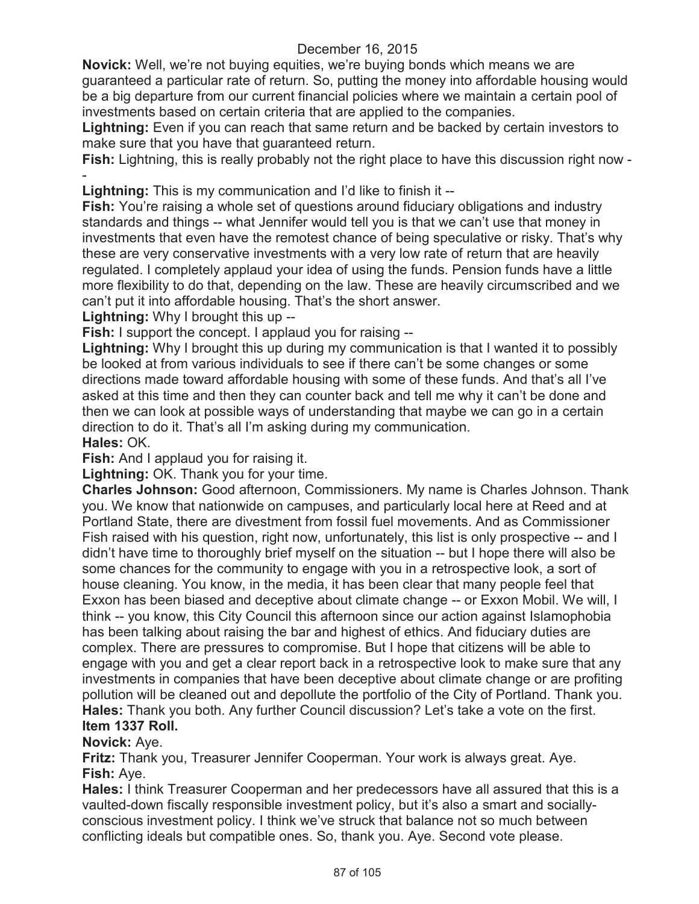**Novick:** Well, we're not buying equities, we're buying bonds which means we are guaranteed a particular rate of return. So, putting the money into affordable housing would be a big departure from our current financial policies where we maintain a certain pool of investments based on certain criteria that are applied to the companies.

**Lightning:** Even if you can reach that same return and be backed by certain investors to make sure that you have that guaranteed return.

**Fish:** Lightning, this is really probably not the right place to have this discussion right now - -

**Lightning:** This is my communication and I'd like to finish it --

**Fish:** You're raising a whole set of questions around fiduciary obligations and industry standards and things -- what Jennifer would tell you is that we can't use that money in investments that even have the remotest chance of being speculative or risky. That's why these are very conservative investments with a very low rate of return that are heavily regulated. I completely applaud your idea of using the funds. Pension funds have a little more flexibility to do that, depending on the law. These are heavily circumscribed and we can't put it into affordable housing. That's the short answer.

**Lightning:** Why I brought this up --

**Fish:** I support the concept. I applaud you for raising --

**Lightning:** Why I brought this up during my communication is that I wanted it to possibly be looked at from various individuals to see if there can't be some changes or some directions made toward affordable housing with some of these funds. And that's all I've asked at this time and then they can counter back and tell me why it can't be done and then we can look at possible ways of understanding that maybe we can go in a certain direction to do it. That's all I'm asking during my communication.

**Hales:** OK.

**Fish:** And I applaud you for raising it.

**Lightning:** OK. Thank you for your time.

**Charles Johnson:** Good afternoon, Commissioners. My name is Charles Johnson. Thank you. We know that nationwide on campuses, and particularly local here at Reed and at Portland State, there are divestment from fossil fuel movements. And as Commissioner Fish raised with his question, right now, unfortunately, this list is only prospective -- and I didn't have time to thoroughly brief myself on the situation -- but I hope there will also be some chances for the community to engage with you in a retrospective look, a sort of house cleaning. You know, in the media, it has been clear that many people feel that Exxon has been biased and deceptive about climate change -- or Exxon Mobil. We will, I think -- you know, this City Council this afternoon since our action against Islamophobia has been talking about raising the bar and highest of ethics. And fiduciary duties are complex. There are pressures to compromise. But I hope that citizens will be able to engage with you and get a clear report back in a retrospective look to make sure that any investments in companies that have been deceptive about climate change or are profiting pollution will be cleaned out and depollute the portfolio of the City of Portland. Thank you. **Hales:** Thank you both. Any further Council discussion? Let's take a vote on the first. **Item 1337 Roll.**

**Novick:** Aye.

**Fritz:** Thank you, Treasurer Jennifer Cooperman. Your work is always great. Aye. **Fish:** Aye.

**Hales:** I think Treasurer Cooperman and her predecessors have all assured that this is a vaulted-down fiscally responsible investment policy, but it's also a smart and sociallyconscious investment policy. I think we've struck that balance not so much between conflicting ideals but compatible ones. So, thank you. Aye. Second vote please.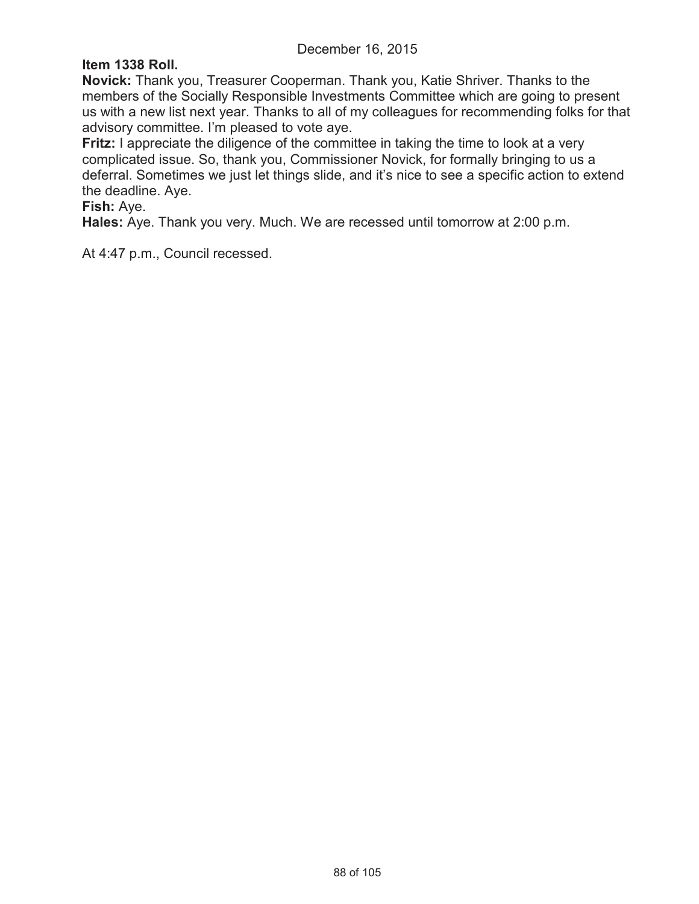## **Item 1338 Roll.**

**Novick:** Thank you, Treasurer Cooperman. Thank you, Katie Shriver. Thanks to the members of the Socially Responsible Investments Committee which are going to present us with a new list next year. Thanks to all of my colleagues for recommending folks for that advisory committee. I'm pleased to vote aye.

**Fritz:** I appreciate the diligence of the committee in taking the time to look at a very complicated issue. So, thank you, Commissioner Novick, for formally bringing to us a deferral. Sometimes we just let things slide, and it's nice to see a specific action to extend the deadline. Aye.

**Fish:** Aye.

**Hales:** Aye. Thank you very. Much. We are recessed until tomorrow at 2:00 p.m.

At 4:47 p.m., Council recessed.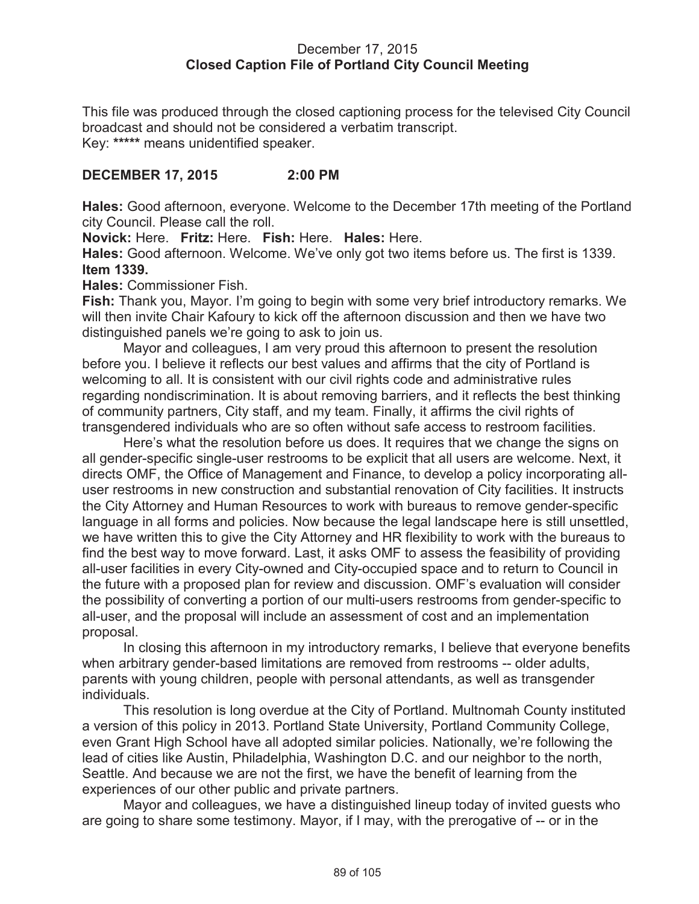### December 17, 2015 **Closed Caption File of Portland City Council Meeting**

This file was produced through the closed captioning process for the televised City Council broadcast and should not be considered a verbatim transcript. Key: **\*\*\*\*\*** means unidentified speaker.

### **DECEMBER 17, 2015 2:00 PM**

**Hales:** Good afternoon, everyone. Welcome to the December 17th meeting of the Portland city Council. Please call the roll.

**Novick:** Here. **Fritz:** Here. **Fish:** Here. **Hales:** Here.

**Hales:** Good afternoon. Welcome. We've only got two items before us. The first is 1339. **Item 1339.**

**Hales:** Commissioner Fish.

**Fish:** Thank you, Mayor. I'm going to begin with some very brief introductory remarks. We will then invite Chair Kafoury to kick off the afternoon discussion and then we have two distinguished panels we're going to ask to join us.

Mayor and colleagues, I am very proud this afternoon to present the resolution before you. I believe it reflects our best values and affirms that the city of Portland is welcoming to all. It is consistent with our civil rights code and administrative rules regarding nondiscrimination. It is about removing barriers, and it reflects the best thinking of community partners, City staff, and my team. Finally, it affirms the civil rights of transgendered individuals who are so often without safe access to restroom facilities.

Here's what the resolution before us does. It requires that we change the signs on all gender-specific single-user restrooms to be explicit that all users are welcome. Next, it directs OMF, the Office of Management and Finance, to develop a policy incorporating alluser restrooms in new construction and substantial renovation of City facilities. It instructs the City Attorney and Human Resources to work with bureaus to remove gender-specific language in all forms and policies. Now because the legal landscape here is still unsettled, we have written this to give the City Attorney and HR flexibility to work with the bureaus to find the best way to move forward. Last, it asks OMF to assess the feasibility of providing all-user facilities in every City-owned and City-occupied space and to return to Council in the future with a proposed plan for review and discussion. OMF's evaluation will consider the possibility of converting a portion of our multi-users restrooms from gender-specific to all-user, and the proposal will include an assessment of cost and an implementation proposal.

In closing this afternoon in my introductory remarks, I believe that everyone benefits when arbitrary gender-based limitations are removed from restrooms -- older adults, parents with young children, people with personal attendants, as well as transgender individuals.

This resolution is long overdue at the City of Portland. Multnomah County instituted a version of this policy in 2013. Portland State University, Portland Community College, even Grant High School have all adopted similar policies. Nationally, we're following the lead of cities like Austin, Philadelphia, Washington D.C. and our neighbor to the north, Seattle. And because we are not the first, we have the benefit of learning from the experiences of our other public and private partners.

Mayor and colleagues, we have a distinguished lineup today of invited guests who are going to share some testimony. Mayor, if I may, with the prerogative of -- or in the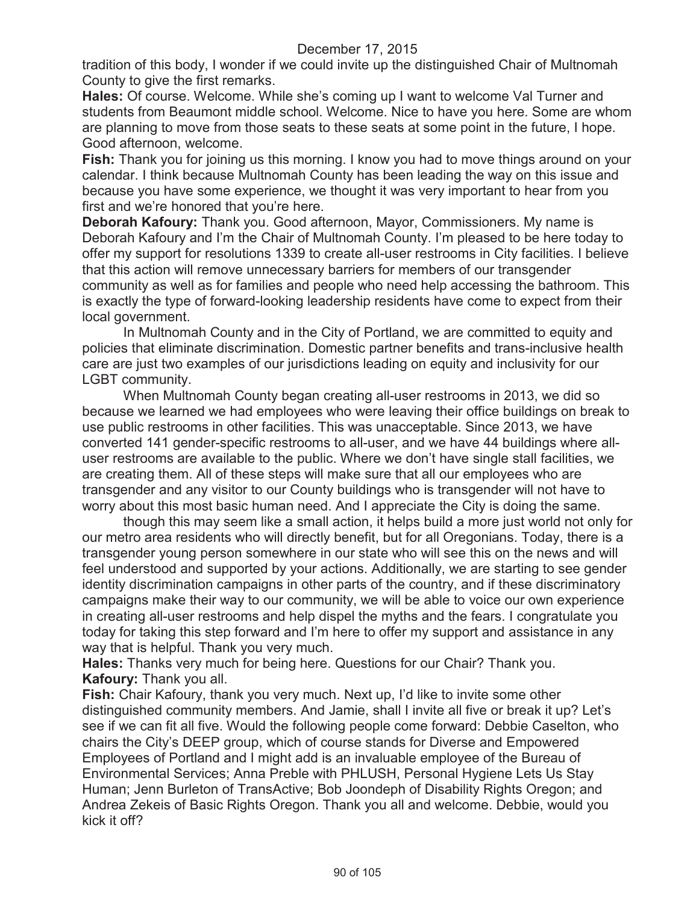tradition of this body, I wonder if we could invite up the distinguished Chair of Multnomah County to give the first remarks.

**Hales:** Of course. Welcome. While she's coming up I want to welcome Val Turner and students from Beaumont middle school. Welcome. Nice to have you here. Some are whom are planning to move from those seats to these seats at some point in the future, I hope. Good afternoon, welcome.

**Fish:** Thank you for joining us this morning. I know you had to move things around on your calendar. I think because Multnomah County has been leading the way on this issue and because you have some experience, we thought it was very important to hear from you first and we're honored that you're here.

**Deborah Kafoury:** Thank you. Good afternoon, Mayor, Commissioners. My name is Deborah Kafoury and I'm the Chair of Multnomah County. I'm pleased to be here today to offer my support for resolutions 1339 to create all-user restrooms in City facilities. I believe that this action will remove unnecessary barriers for members of our transgender community as well as for families and people who need help accessing the bathroom. This is exactly the type of forward-looking leadership residents have come to expect from their local government.

In Multnomah County and in the City of Portland, we are committed to equity and policies that eliminate discrimination. Domestic partner benefits and trans-inclusive health care are just two examples of our jurisdictions leading on equity and inclusivity for our LGBT community.

When Multnomah County began creating all-user restrooms in 2013, we did so because we learned we had employees who were leaving their office buildings on break to use public restrooms in other facilities. This was unacceptable. Since 2013, we have converted 141 gender-specific restrooms to all-user, and we have 44 buildings where alluser restrooms are available to the public. Where we don't have single stall facilities, we are creating them. All of these steps will make sure that all our employees who are transgender and any visitor to our County buildings who is transgender will not have to worry about this most basic human need. And I appreciate the City is doing the same.

though this may seem like a small action, it helps build a more just world not only for our metro area residents who will directly benefit, but for all Oregonians. Today, there is a transgender young person somewhere in our state who will see this on the news and will feel understood and supported by your actions. Additionally, we are starting to see gender identity discrimination campaigns in other parts of the country, and if these discriminatory campaigns make their way to our community, we will be able to voice our own experience in creating all-user restrooms and help dispel the myths and the fears. I congratulate you today for taking this step forward and I'm here to offer my support and assistance in any way that is helpful. Thank you very much.

**Hales:** Thanks very much for being here. Questions for our Chair? Thank you. **Kafoury:** Thank you all.

**Fish:** Chair Kafoury, thank you very much. Next up, I'd like to invite some other distinguished community members. And Jamie, shall I invite all five or break it up? Let's see if we can fit all five. Would the following people come forward: Debbie Caselton, who chairs the City's DEEP group, which of course stands for Diverse and Empowered Employees of Portland and I might add is an invaluable employee of the Bureau of Environmental Services; Anna Preble with PHLUSH, Personal Hygiene Lets Us Stay Human; Jenn Burleton of TransActive; Bob Joondeph of Disability Rights Oregon; and Andrea Zekeis of Basic Rights Oregon. Thank you all and welcome. Debbie, would you kick it off?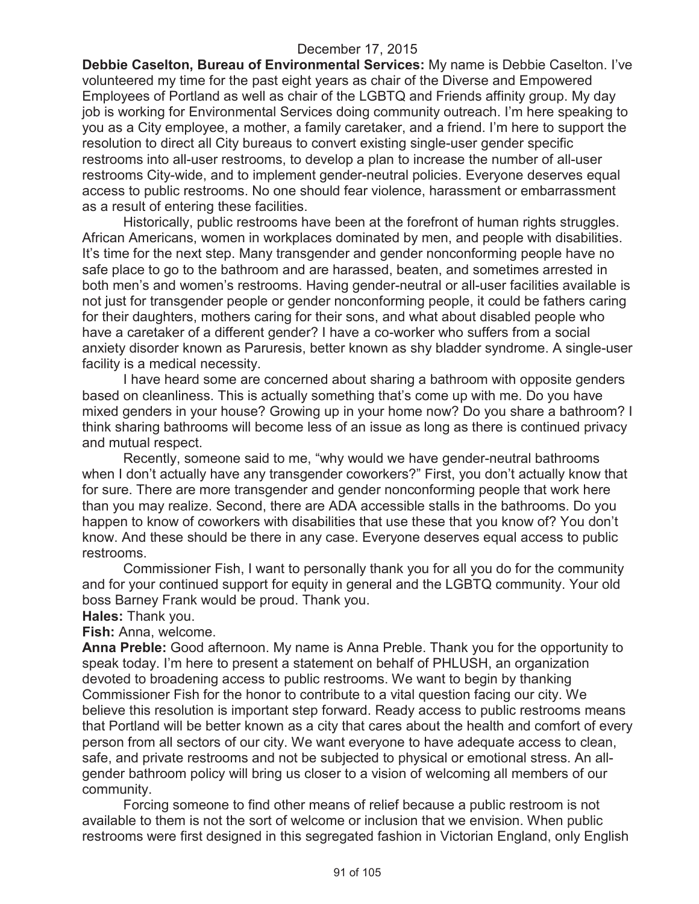**Debbie Caselton, Bureau of Environmental Services:** My name is Debbie Caselton. I've volunteered my time for the past eight years as chair of the Diverse and Empowered Employees of Portland as well as chair of the LGBTQ and Friends affinity group. My day job is working for Environmental Services doing community outreach. I'm here speaking to you as a City employee, a mother, a family caretaker, and a friend. I'm here to support the resolution to direct all City bureaus to convert existing single-user gender specific restrooms into all-user restrooms, to develop a plan to increase the number of all-user restrooms City-wide, and to implement gender-neutral policies. Everyone deserves equal access to public restrooms. No one should fear violence, harassment or embarrassment as a result of entering these facilities.

Historically, public restrooms have been at the forefront of human rights struggles. African Americans, women in workplaces dominated by men, and people with disabilities. It's time for the next step. Many transgender and gender nonconforming people have no safe place to go to the bathroom and are harassed, beaten, and sometimes arrested in both men's and women's restrooms. Having gender-neutral or all-user facilities available is not just for transgender people or gender nonconforming people, it could be fathers caring for their daughters, mothers caring for their sons, and what about disabled people who have a caretaker of a different gender? I have a co-worker who suffers from a social anxiety disorder known as Paruresis, better known as shy bladder syndrome. A single-user facility is a medical necessity.

I have heard some are concerned about sharing a bathroom with opposite genders based on cleanliness. This is actually something that's come up with me. Do you have mixed genders in your house? Growing up in your home now? Do you share a bathroom? I think sharing bathrooms will become less of an issue as long as there is continued privacy and mutual respect.

Recently, someone said to me, "why would we have gender-neutral bathrooms when I don't actually have any transgender coworkers?" First, you don't actually know that for sure. There are more transgender and gender nonconforming people that work here than you may realize. Second, there are ADA accessible stalls in the bathrooms. Do you happen to know of coworkers with disabilities that use these that you know of? You don't know. And these should be there in any case. Everyone deserves equal access to public restrooms.

Commissioner Fish, I want to personally thank you for all you do for the community and for your continued support for equity in general and the LGBTQ community. Your old boss Barney Frank would be proud. Thank you.

**Hales:** Thank you.

**Fish:** Anna, welcome.

**Anna Preble:** Good afternoon. My name is Anna Preble. Thank you for the opportunity to speak today. I'm here to present a statement on behalf of PHLUSH, an organization devoted to broadening access to public restrooms. We want to begin by thanking Commissioner Fish for the honor to contribute to a vital question facing our city. We believe this resolution is important step forward. Ready access to public restrooms means that Portland will be better known as a city that cares about the health and comfort of every person from all sectors of our city. We want everyone to have adequate access to clean, safe, and private restrooms and not be subjected to physical or emotional stress. An allgender bathroom policy will bring us closer to a vision of welcoming all members of our community.

Forcing someone to find other means of relief because a public restroom is not available to them is not the sort of welcome or inclusion that we envision. When public restrooms were first designed in this segregated fashion in Victorian England, only English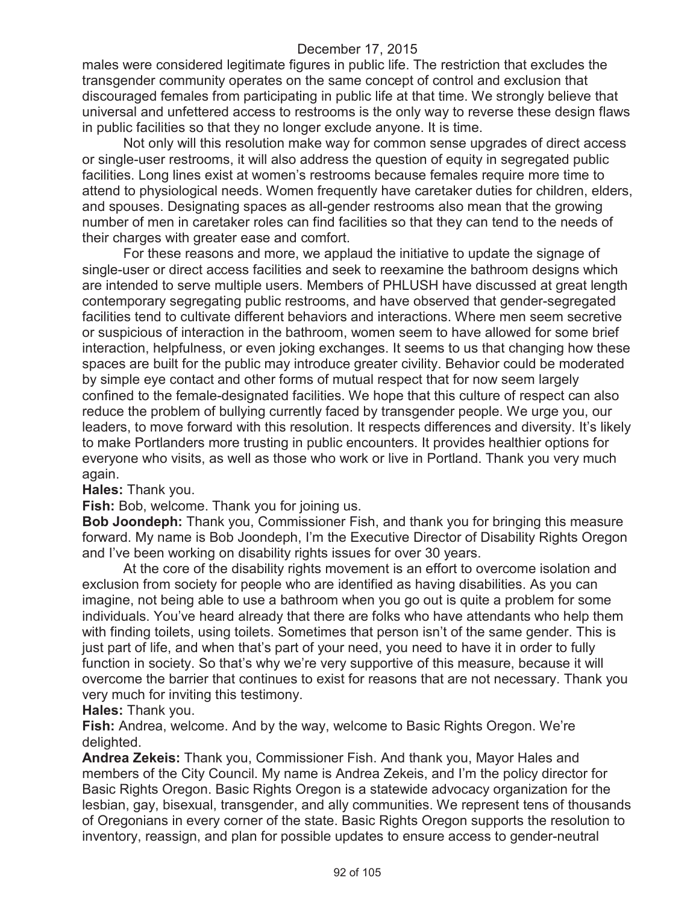males were considered legitimate figures in public life. The restriction that excludes the transgender community operates on the same concept of control and exclusion that discouraged females from participating in public life at that time. We strongly believe that universal and unfettered access to restrooms is the only way to reverse these design flaws in public facilities so that they no longer exclude anyone. It is time.

Not only will this resolution make way for common sense upgrades of direct access or single-user restrooms, it will also address the question of equity in segregated public facilities. Long lines exist at women's restrooms because females require more time to attend to physiological needs. Women frequently have caretaker duties for children, elders, and spouses. Designating spaces as all-gender restrooms also mean that the growing number of men in caretaker roles can find facilities so that they can tend to the needs of their charges with greater ease and comfort.

For these reasons and more, we applaud the initiative to update the signage of single-user or direct access facilities and seek to reexamine the bathroom designs which are intended to serve multiple users. Members of PHLUSH have discussed at great length contemporary segregating public restrooms, and have observed that gender-segregated facilities tend to cultivate different behaviors and interactions. Where men seem secretive or suspicious of interaction in the bathroom, women seem to have allowed for some brief interaction, helpfulness, or even joking exchanges. It seems to us that changing how these spaces are built for the public may introduce greater civility. Behavior could be moderated by simple eye contact and other forms of mutual respect that for now seem largely confined to the female-designated facilities. We hope that this culture of respect can also reduce the problem of bullying currently faced by transgender people. We urge you, our leaders, to move forward with this resolution. It respects differences and diversity. It's likely to make Portlanders more trusting in public encounters. It provides healthier options for everyone who visits, as well as those who work or live in Portland. Thank you very much again.

**Hales:** Thank you.

#### **Fish:** Bob, welcome. Thank you for joining us.

**Bob Joondeph:** Thank you, Commissioner Fish, and thank you for bringing this measure forward. My name is Bob Joondeph, I'm the Executive Director of Disability Rights Oregon and I've been working on disability rights issues for over 30 years.

At the core of the disability rights movement is an effort to overcome isolation and exclusion from society for people who are identified as having disabilities. As you can imagine, not being able to use a bathroom when you go out is quite a problem for some individuals. You've heard already that there are folks who have attendants who help them with finding toilets, using toilets. Sometimes that person isn't of the same gender. This is just part of life, and when that's part of your need, you need to have it in order to fully function in society. So that's why we're very supportive of this measure, because it will overcome the barrier that continues to exist for reasons that are not necessary. Thank you very much for inviting this testimony.

**Hales:** Thank you.

**Fish:** Andrea, welcome. And by the way, welcome to Basic Rights Oregon. We're delighted.

**Andrea Zekeis:** Thank you, Commissioner Fish. And thank you, Mayor Hales and members of the City Council. My name is Andrea Zekeis, and I'm the policy director for Basic Rights Oregon. Basic Rights Oregon is a statewide advocacy organization for the lesbian, gay, bisexual, transgender, and ally communities. We represent tens of thousands of Oregonians in every corner of the state. Basic Rights Oregon supports the resolution to inventory, reassign, and plan for possible updates to ensure access to gender-neutral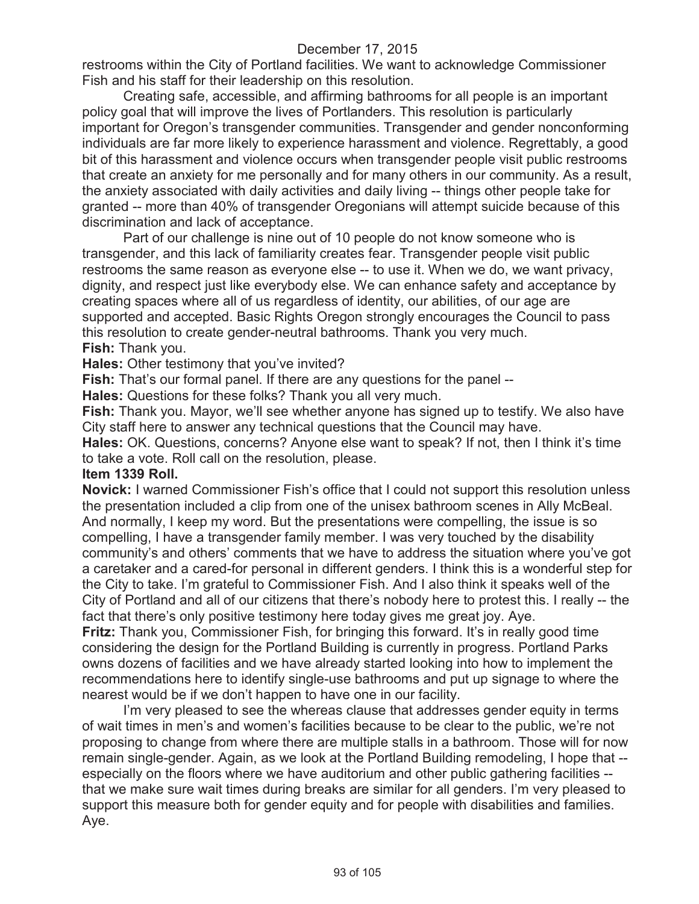restrooms within the City of Portland facilities. We want to acknowledge Commissioner Fish and his staff for their leadership on this resolution.

Creating safe, accessible, and affirming bathrooms for all people is an important policy goal that will improve the lives of Portlanders. This resolution is particularly important for Oregon's transgender communities. Transgender and gender nonconforming individuals are far more likely to experience harassment and violence. Regrettably, a good bit of this harassment and violence occurs when transgender people visit public restrooms that create an anxiety for me personally and for many others in our community. As a result, the anxiety associated with daily activities and daily living -- things other people take for granted -- more than 40% of transgender Oregonians will attempt suicide because of this discrimination and lack of acceptance.

Part of our challenge is nine out of 10 people do not know someone who is transgender, and this lack of familiarity creates fear. Transgender people visit public restrooms the same reason as everyone else -- to use it. When we do, we want privacy, dignity, and respect just like everybody else. We can enhance safety and acceptance by creating spaces where all of us regardless of identity, our abilities, of our age are supported and accepted. Basic Rights Oregon strongly encourages the Council to pass this resolution to create gender-neutral bathrooms. Thank you very much. **Fish:** Thank you.

**Hales:** Other testimony that you've invited?

**Fish:** That's our formal panel. If there are any questions for the panel --

**Hales:** Questions for these folks? Thank you all very much.

**Fish:** Thank you. Mayor, we'll see whether anyone has signed up to testify. We also have City staff here to answer any technical questions that the Council may have.

**Hales:** OK. Questions, concerns? Anyone else want to speak? If not, then I think it's time to take a vote. Roll call on the resolution, please.

#### **Item 1339 Roll.**

**Novick:** I warned Commissioner Fish's office that I could not support this resolution unless the presentation included a clip from one of the unisex bathroom scenes in Ally McBeal. And normally, I keep my word. But the presentations were compelling, the issue is so compelling, I have a transgender family member. I was very touched by the disability community's and others' comments that we have to address the situation where you've got a caretaker and a cared-for personal in different genders. I think this is a wonderful step for the City to take. I'm grateful to Commissioner Fish. And I also think it speaks well of the City of Portland and all of our citizens that there's nobody here to protest this. I really -- the fact that there's only positive testimony here today gives me great joy. Aye.

**Fritz:** Thank you, Commissioner Fish, for bringing this forward. It's in really good time considering the design for the Portland Building is currently in progress. Portland Parks owns dozens of facilities and we have already started looking into how to implement the recommendations here to identify single-use bathrooms and put up signage to where the nearest would be if we don't happen to have one in our facility.

I'm very pleased to see the whereas clause that addresses gender equity in terms of wait times in men's and women's facilities because to be clear to the public, we're not proposing to change from where there are multiple stalls in a bathroom. Those will for now remain single-gender. Again, as we look at the Portland Building remodeling, I hope that - especially on the floors where we have auditorium and other public gathering facilities - that we make sure wait times during breaks are similar for all genders. I'm very pleased to support this measure both for gender equity and for people with disabilities and families. Aye.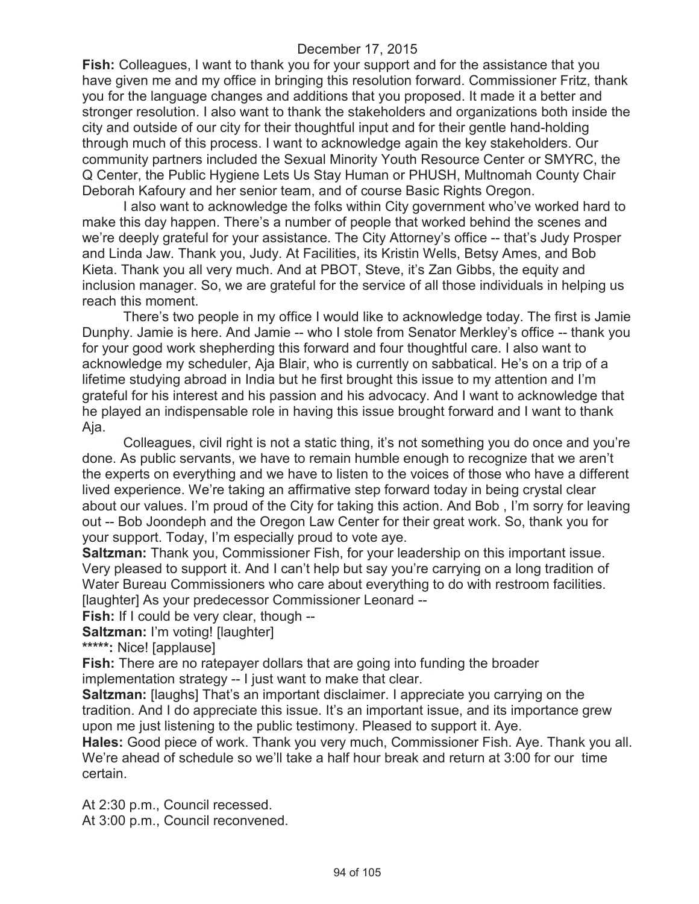**Fish:** Colleagues, I want to thank you for your support and for the assistance that you have given me and my office in bringing this resolution forward. Commissioner Fritz, thank you for the language changes and additions that you proposed. It made it a better and stronger resolution. I also want to thank the stakeholders and organizations both inside the city and outside of our city for their thoughtful input and for their gentle hand-holding through much of this process. I want to acknowledge again the key stakeholders. Our community partners included the Sexual Minority Youth Resource Center or SMYRC, the Q Center, the Public Hygiene Lets Us Stay Human or PHUSH, Multnomah County Chair Deborah Kafoury and her senior team, and of course Basic Rights Oregon.

I also want to acknowledge the folks within City government who've worked hard to make this day happen. There's a number of people that worked behind the scenes and we're deeply grateful for your assistance. The City Attorney's office -- that's Judy Prosper and Linda Jaw. Thank you, Judy. At Facilities, its Kristin Wells, Betsy Ames, and Bob Kieta. Thank you all very much. And at PBOT, Steve, it's Zan Gibbs, the equity and inclusion manager. So, we are grateful for the service of all those individuals in helping us reach this moment.

There's two people in my office I would like to acknowledge today. The first is Jamie Dunphy. Jamie is here. And Jamie -- who I stole from Senator Merkley's office -- thank you for your good work shepherding this forward and four thoughtful care. I also want to acknowledge my scheduler, Aja Blair, who is currently on sabbatical. He's on a trip of a lifetime studying abroad in India but he first brought this issue to my attention and I'm grateful for his interest and his passion and his advocacy. And I want to acknowledge that he played an indispensable role in having this issue brought forward and I want to thank Aja.

Colleagues, civil right is not a static thing, it's not something you do once and you're done. As public servants, we have to remain humble enough to recognize that we aren't the experts on everything and we have to listen to the voices of those who have a different lived experience. We're taking an affirmative step forward today in being crystal clear about our values. I'm proud of the City for taking this action. And Bob , I'm sorry for leaving out -- Bob Joondeph and the Oregon Law Center for their great work. So, thank you for your support. Today, I'm especially proud to vote aye.

**Saltzman:** Thank you, Commissioner Fish, for your leadership on this important issue. Very pleased to support it. And I can't help but say you're carrying on a long tradition of Water Bureau Commissioners who care about everything to do with restroom facilities. [laughter] As your predecessor Commissioner Leonard --

**Fish:** If I could be very clear, though --

**Saltzman:** I'm voting! [laughter]

**\*\*\*\*\*:** Nice! [applause]

**Fish:** There are no ratepayer dollars that are going into funding the broader

implementation strategy -- I just want to make that clear.

**Saltzman:** [laughs] That's an important disclaimer. I appreciate you carrying on the tradition. And I do appreciate this issue. It's an important issue, and its importance grew upon me just listening to the public testimony. Pleased to support it. Aye.

**Hales:** Good piece of work. Thank you very much, Commissioner Fish. Aye. Thank you all. We're ahead of schedule so we'll take a half hour break and return at 3:00 for our time certain.

At 2:30 p.m., Council recessed. At 3:00 p.m., Council reconvened.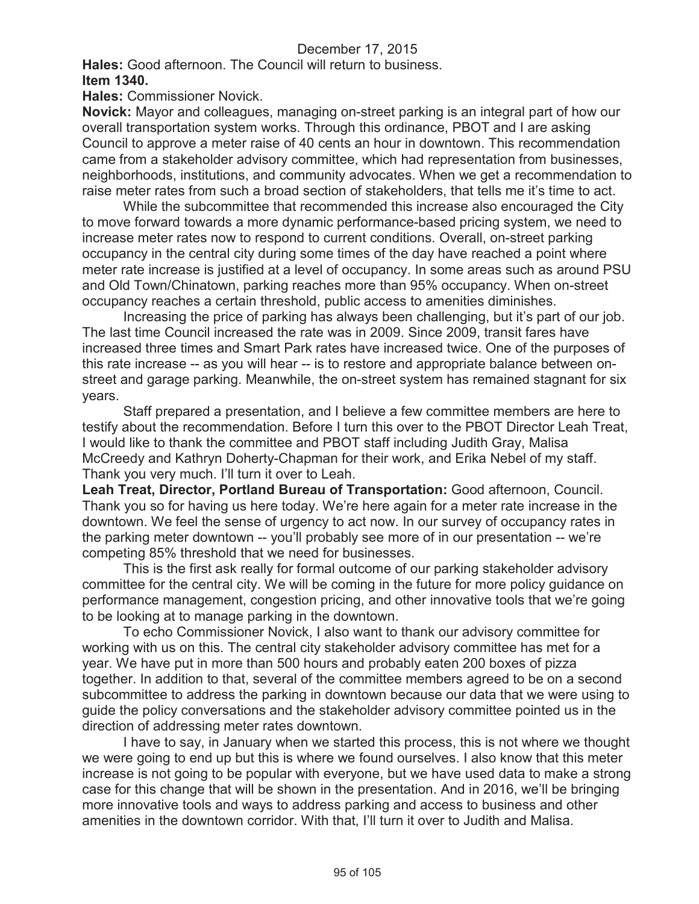**Hales:** Good afternoon. The Council will return to business. **Item 1340.**

**Hales:** Commissioner Novick.

**Novick:** Mayor and colleagues, managing on-street parking is an integral part of how our overall transportation system works. Through this ordinance, PBOT and I are asking Council to approve a meter raise of 40 cents an hour in downtown. This recommendation came from a stakeholder advisory committee, which had representation from businesses, neighborhoods, institutions, and community advocates. When we get a recommendation to raise meter rates from such a broad section of stakeholders, that tells me it's time to act.

While the subcommittee that recommended this increase also encouraged the City to move forward towards a more dynamic performance-based pricing system, we need to increase meter rates now to respond to current conditions. Overall, on-street parking occupancy in the central city during some times of the day have reached a point where meter rate increase is justified at a level of occupancy. In some areas such as around PSU and Old Town/Chinatown, parking reaches more than 95% occupancy. When on-street occupancy reaches a certain threshold, public access to amenities diminishes.

Increasing the price of parking has always been challenging, but it's part of our job. The last time Council increased the rate was in 2009. Since 2009, transit fares have increased three times and Smart Park rates have increased twice. One of the purposes of this rate increase -- as you will hear -- is to restore and appropriate balance between onstreet and garage parking. Meanwhile, the on-street system has remained stagnant for six years.

Staff prepared a presentation, and I believe a few committee members are here to testify about the recommendation. Before I turn this over to the PBOT Director Leah Treat, I would like to thank the committee and PBOT staff including Judith Gray, Malisa McCreedy and Kathryn Doherty-Chapman for their work, and Erika Nebel of my staff. Thank you very much. I'll turn it over to Leah.

**Leah Treat, Director, Portland Bureau of Transportation:** Good afternoon, Council. Thank you so for having us here today. We're here again for a meter rate increase in the downtown. We feel the sense of urgency to act now. In our survey of occupancy rates in the parking meter downtown -- you'll probably see more of in our presentation -- we're competing 85% threshold that we need for businesses.

This is the first ask really for formal outcome of our parking stakeholder advisory committee for the central city. We will be coming in the future for more policy guidance on performance management, congestion pricing, and other innovative tools that we're going to be looking at to manage parking in the downtown.

To echo Commissioner Novick, I also want to thank our advisory committee for working with us on this. The central city stakeholder advisory committee has met for a year. We have put in more than 500 hours and probably eaten 200 boxes of pizza together. In addition to that, several of the committee members agreed to be on a second subcommittee to address the parking in downtown because our data that we were using to guide the policy conversations and the stakeholder advisory committee pointed us in the direction of addressing meter rates downtown.

I have to say, in January when we started this process, this is not where we thought we were going to end up but this is where we found ourselves. I also know that this meter increase is not going to be popular with everyone, but we have used data to make a strong case for this change that will be shown in the presentation. And in 2016, we'll be bringing more innovative tools and ways to address parking and access to business and other amenities in the downtown corridor. With that, I'll turn it over to Judith and Malisa.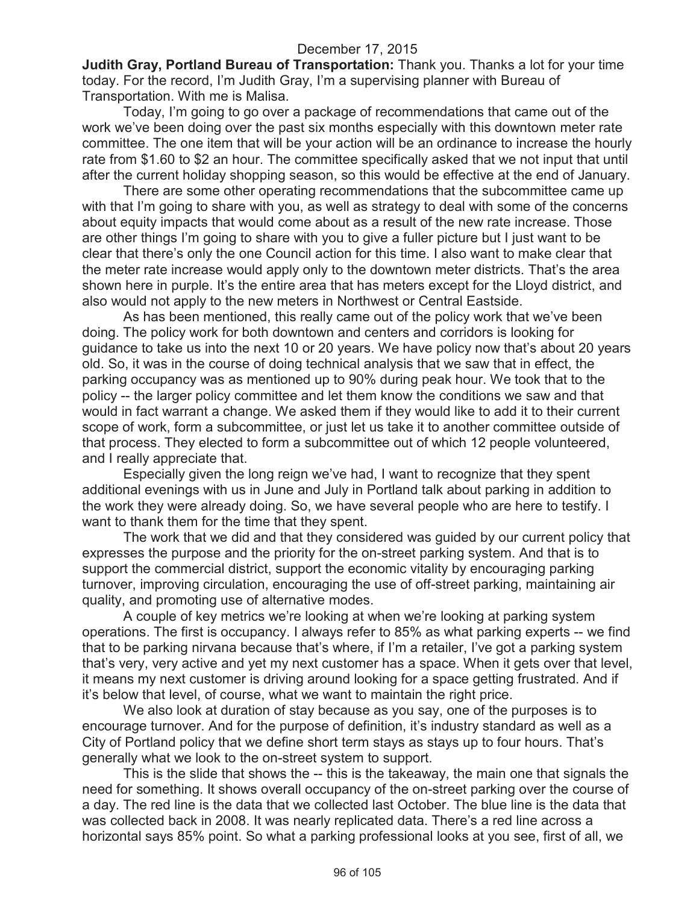**Judith Gray, Portland Bureau of Transportation:** Thank you. Thanks a lot for your time today. For the record, I'm Judith Gray, I'm a supervising planner with Bureau of Transportation. With me is Malisa.

Today, I'm going to go over a package of recommendations that came out of the work we've been doing over the past six months especially with this downtown meter rate committee. The one item that will be your action will be an ordinance to increase the hourly rate from \$1.60 to \$2 an hour. The committee specifically asked that we not input that until after the current holiday shopping season, so this would be effective at the end of January.

There are some other operating recommendations that the subcommittee came up with that I'm going to share with you, as well as strategy to deal with some of the concerns about equity impacts that would come about as a result of the new rate increase. Those are other things I'm going to share with you to give a fuller picture but I just want to be clear that there's only the one Council action for this time. I also want to make clear that the meter rate increase would apply only to the downtown meter districts. That's the area shown here in purple. It's the entire area that has meters except for the Lloyd district, and also would not apply to the new meters in Northwest or Central Eastside.

As has been mentioned, this really came out of the policy work that we've been doing. The policy work for both downtown and centers and corridors is looking for guidance to take us into the next 10 or 20 years. We have policy now that's about 20 years old. So, it was in the course of doing technical analysis that we saw that in effect, the parking occupancy was as mentioned up to 90% during peak hour. We took that to the policy -- the larger policy committee and let them know the conditions we saw and that would in fact warrant a change. We asked them if they would like to add it to their current scope of work, form a subcommittee, or just let us take it to another committee outside of that process. They elected to form a subcommittee out of which 12 people volunteered, and I really appreciate that.

Especially given the long reign we've had, I want to recognize that they spent additional evenings with us in June and July in Portland talk about parking in addition to the work they were already doing. So, we have several people who are here to testify. I want to thank them for the time that they spent.

The work that we did and that they considered was guided by our current policy that expresses the purpose and the priority for the on-street parking system. And that is to support the commercial district, support the economic vitality by encouraging parking turnover, improving circulation, encouraging the use of off-street parking, maintaining air quality, and promoting use of alternative modes.

A couple of key metrics we're looking at when we're looking at parking system operations. The first is occupancy. I always refer to 85% as what parking experts -- we find that to be parking nirvana because that's where, if I'm a retailer, I've got a parking system that's very, very active and yet my next customer has a space. When it gets over that level, it means my next customer is driving around looking for a space getting frustrated. And if it's below that level, of course, what we want to maintain the right price.

We also look at duration of stay because as you say, one of the purposes is to encourage turnover. And for the purpose of definition, it's industry standard as well as a City of Portland policy that we define short term stays as stays up to four hours. That's generally what we look to the on-street system to support.

This is the slide that shows the -- this is the takeaway, the main one that signals the need for something. It shows overall occupancy of the on-street parking over the course of a day. The red line is the data that we collected last October. The blue line is the data that was collected back in 2008. It was nearly replicated data. There's a red line across a horizontal says 85% point. So what a parking professional looks at you see, first of all, we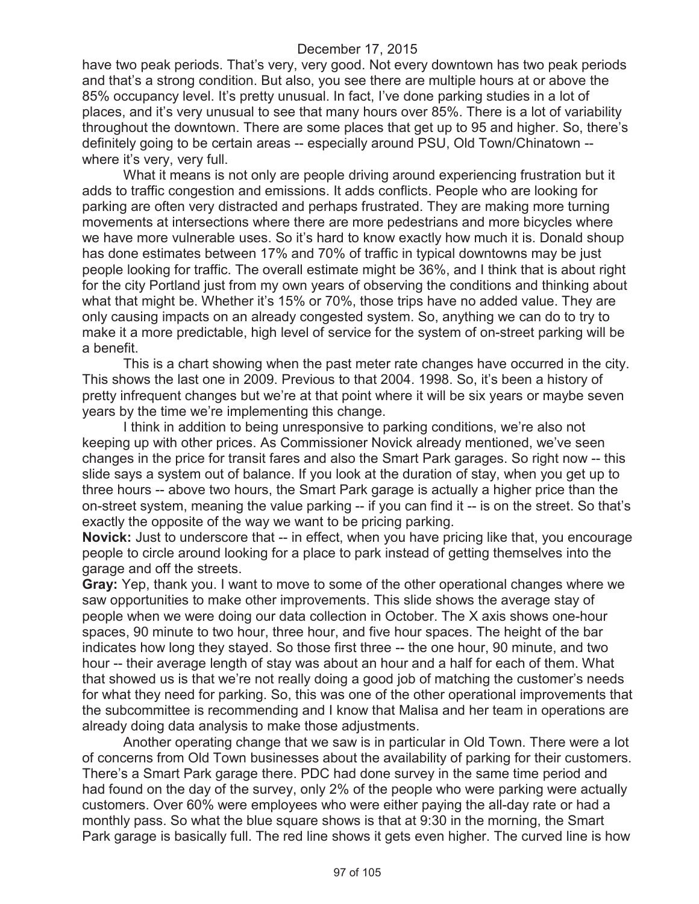have two peak periods. That's very, very good. Not every downtown has two peak periods and that's a strong condition. But also, you see there are multiple hours at or above the 85% occupancy level. It's pretty unusual. In fact, I've done parking studies in a lot of places, and it's very unusual to see that many hours over 85%. There is a lot of variability throughout the downtown. There are some places that get up to 95 and higher. So, there's definitely going to be certain areas -- especially around PSU, Old Town/Chinatown - where it's very, very full.

What it means is not only are people driving around experiencing frustration but it adds to traffic congestion and emissions. It adds conflicts. People who are looking for parking are often very distracted and perhaps frustrated. They are making more turning movements at intersections where there are more pedestrians and more bicycles where we have more vulnerable uses. So it's hard to know exactly how much it is. Donald shoup has done estimates between 17% and 70% of traffic in typical downtowns may be just people looking for traffic. The overall estimate might be 36%, and I think that is about right for the city Portland just from my own years of observing the conditions and thinking about what that might be. Whether it's 15% or 70%, those trips have no added value. They are only causing impacts on an already congested system. So, anything we can do to try to make it a more predictable, high level of service for the system of on-street parking will be a benefit.

This is a chart showing when the past meter rate changes have occurred in the city. This shows the last one in 2009. Previous to that 2004. 1998. So, it's been a history of pretty infrequent changes but we're at that point where it will be six years or maybe seven years by the time we're implementing this change.

I think in addition to being unresponsive to parking conditions, we're also not keeping up with other prices. As Commissioner Novick already mentioned, we've seen changes in the price for transit fares and also the Smart Park garages. So right now -- this slide says a system out of balance. If you look at the duration of stay, when you get up to three hours -- above two hours, the Smart Park garage is actually a higher price than the on-street system, meaning the value parking -- if you can find it -- is on the street. So that's exactly the opposite of the way we want to be pricing parking.

**Novick:** Just to underscore that -- in effect, when you have pricing like that, you encourage people to circle around looking for a place to park instead of getting themselves into the garage and off the streets.

**Gray:** Yep, thank you. I want to move to some of the other operational changes where we saw opportunities to make other improvements. This slide shows the average stay of people when we were doing our data collection in October. The X axis shows one-hour spaces, 90 minute to two hour, three hour, and five hour spaces. The height of the bar indicates how long they stayed. So those first three -- the one hour, 90 minute, and two hour -- their average length of stay was about an hour and a half for each of them. What that showed us is that we're not really doing a good job of matching the customer's needs for what they need for parking. So, this was one of the other operational improvements that the subcommittee is recommending and I know that Malisa and her team in operations are already doing data analysis to make those adjustments.

Another operating change that we saw is in particular in Old Town. There were a lot of concerns from Old Town businesses about the availability of parking for their customers. There's a Smart Park garage there. PDC had done survey in the same time period and had found on the day of the survey, only 2% of the people who were parking were actually customers. Over 60% were employees who were either paying the all-day rate or had a monthly pass. So what the blue square shows is that at 9:30 in the morning, the Smart Park garage is basically full. The red line shows it gets even higher. The curved line is how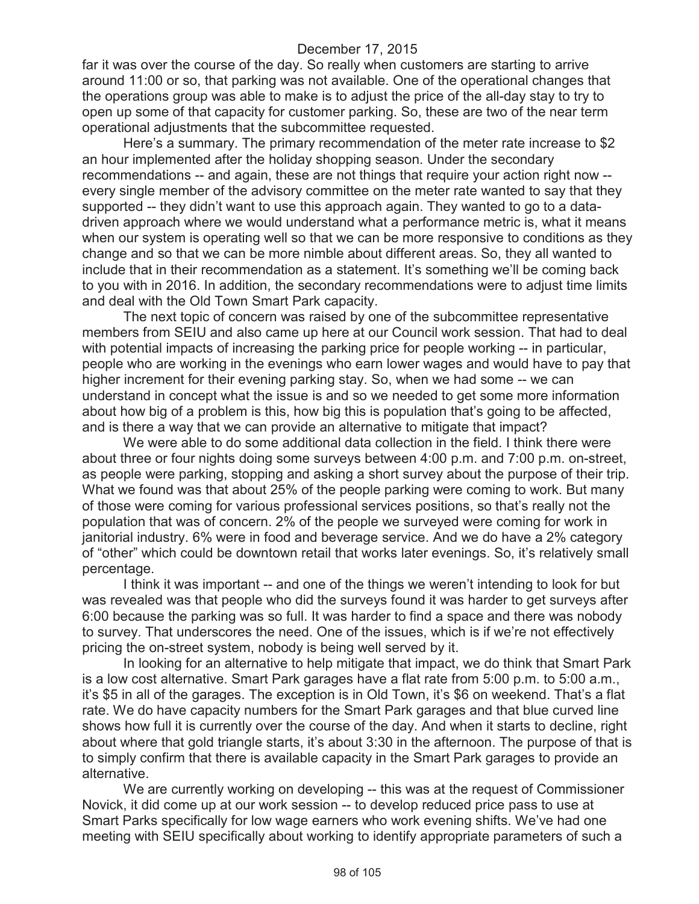far it was over the course of the day. So really when customers are starting to arrive around 11:00 or so, that parking was not available. One of the operational changes that the operations group was able to make is to adjust the price of the all-day stay to try to open up some of that capacity for customer parking. So, these are two of the near term operational adjustments that the subcommittee requested.

Here's a summary. The primary recommendation of the meter rate increase to \$2 an hour implemented after the holiday shopping season. Under the secondary recommendations -- and again, these are not things that require your action right now - every single member of the advisory committee on the meter rate wanted to say that they supported -- they didn't want to use this approach again. They wanted to go to a datadriven approach where we would understand what a performance metric is, what it means when our system is operating well so that we can be more responsive to conditions as they change and so that we can be more nimble about different areas. So, they all wanted to include that in their recommendation as a statement. It's something we'll be coming back to you with in 2016. In addition, the secondary recommendations were to adjust time limits and deal with the Old Town Smart Park capacity.

The next topic of concern was raised by one of the subcommittee representative members from SEIU and also came up here at our Council work session. That had to deal with potential impacts of increasing the parking price for people working -- in particular, people who are working in the evenings who earn lower wages and would have to pay that higher increment for their evening parking stay. So, when we had some -- we can understand in concept what the issue is and so we needed to get some more information about how big of a problem is this, how big this is population that's going to be affected, and is there a way that we can provide an alternative to mitigate that impact?

We were able to do some additional data collection in the field. I think there were about three or four nights doing some surveys between 4:00 p.m. and 7:00 p.m. on-street, as people were parking, stopping and asking a short survey about the purpose of their trip. What we found was that about 25% of the people parking were coming to work. But many of those were coming for various professional services positions, so that's really not the population that was of concern. 2% of the people we surveyed were coming for work in janitorial industry. 6% were in food and beverage service. And we do have a 2% category of "other" which could be downtown retail that works later evenings. So, it's relatively small percentage.

I think it was important -- and one of the things we weren't intending to look for but was revealed was that people who did the surveys found it was harder to get surveys after 6:00 because the parking was so full. It was harder to find a space and there was nobody to survey. That underscores the need. One of the issues, which is if we're not effectively pricing the on-street system, nobody is being well served by it.

In looking for an alternative to help mitigate that impact, we do think that Smart Park is a low cost alternative. Smart Park garages have a flat rate from 5:00 p.m. to 5:00 a.m., it's \$5 in all of the garages. The exception is in Old Town, it's \$6 on weekend. That's a flat rate. We do have capacity numbers for the Smart Park garages and that blue curved line shows how full it is currently over the course of the day. And when it starts to decline, right about where that gold triangle starts, it's about 3:30 in the afternoon. The purpose of that is to simply confirm that there is available capacity in the Smart Park garages to provide an alternative.

We are currently working on developing -- this was at the request of Commissioner Novick, it did come up at our work session -- to develop reduced price pass to use at Smart Parks specifically for low wage earners who work evening shifts. We've had one meeting with SEIU specifically about working to identify appropriate parameters of such a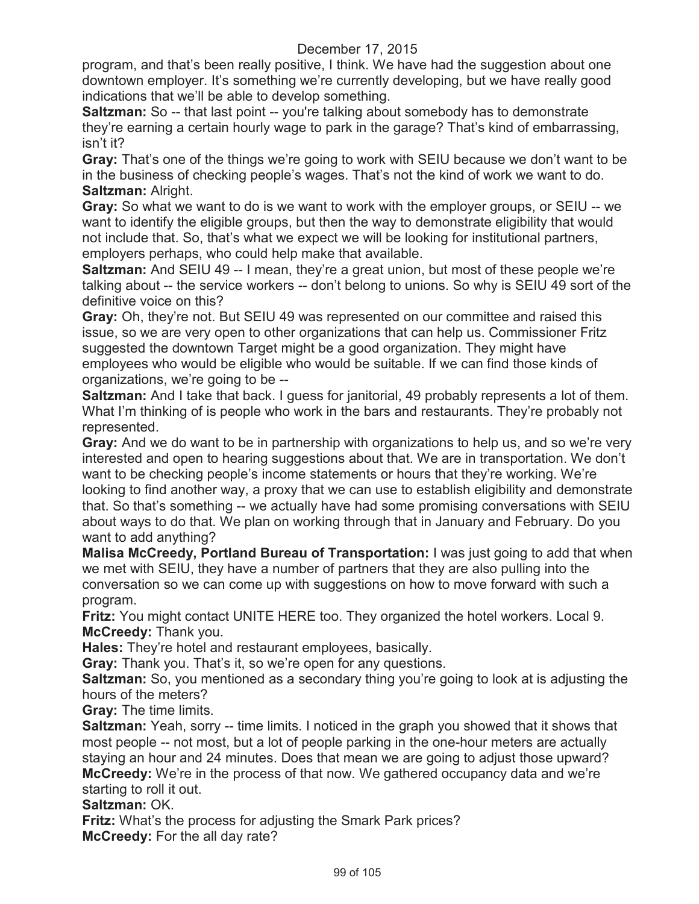program, and that's been really positive, I think. We have had the suggestion about one downtown employer. It's something we're currently developing, but we have really good indications that we'll be able to develop something.

**Saltzman:** So -- that last point -- you're talking about somebody has to demonstrate they're earning a certain hourly wage to park in the garage? That's kind of embarrassing, isn't it?

**Gray:** That's one of the things we're going to work with SEIU because we don't want to be in the business of checking people's wages. That's not the kind of work we want to do. **Saltzman:** Alright.

**Gray:** So what we want to do is we want to work with the employer groups, or SEIU -- we want to identify the eligible groups, but then the way to demonstrate eligibility that would not include that. So, that's what we expect we will be looking for institutional partners, employers perhaps, who could help make that available.

**Saltzman:** And SEIU 49 -- I mean, they're a great union, but most of these people we're talking about -- the service workers -- don't belong to unions. So why is SEIU 49 sort of the definitive voice on this?

**Gray:** Oh, they're not. But SEIU 49 was represented on our committee and raised this issue, so we are very open to other organizations that can help us. Commissioner Fritz suggested the downtown Target might be a good organization. They might have employees who would be eligible who would be suitable. If we can find those kinds of organizations, we're going to be --

**Saltzman:** And I take that back. I guess for janitorial, 49 probably represents a lot of them. What I'm thinking of is people who work in the bars and restaurants. They're probably not represented.

**Gray:** And we do want to be in partnership with organizations to help us, and so we're very interested and open to hearing suggestions about that. We are in transportation. We don't want to be checking people's income statements or hours that they're working. We're looking to find another way, a proxy that we can use to establish eligibility and demonstrate that. So that's something -- we actually have had some promising conversations with SEIU about ways to do that. We plan on working through that in January and February. Do you want to add anything?

**Malisa McCreedy, Portland Bureau of Transportation:** I was just going to add that when we met with SEIU, they have a number of partners that they are also pulling into the conversation so we can come up with suggestions on how to move forward with such a program.

**Fritz:** You might contact UNITE HERE too. They organized the hotel workers. Local 9. **McCreedy:** Thank you.

**Hales:** They're hotel and restaurant employees, basically.

**Gray:** Thank you. That's it, so we're open for any questions.

**Saltzman:** So, you mentioned as a secondary thing you're going to look at is adjusting the hours of the meters?

**Gray:** The time limits.

**Saltzman:** Yeah, sorry -- time limits. I noticed in the graph you showed that it shows that most people -- not most, but a lot of people parking in the one-hour meters are actually staying an hour and 24 minutes. Does that mean we are going to adjust those upward? **McCreedy:** We're in the process of that now. We gathered occupancy data and we're starting to roll it out.

**Saltzman:** OK.

**Fritz:** What's the process for adjusting the Smark Park prices? **McCreedy:** For the all day rate?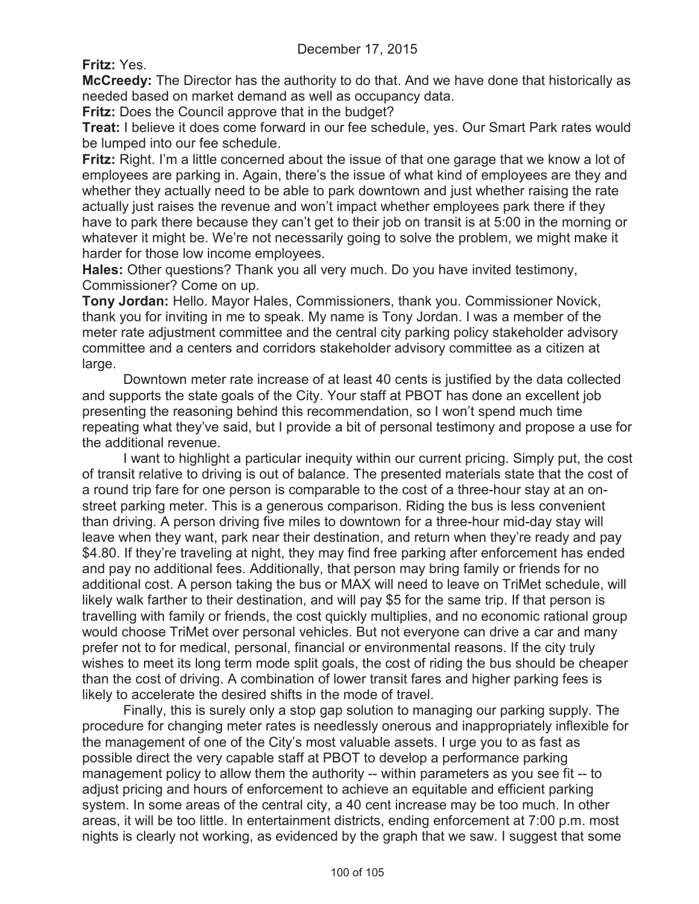**Fritz:** Yes.

**McCreedy:** The Director has the authority to do that. And we have done that historically as needed based on market demand as well as occupancy data.

**Fritz:** Does the Council approve that in the budget?

**Treat:** I believe it does come forward in our fee schedule, yes. Our Smart Park rates would be lumped into our fee schedule.

**Fritz:** Right. I'm a little concerned about the issue of that one garage that we know a lot of employees are parking in. Again, there's the issue of what kind of employees are they and whether they actually need to be able to park downtown and just whether raising the rate actually just raises the revenue and won't impact whether employees park there if they have to park there because they can't get to their job on transit is at 5:00 in the morning or whatever it might be. We're not necessarily going to solve the problem, we might make it harder for those low income employees.

**Hales:** Other questions? Thank you all very much. Do you have invited testimony, Commissioner? Come on up.

**Tony Jordan:** Hello. Mayor Hales, Commissioners, thank you. Commissioner Novick, thank you for inviting in me to speak. My name is Tony Jordan. I was a member of the meter rate adjustment committee and the central city parking policy stakeholder advisory committee and a centers and corridors stakeholder advisory committee as a citizen at large.

Downtown meter rate increase of at least 40 cents is justified by the data collected and supports the state goals of the City. Your staff at PBOT has done an excellent job presenting the reasoning behind this recommendation, so I won't spend much time repeating what they've said, but I provide a bit of personal testimony and propose a use for the additional revenue.

I want to highlight a particular inequity within our current pricing. Simply put, the cost of transit relative to driving is out of balance. The presented materials state that the cost of a round trip fare for one person is comparable to the cost of a three-hour stay at an onstreet parking meter. This is a generous comparison. Riding the bus is less convenient than driving. A person driving five miles to downtown for a three-hour mid-day stay will leave when they want, park near their destination, and return when they're ready and pay \$4.80. If they're traveling at night, they may find free parking after enforcement has ended and pay no additional fees. Additionally, that person may bring family or friends for no additional cost. A person taking the bus or MAX will need to leave on TriMet schedule, will likely walk farther to their destination, and will pay \$5 for the same trip. If that person is travelling with family or friends, the cost quickly multiplies, and no economic rational group would choose TriMet over personal vehicles. But not everyone can drive a car and many prefer not to for medical, personal, financial or environmental reasons. If the city truly wishes to meet its long term mode split goals, the cost of riding the bus should be cheaper than the cost of driving. A combination of lower transit fares and higher parking fees is likely to accelerate the desired shifts in the mode of travel.

Finally, this is surely only a stop gap solution to managing our parking supply. The procedure for changing meter rates is needlessly onerous and inappropriately inflexible for the management of one of the City's most valuable assets. I urge you to as fast as possible direct the very capable staff at PBOT to develop a performance parking management policy to allow them the authority -- within parameters as you see fit -- to adjust pricing and hours of enforcement to achieve an equitable and efficient parking system. In some areas of the central city, a 40 cent increase may be too much. In other areas, it will be too little. In entertainment districts, ending enforcement at 7:00 p.m. most nights is clearly not working, as evidenced by the graph that we saw. I suggest that some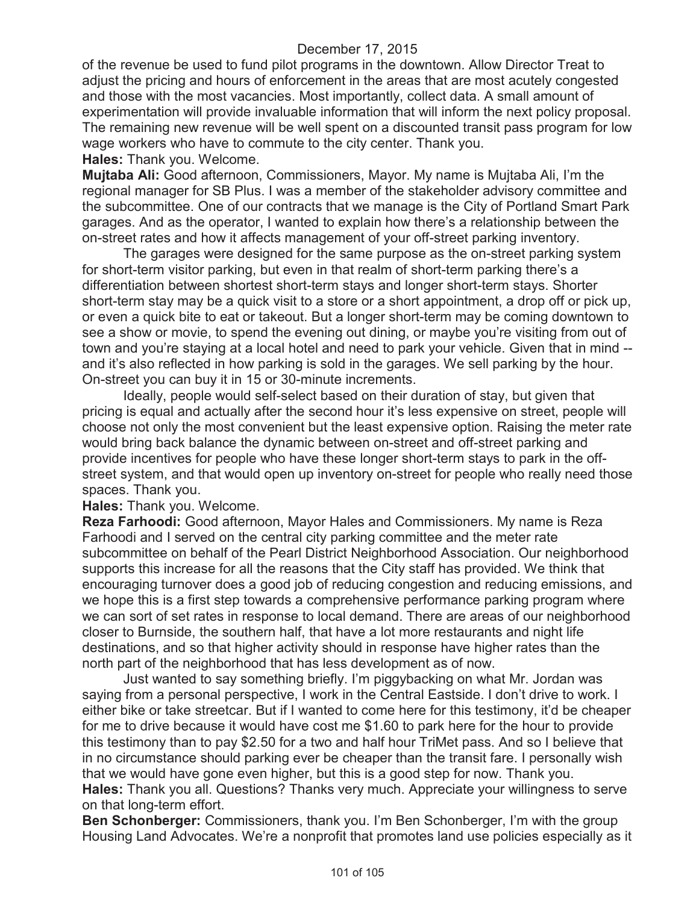of the revenue be used to fund pilot programs in the downtown. Allow Director Treat to adjust the pricing and hours of enforcement in the areas that are most acutely congested and those with the most vacancies. Most importantly, collect data. A small amount of experimentation will provide invaluable information that will inform the next policy proposal. The remaining new revenue will be well spent on a discounted transit pass program for low wage workers who have to commute to the city center. Thank you.

**Hales:** Thank you. Welcome.

**Mujtaba Ali:** Good afternoon, Commissioners, Mayor. My name is Mujtaba Ali, I'm the regional manager for SB Plus. I was a member of the stakeholder advisory committee and the subcommittee. One of our contracts that we manage is the City of Portland Smart Park garages. And as the operator, I wanted to explain how there's a relationship between the on-street rates and how it affects management of your off-street parking inventory.

The garages were designed for the same purpose as the on-street parking system for short-term visitor parking, but even in that realm of short-term parking there's a differentiation between shortest short-term stays and longer short-term stays. Shorter short-term stay may be a quick visit to a store or a short appointment, a drop off or pick up, or even a quick bite to eat or takeout. But a longer short-term may be coming downtown to see a show or movie, to spend the evening out dining, or maybe you're visiting from out of town and you're staying at a local hotel and need to park your vehicle. Given that in mind - and it's also reflected in how parking is sold in the garages. We sell parking by the hour. On-street you can buy it in 15 or 30-minute increments.

Ideally, people would self-select based on their duration of stay, but given that pricing is equal and actually after the second hour it's less expensive on street, people will choose not only the most convenient but the least expensive option. Raising the meter rate would bring back balance the dynamic between on-street and off-street parking and provide incentives for people who have these longer short-term stays to park in the offstreet system, and that would open up inventory on-street for people who really need those spaces. Thank you.

**Hales:** Thank you. Welcome.

**Reza Farhoodi:** Good afternoon, Mayor Hales and Commissioners. My name is Reza Farhoodi and I served on the central city parking committee and the meter rate subcommittee on behalf of the Pearl District Neighborhood Association. Our neighborhood supports this increase for all the reasons that the City staff has provided. We think that encouraging turnover does a good job of reducing congestion and reducing emissions, and we hope this is a first step towards a comprehensive performance parking program where we can sort of set rates in response to local demand. There are areas of our neighborhood closer to Burnside, the southern half, that have a lot more restaurants and night life destinations, and so that higher activity should in response have higher rates than the north part of the neighborhood that has less development as of now.

Just wanted to say something briefly. I'm piggybacking on what Mr. Jordan was saying from a personal perspective, I work in the Central Eastside. I don't drive to work. I either bike or take streetcar. But if I wanted to come here for this testimony, it'd be cheaper for me to drive because it would have cost me \$1.60 to park here for the hour to provide this testimony than to pay \$2.50 for a two and half hour TriMet pass. And so I believe that in no circumstance should parking ever be cheaper than the transit fare. I personally wish that we would have gone even higher, but this is a good step for now. Thank you. **Hales:** Thank you all. Questions? Thanks very much. Appreciate your willingness to serve on that long-term effort.

**Ben Schonberger:** Commissioners, thank you. I'm Ben Schonberger, I'm with the group Housing Land Advocates. We're a nonprofit that promotes land use policies especially as it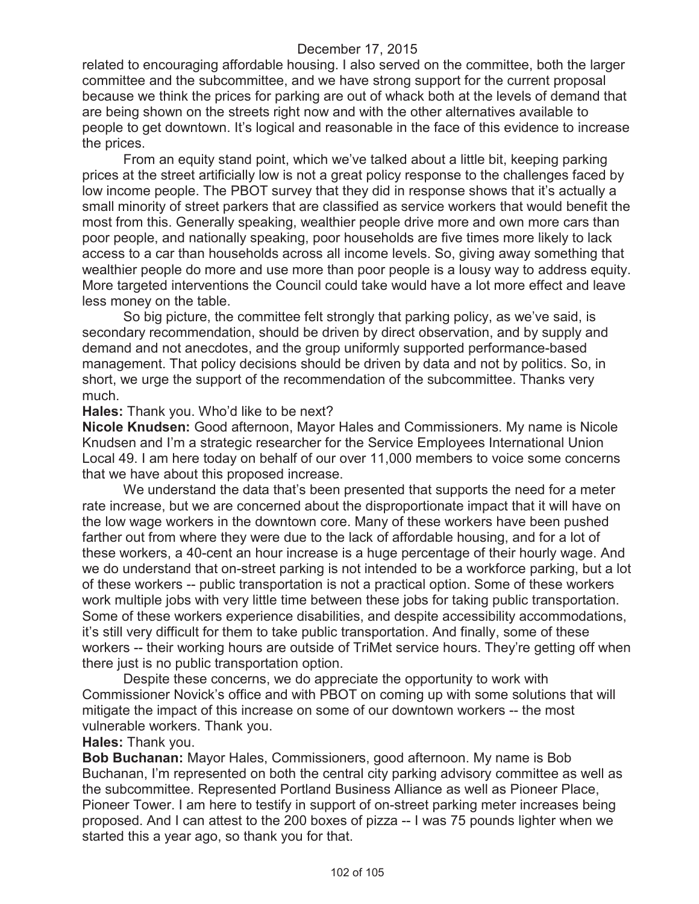related to encouraging affordable housing. I also served on the committee, both the larger committee and the subcommittee, and we have strong support for the current proposal because we think the prices for parking are out of whack both at the levels of demand that are being shown on the streets right now and with the other alternatives available to people to get downtown. It's logical and reasonable in the face of this evidence to increase the prices.

From an equity stand point, which we've talked about a little bit, keeping parking prices at the street artificially low is not a great policy response to the challenges faced by low income people. The PBOT survey that they did in response shows that it's actually a small minority of street parkers that are classified as service workers that would benefit the most from this. Generally speaking, wealthier people drive more and own more cars than poor people, and nationally speaking, poor households are five times more likely to lack access to a car than households across all income levels. So, giving away something that wealthier people do more and use more than poor people is a lousy way to address equity. More targeted interventions the Council could take would have a lot more effect and leave less money on the table.

So big picture, the committee felt strongly that parking policy, as we've said, is secondary recommendation, should be driven by direct observation, and by supply and demand and not anecdotes, and the group uniformly supported performance-based management. That policy decisions should be driven by data and not by politics. So, in short, we urge the support of the recommendation of the subcommittee. Thanks very much.

### **Hales:** Thank you. Who'd like to be next?

**Nicole Knudsen:** Good afternoon, Mayor Hales and Commissioners. My name is Nicole Knudsen and I'm a strategic researcher for the Service Employees International Union Local 49. I am here today on behalf of our over 11,000 members to voice some concerns that we have about this proposed increase.

We understand the data that's been presented that supports the need for a meter rate increase, but we are concerned about the disproportionate impact that it will have on the low wage workers in the downtown core. Many of these workers have been pushed farther out from where they were due to the lack of affordable housing, and for a lot of these workers, a 40-cent an hour increase is a huge percentage of their hourly wage. And we do understand that on-street parking is not intended to be a workforce parking, but a lot of these workers -- public transportation is not a practical option. Some of these workers work multiple jobs with very little time between these jobs for taking public transportation. Some of these workers experience disabilities, and despite accessibility accommodations, it's still very difficult for them to take public transportation. And finally, some of these workers -- their working hours are outside of TriMet service hours. They're getting off when there just is no public transportation option.

Despite these concerns, we do appreciate the opportunity to work with Commissioner Novick's office and with PBOT on coming up with some solutions that will mitigate the impact of this increase on some of our downtown workers -- the most vulnerable workers. Thank you.

#### **Hales:** Thank you.

**Bob Buchanan:** Mayor Hales, Commissioners, good afternoon. My name is Bob Buchanan, I'm represented on both the central city parking advisory committee as well as the subcommittee. Represented Portland Business Alliance as well as Pioneer Place, Pioneer Tower. I am here to testify in support of on-street parking meter increases being proposed. And I can attest to the 200 boxes of pizza -- I was 75 pounds lighter when we started this a year ago, so thank you for that.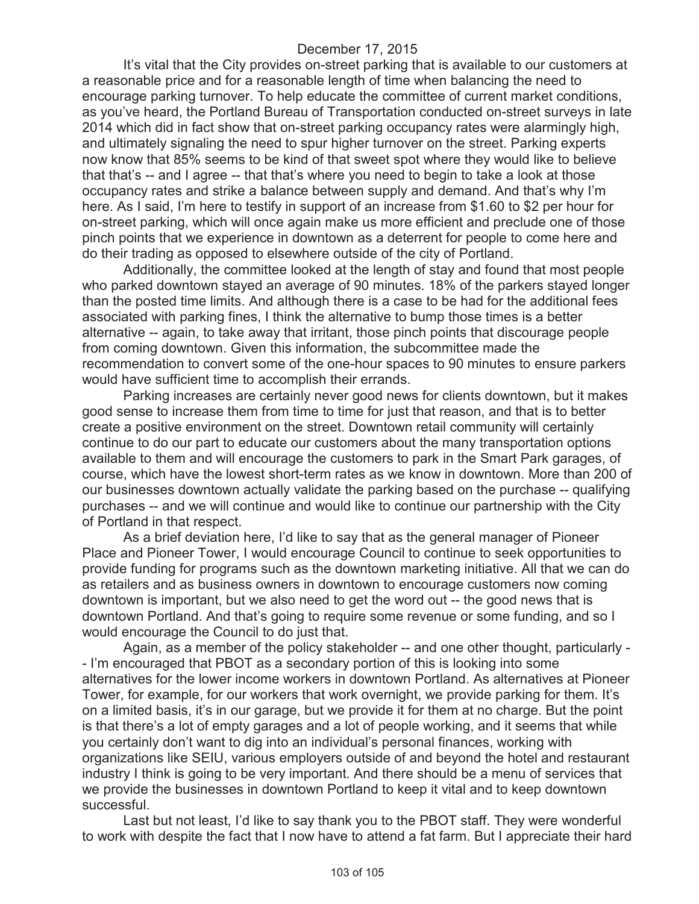It's vital that the City provides on-street parking that is available to our customers at a reasonable price and for a reasonable length of time when balancing the need to encourage parking turnover. To help educate the committee of current market conditions, as you've heard, the Portland Bureau of Transportation conducted on-street surveys in late 2014 which did in fact show that on-street parking occupancy rates were alarmingly high, and ultimately signaling the need to spur higher turnover on the street. Parking experts now know that 85% seems to be kind of that sweet spot where they would like to believe that that's -- and I agree -- that that's where you need to begin to take a look at those occupancy rates and strike a balance between supply and demand. And that's why I'm here. As I said, I'm here to testify in support of an increase from \$1.60 to \$2 per hour for on-street parking, which will once again make us more efficient and preclude one of those pinch points that we experience in downtown as a deterrent for people to come here and do their trading as opposed to elsewhere outside of the city of Portland.

Additionally, the committee looked at the length of stay and found that most people who parked downtown stayed an average of 90 minutes. 18% of the parkers stayed longer than the posted time limits. And although there is a case to be had for the additional fees associated with parking fines, I think the alternative to bump those times is a better alternative -- again, to take away that irritant, those pinch points that discourage people from coming downtown. Given this information, the subcommittee made the recommendation to convert some of the one-hour spaces to 90 minutes to ensure parkers would have sufficient time to accomplish their errands.

Parking increases are certainly never good news for clients downtown, but it makes good sense to increase them from time to time for just that reason, and that is to better create a positive environment on the street. Downtown retail community will certainly continue to do our part to educate our customers about the many transportation options available to them and will encourage the customers to park in the Smart Park garages, of course, which have the lowest short-term rates as we know in downtown. More than 200 of our businesses downtown actually validate the parking based on the purchase -- qualifying purchases -- and we will continue and would like to continue our partnership with the City of Portland in that respect.

As a brief deviation here, I'd like to say that as the general manager of Pioneer Place and Pioneer Tower, I would encourage Council to continue to seek opportunities to provide funding for programs such as the downtown marketing initiative. All that we can do as retailers and as business owners in downtown to encourage customers now coming downtown is important, but we also need to get the word out -- the good news that is downtown Portland. And that's going to require some revenue or some funding, and so I would encourage the Council to do just that.

Again, as a member of the policy stakeholder -- and one other thought, particularly - - I'm encouraged that PBOT as a secondary portion of this is looking into some alternatives for the lower income workers in downtown Portland. As alternatives at Pioneer Tower, for example, for our workers that work overnight, we provide parking for them. It's on a limited basis, it's in our garage, but we provide it for them at no charge. But the point is that there's a lot of empty garages and a lot of people working, and it seems that while you certainly don't want to dig into an individual's personal finances, working with organizations like SEIU, various employers outside of and beyond the hotel and restaurant industry I think is going to be very important. And there should be a menu of services that we provide the businesses in downtown Portland to keep it vital and to keep downtown successful.

Last but not least, I'd like to say thank you to the PBOT staff. They were wonderful to work with despite the fact that I now have to attend a fat farm. But I appreciate their hard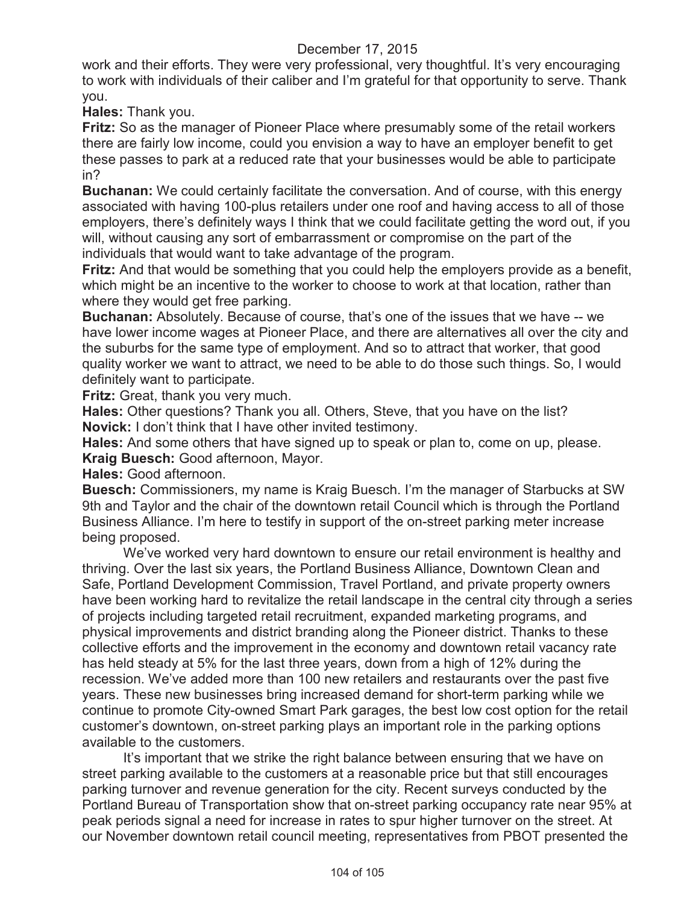work and their efforts. They were very professional, very thoughtful. It's very encouraging to work with individuals of their caliber and I'm grateful for that opportunity to serve. Thank you.

**Hales:** Thank you.

**Fritz:** So as the manager of Pioneer Place where presumably some of the retail workers there are fairly low income, could you envision a way to have an employer benefit to get these passes to park at a reduced rate that your businesses would be able to participate in?

**Buchanan:** We could certainly facilitate the conversation. And of course, with this energy associated with having 100-plus retailers under one roof and having access to all of those employers, there's definitely ways I think that we could facilitate getting the word out, if you will, without causing any sort of embarrassment or compromise on the part of the individuals that would want to take advantage of the program.

**Fritz:** And that would be something that you could help the employers provide as a benefit, which might be an incentive to the worker to choose to work at that location, rather than where they would get free parking.

**Buchanan:** Absolutely. Because of course, that's one of the issues that we have -- we have lower income wages at Pioneer Place, and there are alternatives all over the city and the suburbs for the same type of employment. And so to attract that worker, that good quality worker we want to attract, we need to be able to do those such things. So, I would definitely want to participate.

**Fritz:** Great, thank you very much.

**Hales:** Other questions? Thank you all. Others, Steve, that you have on the list? **Novick:** I don't think that I have other invited testimony.

**Hales:** And some others that have signed up to speak or plan to, come on up, please. **Kraig Buesch:** Good afternoon, Mayor.

**Hales:** Good afternoon.

**Buesch:** Commissioners, my name is Kraig Buesch. I'm the manager of Starbucks at SW 9th and Taylor and the chair of the downtown retail Council which is through the Portland Business Alliance. I'm here to testify in support of the on-street parking meter increase being proposed.

We've worked very hard downtown to ensure our retail environment is healthy and thriving. Over the last six years, the Portland Business Alliance, Downtown Clean and Safe, Portland Development Commission, Travel Portland, and private property owners have been working hard to revitalize the retail landscape in the central city through a series of projects including targeted retail recruitment, expanded marketing programs, and physical improvements and district branding along the Pioneer district. Thanks to these collective efforts and the improvement in the economy and downtown retail vacancy rate has held steady at 5% for the last three years, down from a high of 12% during the recession. We've added more than 100 new retailers and restaurants over the past five years. These new businesses bring increased demand for short-term parking while we continue to promote City-owned Smart Park garages, the best low cost option for the retail customer's downtown, on-street parking plays an important role in the parking options available to the customers.

It's important that we strike the right balance between ensuring that we have on street parking available to the customers at a reasonable price but that still encourages parking turnover and revenue generation for the city. Recent surveys conducted by the Portland Bureau of Transportation show that on-street parking occupancy rate near 95% at peak periods signal a need for increase in rates to spur higher turnover on the street. At our November downtown retail council meeting, representatives from PBOT presented the